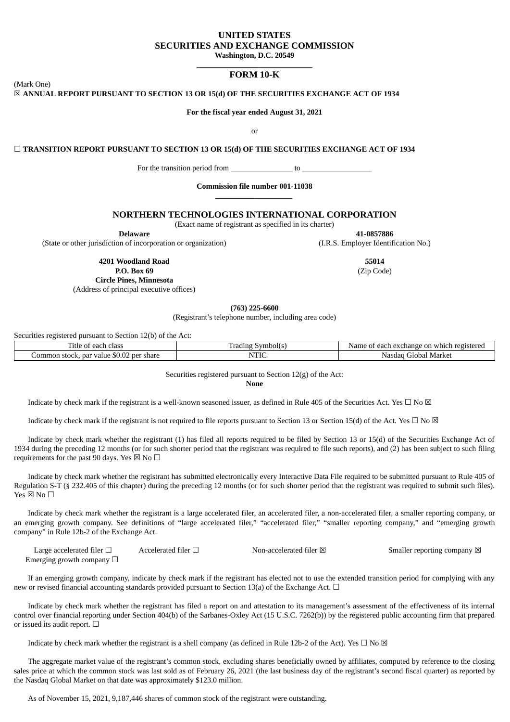## **UNITED STATES SECURITIES AND EXCHANGE COMMISSION Washington, D.C. 20549**

**\_\_\_\_\_\_\_\_\_\_\_\_\_\_\_\_\_\_\_\_\_\_\_\_\_\_\_\_\_\_**

# **FORM 10-K**

(Mark One)

☒ **ANNUAL REPORT PURSUANT TO SECTION 13 OR 15(d) OF THE SECURITIES EXCHANGE ACT OF 1934**

**For the fiscal year ended August 31, 2021**

or

☐ **TRANSITION REPORT PURSUANT TO SECTION 13 OR 15(d) OF THE SECURITIES EXCHANGE ACT OF 1934**

For the transition period from  $\Box$  to  $\Box$ 

**Commission file number 001-11038** *\_\_\_\_\_\_\_\_\_\_\_\_\_\_\_\_\_\_\_\_*

# **NORTHERN TECHNOLOGIES INTERNATIONAL CORPORATION**

(Exact name of registrant as specified in its charter)

**Delaware**

(State or other jurisdiction of incorporation or organization)

**4201 Woodland Road**

**P.O. Box 69**

**Circle Pines, Minnesota**

(Address of principal executive offices)

**(763) 225-6600**

(Registrant's telephone number, including area code)

Securities registered pursuant to Section 12(b) of the Act:

| m.<br>l'itle of each (<br>class               | Symbol(s)<br>radıng | Name of each exchange on which registered |
|-----------------------------------------------|---------------------|-------------------------------------------|
| . par value \$0.02 per share<br>Common stock, | NTIC<br>NL          | Market<br>Nasdad<br>Global                |

Securities registered pursuant to Section 12(g) of the Act:

**None**

Indicate by check mark if the registrant is a well-known seasoned issuer, as defined in Rule 405 of the Securities Act. Yes  $\Box$  No  $\boxtimes$ 

Indicate by check mark if the registrant is not required to file reports pursuant to Section 13 or Section 15(d) of the Act. Yes  $\Box$  No  $\boxtimes$ 

Indicate by check mark whether the registrant (1) has filed all reports required to be filed by Section 13 or 15(d) of the Securities Exchange Act of 1934 during the preceding 12 months (or for such shorter period that the registrant was required to file such reports), and (2) has been subject to such filing requirements for the past 90 days. Yes  $\boxtimes$  No  $\Box$ 

Indicate by check mark whether the registrant has submitted electronically every Interactive Data File required to be submitted pursuant to Rule 405 of Regulation S-T (§ 232.405 of this chapter) during the preceding 12 months (or for such shorter period that the registrant was required to submit such files). Yes  $\boxtimes$  No  $\square$ 

Indicate by check mark whether the registrant is a large accelerated filer, an accelerated filer, a non-accelerated filer, a smaller reporting company, or an emerging growth company. See definitions of "large accelerated filer," "accelerated filer," "smaller reporting company," and "emerging growth company" in Rule 12b-2 of the Exchange Act.

Large accelerated filer □ Accelerated filer □ Non-accelerated filer ⊠ Smaller reporting company ⊠ Emerging growth company  $\Box$ 

If an emerging growth company, indicate by check mark if the registrant has elected not to use the extended transition period for complying with any new or revised financial accounting standards provided pursuant to Section 13(a) of the Exchange Act.  $\Box$ 

Indicate by check mark whether the registrant has filed a report on and attestation to its management's assessment of the effectiveness of its internal control over financial reporting under Section 404(b) of the Sarbanes-Oxley Act (15 U.S.C. 7262(b)) by the registered public accounting firm that prepared or issued its audit report.  $\Box$ 

Indicate by check mark whether the registrant is a shell company (as defined in Rule 12b-2 of the Act). Yes  $\Box$  No  $\boxtimes$ 

The aggregate market value of the registrant's common stock, excluding shares beneficially owned by affiliates, computed by reference to the closing sales price at which the common stock was last sold as of February 26, 2021 (the last business day of the registrant's second fiscal quarter) as reported by the Nasdaq Global Market on that date was approximately \$123.0 million.

As of November 15, 2021, 9,187,446 shares of common stock of the registrant were outstanding.

**41-0857886** (I.R.S. Employer Identification No.)

**55014** (Zip Code)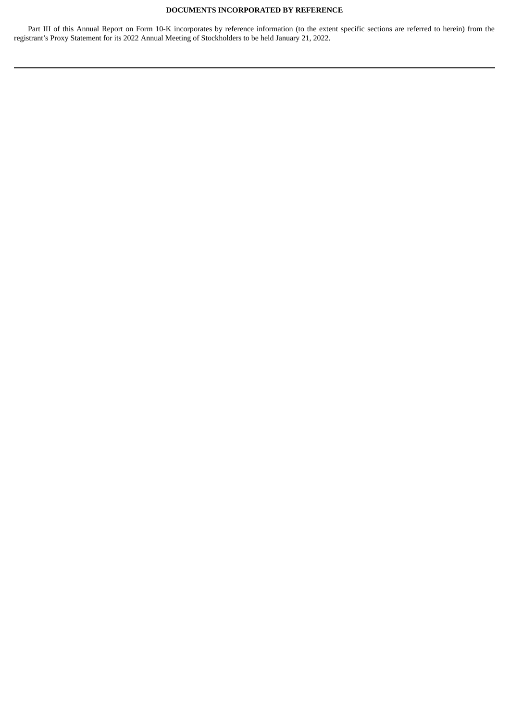# **DOCUMENTS INCORPORATED BY REFERENCE**

Part III of this Annual Report on Form 10-K incorporates by reference information (to the extent specific sections are referred to herein) from the registrant's Proxy Statement for its 2022 Annual Meeting of Stockholders to be held January 21, 2022.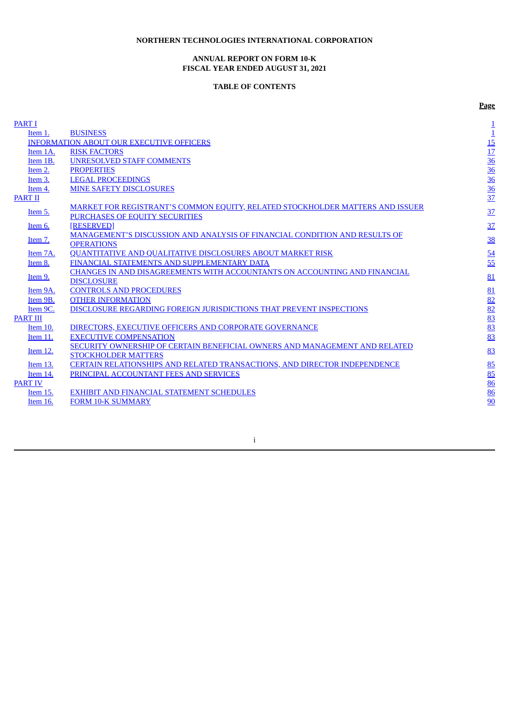# **NORTHERN TECHNOLOGIES INTERNATIONAL CORPORATION**

# **ANNUAL REPORT ON FORM 10-K FISCAL YEAR ENDED AUGUST 31, 2021**

# **TABLE OF CONTENTS**

| <b>PART I</b> |                 |                                                                                      |                                                                               |
|---------------|-----------------|--------------------------------------------------------------------------------------|-------------------------------------------------------------------------------|
|               | Item 1.         | <b>BUSINESS</b>                                                                      | $\frac{1}{1}$ $\frac{15}{17}$ $\frac{17}{36}$ $\frac{36}{36}$ $\frac{36}{37}$ |
|               |                 | <b>INFORMATION ABOUT OUR EXECUTIVE OFFICERS</b>                                      |                                                                               |
|               | Item 1A.        | <b>RISK FACTORS</b>                                                                  |                                                                               |
|               | Item 1B.        | <b>UNRESOLVED STAFF COMMENTS</b>                                                     |                                                                               |
|               | Item 2.         | <b>PROPERTIES</b>                                                                    |                                                                               |
|               | Item 3.         | <b>LEGAL PROCEEDINGS</b>                                                             |                                                                               |
|               | Item 4.         | <b>MINE SAFETY DISCLOSURES</b>                                                       |                                                                               |
|               | <b>PART II</b>  |                                                                                      |                                                                               |
|               | Item 5.         | <u>MARKET FOR REGISTRANT'S COMMON EQUITY, RELATED STOCKHOLDER MATTERS AND ISSUER</u> | 37                                                                            |
|               |                 | PURCHASES OF EQUITY SECURITIES                                                       |                                                                               |
|               | Item 6.         | <b>[RESERVED]</b>                                                                    | 37                                                                            |
|               | Item 7.         | MANAGEMENT'S DISCUSSION AND ANALYSIS OF FINANCIAL CONDITION AND RESULTS OF           | 38                                                                            |
|               |                 | <b>OPERATIONS</b>                                                                    |                                                                               |
|               | Item 7A.        | QUANTITATIVE AND QUALITATIVE DISCLOSURES ABOUT MARKET RISK                           | 54                                                                            |
|               | Item 8.         | FINANCIAL STATEMENTS AND SUPPLEMENTARY DATA                                          | 55                                                                            |
|               | Item 9.         | CHANGES IN AND DISAGREEMENTS WITH ACCOUNTANTS ON ACCOUNTING AND FINANCIAL            | 81                                                                            |
|               |                 | <b>DISCLOSURE</b>                                                                    |                                                                               |
|               | Item 9A.        | <b>CONTROLS AND PROCEDURES</b>                                                       | 81                                                                            |
|               | Item 9B.        | <b>OTHER INFORMATION</b>                                                             | $\frac{82}{5}$                                                                |
|               | Item 9C.        | DISCLOSURE REGARDING FOREIGN JURISDICTIONS THAT PREVENT INSPECTIONS                  | $\frac{82}{83}$ $\frac{83}{83}$                                               |
|               | <b>PART III</b> |                                                                                      |                                                                               |
|               | Item $10$ .     | DIRECTORS, EXECUTIVE OFFICERS AND CORPORATE GOVERNANCE                               |                                                                               |
|               | Item 11.        | <b>EXECUTIVE COMPENSATION</b>                                                        |                                                                               |
|               | Item 12.        | SECURITY OWNERSHIP OF CERTAIN BENEFICIAL OWNERS AND MANAGEMENT AND RELATED           | 83                                                                            |
|               |                 | <b>STOCKHOLDER MATTERS</b>                                                           |                                                                               |
|               | Item 13.        | <b>CERTAIN RELATIONSHIPS AND RELATED TRANSACTIONS, AND DIRECTOR INDEPENDENCE</b>     |                                                                               |
|               | Item 14.        | PRINCIPAL ACCOUNTANT FEES AND SERVICES                                               |                                                                               |
|               | <b>PART IV</b>  |                                                                                      | 85<br>85<br>86<br>86                                                          |
|               | Item 15.        | EXHIBIT AND FINANCIAL STATEMENT SCHEDULES                                            |                                                                               |
|               | <b>Item 16.</b> | <b>FORM 10-K SUMMARY</b>                                                             | $\overline{90}$                                                               |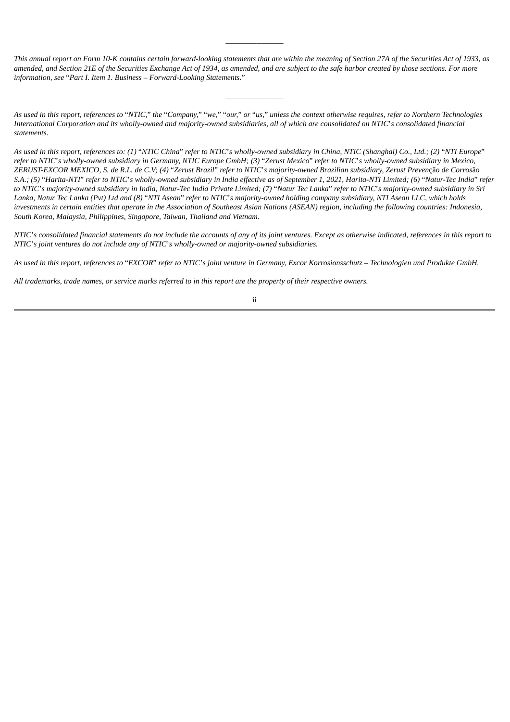This annual report on Form 10-K contains certain forward-looking statements that are within the meaning of Section 27A of the Securities Act of 1933, as amended, and Section 21E of the Securities Exchange Act of 1934, as amended, and are subject to the safe harbor created by those sections. For more *information, see* "*Part I. Item 1. Business* – *Forward-Looking Statements.*"

 $\overline{\phantom{a}}$  , where  $\overline{\phantom{a}}$ 

 $\overline{\phantom{a}}$  , where  $\overline{\phantom{a}}$ 

As used in this report, references to "NTIC," the "Company," "we," "our," or "us," unless the context otherwise requires, refer to Northern Technologies International Corporation and its wholly-owned and majority-owned subsidiaries, all of which are consolidated on NTIC's consolidated financial *statements.*

As used in this report, references to: (1) "NTIC China" refer to NTIC's wholly-owned subsidiary in China, NTIC (Shanghai) Co., Ltd.; (2) "NTI Europe" refer to NTIC's wholly-owned subsidiary in Germany, NTIC Europe GmbH; (3) "Zerust Mexico" refer to NTIC's wholly-owned subsidiary in Mexico, ZERUST-EXCOR MEXICO, S. de R.L. de C.V; (4) "Zerust Brazil" refer to NTIC's majority-owned Brazilian subsidiary, Zerust Prevenção de Corrosão S.A.; (5) "Harita-NTI" refer to NTIC's wholly-owned subsidiary in India effective as of September 1, 2021, Harita-NTI Limited; (6) "Natur-Tec India" refer to NTIC's majority-owned subsidiary in India, Natur-Tec India Private Limited; (7) "Natur Tec Lanka" refer to NTIC's majority-owned subsidiary in Sri Lanka, Natur Tec Lanka (Pvt) Ltd and (8) "NTI Asean" refer to NTIC's majority-owned holding company subsidiary, NTI Asean LLC, which holds investments in certain entities that operate in the Association of Southeast Asian Nations (ASEAN) reaion, including the following countries: Indonesia, *South Korea, Malaysia, Philippines, Singapore, Taiwan, Thailand and Vietnam.*

NTIC's consolidated financial statements do not include the accounts of any of its joint ventures. Except as otherwise indicated, references in this report to *NTIC*'*s joint ventures do not include any of NTIC*'*s wholly-owned or majority-owned subsidiaries.*

As used in this report, references to "EXCOR" refer to NTIC's joint venture in Germany, Excor Korrosionsschutz - Technologien und Produkte GmbH.

All trademarks, trade names, or service marks referred to in this report are the property of their respective owners.

ii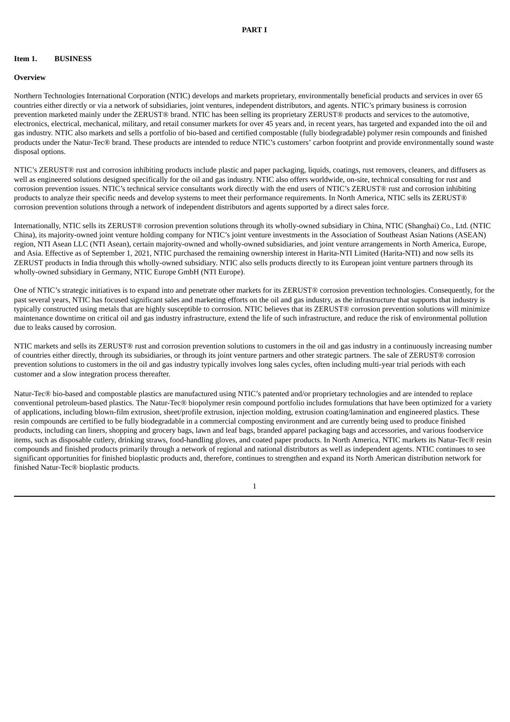#### <span id="page-4-1"></span><span id="page-4-0"></span>**Item 1. BUSINESS**

#### **Overview**

Northern Technologies International Corporation (NTIC) develops and markets proprietary, environmentally beneficial products and services in over 65 countries either directly or via a network of subsidiaries, joint ventures, independent distributors, and agents. NTIC's primary business is corrosion prevention marketed mainly under the ZERUST® brand. NTIC has been selling its proprietary ZERUST® products and services to the automotive, electronics, electrical, mechanical, military, and retail consumer markets for over 45 years and, in recent years, has targeted and expanded into the oil and gas industry. NTIC also markets and sells a portfolio of bio-based and certified compostable (fully biodegradable) polymer resin compounds and finished products under the Natur-Tec® brand. These products are intended to reduce NTIC's customers' carbon footprint and provide environmentally sound waste disposal options.

NTIC's ZERUST® rust and corrosion inhibiting products include plastic and paper packaging, liquids, coatings, rust removers, cleaners, and diffusers as well as engineered solutions designed specifically for the oil and gas industry. NTIC also offers worldwide, on-site, technical consulting for rust and corrosion prevention issues. NTIC's technical service consultants work directly with the end users of NTIC's ZERUST® rust and corrosion inhibiting products to analyze their specific needs and develop systems to meet their performance requirements. In North America, NTIC sells its ZERUST® corrosion prevention solutions through a network of independent distributors and agents supported by a direct sales force.

Internationally, NTIC sells its ZERUST® corrosion prevention solutions through its wholly-owned subsidiary in China, NTIC (Shanghai) Co., Ltd. (NTIC China), its majority-owned joint venture holding company for NTIC's joint venture investments in the Association of Southeast Asian Nations (ASEAN) region, NTI Asean LLC (NTI Asean), certain majority-owned and wholly-owned subsidiaries, and joint venture arrangements in North America, Europe, and Asia. Effective as of September 1, 2021, NTIC purchased the remaining ownership interest in Harita-NTI Limited (Harita-NTI) and now sells its ZERUST products in India through this wholly-owned subsidiary. NTIC also sells products directly to its European joint venture partners through its wholly-owned subsidiary in Germany, NTIC Europe GmbH (NTI Europe).

One of NTIC's strategic initiatives is to expand into and penetrate other markets for its ZERUST® corrosion prevention technologies. Consequently, for the past several years, NTIC has focused significant sales and marketing efforts on the oil and gas industry, as the infrastructure that supports that industry is typically constructed using metals that are highly susceptible to corrosion. NTIC believes that its ZERUST® corrosion prevention solutions will minimize maintenance downtime on critical oil and gas industry infrastructure, extend the life of such infrastructure, and reduce the risk of environmental pollution due to leaks caused by corrosion.

NTIC markets and sells its ZERUST® rust and corrosion prevention solutions to customers in the oil and gas industry in a continuously increasing number of countries either directly, through its subsidiaries, or through its joint venture partners and other strategic partners. The sale of ZERUST® corrosion prevention solutions to customers in the oil and gas industry typically involves long sales cycles, often including multi-year trial periods with each customer and a slow integration process thereafter.

Natur-Tec® bio-based and compostable plastics are manufactured using NTIC's patented and/or proprietary technologies and are intended to replace conventional petroleum-based plastics. The Natur-Tec® biopolymer resin compound portfolio includes formulations that have been optimized for a variety of applications, including blown-film extrusion, sheet/profile extrusion, injection molding, extrusion coating/lamination and engineered plastics. These resin compounds are certified to be fully biodegradable in a commercial composting environment and are currently being used to produce finished products, including can liners, shopping and grocery bags, lawn and leaf bags, branded apparel packaging bags and accessories, and various foodservice items, such as disposable cutlery, drinking straws, food-handling gloves, and coated paper products. In North America, NTIC markets its Natur-Tec® resin compounds and finished products primarily through a network of regional and national distributors as well as independent agents. NTIC continues to see significant opportunities for finished bioplastic products and, therefore, continues to strengthen and expand its North American distribution network for finished Natur-Tec® bioplastic products.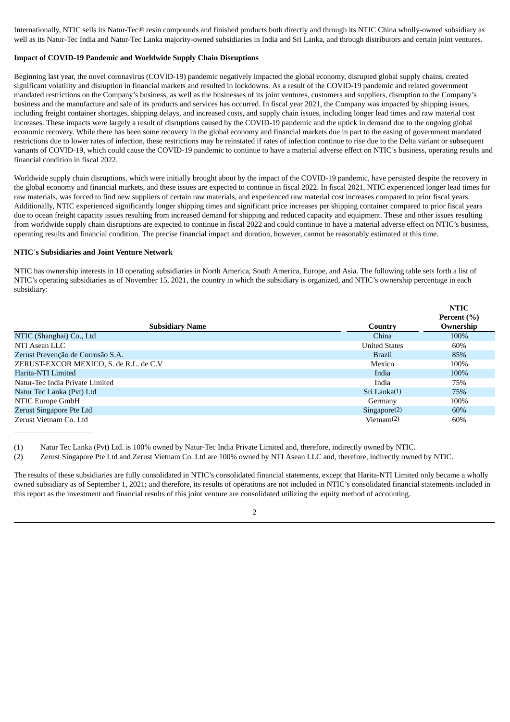Internationally, NTIC sells its Natur-Tec® resin compounds and finished products both directly and through its NTIC China wholly-owned subsidiary as well as its Natur-Tec India and Natur-Tec Lanka majority-owned subsidiaries in India and Sri Lanka, and through distributors and certain joint ventures.

## **Impact of COVID-19 Pandemic and Worldwide Supply Chain Disruptions**

Beginning last year, the novel coronavirus (COVID-19) pandemic negatively impacted the global economy, disrupted global supply chains, created significant volatility and disruption in financial markets and resulted in lockdowns. As a result of the COVID-19 pandemic and related government mandated restrictions on the Company's business, as well as the businesses of its joint ventures, customers and suppliers, disruption to the Company's business and the manufacture and sale of its products and services has occurred. In fiscal year 2021, the Company was impacted by shipping issues, including freight container shortages, shipping delays, and increased costs, and supply chain issues, including longer lead times and raw material cost increases. These impacts were largely a result of disruptions caused by the COVID-19 pandemic and the uptick in demand due to the ongoing global economic recovery. While there has been some recovery in the global economy and financial markets due in part to the easing of government mandated restrictions due to lower rates of infection, these restrictions may be reinstated if rates of infection continue to rise due to the Delta variant or subsequent variants of COVID-19, which could cause the COVID-19 pandemic to continue to have a material adverse effect on NTIC's business, operating results and financial condition in fiscal 2022.

Worldwide supply chain disruptions, which were initially brought about by the impact of the COVID-19 pandemic, have persisted despite the recovery in the global economy and financial markets, and these issues are expected to continue in fiscal 2022. In fiscal 2021, NTIC experienced longer lead times for raw materials, was forced to find new suppliers of certain raw materials, and experienced raw material cost increases compared to prior fiscal years. Additionally, NTIC experienced significantly longer shipping times and significant price increases per shipping container compared to prior fiscal years due to ocean freight capacity issues resulting from increased demand for shipping and reduced capacity and equipment. These and other issues resulting from worldwide supply chain disruptions are expected to continue in fiscal 2022 and could continue to have a material adverse effect on NTIC's business, operating results and financial condition. The precise financial impact and duration, however, cannot be reasonably estimated at this time.

#### **NTIC**'**s Subsidiaries and Joint Venture Network**

NTIC has ownership interests in 10 operating subsidiaries in North America, South America, Europe, and Asia. The following table sets forth a list of NTIC's operating subsidiaries as of November 15, 2021, the country in which the subsidiary is organized, and NTIC's ownership percentage in each subsidiary:

|                                        |                          | <b>NTIC</b>     |
|----------------------------------------|--------------------------|-----------------|
|                                        |                          | Percent $(\% )$ |
| <b>Subsidiary Name</b>                 | Country                  | Ownership       |
| NTIC (Shanghai) Co., Ltd               | China                    | 100%            |
| NTI Asean LLC                          | <b>United States</b>     | 60%             |
| Zerust Prevenção de Corrosão S.A.      | <b>Brazil</b>            | 85%             |
| ZERUST-EXCOR MEXICO, S. de R.L. de C.V | Mexico                   | 100%            |
| Harita-NTI Limited                     | India                    | 100%            |
| Natur-Tec India Private Limited        | India                    | 75%             |
| Natur Tec Lanka (Pvt) Ltd              | $Sri$ Lanka $(1)$        | 75%             |
| NTIC Europe GmbH                       | Germany                  | 100%            |
| Zerust Singapore Pte Ltd               | Singapore <sup>(2)</sup> | 60%             |
| Zerust Vietnam Co. Ltd                 | Vietnam(2)               | 60%             |

(1) Natur Tec Lanka (Pvt) Ltd. is 100% owned by Natur-Tec India Private Limited and, therefore, indirectly owned by NTIC.

(2) Zerust Singapore Pte Ltd and Zerust Vietnam Co. Ltd are 100% owned by NTI Asean LLC and, therefore, indirectly owned by NTIC.

The results of these subsidiaries are fully consolidated in NTIC's consolidated financial statements, except that Harita-NTI Limited only became a wholly owned subsidiary as of September 1, 2021; and therefore, its results of operations are not included in NTIC's consolidated financial statements included in this report as the investment and financial results of this joint venture are consolidated utilizing the equity method of accounting.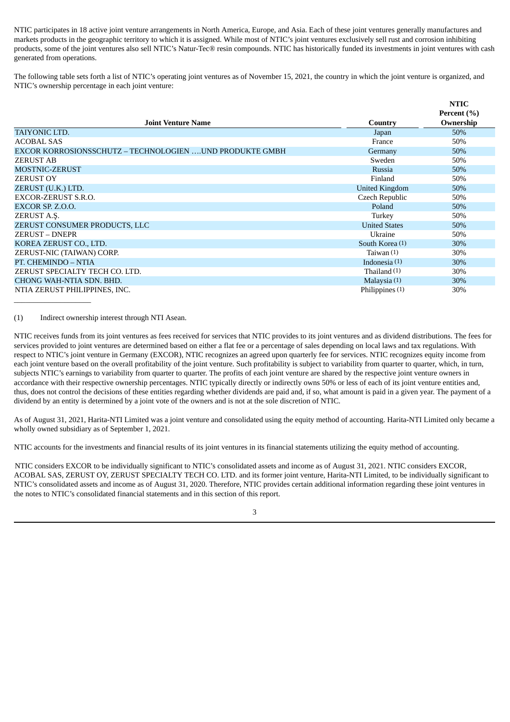NTIC participates in 18 active joint venture arrangements in North America, Europe, and Asia. Each of these joint ventures generally manufactures and markets products in the geographic territory to which it is assigned. While most of NTIC's joint ventures exclusively sell rust and corrosion inhibiting products, some of the joint ventures also sell NTIC's Natur-Tec® resin compounds. NTIC has historically funded its investments in joint ventures with cash generated from operations.

The following table sets forth a list of NTIC's operating joint ventures as of November 15, 2021, the country in which the joint venture is organized, and NTIC's ownership percentage in each joint venture:

|                                                         |                       | <b>NTIC</b>              |
|---------------------------------------------------------|-----------------------|--------------------------|
| <b>Joint Venture Name</b>                               | Country               | Percent (%)<br>Ownership |
| TAIYONIC LTD.                                           | Japan                 | 50%                      |
| <b>ACOBAL SAS</b>                                       | France                | 50%                      |
| EXCOR KORROSIONSSCHUTZ - TECHNOLOGIEN UND PRODUKTE GMBH | Germany               | 50%                      |
| <b>ZERUST AB</b>                                        | Sweden                | 50%                      |
| MOSTNIC-ZERUST                                          | Russia                | 50%                      |
| <b>ZERUST OY</b>                                        | Finland               | 50%                      |
| ZERUST (U.K.) LTD.                                      | <b>United Kingdom</b> | 50%                      |
| <b>EXCOR-ZERUST S.R.O.</b>                              | Czech Republic        | 50%                      |
| EXCOR SP. Z.O.O.                                        | Poland                | 50%                      |
| ZERUST A.S.                                             | Turkey                | 50%                      |
| ZERUST CONSUMER PRODUCTS, LLC                           | <b>United States</b>  | 50%                      |
| <b>ZERUST-DNEPR</b>                                     | Ukraine               | 50%                      |
| KOREA ZERUST CO., LTD.                                  | South Korea (1)       | 30%                      |
| ZERUST-NIC (TAIWAN) CORP.                               | Taiwan $(1)$          | 30%                      |
| PT. CHEMINDO - NTIA                                     | Indonesia $(1)$       | 30%                      |
| ZERUST SPECIALTY TECH CO. LTD.                          | Thailand (1)          | 30%                      |
| CHONG WAH-NTIA SDN. BHD.                                | Malaysia (1)          | 30%                      |
| NTIA ZERUST PHILIPPINES, INC.                           | Philippines (1)       | 30%                      |

(1) Indirect ownership interest through NTI Asean.

NTIC receives funds from its joint ventures as fees received for services that NTIC provides to its joint ventures and as dividend distributions. The fees for services provided to joint ventures are determined based on either a flat fee or a percentage of sales depending on local laws and tax regulations. With respect to NTIC's joint venture in Germany (EXCOR), NTIC recognizes an agreed upon quarterly fee for services. NTIC recognizes equity income from each joint venture based on the overall profitability of the joint venture. Such profitability is subject to variability from quarter to quarter, which, in turn, subjects NTIC's earnings to variability from quarter to quarter. The profits of each joint venture are shared by the respective joint venture owners in accordance with their respective ownership percentages. NTIC typically directly or indirectly owns 50% or less of each of its joint venture entities and, thus, does not control the decisions of these entities regarding whether dividends are paid and, if so, what amount is paid in a given year. The payment of a dividend by an entity is determined by a joint vote of the owners and is not at the sole discretion of NTIC.

As of August 31, 2021, Harita-NTI Limited was a joint venture and consolidated using the equity method of accounting. Harita-NTI Limited only became a wholly owned subsidiary as of September 1, 2021.

NTIC accounts for the investments and financial results of its joint ventures in its financial statements utilizing the equity method of accounting.

NTIC considers EXCOR to be individually significant to NTIC's consolidated assets and income as of August 31, 2021. NTIC considers EXCOR, ACOBAL SAS, ZERUST OY, ZERUST SPECIALTY TECH CO. LTD. and its former joint venture, Harita-NTI Limited, to be individually significant to NTIC's consolidated assets and income as of August 31, 2020. Therefore, NTIC provides certain additional information regarding these joint ventures in the notes to NTIC's consolidated financial statements and in this section of this report.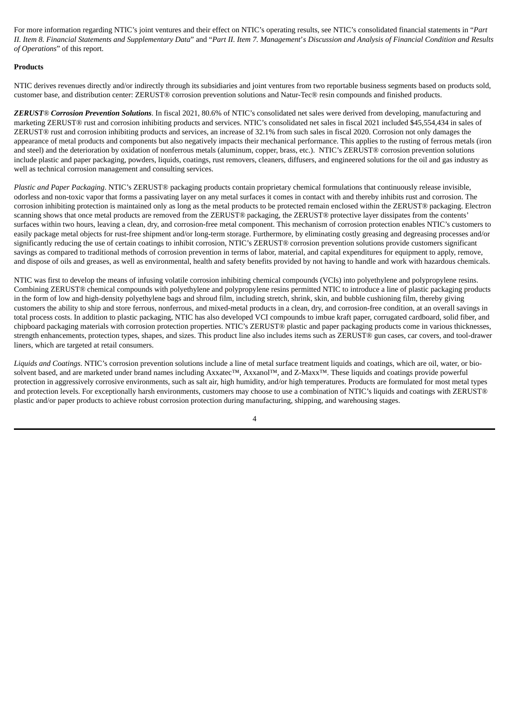For more information regarding NTIC's joint ventures and their effect on NTIC's operating results, see NTIC's consolidated financial statements in "*Part* II. Item 8. Financial Statements and Supplementary Data" and "Part II. Item 7. Management's Discussion and Analysis of Financial Condition and Results *of Operations*" of this report.

## **Products**

NTIC derives revenues directly and/or indirectly through its subsidiaries and joint ventures from two reportable business segments based on products sold, customer base, and distribution center: ZERUST® corrosion prevention solutions and Natur-Tec® resin compounds and finished products.

*ZERUST*® *Corrosion Prevention Solutions*. In fiscal 2021, 80.6% of NTIC's consolidated net sales were derived from developing, manufacturing and marketing ZERUST® rust and corrosion inhibiting products and services. NTIC's consolidated net sales in fiscal 2021 included \$45,554,434 in sales of ZERUST® rust and corrosion inhibiting products and services, an increase of 32.1% from such sales in fiscal 2020. Corrosion not only damages the appearance of metal products and components but also negatively impacts their mechanical performance. This applies to the rusting of ferrous metals (iron and steel) and the deterioration by oxidation of nonferrous metals (aluminum, copper, brass, etc.). NTIC's ZERUST® corrosion prevention solutions include plastic and paper packaging, powders, liquids, coatings, rust removers, cleaners, diffusers, and engineered solutions for the oil and gas industry as well as technical corrosion management and consulting services.

*Plastic and Paper Packaging*. NTIC's ZERUST® packaging products contain proprietary chemical formulations that continuously release invisible, odorless and non-toxic vapor that forms a passivating layer on any metal surfaces it comes in contact with and thereby inhibits rust and corrosion. The corrosion inhibiting protection is maintained only as long as the metal products to be protected remain enclosed within the ZERUST® packaging. Electron scanning shows that once metal products are removed from the ZERUST® packaging, the ZERUST® protective layer dissipates from the contents' surfaces within two hours, leaving a clean, dry, and corrosion-free metal component. This mechanism of corrosion protection enables NTIC's customers to easily package metal objects for rust-free shipment and/or long-term storage. Furthermore, by eliminating costly greasing and degreasing processes and/or significantly reducing the use of certain coatings to inhibit corrosion, NTIC's ZERUST® corrosion prevention solutions provide customers significant savings as compared to traditional methods of corrosion prevention in terms of labor, material, and capital expenditures for equipment to apply, remove, and dispose of oils and greases, as well as environmental, health and safety benefits provided by not having to handle and work with hazardous chemicals.

NTIC was first to develop the means of infusing volatile corrosion inhibiting chemical compounds (VCIs) into polyethylene and polypropylene resins. Combining ZERUST® chemical compounds with polyethylene and polypropylene resins permitted NTIC to introduce a line of plastic packaging products in the form of low and high-density polyethylene bags and shroud film, including stretch, shrink, skin, and bubble cushioning film, thereby giving customers the ability to ship and store ferrous, nonferrous, and mixed-metal products in a clean, dry, and corrosion-free condition, at an overall savings in total process costs. In addition to plastic packaging, NTIC has also developed VCI compounds to imbue kraft paper, corrugated cardboard, solid fiber, and chipboard packaging materials with corrosion protection properties. NTIC's ZERUST® plastic and paper packaging products come in various thicknesses, strength enhancements, protection types, shapes, and sizes. This product line also includes items such as ZERUST® gun cases, car covers, and tool-drawer liners, which are targeted at retail consumers.

*Liquids and Coatings*. NTIC's corrosion prevention solutions include a line of metal surface treatment liquids and coatings, which are oil, water, or biosolvent based, and are marketed under brand names including Axxatec™, Axxanol™, and Z-Maxx™. These liquids and coatings provide powerful protection in aggressively corrosive environments, such as salt air, high humidity, and/or high temperatures. Products are formulated for most metal types and protection levels. For exceptionally harsh environments, customers may choose to use a combination of NTIC's liquids and coatings with ZERUST® plastic and/or paper products to achieve robust corrosion protection during manufacturing, shipping, and warehousing stages.

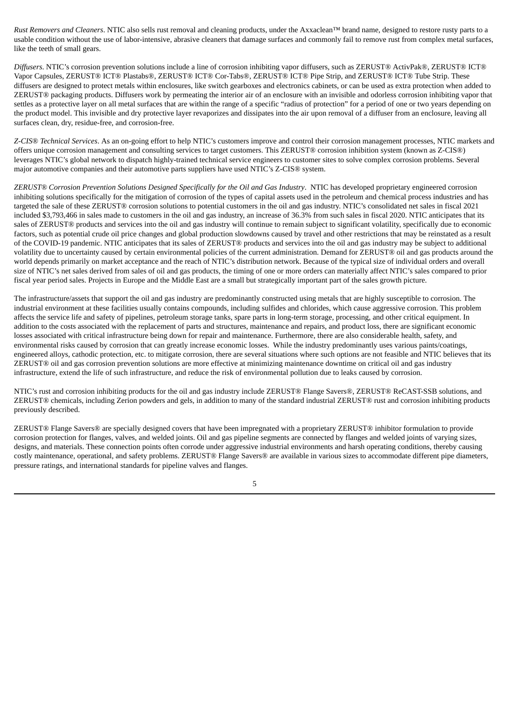*Rust Removers and Cleaners*. NTIC also sells rust removal and cleaning products, under the Axxaclean™ brand name, designed to restore rusty parts to a usable condition without the use of labor-intensive, abrasive cleaners that damage surfaces and commonly fail to remove rust from complex metal surfaces, like the teeth of small gears.

*Diffusers*. NTIC's corrosion prevention solutions include a line of corrosion inhibiting vapor diffusers, such as ZERUST® ActivPak®, ZERUST® ICT® Vapor Capsules, ZERUST® ICT® Plastabs®, ZERUST® ICT® Cor-Tabs®, ZERUST® ICT® Pipe Strip, and ZERUST® ICT® Tube Strip. These diffusers are designed to protect metals within enclosures, like switch gearboxes and electronics cabinets, or can be used as extra protection when added to ZERUST® packaging products. Diffusers work by permeating the interior air of an enclosure with an invisible and odorless corrosion inhibiting vapor that settles as a protective layer on all metal surfaces that are within the range of a specific "radius of protection" for a period of one or two years depending on the product model. This invisible and dry protective layer revaporizes and dissipates into the air upon removal of a diffuser from an enclosure, leaving all surfaces clean, dry, residue-free, and corrosion-free.

*Z-CIS*® *Technical Services*. As an on-going effort to help NTIC's customers improve and control their corrosion management processes, NTIC markets and offers unique corrosion management and consulting services to target customers. This ZERUST® corrosion inhibition system (known as Z-CIS®) leverages NTIC's global network to dispatch highly-trained technical service engineers to customer sites to solve complex corrosion problems. Several major automotive companies and their automotive parts suppliers have used NTIC's Z‑CIS® system.

ZERUST® Corrosion Prevention Solutions Designed Specifically for the Oil and Gas Industry. NTIC has developed proprietary engineered corrosion inhibiting solutions specifically for the mitigation of corrosion of the types of capital assets used in the petroleum and chemical process industries and has targeted the sale of these ZERUST® corrosion solutions to potential customers in the oil and gas industry. NTIC's consolidated net sales in fiscal 2021 included \$3,793,466 in sales made to customers in the oil and gas industry, an increase of 36.3% from such sales in fiscal 2020. NTIC anticipates that its sales of ZERUST® products and services into the oil and gas industry will continue to remain subject to significant volatility, specifically due to economic factors, such as potential crude oil price changes and global production slowdowns caused by travel and other restrictions that may be reinstated as a result of the COVID-19 pandemic. NTIC anticipates that its sales of ZERUST® products and services into the oil and gas industry may be subject to additional volatility due to uncertainty caused by certain environmental policies of the current administration. Demand for ZERUST® oil and gas products around the world depends primarily on market acceptance and the reach of NTIC's distribution network. Because of the typical size of individual orders and overall size of NTIC's net sales derived from sales of oil and gas products, the timing of one or more orders can materially affect NTIC's sales compared to prior fiscal year period sales. Projects in Europe and the Middle East are a small but strategically important part of the sales growth picture.

The infrastructure/assets that support the oil and gas industry are predominantly constructed using metals that are highly susceptible to corrosion. The industrial environment at these facilities usually contains compounds, including sulfides and chlorides, which cause aggressive corrosion. This problem affects the service life and safety of pipelines, petroleum storage tanks, spare parts in long-term storage, processing, and other critical equipment. In addition to the costs associated with the replacement of parts and structures, maintenance and repairs, and product loss, there are significant economic losses associated with critical infrastructure being down for repair and maintenance. Furthermore, there are also considerable health, safety, and environmental risks caused by corrosion that can greatly increase economic losses. While the industry predominantly uses various paints/coatings, engineered alloys, cathodic protection, etc. to mitigate corrosion, there are several situations where such options are not feasible and NTIC believes that its ZERUST® oil and gas corrosion prevention solutions are more effective at minimizing maintenance downtime on critical oil and gas industry infrastructure, extend the life of such infrastructure, and reduce the risk of environmental pollution due to leaks caused by corrosion.

NTIC's rust and corrosion inhibiting products for the oil and gas industry include ZERUST® Flange Savers®, ZERUST® ReCAST-SSB solutions, and ZERUST® chemicals, including Zerion powders and gels, in addition to many of the standard industrial ZERUST® rust and corrosion inhibiting products previously described.

ZERUST® Flange Savers® are specially designed covers that have been impregnated with a proprietary ZERUST® inhibitor formulation to provide corrosion protection for flanges, valves, and welded joints. Oil and gas pipeline segments are connected by flanges and welded joints of varying sizes, designs, and materials. These connection points often corrode under aggressive industrial environments and harsh operating conditions, thereby causing costly maintenance, operational, and safety problems. ZERUST® Flange Savers® are available in various sizes to accommodate different pipe diameters, pressure ratings, and international standards for pipeline valves and flanges.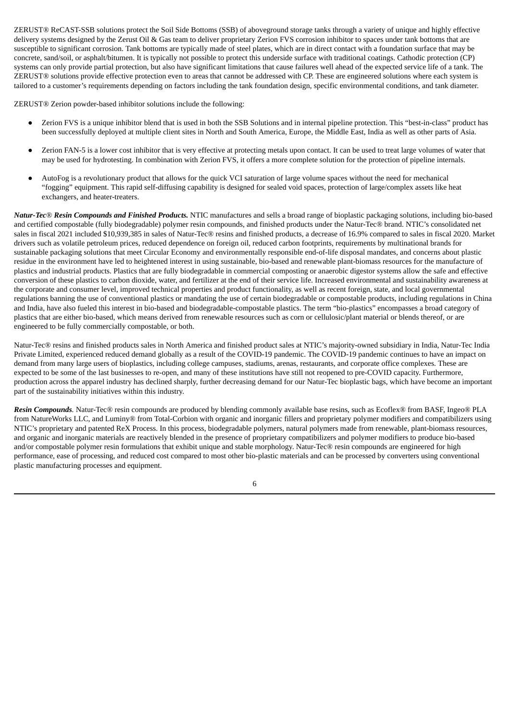ZERUST® ReCAST-SSB solutions protect the Soil Side Bottoms (SSB) of aboveground storage tanks through a variety of unique and highly effective delivery systems designed by the Zerust Oil & Gas team to deliver proprietary Zerion FVS corrosion inhibitor to spaces under tank bottoms that are susceptible to significant corrosion. Tank bottoms are typically made of steel plates, which are in direct contact with a foundation surface that may be concrete, sand/soil, or asphalt/bitumen. It is typically not possible to protect this underside surface with traditional coatings. Cathodic protection (CP) systems can only provide partial protection, but also have significant limitations that cause failures well ahead of the expected service life of a tank. The ZERUST® solutions provide effective protection even to areas that cannot be addressed with CP. These are engineered solutions where each system is tailored to a customer's requirements depending on factors including the tank foundation design, specific environmental conditions, and tank diameter.

ZERUST® Zerion powder-based inhibitor solutions include the following:

- Zerion FVS is a unique inhibitor blend that is used in both the SSB Solutions and in internal pipeline protection. This "best-in-class" product has been successfully deployed at multiple client sites in North and South America, Europe, the Middle East, India as well as other parts of Asia.
- Zerion FAN-5 is a lower cost inhibitor that is very effective at protecting metals upon contact. It can be used to treat large volumes of water that may be used for hydrotesting. In combination with Zerion FVS, it offers a more complete solution for the protection of pipeline internals.
- AutoFog is a revolutionary product that allows for the quick VCI saturation of large volume spaces without the need for mechanical "fogging" equipment. This rapid self-diffusing capability is designed for sealed void spaces, protection of large/complex assets like heat exchangers, and heater-treaters.

*Natur-Tec*® *Resin Compounds and Finished Products.* NTIC manufactures and sells a broad range of bioplastic packaging solutions, including bio-based and certified compostable (fully biodegradable) polymer resin compounds, and finished products under the Natur-Tec® brand. NTIC's consolidated net sales in fiscal 2021 included \$10,939,385 in sales of Natur-Tec® resins and finished products, a decrease of 16.9% compared to sales in fiscal 2020. Market drivers such as volatile petroleum prices, reduced dependence on foreign oil, reduced carbon footprints, requirements by multinational brands for sustainable packaging solutions that meet Circular Economy and environmentally responsible end-of-life disposal mandates, and concerns about plastic residue in the environment have led to heightened interest in using sustainable, bio-based and renewable plant-biomass resources for the manufacture of plastics and industrial products. Plastics that are fully biodegradable in commercial composting or anaerobic digestor systems allow the safe and effective conversion of these plastics to carbon dioxide, water, and fertilizer at the end of their service life. Increased environmental and sustainability awareness at the corporate and consumer level, improved technical properties and product functionality, as well as recent foreign, state, and local governmental regulations banning the use of conventional plastics or mandating the use of certain biodegradable or compostable products, including regulations in China and India, have also fueled this interest in bio-based and biodegradable-compostable plastics. The term "bio-plastics" encompasses a broad category of plastics that are either bio-based, which means derived from renewable resources such as corn or cellulosic/plant material or blends thereof, or are engineered to be fully commercially compostable, or both.

Natur-Tec® resins and finished products sales in North America and finished product sales at NTIC's majority-owned subsidiary in India, Natur-Tec India Private Limited, experienced reduced demand globally as a result of the COVID-19 pandemic. The COVID-19 pandemic continues to have an impact on demand from many large users of bioplastics, including college campuses, stadiums, arenas, restaurants, and corporate office complexes. These are expected to be some of the last businesses to re-open, and many of these institutions have still not reopened to pre-COVID capacity. Furthermore, production across the apparel industry has declined sharply, further decreasing demand for our Natur-Tec bioplastic bags, which have become an important part of the sustainability initiatives within this industry.

*Resin Compounds.* Natur-Tec® resin compounds are produced by blending commonly available base resins, such as Ecoflex® from BASF, Ingeo® PLA from NatureWorks LLC, and Luminy® from Total-Corbion with organic and inorganic fillers and proprietary polymer modifiers and compatibilizers using NTIC's proprietary and patented ReX Process. In this process, biodegradable polymers, natural polymers made from renewable, plant-biomass resources, and organic and inorganic materials are reactively blended in the presence of proprietary compatibilizers and polymer modifiers to produce bio-based and/or compostable polymer resin formulations that exhibit unique and stable morphology. Natur-Tec® resin compounds are engineered for high performance, ease of processing, and reduced cost compared to most other bio-plastic materials and can be processed by converters using conventional plastic manufacturing processes and equipment.

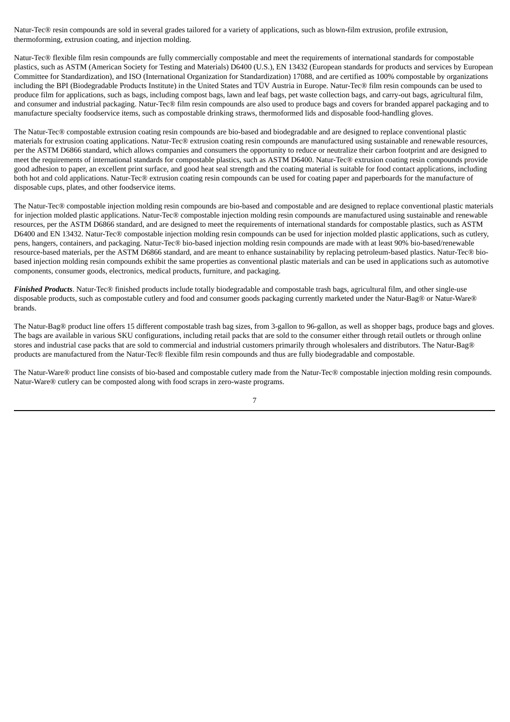Natur-Tec® resin compounds are sold in several grades tailored for a variety of applications, such as blown-film extrusion, profile extrusion, thermoforming, extrusion coating, and injection molding.

Natur-Tec® flexible film resin compounds are fully commercially compostable and meet the requirements of international standards for compostable plastics, such as ASTM (American Society for Testing and Materials) D6400 (U.S.), EN 13432 (European standards for products and services by European Committee for Standardization), and ISO (International Organization for Standardization) 17088, and are certified as 100% compostable by organizations including the BPI (Biodegradable Products Institute) in the United States and TÜV Austria in Europe. Natur-Tec® film resin compounds can be used to produce film for applications, such as bags, including compost bags, lawn and leaf bags, pet waste collection bags, and carry-out bags, agricultural film, and consumer and industrial packaging. Natur-Tec® film resin compounds are also used to produce bags and covers for branded apparel packaging and to manufacture specialty foodservice items, such as compostable drinking straws, thermoformed lids and disposable food-handling gloves.

The Natur-Tec® compostable extrusion coating resin compounds are bio-based and biodegradable and are designed to replace conventional plastic materials for extrusion coating applications. Natur-Tec® extrusion coating resin compounds are manufactured using sustainable and renewable resources, per the ASTM D6866 standard, which allows companies and consumers the opportunity to reduce or neutralize their carbon footprint and are designed to meet the requirements of international standards for compostable plastics, such as ASTM D6400. Natur-Tec® extrusion coating resin compounds provide good adhesion to paper, an excellent print surface, and good heat seal strength and the coating material is suitable for food contact applications, including both hot and cold applications. Natur-Tec® extrusion coating resin compounds can be used for coating paper and paperboards for the manufacture of disposable cups, plates, and other foodservice items.

The Natur-Tec® compostable injection molding resin compounds are bio-based and compostable and are designed to replace conventional plastic materials for injection molded plastic applications. Natur-Tec® compostable injection molding resin compounds are manufactured using sustainable and renewable resources, per the ASTM D6866 standard, and are designed to meet the requirements of international standards for compostable plastics, such as ASTM D6400 and EN 13432. Natur-Tec® compostable injection molding resin compounds can be used for injection molded plastic applications, such as cutlery, pens, hangers, containers, and packaging. Natur-Tec® bio-based injection molding resin compounds are made with at least 90% bio-based/renewable resource-based materials, per the ASTM D6866 standard, and are meant to enhance sustainability by replacing petroleum-based plastics. Natur-Tec® biobased injection molding resin compounds exhibit the same properties as conventional plastic materials and can be used in applications such as automotive components, consumer goods, electronics, medical products, furniture, and packaging.

*Finished Products*. Natur-Tec® finished products include totally biodegradable and compostable trash bags, agricultural film, and other single-use disposable products, such as compostable cutlery and food and consumer goods packaging currently marketed under the Natur-Bag® or Natur-Ware® brands.

The Natur-Bag® product line offers 15 different compostable trash bag sizes, from 3-gallon to 96-gallon, as well as shopper bags, produce bags and gloves. The bags are available in various SKU configurations, including retail packs that are sold to the consumer either through retail outlets or through online stores and industrial case packs that are sold to commercial and industrial customers primarily through wholesalers and distributors. The Natur-Bag® products are manufactured from the Natur-Tec® flexible film resin compounds and thus are fully biodegradable and compostable.

The Natur-Ware® product line consists of bio-based and compostable cutlery made from the Natur-Tec® compostable injection molding resin compounds. Natur-Ware® cutlery can be composted along with food scraps in zero-waste programs.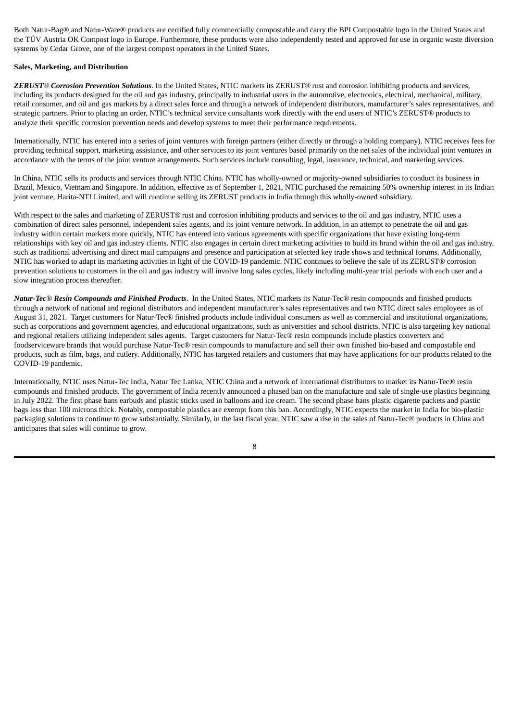Both Natur-Bag® and Natur-Ware® products are certified fully commercially compostable and carry the BPI Compostable logo in the United States and the TÜV Austria OK Compost logo in Europe. Furthermore, these products were also independently tested and approved for use in organic waste diversion systems by Cedar Grove, one of the largest compost operators in the United States.

### **Sales, Marketing, and Distribution**

*ZERUST*® *Corrosion Prevention Solutions*. In the United States, NTIC markets its ZERUST® rust and corrosion inhibiting products and services, including its products designed for the oil and gas industry, principally to industrial users in the automotive, electronics, electrical, mechanical, military, retail consumer, and oil and gas markets by a direct sales force and through a network of independent distributors, manufacturer's sales representatives, and strategic partners. Prior to placing an order, NTIC's technical service consultants work directly with the end users of NTIC's ZERUST® products to analyze their specific corrosion prevention needs and develop systems to meet their performance requirements.

Internationally, NTIC has entered into a series of joint ventures with foreign partners (either directly or through a holding company). NTIC receives fees for providing technical support, marketing assistance, and other services to its joint ventures based primarily on the net sales of the individual joint ventures in accordance with the terms of the joint venture arrangements. Such services include consulting, legal, insurance, technical, and marketing services.

In China, NTIC sells its products and services through NTIC China. NTIC has wholly-owned or majority-owned subsidiaries to conduct its business in Brazil, Mexico, Vietnam and Singapore. In addition, effective as of September 1, 2021, NTIC purchased the remaining 50% ownership interest in its Indian joint venture, Harita-NTI Limited, and will continue selling its ZERUST products in India through this wholly-owned subsidiary.

With respect to the sales and marketing of ZERUST® rust and corrosion inhibiting products and services to the oil and gas industry, NTIC uses a combination of direct sales personnel, independent sales agents, and its joint venture network. In addition, in an attempt to penetrate the oil and gas industry within certain markets more quickly, NTIC has entered into various agreements with specific organizations that have existing long-term relationships with key oil and gas industry clients. NTIC also engages in certain direct marketing activities to build its brand within the oil and gas industry, such as traditional advertising and direct mail campaigns and presence and participation at selected key trade shows and technical forums. Additionally, NTIC has worked to adapt its marketing activities in light of the COVID-19 pandemic. NTIC continues to believe the sale of its ZERUST® corrosion prevention solutions to customers in the oil and gas industry will involve long sales cycles, likely including multi-year trial periods with each user and a slow integration process thereafter.

*Natur-Tec*® *Resin Compounds and Finished Products*. In the United States, NTIC markets its Natur-Tec® resin compounds and finished products through a network of national and regional distributors and independent manufacturer's sales representatives and two NTIC direct sales employees as of August 31, 2021. Target customers for Natur-Tec® finished products include individual consumers as well as commercial and institutional organizations, such as corporations and government agencies, and educational organizations, such as universities and school districts. NTIC is also targeting key national and regional retailers utilizing independent sales agents. Target customers for Natur-Tec® resin compounds include plastics converters and foodserviceware brands that would purchase Natur-Tec® resin compounds to manufacture and sell their own finished bio-based and compostable end products, such as film, bags, and cutlery. Additionally, NTIC has targeted retailers and customers that may have applications for our products related to the COVID-19 pandemic.

Internationally, NTIC uses Natur-Tec India, Natur Tec Lanka, NTIC China and a network of international distributors to market its Natur-Tec® resin compounds and finished products. The government of India recently announced a phased ban on the manufacture and sale of single-use plastics beginning in July 2022. The first phase bans earbuds and plastic sticks used in balloons and ice cream. The second phase bans plastic cigarette packets and plastic bags less than 100 microns thick. Notably, compostable plastics are exempt from this ban. Accordingly, NTIC expects the market in India for bio-plastic packaging solutions to continue to grow substantially. Similarly, in the last fiscal year, NTIC saw a rise in the sales of Natur-Tec® products in China and anticipates that sales will continue to grow.

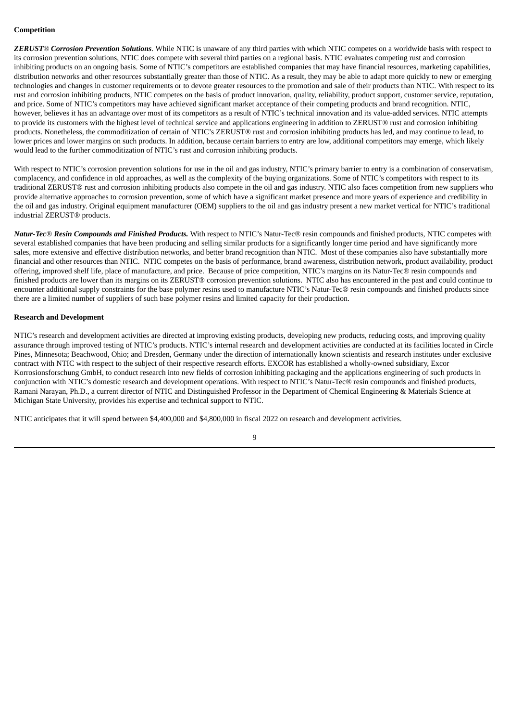## **Competition**

*ZERUST*® *Corrosion Prevention Solutions*. While NTIC is unaware of any third parties with which NTIC competes on a worldwide basis with respect to its corrosion prevention solutions, NTIC does compete with several third parties on a regional basis. NTIC evaluates competing rust and corrosion inhibiting products on an ongoing basis. Some of NTIC's competitors are established companies that may have financial resources, marketing capabilities, distribution networks and other resources substantially greater than those of NTIC. As a result, they may be able to adapt more quickly to new or emerging technologies and changes in customer requirements or to devote greater resources to the promotion and sale of their products than NTIC. With respect to its rust and corrosion inhibiting products, NTIC competes on the basis of product innovation, quality, reliability, product support, customer service, reputation, and price. Some of NTIC's competitors may have achieved significant market acceptance of their competing products and brand recognition. NTIC, however, believes it has an advantage over most of its competitors as a result of NTIC's technical innovation and its value-added services. NTIC attempts to provide its customers with the highest level of technical service and applications engineering in addition to ZERUST® rust and corrosion inhibiting products. Nonetheless, the commoditization of certain of NTIC's ZERUST® rust and corrosion inhibiting products has led, and may continue to lead, to lower prices and lower margins on such products. In addition, because certain barriers to entry are low, additional competitors may emerge, which likely would lead to the further commoditization of NTIC's rust and corrosion inhibiting products.

With respect to NTIC's corrosion prevention solutions for use in the oil and gas industry, NTIC's primary barrier to entry is a combination of conservatism, complacency, and confidence in old approaches, as well as the complexity of the buying organizations. Some of NTIC's competitors with respect to its traditional ZERUST® rust and corrosion inhibiting products also compete in the oil and gas industry. NTIC also faces competition from new suppliers who provide alternative approaches to corrosion prevention, some of which have a significant market presence and more years of experience and credibility in the oil and gas industry. Original equipment manufacturer (OEM) suppliers to the oil and gas industry present a new market vertical for NTIC's traditional industrial ZERUST® products.

*Natur-Tec*® *Resin Compounds and Finished Products.* With respect to NTIC's Natur-Tec® resin compounds and finished products, NTIC competes with several established companies that have been producing and selling similar products for a significantly longer time period and have significantly more sales, more extensive and effective distribution networks, and better brand recognition than NTIC. Most of these companies also have substantially more financial and other resources than NTIC. NTIC competes on the basis of performance, brand awareness, distribution network, product availability, product offering, improved shelf life, place of manufacture, and price. Because of price competition, NTIC's margins on its Natur-Tec® resin compounds and finished products are lower than its margins on its ZERUST® corrosion prevention solutions. NTIC also has encountered in the past and could continue to encounter additional supply constraints for the base polymer resins used to manufacture NTIC's Natur-Tec® resin compounds and finished products since there are a limited number of suppliers of such base polymer resins and limited capacity for their production.

#### **Research and Development**

NTIC's research and development activities are directed at improving existing products, developing new products, reducing costs, and improving quality assurance through improved testing of NTIC's products. NTIC's internal research and development activities are conducted at its facilities located in Circle Pines, Minnesota; Beachwood, Ohio; and Dresden, Germany under the direction of internationally known scientists and research institutes under exclusive contract with NTIC with respect to the subject of their respective research efforts. EXCOR has established a wholly-owned subsidiary, Excor Korrosionsforschung GmbH, to conduct research into new fields of corrosion inhibiting packaging and the applications engineering of such products in conjunction with NTIC's domestic research and development operations. With respect to NTIC's Natur-Tec® resin compounds and finished products, Ramani Narayan, Ph.D., a current director of NTIC and Distinguished Professor in the Department of Chemical Engineering & Materials Science at Michigan State University, provides his expertise and technical support to NTIC.

NTIC anticipates that it will spend between \$4,400,000 and \$4,800,000 in fiscal 2022 on research and development activities.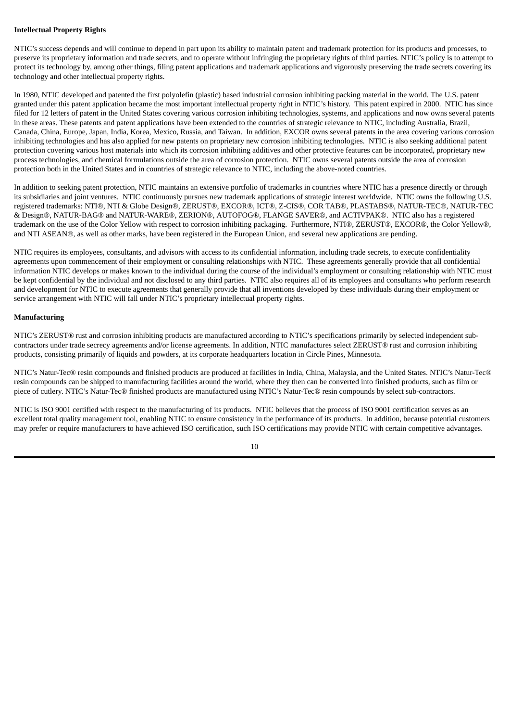## **Intellectual Property Rights**

NTIC's success depends and will continue to depend in part upon its ability to maintain patent and trademark protection for its products and processes, to preserve its proprietary information and trade secrets, and to operate without infringing the proprietary rights of third parties. NTIC's policy is to attempt to protect its technology by, among other things, filing patent applications and trademark applications and vigorously preserving the trade secrets covering its technology and other intellectual property rights.

In 1980, NTIC developed and patented the first polyolefin (plastic) based industrial corrosion inhibiting packing material in the world. The U.S. patent granted under this patent application became the most important intellectual property right in NTIC's history. This patent expired in 2000. NTIC has since filed for 12 letters of patent in the United States covering various corrosion inhibiting technologies, systems, and applications and now owns several patents in these areas. These patents and patent applications have been extended to the countries of strategic relevance to NTIC, including Australia, Brazil, Canada, China, Europe, Japan, India, Korea, Mexico, Russia, and Taiwan. In addition, EXCOR owns several patents in the area covering various corrosion inhibiting technologies and has also applied for new patents on proprietary new corrosion inhibiting technologies. NTIC is also seeking additional patent protection covering various host materials into which its corrosion inhibiting additives and other protective features can be incorporated, proprietary new process technologies, and chemical formulations outside the area of corrosion protection. NTIC owns several patents outside the area of corrosion protection both in the United States and in countries of strategic relevance to NTIC, including the above-noted countries.

In addition to seeking patent protection, NTIC maintains an extensive portfolio of trademarks in countries where NTIC has a presence directly or through its subsidiaries and joint ventures. NTIC continuously pursues new trademark applications of strategic interest worldwide. NTIC owns the following U.S. registered trademarks: NTI®, NTI & Globe Design®, ZERUST®, EXCOR®, ICT®, Z-CIS®, COR TAB®, PLASTABS®, NATUR-TEC®, NATUR-TEC & Design®, NATUR-BAG® and NATUR-WARE®, ZERION®, AUTOFOG®, FLANGE SAVER®, and ACTIVPAK®. NTIC also has a registered trademark on the use of the Color Yellow with respect to corrosion inhibiting packaging. Furthermore, NTI®, ZERUST®, EXCOR®, the Color Yellow®, and NTI ASEAN®, as well as other marks, have been registered in the European Union, and several new applications are pending.

NTIC requires its employees, consultants, and advisors with access to its confidential information, including trade secrets, to execute confidentiality agreements upon commencement of their employment or consulting relationships with NTIC. These agreements generally provide that all confidential information NTIC develops or makes known to the individual during the course of the individual's employment or consulting relationship with NTIC must be kept confidential by the individual and not disclosed to any third parties. NTIC also requires all of its employees and consultants who perform research and development for NTIC to execute agreements that generally provide that all inventions developed by these individuals during their employment or service arrangement with NTIC will fall under NTIC's proprietary intellectual property rights.

## **Manufacturing**

NTIC's ZERUST® rust and corrosion inhibiting products are manufactured according to NTIC's specifications primarily by selected independent subcontractors under trade secrecy agreements and/or license agreements. In addition, NTIC manufactures select ZERUST® rust and corrosion inhibiting products, consisting primarily of liquids and powders, at its corporate headquarters location in Circle Pines, Minnesota.

NTIC's Natur-Tec® resin compounds and finished products are produced at facilities in India, China, Malaysia, and the United States. NTIC's Natur-Tec® resin compounds can be shipped to manufacturing facilities around the world, where they then can be converted into finished products, such as film or piece of cutlery. NTIC's Natur-Tec® finished products are manufactured using NTIC's Natur-Tec® resin compounds by select sub-contractors.

NTIC is ISO 9001 certified with respect to the manufacturing of its products. NTIC believes that the process of ISO 9001 certification serves as an excellent total quality management tool, enabling NTIC to ensure consistency in the performance of its products. In addition, because potential customers may prefer or require manufacturers to have achieved ISO certification, such ISO certifications may provide NTIC with certain competitive advantages.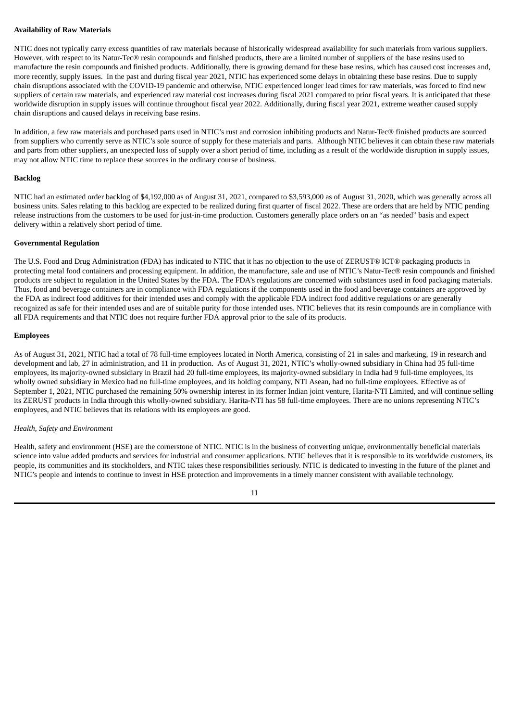# **Availability of Raw Materials**

NTIC does not typically carry excess quantities of raw materials because of historically widespread availability for such materials from various suppliers. However, with respect to its Natur-Tec® resin compounds and finished products, there are a limited number of suppliers of the base resins used to manufacture the resin compounds and finished products. Additionally, there is growing demand for these base resins, which has caused cost increases and, more recently, supply issues. In the past and during fiscal year 2021, NTIC has experienced some delays in obtaining these base resins. Due to supply chain disruptions associated with the COVID-19 pandemic and otherwise, NTIC experienced longer lead times for raw materials, was forced to find new suppliers of certain raw materials, and experienced raw material cost increases during fiscal 2021 compared to prior fiscal years. It is anticipated that these worldwide disruption in supply issues will continue throughout fiscal year 2022. Additionally, during fiscal year 2021, extreme weather caused supply chain disruptions and caused delays in receiving base resins.

In addition, a few raw materials and purchased parts used in NTIC's rust and corrosion inhibiting products and Natur-Tec® finished products are sourced from suppliers who currently serve as NTIC's sole source of supply for these materials and parts. Although NTIC believes it can obtain these raw materials and parts from other suppliers, an unexpected loss of supply over a short period of time, including as a result of the worldwide disruption in supply issues, may not allow NTIC time to replace these sources in the ordinary course of business.

# **Backlog**

NTIC had an estimated order backlog of \$4,192,000 as of August 31, 2021, compared to \$3,593,000 as of August 31, 2020, which was generally across all business units. Sales relating to this backlog are expected to be realized during first quarter of fiscal 2022. These are orders that are held by NTIC pending release instructions from the customers to be used for just-in-time production. Customers generally place orders on an "as needed" basis and expect delivery within a relatively short period of time.

## **Governmental Regulation**

The U.S. Food and Drug Administration (FDA) has indicated to NTIC that it has no objection to the use of ZERUST® ICT® packaging products in protecting metal food containers and processing equipment. In addition, the manufacture, sale and use of NTIC's Natur-Tec® resin compounds and finished products are subject to regulation in the United States by the FDA. The FDA's regulations are concerned with substances used in food packaging materials. Thus, food and beverage containers are in compliance with FDA regulations if the components used in the food and beverage containers are approved by the FDA as indirect food additives for their intended uses and comply with the applicable FDA indirect food additive regulations or are generally recognized as safe for their intended uses and are of suitable purity for those intended uses. NTIC believes that its resin compounds are in compliance with all FDA requirements and that NTIC does not require further FDA approval prior to the sale of its products.

## **Employees**

As of August 31, 2021, NTIC had a total of 78 full-time employees located in North America, consisting of 21 in sales and marketing, 19 in research and development and lab, 27 in administration, and 11 in production. As of August 31, 2021, NTIC's wholly-owned subsidiary in China had 35 full-time employees, its majority-owned subsidiary in Brazil had 20 full-time employees, its majority-owned subsidiary in India had 9 full-time employees, its wholly owned subsidiary in Mexico had no full-time employees, and its holding company, NTI Asean, had no full-time employees. Effective as of September 1, 2021, NTIC purchased the remaining 50% ownership interest in its former Indian joint venture, Harita-NTI Limited, and will continue selling its ZERUST products in India through this wholly-owned subsidiary. Harita-NTI has 58 full-time employees. There are no unions representing NTIC's employees, and NTIC believes that its relations with its employees are good.

## *Health, Safety and Environment*

Health, safety and environment (HSE) are the cornerstone of NTIC. NTIC is in the business of converting unique, environmentally beneficial materials science into value added products and services for industrial and consumer applications. NTIC believes that it is responsible to its worldwide customers, its people, its communities and its stockholders, and NTIC takes these responsibilities seriously. NTIC is dedicated to investing in the future of the planet and NTIC's people and intends to continue to invest in HSE protection and improvements in a timely manner consistent with available technology.

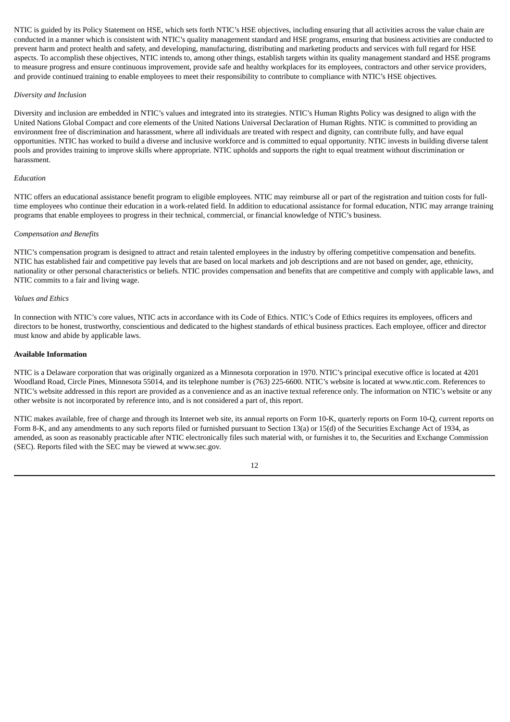NTIC is guided by its Policy Statement on HSE, which sets forth NTIC's HSE objectives, including ensuring that all activities across the value chain are conducted in a manner which is consistent with NTIC's quality management standard and HSE programs, ensuring that business activities are conducted to prevent harm and protect health and safety, and developing, manufacturing, distributing and marketing products and services with full regard for HSE aspects. To accomplish these objectives, NTIC intends to, among other things, establish targets within its quality management standard and HSE programs to measure progress and ensure continuous improvement, provide safe and healthy workplaces for its employees, contractors and other service providers, and provide continued training to enable employees to meet their responsibility to contribute to compliance with NTIC's HSE objectives.

## *Diversity and Inclusion*

Diversity and inclusion are embedded in NTIC's values and integrated into its strategies. NTIC's Human Rights Policy was designed to align with the United Nations Global Compact and core elements of the United Nations Universal Declaration of Human Rights. NTIC is committed to providing an environment free of discrimination and harassment, where all individuals are treated with respect and dignity, can contribute fully, and have equal opportunities. NTIC has worked to build a diverse and inclusive workforce and is committed to equal opportunity. NTIC invests in building diverse talent pools and provides training to improve skills where appropriate. NTIC upholds and supports the right to equal treatment without discrimination or harassment.

## *Education*

NTIC offers an educational assistance benefit program to eligible employees. NTIC may reimburse all or part of the registration and tuition costs for fulltime employees who continue their education in a work-related field. In addition to educational assistance for formal education, NTIC may arrange training programs that enable employees to progress in their technical, commercial, or financial knowledge of NTIC's business.

#### *Compensation and Benefits*

NTIC's compensation program is designed to attract and retain talented employees in the industry by offering competitive compensation and benefits. NTIC has established fair and competitive pay levels that are based on local markets and job descriptions and are not based on gender, age, ethnicity, nationality or other personal characteristics or beliefs. NTIC provides compensation and benefits that are competitive and comply with applicable laws, and NTIC commits to a fair and living wage.

### *Values and Ethics*

In connection with NTIC's core values, NTIC acts in accordance with its Code of Ethics. NTIC's Code of Ethics requires its employees, officers and directors to be honest, trustworthy, conscientious and dedicated to the highest standards of ethical business practices. Each employee, officer and director must know and abide by applicable laws.

#### **Available Information**

NTIC is a Delaware corporation that was originally organized as a Minnesota corporation in 1970. NTIC's principal executive office is located at 4201 Woodland Road, Circle Pines, Minnesota 55014, and its telephone number is (763) 225-6600. NTIC's website is located at www.ntic.com. References to NTIC's website addressed in this report are provided as a convenience and as an inactive textual reference only. The information on NTIC's website or any other website is not incorporated by reference into, and is not considered a part of, this report.

NTIC makes available, free of charge and through its Internet web site, its annual reports on Form 10-K, quarterly reports on Form 10-Q, current reports on Form 8-K, and any amendments to any such reports filed or furnished pursuant to Section 13(a) or 15(d) of the Securities Exchange Act of 1934, as amended, as soon as reasonably practicable after NTIC electronically files such material with, or furnishes it to, the Securities and Exchange Commission (SEC). Reports filed with the SEC may be viewed at www.sec.gov.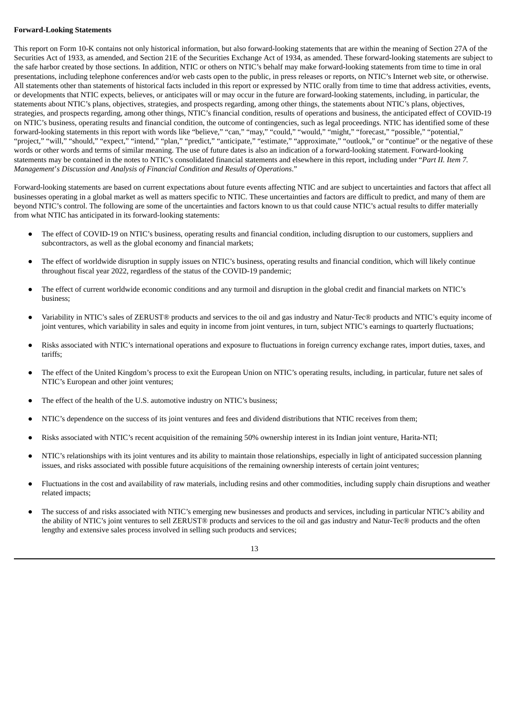## **Forward-Looking Statements**

This report on Form 10-K contains not only historical information, but also forward-looking statements that are within the meaning of Section 27A of the Securities Act of 1933, as amended, and Section 21E of the Securities Exchange Act of 1934, as amended. These forward-looking statements are subject to the safe harbor created by those sections. In addition, NTIC or others on NTIC's behalf may make forward-looking statements from time to time in oral presentations, including telephone conferences and/or web casts open to the public, in press releases or reports, on NTIC's Internet web site, or otherwise. All statements other than statements of historical facts included in this report or expressed by NTIC orally from time to time that address activities, events, or developments that NTIC expects, believes, or anticipates will or may occur in the future are forward-looking statements, including, in particular, the statements about NTIC's plans, objectives, strategies, and prospects regarding, among other things, the statements about NTIC's plans, objectives, strategies, and prospects regarding, among other things, NTIC's financial condition, results of operations and business, the anticipated effect of COVID-19 on NTIC's business, operating results and financial condition, the outcome of contingencies, such as legal proceedings. NTIC has identified some of these forward-looking statements in this report with words like "believe," "can," "may," "could," "would," "might," "forecast," "possible," "potential," "project," "will," "should," "expect," "intend," "plan," "predict," "anticipate," "estimate," "approximate," "outlook," or "continue" or the negative of these words or other words and terms of similar meaning. The use of future dates is also an indication of a forward-looking statement. Forward-looking statements may be contained in the notes to NTIC's consolidated financial statements and elsewhere in this report, including under "*Part II. Item 7. Management*'*s Discussion and Analysis of Financial Condition and Results of Operations*."

Forward-looking statements are based on current expectations about future events affecting NTIC and are subject to uncertainties and factors that affect all businesses operating in a global market as well as matters specific to NTIC. These uncertainties and factors are difficult to predict, and many of them are beyond NTIC's control. The following are some of the uncertainties and factors known to us that could cause NTIC's actual results to differ materially from what NTIC has anticipated in its forward-looking statements:

- The effect of COVID-19 on NTIC's business, operating results and financial condition, including disruption to our customers, suppliers and subcontractors, as well as the global economy and financial markets;
- The effect of worldwide disruption in supply issues on NTIC's business, operating results and financial condition, which will likely continue throughout fiscal year 2022, regardless of the status of the COVID-19 pandemic;
- The effect of current worldwide economic conditions and any turmoil and disruption in the global credit and financial markets on NTIC's business;
- Variability in NTIC's sales of ZERUST® products and services to the oil and gas industry and Natur-Tec® products and NTIC's equity income of joint ventures, which variability in sales and equity in income from joint ventures, in turn, subject NTIC's earnings to quarterly fluctuations;
- Risks associated with NTIC's international operations and exposure to fluctuations in foreign currency exchange rates, import duties, taxes, and tariffs;
- The effect of the United Kingdom's process to exit the European Union on NTIC's operating results, including, in particular, future net sales of NTIC's European and other joint ventures;
- The effect of the health of the U.S. automotive industry on NTIC's business;
- NTIC's dependence on the success of its joint ventures and fees and dividend distributions that NTIC receives from them;
- Risks associated with NTIC's recent acquisition of the remaining 50% ownership interest in its Indian joint venture, Harita-NTI;
- NTIC's relationships with its joint ventures and its ability to maintain those relationships, especially in light of anticipated succession planning issues, and risks associated with possible future acquisitions of the remaining ownership interests of certain joint ventures;
- Fluctuations in the cost and availability of raw materials, including resins and other commodities, including supply chain disruptions and weather related impacts;
- The success of and risks associated with NTIC's emerging new businesses and products and services, including in particular NTIC's ability and the ability of NTIC's joint ventures to sell ZERUST® products and services to the oil and gas industry and Natur-Tec® products and the often lengthy and extensive sales process involved in selling such products and services;

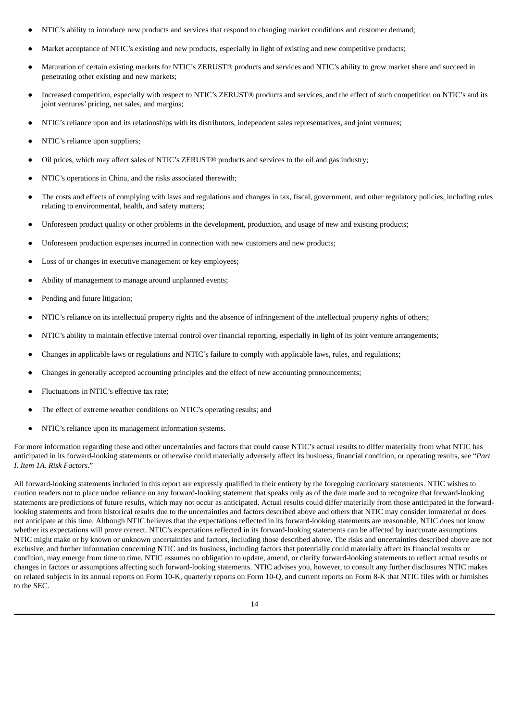- NTIC's ability to introduce new products and services that respond to changing market conditions and customer demand;
- Market acceptance of NTIC's existing and new products, especially in light of existing and new competitive products;
- Maturation of certain existing markets for NTIC's ZERUST® products and services and NTIC's ability to grow market share and succeed in penetrating other existing and new markets;
- Increased competition, especially with respect to NTIC's ZERUST® products and services, and the effect of such competition on NTIC's and its joint ventures' pricing, net sales, and margins;
- NTIC's reliance upon and its relationships with its distributors, independent sales representatives, and joint ventures;
- NTIC's reliance upon suppliers;
- Oil prices, which may affect sales of NTIC's ZERUST® products and services to the oil and gas industry;
- NTIC's operations in China, and the risks associated therewith;
- The costs and effects of complying with laws and regulations and changes in tax, fiscal, government, and other regulatory policies, including rules relating to environmental, health, and safety matters;
- Unforeseen product quality or other problems in the development, production, and usage of new and existing products;
- Unforeseen production expenses incurred in connection with new customers and new products;
- Loss of or changes in executive management or key employees;
- Ability of management to manage around unplanned events;
- Pending and future litigation;
- NTIC's reliance on its intellectual property rights and the absence of infringement of the intellectual property rights of others;
- NTIC's ability to maintain effective internal control over financial reporting, especially in light of its joint venture arrangements;
- Changes in applicable laws or regulations and NTIC's failure to comply with applicable laws, rules, and regulations;
- Changes in generally accepted accounting principles and the effect of new accounting pronouncements;
- Fluctuations in NTIC's effective tax rate;
- The effect of extreme weather conditions on NTIC's operating results; and
- NTIC's reliance upon its management information systems.

For more information regarding these and other uncertainties and factors that could cause NTIC's actual results to differ materially from what NTIC has anticipated in its forward-looking statements or otherwise could materially adversely affect its business, financial condition, or operating results, see "*Part I. Item 1A. Risk Factors*."

All forward-looking statements included in this report are expressly qualified in their entirety by the foregoing cautionary statements. NTIC wishes to caution readers not to place undue reliance on any forward-looking statement that speaks only as of the date made and to recognize that forward-looking statements are predictions of future results, which may not occur as anticipated. Actual results could differ materially from those anticipated in the forwardlooking statements and from historical results due to the uncertainties and factors described above and others that NTIC may consider immaterial or does not anticipate at this time. Although NTIC believes that the expectations reflected in its forward-looking statements are reasonable, NTIC does not know whether its expectations will prove correct. NTIC's expectations reflected in its forward-looking statements can be affected by inaccurate assumptions NTIC might make or by known or unknown uncertainties and factors, including those described above. The risks and uncertainties described above are not exclusive, and further information concerning NTIC and its business, including factors that potentially could materially affect its financial results or condition, may emerge from time to time. NTIC assumes no obligation to update, amend, or clarify forward-looking statements to reflect actual results or changes in factors or assumptions affecting such forward-looking statements. NTIC advises you, however, to consult any further disclosures NTIC makes on related subjects in its annual reports on Form 10-K, quarterly reports on Form 10-Q, and current reports on Form 8-K that NTIC files with or furnishes to the SEC.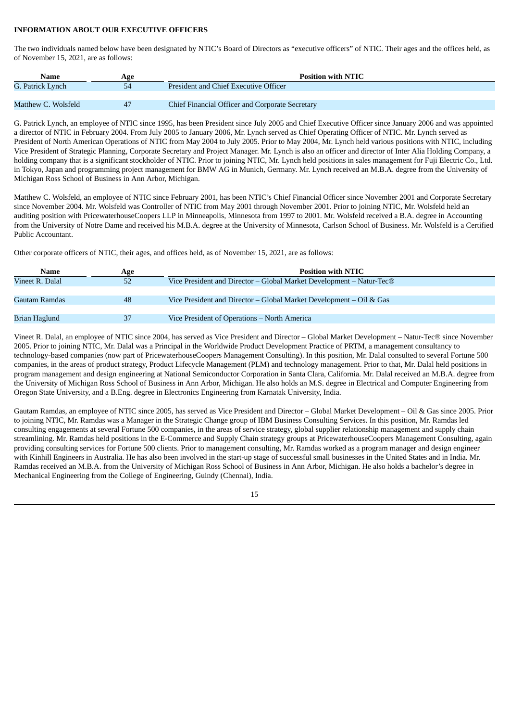# <span id="page-18-0"></span>**INFORMATION ABOUT OUR EXECUTIVE OFFICERS**

The two individuals named below have been designated by NTIC's Board of Directors as "executive officers" of NTIC. Their ages and the offices held, as of November 15, 2021, are as follows:

| Name                | Age        | <b>Position with NTIC</b>                              |
|---------------------|------------|--------------------------------------------------------|
| G. Patrick Lynch    | 54         | President and Chief Executive Officer                  |
|                     |            |                                                        |
| Matthew C. Wolsfeld | $\Delta$ 7 | <b>Chief Financial Officer and Corporate Secretary</b> |

G. Patrick Lynch, an employee of NTIC since 1995, has been President since July 2005 and Chief Executive Officer since January 2006 and was appointed a director of NTIC in February 2004. From July 2005 to January 2006, Mr. Lynch served as Chief Operating Officer of NTIC. Mr. Lynch served as President of North American Operations of NTIC from May 2004 to July 2005. Prior to May 2004, Mr. Lynch held various positions with NTIC, including Vice President of Strategic Planning, Corporate Secretary and Project Manager. Mr. Lynch is also an officer and director of Inter Alia Holding Company, a holding company that is a significant stockholder of NTIC. Prior to joining NTIC, Mr. Lynch held positions in sales management for Fuji Electric Co., Ltd. in Tokyo, Japan and programming project management for BMW AG in Munich, Germany. Mr. Lynch received an M.B.A. degree from the University of Michigan Ross School of Business in Ann Arbor, Michigan.

Matthew C. Wolsfeld, an employee of NTIC since February 2001, has been NTIC's Chief Financial Officer since November 2001 and Corporate Secretary since November 2004. Mr. Wolsfeld was Controller of NTIC from May 2001 through November 2001. Prior to joining NTIC, Mr. Wolsfeld held an auditing position with PricewaterhouseCoopers LLP in Minneapolis, Minnesota from 1997 to 2001. Mr. Wolsfeld received a B.A. degree in Accounting from the University of Notre Dame and received his M.B.A. degree at the University of Minnesota, Carlson School of Business. Mr. Wolsfeld is a Certified Public Accountant.

Other corporate officers of NTIC, their ages, and offices held, as of November 15, 2021, are as follows:

| Name            | Age | <b>Position with NTIC</b>                                            |
|-----------------|-----|----------------------------------------------------------------------|
| Vineet R. Dalal | 52  | Vice President and Director – Global Market Development – Natur-Tec® |
|                 |     |                                                                      |
| Gautam Ramdas   | 48  | Vice President and Director – Global Market Development – Oil & Gas  |
|                 |     |                                                                      |
| Brian Haglund   | 37  | Vice President of Operations – North America                         |

Vineet R. Dalal, an employee of NTIC since 2004, has served as Vice President and Director – Global Market Development – Natur-Tec® since November 2005. Prior to joining NTIC, Mr. Dalal was a Principal in the Worldwide Product Development Practice of PRTM, a management consultancy to technology-based companies (now part of PricewaterhouseCoopers Management Consulting). In this position, Mr. Dalal consulted to several Fortune 500 companies, in the areas of product strategy, Product Lifecycle Management (PLM) and technology management. Prior to that, Mr. Dalal held positions in program management and design engineering at National Semiconductor Corporation in Santa Clara, California. Mr. Dalal received an M.B.A. degree from the University of Michigan Ross School of Business in Ann Arbor, Michigan. He also holds an M.S. degree in Electrical and Computer Engineering from Oregon State University, and a B.Eng. degree in Electronics Engineering from Karnatak University, India.

Gautam Ramdas, an employee of NTIC since 2005, has served as Vice President and Director – Global Market Development – Oil & Gas since 2005. Prior to joining NTIC, Mr. Ramdas was a Manager in the Strategic Change group of IBM Business Consulting Services. In this position, Mr. Ramdas led consulting engagements at several Fortune 500 companies, in the areas of service strategy, global supplier relationship management and supply chain streamlining. Mr. Ramdas held positions in the E-Commerce and Supply Chain strategy groups at PricewaterhouseCoopers Management Consulting, again providing consulting services for Fortune 500 clients. Prior to management consulting, Mr. Ramdas worked as a program manager and design engineer with Kinhill Engineers in Australia. He has also been involved in the start-up stage of successful small businesses in the United States and in India. Mr. Ramdas received an M.B.A. from the University of Michigan Ross School of Business in Ann Arbor, Michigan. He also holds a bachelor's degree in Mechanical Engineering from the College of Engineering, Guindy (Chennai), India.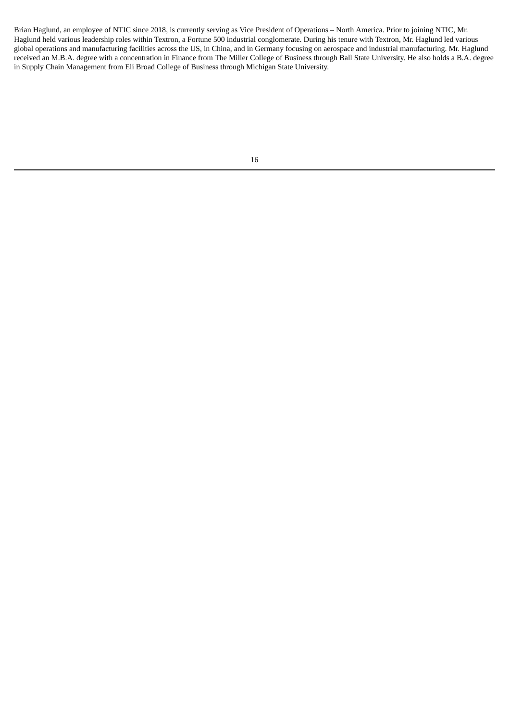Brian Haglund, an employee of NTIC since 2018, is currently serving as Vice President of Operations – North America. Prior to joining NTIC, Mr. Haglund held various leadership roles within Textron, a Fortune 500 industrial conglomerate. During his tenure with Textron, Mr. Haglund led various global operations and manufacturing facilities across the US, in China, and in Germany focusing on aerospace and industrial manufacturing. Mr. Haglund received an M.B.A. degree with a concentration in Finance from The Miller College of Business through Ball State University. He also holds a B.A. degree in Supply Chain Management from Eli Broad College of Business through Michigan State University.

| I | ٠       |
|---|---------|
|   |         |
|   | ï<br>۰. |
|   |         |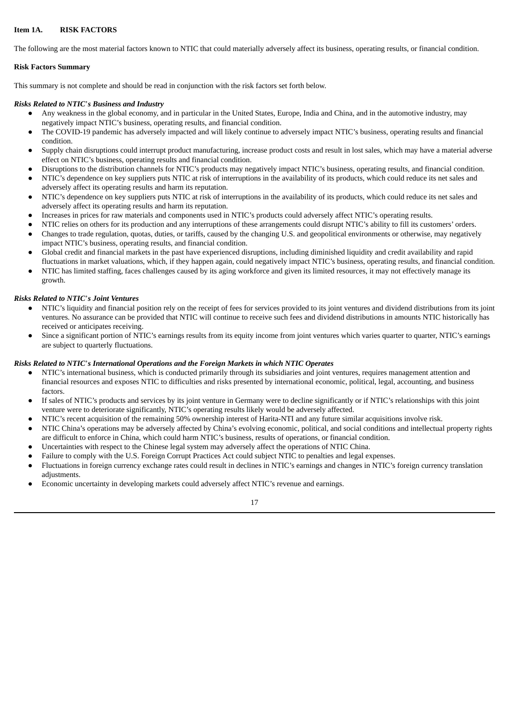# <span id="page-20-0"></span>**Item 1A. RISK FACTORS**

The following are the most material factors known to NTIC that could materially adversely affect its business, operating results, or financial condition.

## **Risk Factors Summary**

This summary is not complete and should be read in conjunction with the risk factors set forth below.

## *Risks Related to NTIC*'*s Business and Industry*

- Any weakness in the global economy, and in particular in the United States, Europe, India and China, and in the automotive industry, may negatively impact NTIC's business, operating results, and financial condition.
- The COVID-19 pandemic has adversely impacted and will likely continue to adversely impact NTIC's business, operating results and financial condition.
- Supply chain disruptions could interrupt product manufacturing, increase product costs and result in lost sales, which may have a material adverse effect on NTIC's business, operating results and financial condition.
- Disruptions to the distribution channels for NTIC's products may negatively impact NTIC's business, operating results, and financial condition.
- NTIC's dependence on key suppliers puts NTIC at risk of interruptions in the availability of its products, which could reduce its net sales and adversely affect its operating results and harm its reputation.
- NTIC's dependence on key suppliers puts NTIC at risk of interruptions in the availability of its products, which could reduce its net sales and adversely affect its operating results and harm its reputation.
- Increases in prices for raw materials and components used in NTIC's products could adversely affect NTIC's operating results.
- NTIC relies on others for its production and any interruptions of these arrangements could disrupt NTIC's ability to fill its customers' orders.
- Changes to trade regulation, quotas, duties, or tariffs, caused by the changing U.S. and geopolitical environments or otherwise, may negatively impact NTIC's business, operating results, and financial condition.
- Global credit and financial markets in the past have experienced disruptions, including diminished liquidity and credit availability and rapid fluctuations in market valuations, which, if they happen again, could negatively impact NTIC's business, operating results, and financial condition.
- NTIC has limited staffing, faces challenges caused by its aging workforce and given its limited resources, it may not effectively manage its growth.

### *Risks Related to NTIC*'*s Joint Ventures*

- NTIC's liquidity and financial position rely on the receipt of fees for services provided to its joint ventures and dividend distributions from its joint ventures. No assurance can be provided that NTIC will continue to receive such fees and dividend distributions in amounts NTIC historically has received or anticipates receiving.
- Since a significant portion of NTIC's earnings results from its equity income from joint ventures which varies quarter to quarter, NTIC's earnings are subject to quarterly fluctuations.

#### *Risks Related to NTIC*'*s International Operations and the Foreign Markets in which NTIC Operates*

- NTIC's international business, which is conducted primarily through its subsidiaries and joint ventures, requires management attention and financial resources and exposes NTIC to difficulties and risks presented by international economic, political, legal, accounting, and business factors.
- If sales of NTIC's products and services by its joint venture in Germany were to decline significantly or if NTIC's relationships with this joint venture were to deteriorate significantly, NTIC's operating results likely would be adversely affected.
- NTIC's recent acquisition of the remaining 50% ownership interest of Harita-NTI and any future similar acquisitions involve risk.
- NTIC China's operations may be adversely affected by China's evolving economic, political, and social conditions and intellectual property rights are difficult to enforce in China, which could harm NTIC's business, results of operations, or financial condition.
- Uncertainties with respect to the Chinese legal system may adversely affect the operations of NTIC China.
- Failure to comply with the U.S. Foreign Corrupt Practices Act could subject NTIC to penalties and legal expenses.
- Fluctuations in foreign currency exchange rates could result in declines in NTIC's earnings and changes in NTIC's foreign currency translation adiustments.
- Economic uncertainty in developing markets could adversely affect NTIC's revenue and earnings.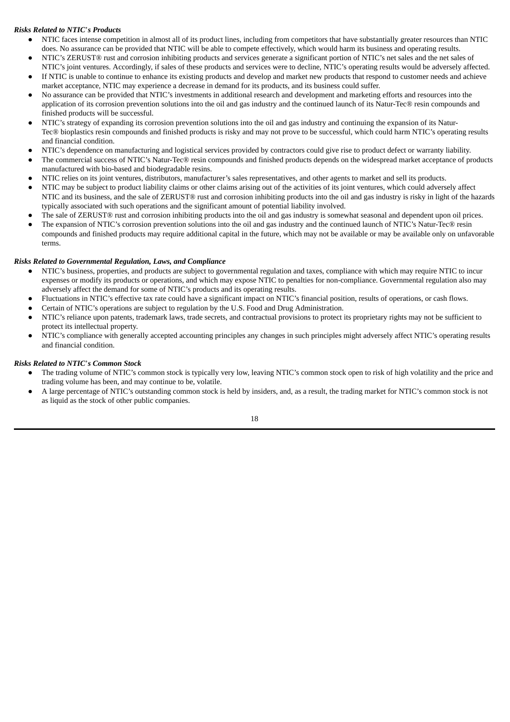# *Risks Related to NTIC*'*s Products*

- NTIC faces intense competition in almost all of its product lines, including from competitors that have substantially greater resources than NTIC does. No assurance can be provided that NTIC will be able to compete effectively, which would harm its business and operating results.
- NTIC's ZERUST® rust and corrosion inhibiting products and services generate a significant portion of NTIC's net sales and the net sales of NTIC's joint ventures. Accordingly, if sales of these products and services were to decline, NTIC's operating results would be adversely affected.
- If NTIC is unable to continue to enhance its existing products and develop and market new products that respond to customer needs and achieve market acceptance, NTIC may experience a decrease in demand for its products, and its business could suffer.
- No assurance can be provided that NTIC's investments in additional research and development and marketing efforts and resources into the application of its corrosion prevention solutions into the oil and gas industry and the continued launch of its Natur-Tec® resin compounds and finished products will be successful.
- NTIC's strategy of expanding its corrosion prevention solutions into the oil and gas industry and continuing the expansion of its Natur-Tec® bioplastics resin compounds and finished products is risky and may not prove to be successful, which could harm NTIC's operating results and financial condition.
- NTIC's dependence on manufacturing and logistical services provided by contractors could give rise to product defect or warranty liability.
- The commercial success of NTIC's Natur-Tec® resin compounds and finished products depends on the widespread market acceptance of products manufactured with bio-based and biodegradable resins.
- NTIC relies on its joint ventures, distributors, manufacturer's sales representatives, and other agents to market and sell its products.
- NTIC may be subject to product liability claims or other claims arising out of the activities of its joint ventures, which could adversely affect NTIC and its business, and the sale of ZERUST® rust and corrosion inhibiting products into the oil and gas industry is risky in light of the hazards typically associated with such operations and the significant amount of potential liability involved.
- The sale of ZERUST® rust and corrosion inhibiting products into the oil and gas industry is somewhat seasonal and dependent upon oil prices.
- The expansion of NTIC's corrosion prevention solutions into the oil and gas industry and the continued launch of NTIC's Natur-Tec® resin compounds and finished products may require additional capital in the future, which may not be available or may be available only on unfavorable terms.

## *Risks Related to Governmental Regulation, Laws, and Compliance*

- NTIC's business, properties, and products are subject to governmental regulation and taxes, compliance with which may require NTIC to incur expenses or modify its products or operations, and which may expose NTIC to penalties for non-compliance. Governmental regulation also may adversely affect the demand for some of NTIC's products and its operating results.
- Fluctuations in NTIC's effective tax rate could have a significant impact on NTIC's financial position, results of operations, or cash flows.
- Certain of NTIC's operations are subject to regulation by the U.S. Food and Drug Administration.
- NTIC's reliance upon patents, trademark laws, trade secrets, and contractual provisions to protect its proprietary rights may not be sufficient to protect its intellectual property.
- NTIC's compliance with generally accepted accounting principles any changes in such principles might adversely affect NTIC's operating results and financial condition.

## *Risks Related to NTIC*'*s Common Stock*

- The trading volume of NTIC's common stock is typically very low, leaving NTIC's common stock open to risk of high volatility and the price and trading volume has been, and may continue to be, volatile.
- A large percentage of NTIC's outstanding common stock is held by insiders, and, as a result, the trading market for NTIC's common stock is not as liquid as the stock of other public companies.

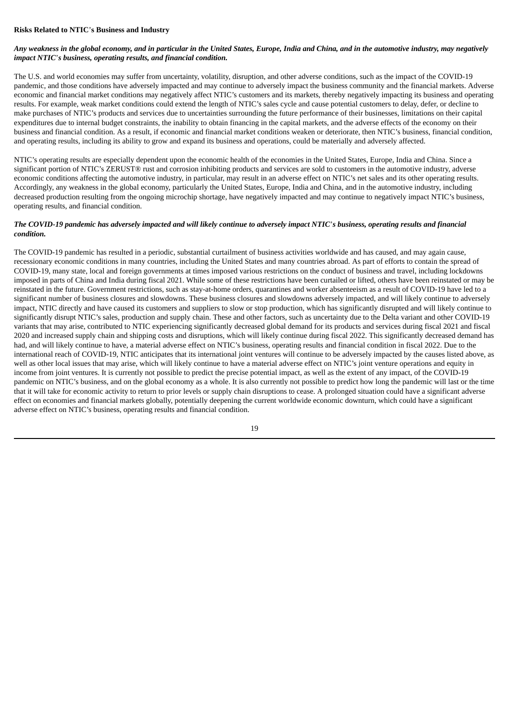#### **Risks Related to NTIC**'**s Business and Industry**

## Any weakness in the global economy, and in particular in the United States, Europe, India and China, and in the automotive industry, may negatively *impact NTIC*'*s business, operating results, and financial condition.*

The U.S. and world economies may suffer from uncertainty, volatility, disruption, and other adverse conditions, such as the impact of the COVID-19 pandemic, and those conditions have adversely impacted and may continue to adversely impact the business community and the financial markets. Adverse economic and financial market conditions may negatively affect NTIC's customers and its markets, thereby negatively impacting its business and operating results. For example, weak market conditions could extend the length of NTIC's sales cycle and cause potential customers to delay, defer, or decline to make purchases of NTIC's products and services due to uncertainties surrounding the future performance of their businesses, limitations on their capital expenditures due to internal budget constraints, the inability to obtain financing in the capital markets, and the adverse effects of the economy on their business and financial condition. As a result, if economic and financial market conditions weaken or deteriorate, then NTIC's business, financial condition, and operating results, including its ability to grow and expand its business and operations, could be materially and adversely affected.

NTIC's operating results are especially dependent upon the economic health of the economies in the United States, Europe, India and China. Since a significant portion of NTIC's ZERUST® rust and corrosion inhibiting products and services are sold to customers in the automotive industry, adverse economic conditions affecting the automotive industry, in particular, may result in an adverse effect on NTIC's net sales and its other operating results. Accordingly, any weakness in the global economy, particularly the United States, Europe, India and China, and in the automotive industry, including decreased production resulting from the ongoing microchip shortage, have negatively impacted and may continue to negatively impact NTIC's business, operating results, and financial condition.

## The COVID-19 pandemic has adversely impacted and will likely continue to adversely impact NTIC's business, operatina results and financial *condition.*

The COVID-19 pandemic has resulted in a periodic, substantial curtailment of business activities worldwide and has caused, and may again cause, recessionary economic conditions in many countries, including the United States and many countries abroad. As part of efforts to contain the spread of COVID-19, many state, local and foreign governments at times imposed various restrictions on the conduct of business and travel, including lockdowns imposed in parts of China and India during fiscal 2021. While some of these restrictions have been curtailed or lifted, others have been reinstated or may be reinstated in the future. Government restrictions, such as stay-at-home orders, quarantines and worker absenteeism as a result of COVID-19 have led to a significant number of business closures and slowdowns. These business closures and slowdowns adversely impacted, and will likely continue to adversely impact, NTIC directly and have caused its customers and suppliers to slow or stop production, which has significantly disrupted and will likely continue to significantly disrupt NTIC's sales, production and supply chain. These and other factors, such as uncertainty due to the Delta variant and other COVID-19 variants that may arise, contributed to NTIC experiencing significantly decreased global demand for its products and services during fiscal 2021 and fiscal 2020 and increased supply chain and shipping costs and disruptions, which will likely continue during fiscal 2022. This significantly decreased demand has had, and will likely continue to have, a material adverse effect on NTIC's business, operating results and financial condition in fiscal 2022. Due to the international reach of COVID-19, NTIC anticipates that its international joint ventures will continue to be adversely impacted by the causes listed above, as well as other local issues that may arise, which will likely continue to have a material adverse effect on NTIC's joint venture operations and equity in income from joint ventures. It is currently not possible to predict the precise potential impact, as well as the extent of any impact, of the COVID-19 pandemic on NTIC's business, and on the global economy as a whole. It is also currently not possible to predict how long the pandemic will last or the time that it will take for economic activity to return to prior levels or supply chain disruptions to cease. A prolonged situation could have a significant adverse effect on economies and financial markets globally, potentially deepening the current worldwide economic downturn, which could have a significant adverse effect on NTIC's business, operating results and financial condition.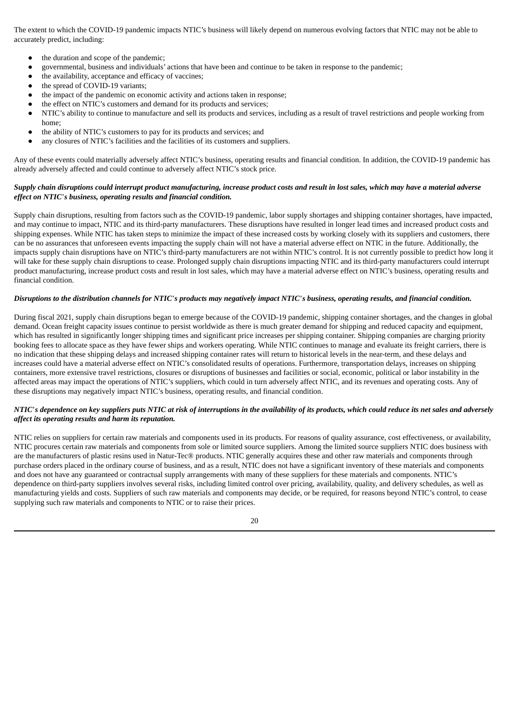The extent to which the COVID-19 pandemic impacts NTIC's business will likely depend on numerous evolving factors that NTIC may not be able to accurately predict, including:

- the duration and scope of the pandemic;
- governmental, business and individuals' actions that have been and continue to be taken in response to the pandemic;
- the availability, acceptance and efficacy of vaccines;
- the spread of COVID-19 variants;
- the impact of the pandemic on economic activity and actions taken in response;
- the effect on NTIC's customers and demand for its products and services;
- NTIC's ability to continue to manufacture and sell its products and services, including as a result of travel restrictions and people working from home;
- the ability of NTIC's customers to pay for its products and services; and
- any closures of NTIC's facilities and the facilities of its customers and suppliers.

Any of these events could materially adversely affect NTIC's business, operating results and financial condition. In addition, the COVID-19 pandemic has already adversely affected and could continue to adversely affect NTIC's stock price.

## Supply chain disruptions could interrupt product manufacturing, increase product costs and result in lost sales, which may have a material adverse *effect on NTIC*'*s business, operating results and financial condition.*

Supply chain disruptions, resulting from factors such as the COVID-19 pandemic, labor supply shortages and shipping container shortages, have impacted, and may continue to impact, NTIC and its third-party manufacturers. These disruptions have resulted in longer lead times and increased product costs and shipping expenses. While NTIC has taken steps to minimize the impact of these increased costs by working closely with its suppliers and customers, there can be no assurances that unforeseen events impacting the supply chain will not have a material adverse effect on NTIC in the future. Additionally, the impacts supply chain disruptions have on NTIC's third-party manufacturers are not within NTIC's control. It is not currently possible to predict how long it will take for these supply chain disruptions to cease. Prolonged supply chain disruptions impacting NTIC and its third-party manufacturers could interrupt product manufacturing, increase product costs and result in lost sales, which may have a material adverse effect on NTIC's business, operating results and financial condition.

## Disruptions to the distribution channels for NTIC's products may negatively impact NTIC's business, operating results, and financial condition.

During fiscal 2021, supply chain disruptions began to emerge because of the COVID-19 pandemic, shipping container shortages, and the changes in global demand. Ocean freight capacity issues continue to persist worldwide as there is much greater demand for shipping and reduced capacity and equipment, which has resulted in significantly longer shipping times and significant price increases per shipping container. Shipping companies are charging priority booking fees to allocate space as they have fewer ships and workers operating. While NTIC continues to manage and evaluate its freight carriers, there is no indication that these shipping delays and increased shipping container rates will return to historical levels in the near-term, and these delays and increases could have a material adverse effect on NTIC's consolidated results of operations. Furthermore, transportation delays, increases on shipping containers, more extensive travel restrictions, closures or disruptions of businesses and facilities or social, economic, political or labor instability in the affected areas may impact the operations of NTIC's suppliers, which could in turn adversely affect NTIC, and its revenues and operating costs. Any of these disruptions may negatively impact NTIC's business, operating results, and financial condition.

## NTIC's dependence on key suppliers puts NTIC at risk of interruptions in the availability of its products, which could reduce its net sales and adversely *affect its operating results and harm its reputation.*

NTIC relies on suppliers for certain raw materials and components used in its products. For reasons of quality assurance, cost effectiveness, or availability, NTIC procures certain raw materials and components from sole or limited source suppliers. Among the limited source suppliers NTIC does business with are the manufacturers of plastic resins used in Natur-Tec® products. NTIC generally acquires these and other raw materials and components through purchase orders placed in the ordinary course of business, and as a result, NTIC does not have a significant inventory of these materials and components and does not have any guaranteed or contractual supply arrangements with many of these suppliers for these materials and components. NTIC's dependence on third-party suppliers involves several risks, including limited control over pricing, availability, quality, and delivery schedules, as well as manufacturing yields and costs. Suppliers of such raw materials and components may decide, or be required, for reasons beyond NTIC's control, to cease supplying such raw materials and components to NTIC or to raise their prices.

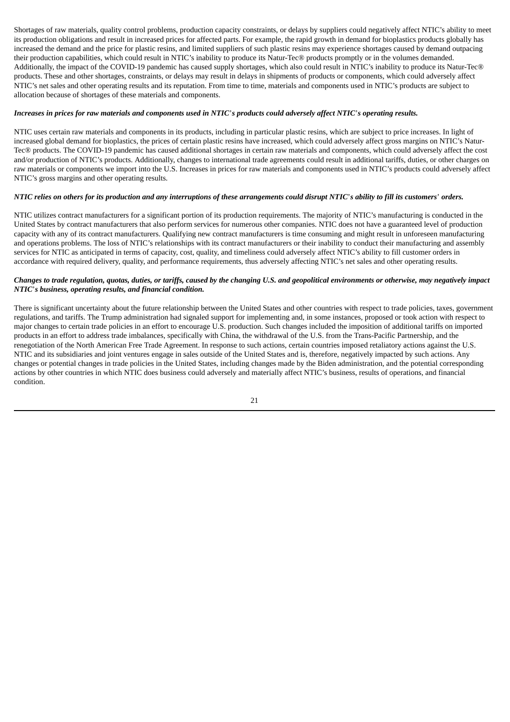Shortages of raw materials, quality control problems, production capacity constraints, or delays by suppliers could negatively affect NTIC's ability to meet its production obligations and result in increased prices for affected parts. For example, the rapid growth in demand for bioplastics products globally has increased the demand and the price for plastic resins, and limited suppliers of such plastic resins may experience shortages caused by demand outpacing their production capabilities, which could result in NTIC's inability to produce its Natur-Tec® products promptly or in the volumes demanded. Additionally, the impact of the COVID-19 pandemic has caused supply shortages, which also could result in NTIC's inability to produce its Natur-Tec® products. These and other shortages, constraints, or delays may result in delays in shipments of products or components, which could adversely affect NTIC's net sales and other operating results and its reputation. From time to time, materials and components used in NTIC's products are subject to allocation because of shortages of these materials and components.

#### Increases in prices for raw materials and components used in NTIC's products could adversely affect NTIC's operatina results.

NTIC uses certain raw materials and components in its products, including in particular plastic resins, which are subject to price increases. In light of increased global demand for bioplastics, the prices of certain plastic resins have increased, which could adversely affect gross margins on NTIC's Natur-Tec® products. The COVID-19 pandemic has caused additional shortages in certain raw materials and components, which could adversely affect the cost and/or production of NTIC's products. Additionally, changes to international trade agreements could result in additional tariffs, duties, or other charges on raw materials or components we import into the U.S. Increases in prices for raw materials and components used in NTIC's products could adversely affect NTIC's gross margins and other operating results.

#### NTIC relies on others for its production and any interruptions of these arrangements could disrupt NTIC's ability to fill its customers' orders.

NTIC utilizes contract manufacturers for a significant portion of its production requirements. The majority of NTIC's manufacturing is conducted in the United States by contract manufacturers that also perform services for numerous other companies. NTIC does not have a guaranteed level of production capacity with any of its contract manufacturers. Qualifying new contract manufacturers is time consuming and might result in unforeseen manufacturing and operations problems. The loss of NTIC's relationships with its contract manufacturers or their inability to conduct their manufacturing and assembly services for NTIC as anticipated in terms of capacity, cost, quality, and timeliness could adversely affect NTIC's ability to fill customer orders in accordance with required delivery, quality, and performance requirements, thus adversely affecting NTIC's net sales and other operating results.

## Changes to trade regulation, quotas, duties, or tariffs, caused by the changing U.S. and geopolitical environments or otherwise, may negatively impact *NTIC*'*s business, operating results, and financial condition.*

There is significant uncertainty about the future relationship between the United States and other countries with respect to trade policies, taxes, government regulations, and tariffs. The Trump administration had signaled support for implementing and, in some instances, proposed or took action with respect to major changes to certain trade policies in an effort to encourage U.S. production. Such changes included the imposition of additional tariffs on imported products in an effort to address trade imbalances, specifically with China, the withdrawal of the U.S. from the Trans-Pacific Partnership, and the renegotiation of the North American Free Trade Agreement. In response to such actions, certain countries imposed retaliatory actions against the U.S. NTIC and its subsidiaries and joint ventures engage in sales outside of the United States and is, therefore, negatively impacted by such actions. Any changes or potential changes in trade policies in the United States, including changes made by the Biden administration, and the potential corresponding actions by other countries in which NTIC does business could adversely and materially affect NTIC's business, results of operations, and financial condition.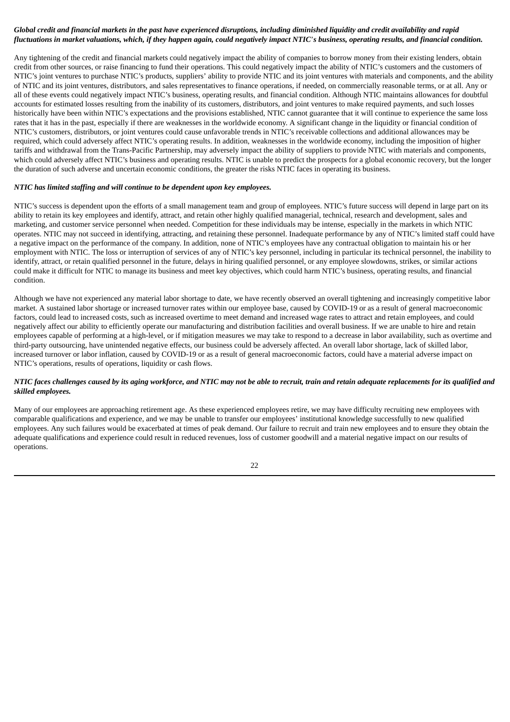# Global credit and financial markets in the past have experienced disruptions, including diminished liquidity and credit availability and rapid fluctuations in market valuations, which, if they happen again, could negatively impact NTIC's business, operating results, and financial condition.

Any tightening of the credit and financial markets could negatively impact the ability of companies to borrow money from their existing lenders, obtain credit from other sources, or raise financing to fund their operations. This could negatively impact the ability of NTIC's customers and the customers of NTIC's joint ventures to purchase NTIC's products, suppliers' ability to provide NTIC and its joint ventures with materials and components, and the ability of NTIC and its joint ventures, distributors, and sales representatives to finance operations, if needed, on commercially reasonable terms, or at all. Any or all of these events could negatively impact NTIC's business, operating results, and financial condition. Although NTIC maintains allowances for doubtful accounts for estimated losses resulting from the inability of its customers, distributors, and joint ventures to make required payments, and such losses historically have been within NTIC's expectations and the provisions established, NTIC cannot guarantee that it will continue to experience the same loss rates that it has in the past, especially if there are weaknesses in the worldwide economy. A significant change in the liquidity or financial condition of NTIC's customers, distributors, or joint ventures could cause unfavorable trends in NTIC's receivable collections and additional allowances may be required, which could adversely affect NTIC's operating results. In addition, weaknesses in the worldwide economy, including the imposition of higher tariffs and withdrawal from the Trans-Pacific Partnership, may adversely impact the ability of suppliers to provide NTIC with materials and components, which could adversely affect NTIC's business and operating results. NTIC is unable to predict the prospects for a global economic recovery, but the longer the duration of such adverse and uncertain economic conditions, the greater the risks NTIC faces in operating its business.

## *NTIC has limited staffing and will continue to be dependent upon key employees.*

NTIC's success is dependent upon the efforts of a small management team and group of employees. NTIC's future success will depend in large part on its ability to retain its key employees and identify, attract, and retain other highly qualified managerial, technical, research and development, sales and marketing, and customer service personnel when needed. Competition for these individuals may be intense, especially in the markets in which NTIC operates. NTIC may not succeed in identifying, attracting, and retaining these personnel. Inadequate performance by any of NTIC's limited staff could have a negative impact on the performance of the company. In addition, none of NTIC's employees have any contractual obligation to maintain his or her employment with NTIC. The loss or interruption of services of any of NTIC's key personnel, including in particular its technical personnel, the inability to identify, attract, or retain qualified personnel in the future, delays in hiring qualified personnel, or any employee slowdowns, strikes, or similar actions could make it difficult for NTIC to manage its business and meet key objectives, which could harm NTIC's business, operating results, and financial condition.

Although we have not experienced any material labor shortage to date, we have recently observed an overall tightening and increasingly competitive labor market. A sustained labor shortage or increased turnover rates within our employee base, caused by COVID-19 or as a result of general macroeconomic factors, could lead to increased costs, such as increased overtime to meet demand and increased wage rates to attract and retain employees, and could negatively affect our ability to efficiently operate our manufacturing and distribution facilities and overall business. If we are unable to hire and retain employees capable of performing at a high-level, or if mitigation measures we may take to respond to a decrease in labor availability, such as overtime and third-party outsourcing, have unintended negative effects, our business could be adversely affected. An overall labor shortage, lack of skilled labor, increased turnover or labor inflation, caused by COVID-19 or as a result of general macroeconomic factors, could have a material adverse impact on NTIC's operations, results of operations, liquidity or cash flows.

# NTIC faces challenges caused by its aging workforce, and NTIC may not be able to recruit, train and retain adequate replacements for its qualified and *skilled employees.*

Many of our employees are approaching retirement age. As these experienced employees retire, we may have difficulty recruiting new employees with comparable qualifications and experience, and we may be unable to transfer our employees' institutional knowledge successfully to new qualified employees. Any such failures would be exacerbated at times of peak demand. Our failure to recruit and train new employees and to ensure they obtain the adequate qualifications and experience could result in reduced revenues, loss of customer goodwill and a material negative impact on our results of operations.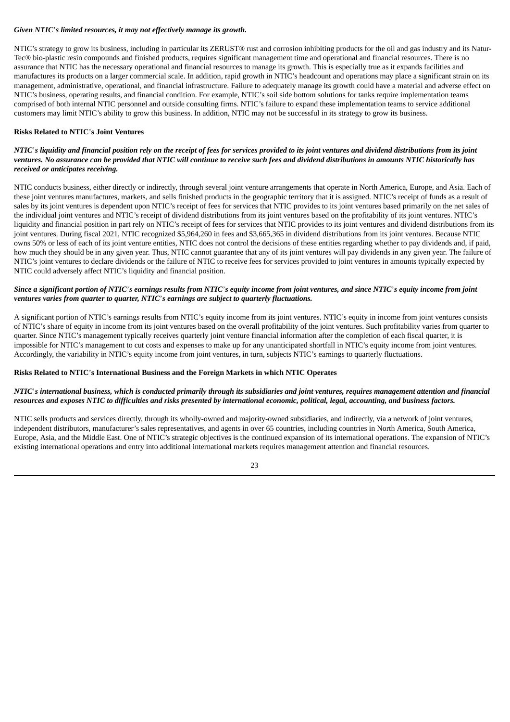## *Given NTIC*'*s limited resources, it may not effectively manage its growth.*

NTIC's strategy to grow its business, including in particular its ZERUST® rust and corrosion inhibiting products for the oil and gas industry and its Natur-Tec® bio-plastic resin compounds and finished products, requires significant management time and operational and financial resources. There is no assurance that NTIC has the necessary operational and financial resources to manage its growth. This is especially true as it expands facilities and manufactures its products on a larger commercial scale. In addition, rapid growth in NTIC's headcount and operations may place a significant strain on its management, administrative, operational, and financial infrastructure. Failure to adequately manage its growth could have a material and adverse effect on NTIC's business, operating results, and financial condition. For example, NTIC's soil side bottom solutions for tanks require implementation teams comprised of both internal NTIC personnel and outside consulting firms. NTIC's failure to expand these implementation teams to service additional customers may limit NTIC's ability to grow this business. In addition, NTIC may not be successful in its strategy to grow its business.

# **Risks Related to NTIC**'**s Joint Ventures**

# NTIC's liquidity and financial position rely on the receipt of fees for services provided to its joint ventures and dividend distributions from its joint ventures. No assurance can be provided that NTIC will continue to receive such fees and dividend distributions in amounts NTIC historically has *received or anticipates receiving.*

NTIC conducts business, either directly or indirectly, through several joint venture arrangements that operate in North America, Europe, and Asia. Each of these joint ventures manufactures, markets, and sells finished products in the geographic territory that it is assigned. NTIC's receipt of funds as a result of sales by its joint ventures is dependent upon NTIC's receipt of fees for services that NTIC provides to its joint ventures based primarily on the net sales of the individual joint ventures and NTIC's receipt of dividend distributions from its joint ventures based on the profitability of its joint ventures. NTIC's liquidity and financial position in part rely on NTIC's receipt of fees for services that NTIC provides to its joint ventures and dividend distributions from its joint ventures. During fiscal 2021, NTIC recognized \$5,964,260 in fees and \$3,665,365 in dividend distributions from its joint ventures. Because NTIC owns 50% or less of each of its joint venture entities, NTIC does not control the decisions of these entities regarding whether to pay dividends and, if paid, how much they should be in any given year. Thus, NTIC cannot guarantee that any of its joint ventures will pay dividends in any given year. The failure of NTIC's joint ventures to declare dividends or the failure of NTIC to receive fees for services provided to joint ventures in amounts typically expected by NTIC could adversely affect NTIC's liquidity and financial position.

# Since a significant portion of NTIC's earnings results from NTIC's equity income from joint ventures, and since NTIC's equity income from joint *ventures varies from quarter to quarter, NTIC*'*s earnings are subject to quarterly fluctuations.*

A significant portion of NTIC's earnings results from NTIC's equity income from its joint ventures. NTIC's equity in income from joint ventures consists of NTIC's share of equity in income from its joint ventures based on the overall profitability of the joint ventures. Such profitability varies from quarter to quarter. Since NTIC's management typically receives quarterly joint venture financial information after the completion of each fiscal quarter, it is impossible for NTIC's management to cut costs and expenses to make up for any unanticipated shortfall in NTIC's equity income from joint ventures. Accordingly, the variability in NTIC's equity income from joint ventures, in turn, subjects NTIC's earnings to quarterly fluctuations.

# **Risks Related to NTIC**'**s International Business and the Foreign Markets in which NTIC Operates**

# NTIC's international business, which is conducted primarily through its subsidiaries and joint ventures, requires management attention and financial resources and exposes NTIC to difficulties and risks presented by international economic, political, legal, accounting, and business factors.

NTIC sells products and services directly, through its wholly-owned and majority-owned subsidiaries, and indirectly, via a network of joint ventures, independent distributors, manufacturer's sales representatives, and agents in over 65 countries, including countries in North America, South America, Europe, Asia, and the Middle East. One of NTIC's strategic objectives is the continued expansion of its international operations. The expansion of NTIC's existing international operations and entry into additional international markets requires management attention and financial resources.

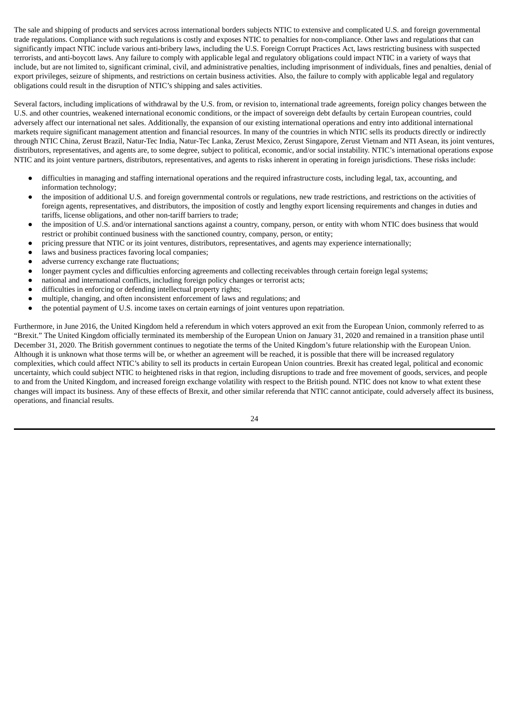The sale and shipping of products and services across international borders subjects NTIC to extensive and complicated U.S. and foreign governmental trade regulations. Compliance with such regulations is costly and exposes NTIC to penalties for non-compliance. Other laws and regulations that can significantly impact NTIC include various anti-bribery laws, including the U.S. Foreign Corrupt Practices Act, laws restricting business with suspected terrorists, and anti-boycott laws. Any failure to comply with applicable legal and regulatory obligations could impact NTIC in a variety of ways that include, but are not limited to, significant criminal, civil, and administrative penalties, including imprisonment of individuals, fines and penalties, denial of export privileges, seizure of shipments, and restrictions on certain business activities. Also, the failure to comply with applicable legal and regulatory obligations could result in the disruption of NTIC's shipping and sales activities.

Several factors, including implications of withdrawal by the U.S. from, or revision to, international trade agreements, foreign policy changes between the U.S. and other countries, weakened international economic conditions, or the impact of sovereign debt defaults by certain European countries, could adversely affect our international net sales. Additionally, the expansion of our existing international operations and entry into additional international markets require significant management attention and financial resources. In many of the countries in which NTIC sells its products directly or indirectly through NTIC China, Zerust Brazil, Natur-Tec India, Natur-Tec Lanka, Zerust Mexico, Zerust Singapore, Zerust Vietnam and NTI Asean, its joint ventures, distributors, representatives, and agents are, to some degree, subject to political, economic, and/or social instability. NTIC's international operations expose NTIC and its joint venture partners, distributors, representatives, and agents to risks inherent in operating in foreign jurisdictions. These risks include:

- difficulties in managing and staffing international operations and the required infrastructure costs, including legal, tax, accounting, and information technology;
- the imposition of additional U.S. and foreign governmental controls or regulations, new trade restrictions, and restrictions on the activities of foreign agents, representatives, and distributors, the imposition of costly and lengthy export licensing requirements and changes in duties and tariffs, license obligations, and other non-tariff barriers to trade;
- the imposition of U.S. and/or international sanctions against a country, company, person, or entity with whom NTIC does business that would restrict or prohibit continued business with the sanctioned country, company, person, or entity;
- pricing pressure that NTIC or its joint ventures, distributors, representatives, and agents may experience internationally;
- laws and business practices favoring local companies;
- adverse currency exchange rate fluctuations;
- longer payment cycles and difficulties enforcing agreements and collecting receivables through certain foreign legal systems;
- national and international conflicts, including foreign policy changes or terrorist acts;
- difficulties in enforcing or defending intellectual property rights;
- multiple, changing, and often inconsistent enforcement of laws and regulations; and
- the potential payment of U.S. income taxes on certain earnings of joint ventures upon repatriation.

Furthermore, in June 2016, the United Kingdom held a referendum in which voters approved an exit from the European Union, commonly referred to as "Brexit." The United Kingdom officially terminated its membership of the European Union on January 31, 2020 and remained in a transition phase until December 31, 2020. The British government continues to negotiate the terms of the United Kingdom's future relationship with the European Union. Although it is unknown what those terms will be, or whether an agreement will be reached, it is possible that there will be increased regulatory complexities, which could affect NTIC's ability to sell its products in certain European Union countries. Brexit has created legal, political and economic uncertainty, which could subject NTIC to heightened risks in that region, including disruptions to trade and free movement of goods, services, and people to and from the United Kingdom, and increased foreign exchange volatility with respect to the British pound. NTIC does not know to what extent these changes will impact its business. Any of these effects of Brexit, and other similar referenda that NTIC cannot anticipate, could adversely affect its business, operations, and financial results.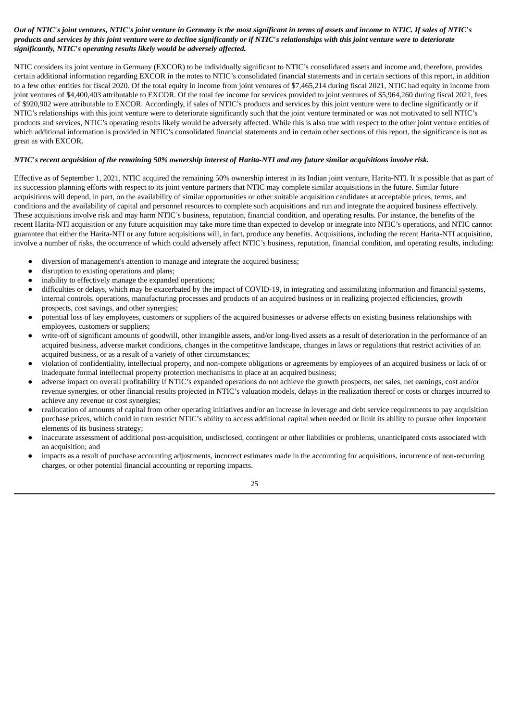# Out of NTIC's joint ventures, NTIC's joint venture in Germany is the most significant in terms of assets and income to NTIC. If sales of NTIC's products and services by this joint venture were to decline significantly or if NTIC's relationships with this joint venture were to deteriorate *significantly, NTIC*'*s operating results likely would be adversely affected.*

NTIC considers its joint venture in Germany (EXCOR) to be individually significant to NTIC's consolidated assets and income and, therefore, provides certain additional information regarding EXCOR in the notes to NTIC's consolidated financial statements and in certain sections of this report, in addition to a few other entities for fiscal 2020. Of the total equity in income from joint ventures of \$7,465,214 during fiscal 2021, NTIC had equity in income from joint ventures of \$4,400,403 attributable to EXCOR. Of the total fee income for services provided to joint ventures of \$5,964,260 during fiscal 2021, fees of \$920,902 were attributable to EXCOR. Accordingly, if sales of NTIC's products and services by this joint venture were to decline significantly or if NTIC's relationships with this joint venture were to deteriorate significantly such that the joint venture terminated or was not motivated to sell NTIC's products and services, NTIC's operating results likely would be adversely affected. While this is also true with respect to the other joint venture entities of which additional information is provided in NTIC's consolidated financial statements and in certain other sections of this report, the significance is not as great as with EXCOR.

## NTIC's recent acquisition of the remaining 50% ownership interest of Harita-NTI and any future similar acquisitions involve risk.

Effective as of September 1, 2021, NTIC acquired the remaining 50% ownership interest in its Indian joint venture, Harita-NTI. It is possible that as part of its succession planning efforts with respect to its joint venture partners that NTIC may complete similar acquisitions in the future. Similar future acquisitions will depend, in part, on the availability of similar opportunities or other suitable acquisition candidates at acceptable prices, terms, and conditions and the availability of capital and personnel resources to complete such acquisitions and run and integrate the acquired business effectively. These acquisitions involve risk and may harm NTIC's business, reputation, financial condition, and operating results. For instance, the benefits of the recent Harita-NTI acquisition or any future acquisition may take more time than expected to develop or integrate into NTIC's operations, and NTIC cannot guarantee that either the Harita-NTI or any future acquisitions will, in fact, produce any benefits. Acquisitions, including the recent Harita-NTI acquisition, involve a number of risks, the occurrence of which could adversely affect NTIC's business, reputation, financial condition, and operating results, including:

- diversion of management's attention to manage and integrate the acquired business;
- disruption to existing operations and plans;
- inability to effectively manage the expanded operations;
- difficulties or delays, which may be exacerbated by the impact of COVID-19, in integrating and assimilating information and financial systems, internal controls, operations, manufacturing processes and products of an acquired business or in realizing projected efficiencies, growth prospects, cost savings, and other synergies;
- potential loss of key employees, customers or suppliers of the acquired businesses or adverse effects on existing business relationships with employees, customers or suppliers;
- write-off of significant amounts of goodwill, other intangible assets, and/or long-lived assets as a result of deterioration in the performance of an acquired business, adverse market conditions, changes in the competitive landscape, changes in laws or regulations that restrict activities of an acquired business, or as a result of a variety of other circumstances;
- violation of confidentiality, intellectual property, and non-compete obligations or agreements by employees of an acquired business or lack of or inadequate formal intellectual property protection mechanisms in place at an acquired business;
- adverse impact on overall profitability if NTIC's expanded operations do not achieve the growth prospects, net sales, net earnings, cost and/or revenue synergies, or other financial results projected in NTIC's valuation models, delays in the realization thereof or costs or charges incurred to achieve any revenue or cost synergies;
- reallocation of amounts of capital from other operating initiatives and/or an increase in leverage and debt service requirements to pay acquisition purchase prices, which could in turn restrict NTIC's ability to access additional capital when needed or limit its ability to pursue other important elements of its business strategy;
- inaccurate assessment of additional post-acquisition, undisclosed, contingent or other liabilities or problems, unanticipated costs associated with an acquisition; and
- impacts as a result of purchase accounting adjustments, incorrect estimates made in the accounting for acquisitions, incurrence of non-recurring charges, or other potential financial accounting or reporting impacts.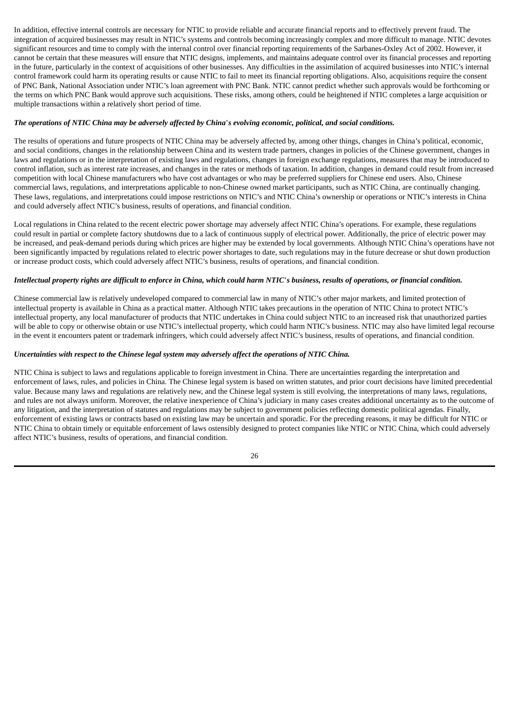In addition, effective internal controls are necessary for NTIC to provide reliable and accurate financial reports and to effectively prevent fraud. The integration of acquired businesses may result in NTIC's systems and controls becoming increasingly complex and more difficult to manage. NTIC devotes significant resources and time to comply with the internal control over financial reporting requirements of the Sarbanes-Oxley Act of 2002. However, it cannot be certain that these measures will ensure that NTIC designs, implements, and maintains adequate control over its financial processes and reporting in the future, particularly in the context of acquisitions of other businesses. Any difficulties in the assimilation of acquired businesses into NTIC's internal control framework could harm its operating results or cause NTIC to fail to meet its financial reporting obligations. Also, acquisitions require the consent of PNC Bank, National Association under NTIC's loan agreement with PNC Bank. NTIC cannot predict whether such approvals would be forthcoming or the terms on which PNC Bank would approve such acquisitions. These risks, among others, could be heightened if NTIC completes a large acquisition or multiple transactions within a relatively short period of time.

## The operations of NTIC China may be adversely affected by China's evolving economic, political, and social conditions.

The results of operations and future prospects of NTIC China may be adversely affected by, among other things, changes in China's political, economic, and social conditions, changes in the relationship between China and its western trade partners, changes in policies of the Chinese government, changes in laws and regulations or in the interpretation of existing laws and regulations, changes in foreign exchange regulations, measures that may be introduced to control inflation, such as interest rate increases, and changes in the rates or methods of taxation. In addition, changes in demand could result from increased competition with local Chinese manufacturers who have cost advantages or who may be preferred suppliers for Chinese end users. Also, Chinese commercial laws, regulations, and interpretations applicable to non-Chinese owned market participants, such as NTIC China, are continually changing. These laws, regulations, and interpretations could impose restrictions on NTIC's and NTIC China's ownership or operations or NTIC's interests in China and could adversely affect NTIC's business, results of operations, and financial condition.

Local regulations in China related to the recent electric power shortage may adversely affect NTIC China's operations. For example, these regulations could result in partial or complete factory shutdowns due to a lack of continuous supply of electrical power. Additionally, the price of electric power may be increased, and peak-demand periods during which prices are higher may be extended by local governments. Although NTIC China's operations have not been significantly impacted by regulations related to electric power shortages to date, such regulations may in the future decrease or shut down production or increase product costs, which could adversely affect NTIC's business, results of operations, and financial condition.

## Intellectual property rights are difficult to enforce in China, which could harm NTIC's business, results of operations, or financial condition.

Chinese commercial law is relatively undeveloped compared to commercial law in many of NTIC's other major markets, and limited protection of intellectual property is available in China as a practical matter. Although NTIC takes precautions in the operation of NTIC China to protect NTIC's intellectual property, any local manufacturer of products that NTIC undertakes in China could subject NTIC to an increased risk that unauthorized parties will be able to copy or otherwise obtain or use NTIC's intellectual property, which could harm NTIC's business. NTIC may also have limited legal recourse in the event it encounters patent or trademark infringers, which could adversely affect NTIC's business, results of operations, and financial condition.

## *Uncertainties with respect to the Chinese legal system may adversely affect the operations of NTIC China.*

NTIC China is subject to laws and regulations applicable to foreign investment in China. There are uncertainties regarding the interpretation and enforcement of laws, rules, and policies in China. The Chinese legal system is based on written statutes, and prior court decisions have limited precedential value. Because many laws and regulations are relatively new, and the Chinese legal system is still evolving, the interpretations of many laws, regulations, and rules are not always uniform. Moreover, the relative inexperience of China's judiciary in many cases creates additional uncertainty as to the outcome of any litigation, and the interpretation of statutes and regulations may be subject to government policies reflecting domestic political agendas. Finally, enforcement of existing laws or contracts based on existing law may be uncertain and sporadic. For the preceding reasons, it may be difficult for NTIC or NTIC China to obtain timely or equitable enforcement of laws ostensibly designed to protect companies like NTIC or NTIC China, which could adversely affect NTIC's business, results of operations, and financial condition.

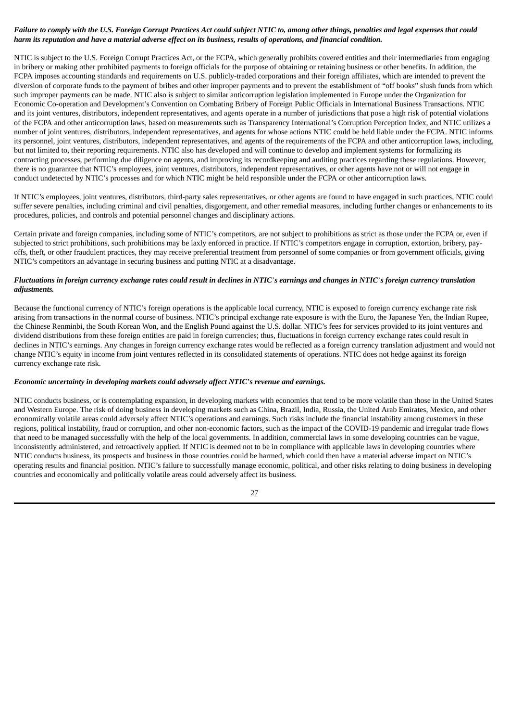# Failure to comply with the U.S. Foreign Corrupt Practices Act could subject NTIC to, among other things, penalties and legal expenses that could harm its reputation and have a material adverse effect on its business, results of operations, and financial condition.

NTIC is subject to the U.S. Foreign Corrupt Practices Act, or the FCPA, which generally prohibits covered entities and their intermediaries from engaging in bribery or making other prohibited payments to foreign officials for the purpose of obtaining or retaining business or other benefits. In addition, the FCPA imposes accounting standards and requirements on U.S. publicly-traded corporations and their foreign affiliates, which are intended to prevent the diversion of corporate funds to the payment of bribes and other improper payments and to prevent the establishment of "off books" slush funds from which such improper payments can be made. NTIC also is subject to similar anticorruption legislation implemented in Europe under the Organization for Economic Co-operation and Development's Convention on Combating Bribery of Foreign Public Officials in International Business Transactions. NTIC and its joint ventures, distributors, independent representatives, and agents operate in a number of jurisdictions that pose a high risk of potential violations of the FCPA and other anticorruption laws, based on measurements such as Transparency International's Corruption Perception Index, and NTIC utilizes a number of joint ventures, distributors, independent representatives, and agents for whose actions NTIC could be held liable under the FCPA. NTIC informs its personnel, joint ventures, distributors, independent representatives, and agents of the requirements of the FCPA and other anticorruption laws, including, but not limited to, their reporting requirements. NTIC also has developed and will continue to develop and implement systems for formalizing its contracting processes, performing due diligence on agents, and improving its recordkeeping and auditing practices regarding these regulations. However, there is no guarantee that NTIC's employees, joint ventures, distributors, independent representatives, or other agents have not or will not engage in conduct undetected by NTIC's processes and for which NTIC might be held responsible under the FCPA or other anticorruption laws.

If NTIC's employees, joint ventures, distributors, third-party sales representatives, or other agents are found to have engaged in such practices, NTIC could suffer severe penalties, including criminal and civil penalties, disgorgement, and other remedial measures, including further changes or enhancements to its procedures, policies, and controls and potential personnel changes and disciplinary actions.

Certain private and foreign companies, including some of NTIC's competitors, are not subject to prohibitions as strict as those under the FCPA or, even if subjected to strict prohibitions, such prohibitions may be laxly enforced in practice. If NTIC's competitors engage in corruption, extortion, bribery, payoffs, theft, or other fraudulent practices, they may receive preferential treatment from personnel of some companies or from government officials, giving NTIC's competitors an advantage in securing business and putting NTIC at a disadvantage.

## Fluctuations in foreign currency exchange rates could result in declines in NTIC's earnings and changes in NTIC's foreign currency translation *adjustments.*

Because the functional currency of NTIC's foreign operations is the applicable local currency, NTIC is exposed to foreign currency exchange rate risk arising from transactions in the normal course of business. NTIC's principal exchange rate exposure is with the Euro, the Japanese Yen, the Indian Rupee, the Chinese Renminbi, the South Korean Won, and the English Pound against the U.S. dollar. NTIC's fees for services provided to its joint ventures and dividend distributions from these foreign entities are paid in foreign currencies; thus, fluctuations in foreign currency exchange rates could result in declines in NTIC's earnings. Any changes in foreign currency exchange rates would be reflected as a foreign currency translation adjustment and would not change NTIC's equity in income from joint ventures reflected in its consolidated statements of operations. NTIC does not hedge against its foreign currency exchange rate risk.

## *Economic uncertainty in developing markets could adversely affect NTIC*'*s revenue and earnings.*

NTIC conducts business, or is contemplating expansion, in developing markets with economies that tend to be more volatile than those in the United States and Western Europe. The risk of doing business in developing markets such as China, Brazil, India, Russia, the United Arab Emirates, Mexico, and other economically volatile areas could adversely affect NTIC's operations and earnings. Such risks include the financial instability among customers in these regions, political instability, fraud or corruption, and other non-economic factors, such as the impact of the COVID-19 pandemic and irregular trade flows that need to be managed successfully with the help of the local governments. In addition, commercial laws in some developing countries can be vague, inconsistently administered, and retroactively applied. If NTIC is deemed not to be in compliance with applicable laws in developing countries where NTIC conducts business, its prospects and business in those countries could be harmed, which could then have a material adverse impact on NTIC's operating results and financial position. NTIC's failure to successfully manage economic, political, and other risks relating to doing business in developing countries and economically and politically volatile areas could adversely affect its business.

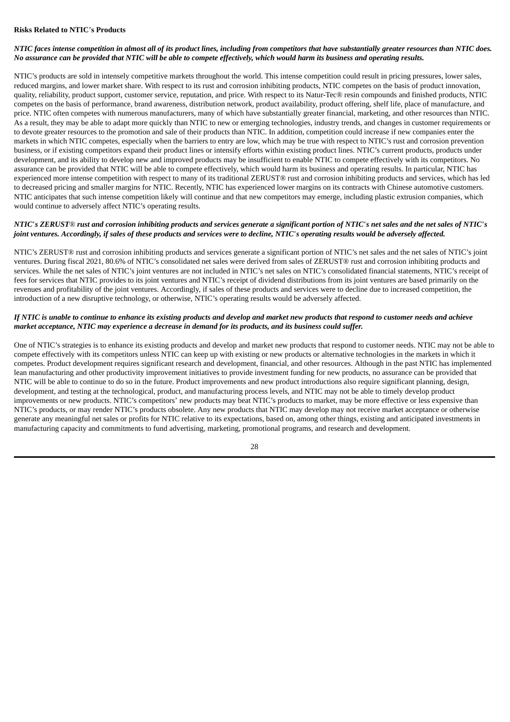#### **Risks Related to NTIC**'**s Products**

# NTIC faces intense competition in almost all of its product lines, including from competitors that have substantially greater resources than NTIC does. No assurance can be provided that NTIC will be able to compete effectively, which would harm its business and operating results.

NTIC's products are sold in intensely competitive markets throughout the world. This intense competition could result in pricing pressures, lower sales, reduced margins, and lower market share. With respect to its rust and corrosion inhibiting products, NTIC competes on the basis of product innovation, quality, reliability, product support, customer service, reputation, and price. With respect to its Natur-Tec® resin compounds and finished products, NTIC competes on the basis of performance, brand awareness, distribution network, product availability, product offering, shelf life, place of manufacture, and price. NTIC often competes with numerous manufacturers, many of which have substantially greater financial, marketing, and other resources than NTIC. As a result, they may be able to adapt more quickly than NTIC to new or emerging technologies, industry trends, and changes in customer requirements or to devote greater resources to the promotion and sale of their products than NTIC. In addition, competition could increase if new companies enter the markets in which NTIC competes, especially when the barriers to entry are low, which may be true with respect to NTIC's rust and corrosion prevention business, or if existing competitors expand their product lines or intensify efforts within existing product lines. NTIC's current products, products under development, and its ability to develop new and improved products may be insufficient to enable NTIC to compete effectively with its competitors. No assurance can be provided that NTIC will be able to compete effectively, which would harm its business and operating results. In particular, NTIC has experienced more intense competition with respect to many of its traditional ZERUST® rust and corrosion inhibiting products and services, which has led to decreased pricing and smaller margins for NTIC. Recently, NTIC has experienced lower margins on its contracts with Chinese automotive customers. NTIC anticipates that such intense competition likely will continue and that new competitors may emerge, including plastic extrusion companies, which would continue to adversely affect NTIC's operating results.

# NTIC's ZERUST® rust and corrosion inhibiting products and services generate a significant portion of NTIC's net sales and the net sales of NTIC's joint ventures. Accordingly, if sales of these products and services were to decline, NTIC's operating results would be adversely affected.

NTIC's ZERUST® rust and corrosion inhibiting products and services generate a significant portion of NTIC's net sales and the net sales of NTIC's joint ventures. During fiscal 2021, 80.6% of NTIC's consolidated net sales were derived from sales of ZERUST® rust and corrosion inhibiting products and services. While the net sales of NTIC's joint ventures are not included in NTIC's net sales on NTIC's consolidated financial statements, NTIC's receipt of fees for services that NTIC provides to its joint ventures and NTIC's receipt of dividend distributions from its joint ventures are based primarily on the revenues and profitability of the joint ventures. Accordingly, if sales of these products and services were to decline due to increased competition, the introduction of a new disruptive technology, or otherwise, NTIC's operating results would be adversely affected.

## If NTIC is unable to continue to enhance its existing products and develop and market new products that respond to customer needs and achieve market acceptance, NTIC may experience a decrease in demand for its products, and its business could suffer.

One of NTIC's strategies is to enhance its existing products and develop and market new products that respond to customer needs. NTIC may not be able to compete effectively with its competitors unless NTIC can keep up with existing or new products or alternative technologies in the markets in which it competes. Product development requires significant research and development, financial, and other resources. Although in the past NTIC has implemented lean manufacturing and other productivity improvement initiatives to provide investment funding for new products, no assurance can be provided that NTIC will be able to continue to do so in the future. Product improvements and new product introductions also require significant planning, design, development, and testing at the technological, product, and manufacturing process levels, and NTIC may not be able to timely develop product improvements or new products. NTIC's competitors' new products may beat NTIC's products to market, may be more effective or less expensive than NTIC's products, or may render NTIC's products obsolete. Any new products that NTIC may develop may not receive market acceptance or otherwise generate any meaningful net sales or profits for NTIC relative to its expectations, based on, among other things, existing and anticipated investments in manufacturing capacity and commitments to fund advertising, marketing, promotional programs, and research and development.

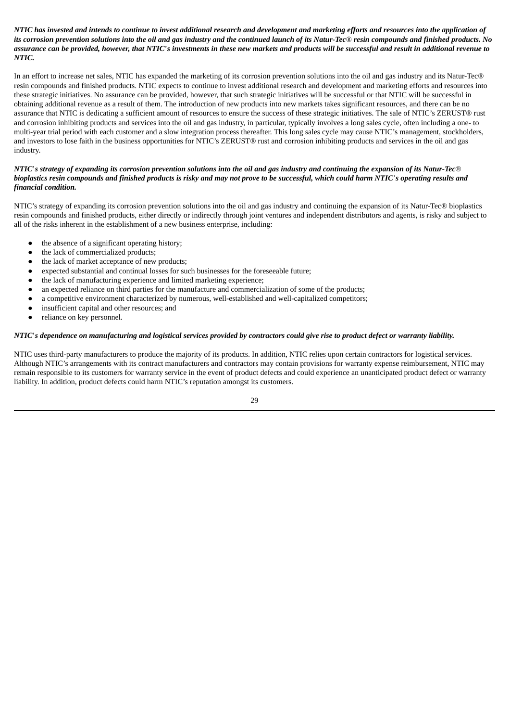NTIC has invested and intends to continue to invest additional research and development and marketing efforts and resources into the application of its corrosion prevention solutions into the oil and gas industry and the continued launch of its Natur-Tec® resin compounds and finished products. No assurance can be provided, however, that NTIC's investments in these new markets and products will be successful and result in additional revenue to *NTIC.*

In an effort to increase net sales, NTIC has expanded the marketing of its corrosion prevention solutions into the oil and gas industry and its Natur-Tec® resin compounds and finished products. NTIC expects to continue to invest additional research and development and marketing efforts and resources into these strategic initiatives. No assurance can be provided, however, that such strategic initiatives will be successful or that NTIC will be successful in obtaining additional revenue as a result of them. The introduction of new products into new markets takes significant resources, and there can be no assurance that NTIC is dedicating a sufficient amount of resources to ensure the success of these strategic initiatives. The sale of NTIC's ZERUST® rust and corrosion inhibiting products and services into the oil and gas industry, in particular, typically involves a long sales cycle, often including a one- to multi-year trial period with each customer and a slow integration process thereafter. This long sales cycle may cause NTIC's management, stockholders, and investors to lose faith in the business opportunities for NTIC's ZERUST® rust and corrosion inhibiting products and services in the oil and gas industry.

# NTIC's strategy of expanding its corrosion prevention solutions into the oil and gas industry and continuing the expansion of its Natur-Tec $\circledast$ bioplastics resin compounds and finished products is risky and may not prove to be successful, which could harm NTIC's operating results and *financial condition.*

NTIC's strategy of expanding its corrosion prevention solutions into the oil and gas industry and continuing the expansion of its Natur-Tec® bioplastics resin compounds and finished products, either directly or indirectly through joint ventures and independent distributors and agents, is risky and subject to all of the risks inherent in the establishment of a new business enterprise, including:

- the absence of a significant operating history;
- the lack of commercialized products;
- the lack of market acceptance of new products;
- expected substantial and continual losses for such businesses for the foreseeable future;
- the lack of manufacturing experience and limited marketing experience;
- an expected reliance on third parties for the manufacture and commercialization of some of the products;
- a competitive environment characterized by numerous, well-established and well-capitalized competitors;
- insufficient capital and other resources; and
- reliance on key personnel.

## NTIC's dependence on manufacturing and logistical services provided by contractors could give rise to product defect or warranty liability.

NTIC uses third-party manufacturers to produce the majority of its products. In addition, NTIC relies upon certain contractors for logistical services. Although NTIC's arrangements with its contract manufacturers and contractors may contain provisions for warranty expense reimbursement, NTIC may remain responsible to its customers for warranty service in the event of product defects and could experience an unanticipated product defect or warranty liability. In addition, product defects could harm NTIC's reputation amongst its customers.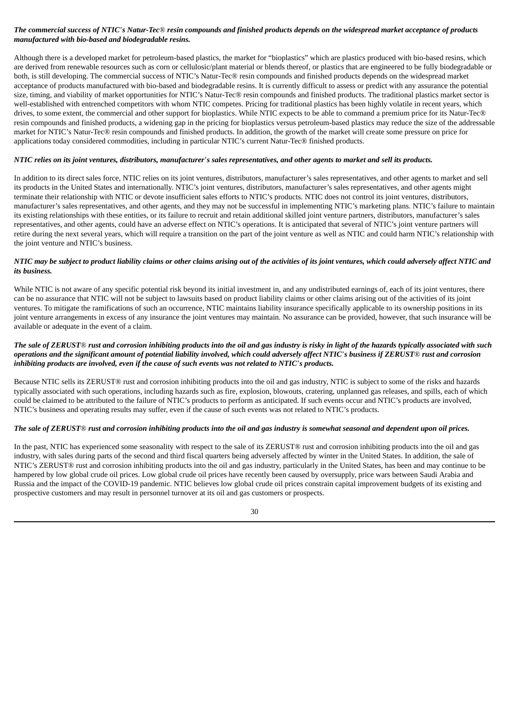# The commercial success of NTIC's Natur-Tec® resin compounds and finished products depends on the widespread market acceptance of products *manufactured with bio-based and biodegradable resins.*

Although there is a developed market for petroleum-based plastics, the market for "bioplastics" which are plastics produced with bio-based resins, which are derived from renewable resources such as corn or cellulosic/plant material or blends thereof, or plastics that are engineered to be fully biodegradable or both, is still developing. The commercial success of NTIC's Natur-Tec® resin compounds and finished products depends on the widespread market acceptance of products manufactured with bio-based and biodegradable resins. It is currently difficult to assess or predict with any assurance the potential size, timing, and viability of market opportunities for NTIC's Natur-Tec® resin compounds and finished products. The traditional plastics market sector is well-established with entrenched competitors with whom NTIC competes. Pricing for traditional plastics has been highly volatile in recent years, which drives, to some extent, the commercial and other support for bioplastics. While NTIC expects to be able to command a premium price for its Natur-Tec® resin compounds and finished products, a widening gap in the pricing for bioplastics versus petroleum-based plastics may reduce the size of the addressable market for NTIC's Natur-Tec® resin compounds and finished products. In addition, the growth of the market will create some pressure on price for applications today considered commodities, including in particular NTIC's current Natur-Tec® finished products.

## NTIC relies on its joint ventures, distributors, manufacturer's sales representatives, and other agents to market and sell its products,

In addition to its direct sales force, NTIC relies on its joint ventures, distributors, manufacturer's sales representatives, and other agents to market and sell its products in the United States and internationally. NTIC's joint ventures, distributors, manufacturer's sales representatives, and other agents might terminate their relationship with NTIC or devote insufficient sales efforts to NTIC's products. NTIC does not control its joint ventures, distributors, manufacturer's sales representatives, and other agents, and they may not be successful in implementing NTIC's marketing plans. NTIC's failure to maintain its existing relationships with these entities, or its failure to recruit and retain additional skilled joint venture partners, distributors, manufacturer's sales representatives, and other agents, could have an adverse effect on NTIC's operations. It is anticipated that several of NTIC's joint venture partners will retire during the next several years, which will require a transition on the part of the joint venture as well as NTIC and could harm NTIC's relationship with the joint venture and NTIC's business.

## NTIC may be subject to product liability claims or other claims arising out of the activities of its joint ventures, which could adversely affect NTIC and *its business.*

While NTIC is not aware of any specific potential risk beyond its initial investment in, and any undistributed earnings of, each of its joint ventures, there can be no assurance that NTIC will not be subject to lawsuits based on product liability claims or other claims arising out of the activities of its joint ventures. To mitigate the ramifications of such an occurrence, NTIC maintains liability insurance specifically applicable to its ownership positions in its joint venture arrangements in excess of any insurance the joint ventures may maintain. No assurance can be provided, however, that such insurance will be available or adequate in the event of a claim.

## The sale of ZERUST® rust and corrosion inhibiting products into the oil and gas industry is risky in light of the hazards typically associated with such operations and the significant amount of potential liability involved, which could adversely affect NTIC's business if ZERUST® rust and corrosion inhibiting products are involved, even if the cause of such events was not related to NTIC's products.

Because NTIC sells its ZERUST® rust and corrosion inhibiting products into the oil and gas industry, NTIC is subject to some of the risks and hazards typically associated with such operations, including hazards such as fire, explosion, blowouts, cratering, unplanned gas releases, and spills, each of which could be claimed to be attributed to the failure of NTIC's products to perform as anticipated. If such events occur and NTIC's products are involved, NTIC's business and operating results may suffer, even if the cause of such events was not related to NTIC's products.

#### The sale of ZERUST® rust and corrosion inhibiting products into the oil and gas industry is somewhat seasonal and dependent upon oil prices.

In the past, NTIC has experienced some seasonality with respect to the sale of its ZERUST® rust and corrosion inhibiting products into the oil and gas industry, with sales during parts of the second and third fiscal quarters being adversely affected by winter in the United States. In addition, the sale of NTIC's ZERUST<sup>®</sup> rust and corrosion inhibiting products into the oil and gas industry, particularly in the United States, has been and may continue to be hampered by low global crude oil prices. Low global crude oil prices have recently been caused by oversupply, price wars between Saudi Arabia and Russia and the impact of the COVID-19 pandemic. NTIC believes low global crude oil prices constrain capital improvement budgets of its existing and prospective customers and may result in personnel turnover at its oil and gas customers or prospects.

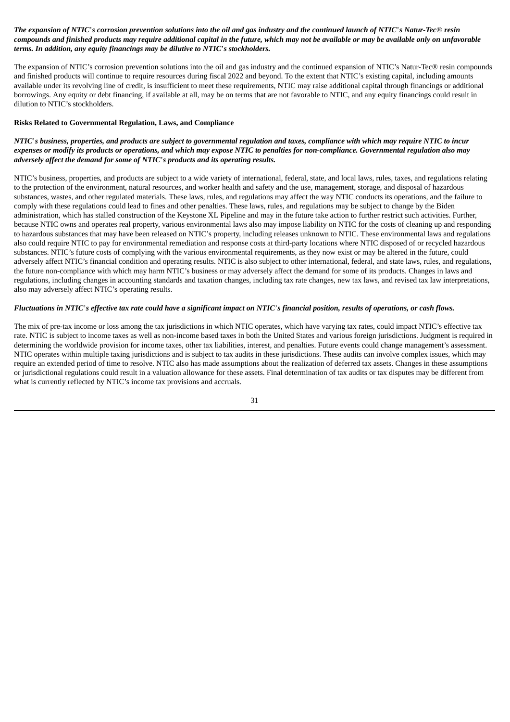# The expansion of NTIC's corrosion prevention solutions into the oil and gas industry and the continued launch of NTIC's Natur-Tec® resin compounds and finished products may require additional capital in the future, which may not be available or may be available only on unfavorable *terms. In addition, any equity financings may be dilutive to NTIC*'*s stockholders.*

The expansion of NTIC's corrosion prevention solutions into the oil and gas industry and the continued expansion of NTIC's Natur-Tec® resin compounds and finished products will continue to require resources during fiscal 2022 and beyond. To the extent that NTIC's existing capital, including amounts available under its revolving line of credit, is insufficient to meet these requirements, NTIC may raise additional capital through financings or additional borrowings. Any equity or debt financing, if available at all, may be on terms that are not favorable to NTIC, and any equity financings could result in dilution to NTIC's stockholders.

## **Risks Related to Governmental Regulation, Laws, and Compliance**

## NTIC's business, properties, and products are subject to governmental regulation and taxes, compliance with which may require NTIC to incur expenses or modify its products or operations, and which may expose NTIC to penalties for non-compliance. Governmental regulation also may *adversely affect the demand for some of NTIC*'*s products and its operating results.*

NTIC's business, properties, and products are subject to a wide variety of international, federal, state, and local laws, rules, taxes, and regulations relating to the protection of the environment, natural resources, and worker health and safety and the use, management, storage, and disposal of hazardous substances, wastes, and other regulated materials. These laws, rules, and regulations may affect the way NTIC conducts its operations, and the failure to comply with these regulations could lead to fines and other penalties. These laws, rules, and regulations may be subject to change by the Biden administration, which has stalled construction of the Keystone XL Pipeline and may in the future take action to further restrict such activities. Further, because NTIC owns and operates real property, various environmental laws also may impose liability on NTIC for the costs of cleaning up and responding to hazardous substances that may have been released on NTIC's property, including releases unknown to NTIC. These environmental laws and regulations also could require NTIC to pay for environmental remediation and response costs at third-party locations where NTIC disposed of or recycled hazardous substances. NTIC's future costs of complying with the various environmental requirements, as they now exist or may be altered in the future, could adversely affect NTIC's financial condition and operating results. NTIC is also subject to other international, federal, and state laws, rules, and regulations, the future non-compliance with which may harm NTIC's business or may adversely affect the demand for some of its products. Changes in laws and regulations, including changes in accounting standards and taxation changes, including tax rate changes, new tax laws, and revised tax law interpretations, also may adversely affect NTIC's operating results.

## Fluctuations in NTIC's effective tax rate could have a significant impact on NTIC's financial position, results of operations, or cash flows.

The mix of pre-tax income or loss among the tax jurisdictions in which NTIC operates, which have varying tax rates, could impact NTIC's effective tax rate. NTIC is subject to income taxes as well as non-income based taxes in both the United States and various foreign jurisdictions. Judgment is required in determining the worldwide provision for income taxes, other tax liabilities, interest, and penalties. Future events could change management's assessment. NTIC operates within multiple taxing jurisdictions and is subject to tax audits in these jurisdictions. These audits can involve complex issues, which may require an extended period of time to resolve. NTIC also has made assumptions about the realization of deferred tax assets. Changes in these assumptions or jurisdictional regulations could result in a valuation allowance for these assets. Final determination of tax audits or tax disputes may be different from what is currently reflected by NTIC's income tax provisions and accruals.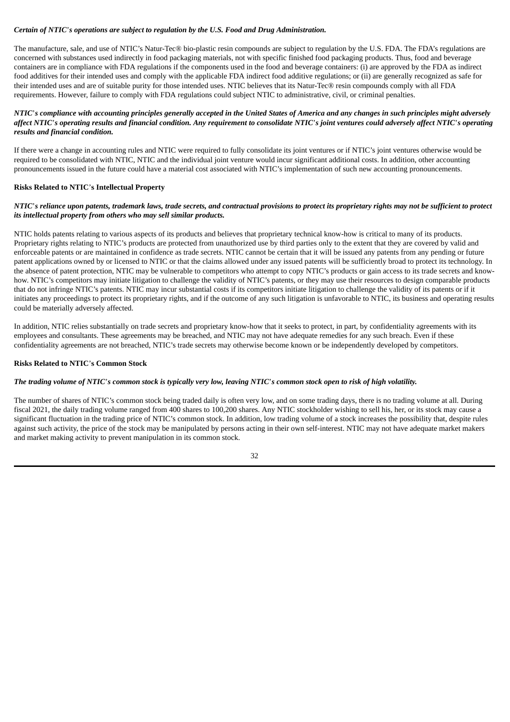## *Certain of NTIC*'*s operations are subject to regulation by the U.S. Food and Drug Administration.*

The manufacture, sale, and use of NTIC's Natur-Tec® bio-plastic resin compounds are subject to regulation by the U.S. FDA. The FDA's regulations are concerned with substances used indirectly in food packaging materials, not with specific finished food packaging products. Thus, food and beverage containers are in compliance with FDA regulations if the components used in the food and beverage containers: (i) are approved by the FDA as indirect food additives for their intended uses and comply with the applicable FDA indirect food additive regulations; or (ii) are generally recognized as safe for their intended uses and are of suitable purity for those intended uses. NTIC believes that its Natur-Tec® resin compounds comply with all FDA requirements. However, failure to comply with FDA regulations could subject NTIC to administrative, civil, or criminal penalties.

## NTIC's compliance with accountina principles aenerally accepted in the United States of America and any chanaes in such principles miaht adversely affect NTIC's operating results and financial condition. Any requirement to consolidate NTIC's joint ventures could adversely affect NTIC's operating *results and financial condition.*

If there were a change in accounting rules and NTIC were required to fully consolidate its joint ventures or if NTIC's joint ventures otherwise would be required to be consolidated with NTIC, NTIC and the individual joint venture would incur significant additional costs. In addition, other accounting pronouncements issued in the future could have a material cost associated with NTIC's implementation of such new accounting pronouncements.

## **Risks Related to NTIC**'**s Intellectual Property**

## NTIC's reliance upon patents, trademark laws, trade secrets, and contractual provisions to protect its proprietary rights may not be sufficient to protect *its intellectual property from others who may sell similar products.*

NTIC holds patents relating to various aspects of its products and believes that proprietary technical know-how is critical to many of its products. Proprietary rights relating to NTIC's products are protected from unauthorized use by third parties only to the extent that they are covered by valid and enforceable patents or are maintained in confidence as trade secrets. NTIC cannot be certain that it will be issued any patents from any pending or future patent applications owned by or licensed to NTIC or that the claims allowed under any issued patents will be sufficiently broad to protect its technology. In the absence of patent protection, NTIC may be vulnerable to competitors who attempt to copy NTIC's products or gain access to its trade secrets and knowhow. NTIC's competitors may initiate litigation to challenge the validity of NTIC's patents, or they may use their resources to design comparable products that do not infringe NTIC's patents. NTIC may incur substantial costs if its competitors initiate litigation to challenge the validity of its patents or if it initiates any proceedings to protect its proprietary rights, and if the outcome of any such litigation is unfavorable to NTIC, its business and operating results could be materially adversely affected.

In addition, NTIC relies substantially on trade secrets and proprietary know-how that it seeks to protect, in part, by confidentiality agreements with its employees and consultants. These agreements may be breached, and NTIC may not have adequate remedies for any such breach. Even if these confidentiality agreements are not breached, NTIC's trade secrets may otherwise become known or be independently developed by competitors.

#### **Risks Related to NTIC**'**s Common Stock**

#### The trading volume of NTIC's common stock is typically very low, leaving NTIC's common stock open to risk of high volatility.

The number of shares of NTIC's common stock being traded daily is often very low, and on some trading days, there is no trading volume at all. During fiscal 2021, the daily trading volume ranged from 400 shares to 100,200 shares. Any NTIC stockholder wishing to sell his, her, or its stock may cause a significant fluctuation in the trading price of NTIC's common stock. In addition, low trading volume of a stock increases the possibility that, despite rules against such activity, the price of the stock may be manipulated by persons acting in their own self-interest. NTIC may not have adequate market makers and market making activity to prevent manipulation in its common stock.

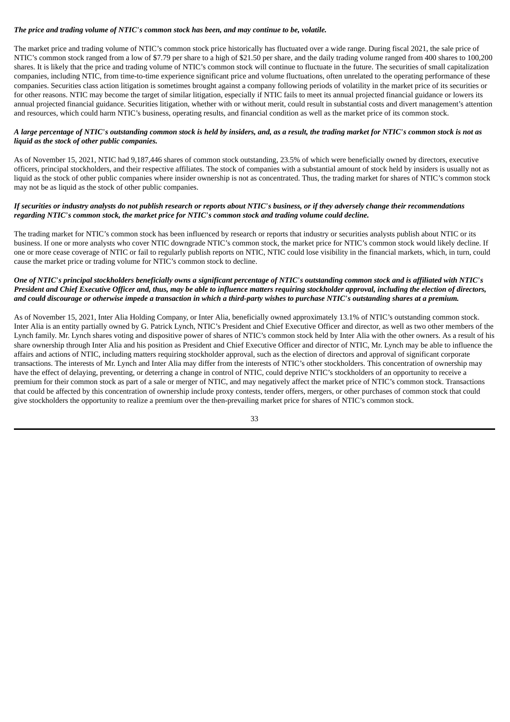## *The price and trading volume of NTIC*'*s common stock has been, and may continue to be, volatile.*

The market price and trading volume of NTIC's common stock price historically has fluctuated over a wide range. During fiscal 2021, the sale price of NTIC's common stock ranged from a low of \$7.79 per share to a high of \$21.50 per share, and the daily trading volume ranged from 400 shares to 100,200 shares. It is likely that the price and trading volume of NTIC's common stock will continue to fluctuate in the future. The securities of small capitalization companies, including NTIC, from time-to-time experience significant price and volume fluctuations, often unrelated to the operating performance of these companies. Securities class action litigation is sometimes brought against a company following periods of volatility in the market price of its securities or for other reasons. NTIC may become the target of similar litigation, especially if NTIC fails to meet its annual projected financial guidance or lowers its annual projected financial guidance. Securities litigation, whether with or without merit, could result in substantial costs and divert management's attention and resources, which could harm NTIC's business, operating results, and financial condition as well as the market price of its common stock.

## A large percentage of NTIC's outstanding common stock is held by insiders, and, as a result, the trading market for NTIC's common stock is not as *liquid as the stock of other public companies.*

As of November 15, 2021, NTIC had 9,187,446 shares of common stock outstanding, 23.5% of which were beneficially owned by directors, executive officers, principal stockholders, and their respective affiliates. The stock of companies with a substantial amount of stock held by insiders is usually not as liquid as the stock of other public companies where insider ownership is not as concentrated. Thus, the trading market for shares of NTIC's common stock may not be as liquid as the stock of other public companies.

## If securities or industry analysts do not publish research or reports about NTIC's business, or if they adversely change their recommendations regarding NTIC's common stock, the market price for NTIC's common stock and trading volume could decline.

The trading market for NTIC's common stock has been influenced by research or reports that industry or securities analysts publish about NTIC or its business. If one or more analysts who cover NTIC downgrade NTIC's common stock, the market price for NTIC's common stock would likely decline. If one or more cease coverage of NTIC or fail to regularly publish reports on NTIC, NTIC could lose visibility in the financial markets, which, in turn, could cause the market price or trading volume for NTIC's common stock to decline.

# One of NTIC's principal stockholders beneficially owns a significant percentage of NTIC's outstanding common stock and is affiliated with NTIC's President and Chief Executive Officer and, thus, may be able to influence matters requiring stockholder approval, including the election of directors, and could discourage or otherwise impede a transaction in which a third-party wishes to purchase NTIC's outstanding shares at a premium.

As of November 15, 2021, Inter Alia Holding Company, or Inter Alia, beneficially owned approximately 13.1% of NTIC's outstanding common stock. Inter Alia is an entity partially owned by G. Patrick Lynch, NTIC's President and Chief Executive Officer and director, as well as two other members of the Lynch family. Mr. Lynch shares voting and dispositive power of shares of NTIC's common stock held by Inter Alia with the other owners. As a result of his share ownership through Inter Alia and his position as President and Chief Executive Officer and director of NTIC, Mr. Lynch may be able to influence the affairs and actions of NTIC, including matters requiring stockholder approval, such as the election of directors and approval of significant corporate transactions. The interests of Mr. Lynch and Inter Alia may differ from the interests of NTIC's other stockholders. This concentration of ownership may have the effect of delaying, preventing, or deterring a change in control of NTIC, could deprive NTIC's stockholders of an opportunity to receive a premium for their common stock as part of a sale or merger of NTIC, and may negatively affect the market price of NTIC's common stock. Transactions that could be affected by this concentration of ownership include proxy contests, tender offers, mergers, or other purchases of common stock that could give stockholders the opportunity to realize a premium over the then-prevailing market price for shares of NTIC's common stock.

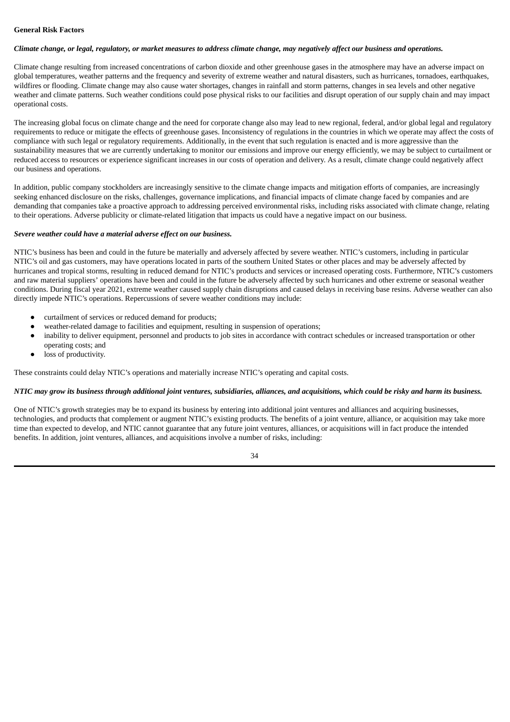# **General Risk Factors**

# Climate change, or legal, regulatory, or market measures to address climate change, may negatively affect our business and operations.

Climate change resulting from increased concentrations of carbon dioxide and other greenhouse gases in the atmosphere may have an adverse impact on global temperatures, weather patterns and the frequency and severity of extreme weather and natural disasters, such as hurricanes, tornadoes, earthquakes, wildfires or flooding. Climate change may also cause water shortages, changes in rainfall and storm patterns, changes in sea levels and other negative weather and climate patterns. Such weather conditions could pose physical risks to our facilities and disrupt operation of our supply chain and may impact operational costs.

The increasing global focus on climate change and the need for corporate change also may lead to new regional, federal, and/or global legal and regulatory requirements to reduce or mitigate the effects of greenhouse gases. Inconsistency of regulations in the countries in which we operate may affect the costs of compliance with such legal or regulatory requirements. Additionally, in the event that such regulation is enacted and is more aggressive than the sustainability measures that we are currently undertaking to monitor our emissions and improve our energy efficiently, we may be subject to curtailment or reduced access to resources or experience significant increases in our costs of operation and delivery. As a result, climate change could negatively affect our business and operations.

In addition, public company stockholders are increasingly sensitive to the climate change impacts and mitigation efforts of companies, are increasingly seeking enhanced disclosure on the risks, challenges, governance implications, and financial impacts of climate change faced by companies and are demanding that companies take a proactive approach to addressing perceived environmental risks, including risks associated with climate change, relating to their operations. Adverse publicity or climate-related litigation that impacts us could have a negative impact on our business.

# *Severe weather could have a material adverse effect on our business.*

NTIC's business has been and could in the future be materially and adversely affected by severe weather. NTIC's customers, including in particular NTIC's oil and gas customers, may have operations located in parts of the southern United States or other places and may be adversely affected by hurricanes and tropical storms, resulting in reduced demand for NTIC's products and services or increased operating costs. Furthermore, NTIC's customers and raw material suppliers' operations have been and could in the future be adversely affected by such hurricanes and other extreme or seasonal weather conditions. During fiscal year 2021, extreme weather caused supply chain disruptions and caused delays in receiving base resins. Adverse weather can also directly impede NTIC's operations. Repercussions of severe weather conditions may include:

- curtailment of services or reduced demand for products;
- weather-related damage to facilities and equipment, resulting in suspension of operations;
- inability to deliver equipment, personnel and products to job sites in accordance with contract schedules or increased transportation or other operating costs; and
- loss of productivity.

These constraints could delay NTIC's operations and materially increase NTIC's operating and capital costs.

## NTIC may grow its business through additional joint ventures, subsidiaries, alliances, and acquisitions, which could be risky and harm its business.

One of NTIC's growth strategies may be to expand its business by entering into additional joint ventures and alliances and acquiring businesses, technologies, and products that complement or augment NTIC's existing products. The benefits of a joint venture, alliance, or acquisition may take more time than expected to develop, and NTIC cannot guarantee that any future joint ventures, alliances, or acquisitions will in fact produce the intended benefits. In addition, joint ventures, alliances, and acquisitions involve a number of risks, including: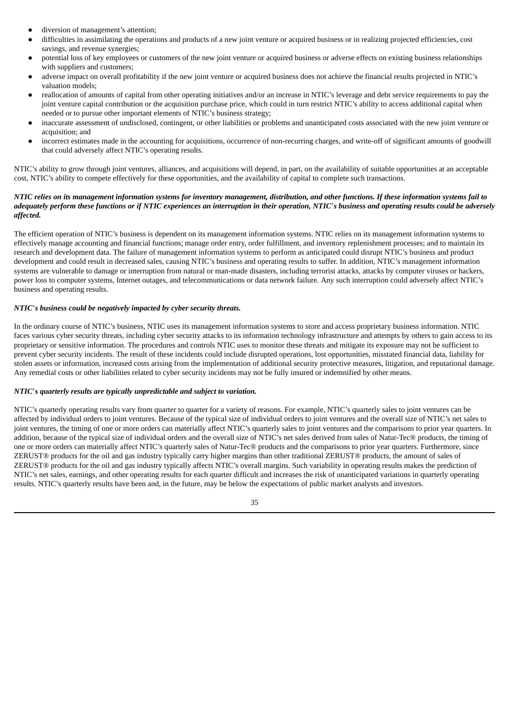- diversion of management's attention;
- difficulties in assimilating the operations and products of a new joint venture or acquired business or in realizing projected efficiencies, cost savings, and revenue synergies;
- potential loss of key employees or customers of the new joint venture or acquired business or adverse effects on existing business relationships with suppliers and customers;
- adverse impact on overall profitability if the new joint venture or acquired business does not achieve the financial results projected in NTIC's valuation models;
- reallocation of amounts of capital from other operating initiatives and/or an increase in NTIC's leverage and debt service requirements to pay the joint venture capital contribution or the acquisition purchase price, which could in turn restrict NTIC's ability to access additional capital when needed or to pursue other important elements of NTIC's business strategy;
- inaccurate assessment of undisclosed, contingent, or other liabilities or problems and unanticipated costs associated with the new joint venture or acquisition; and
- incorrect estimates made in the accounting for acquisitions, occurrence of non-recurring charges, and write-off of significant amounts of goodwill that could adversely affect NTIC's operating results.

NTIC's ability to grow through joint ventures, alliances, and acquisitions will depend, in part, on the availability of suitable opportunities at an acceptable cost, NTIC's ability to compete effectively for these opportunities, and the availability of capital to complete such transactions.

# NTIC relies on its management information systems for inventory management, distribution, and other functions. If these information systems fail to adequately perform these functions or if NTIC experiences an interruption in their operation, NTIC's business and operating results could be adversely *affected.*

The efficient operation of NTIC's business is dependent on its management information systems. NTIC relies on its management information systems to effectively manage accounting and financial functions; manage order entry, order fulfillment, and inventory replenishment processes; and to maintain its research and development data. The failure of management information systems to perform as anticipated could disrupt NTIC's business and product development and could result in decreased sales, causing NTIC's business and operating results to suffer. In addition, NTIC's management information systems are vulnerable to damage or interruption from natural or man-made disasters, including terrorist attacks, attacks by computer viruses or hackers, power loss to computer systems, Internet outages, and telecommunications or data network failure. Any such interruption could adversely affect NTIC's business and operating results.

# *NTIC*'*s business could be negatively impacted by cyber security threats.*

In the ordinary course of NTIC's business, NTIC uses its management information systems to store and access proprietary business information. NTIC faces various cyber security threats, including cyber security attacks to its information technology infrastructure and attempts by others to gain access to its proprietary or sensitive information. The procedures and controls NTIC uses to monitor these threats and mitigate its exposure may not be sufficient to prevent cyber security incidents. The result of these incidents could include disrupted operations, lost opportunities, misstated financial data, liability for stolen assets or information, increased costs arising from the implementation of additional security protective measures, litigation, and reputational damage. Any remedial costs or other liabilities related to cyber security incidents may not be fully insured or indemnified by other means.

## *NTIC*'*s quarterly results are typically unpredictable and subject to variation.*

NTIC's quarterly operating results vary from quarter to quarter for a variety of reasons. For example, NTIC's quarterly sales to joint ventures can be affected by individual orders to joint ventures. Because of the typical size of individual orders to joint ventures and the overall size of NTIC's net sales to joint ventures, the timing of one or more orders can materially affect NTIC's quarterly sales to joint ventures and the comparisons to prior year quarters. In addition, because of the typical size of individual orders and the overall size of NTIC's net sales derived from sales of Natur-Tec® products, the timing of one or more orders can materially affect NTIC's quarterly sales of Natur-Tec® products and the comparisons to prior year quarters. Furthermore, since ZERUST® products for the oil and gas industry typically carry higher margins than other traditional ZERUST® products, the amount of sales of ZERUST® products for the oil and gas industry typically affects NTIC's overall margins. Such variability in operating results makes the prediction of NTIC's net sales, earnings, and other operating results for each quarter difficult and increases the risk of unanticipated variations in quarterly operating results. NTIC's quarterly results have been and, in the future, may be below the expectations of public market analysts and investors.

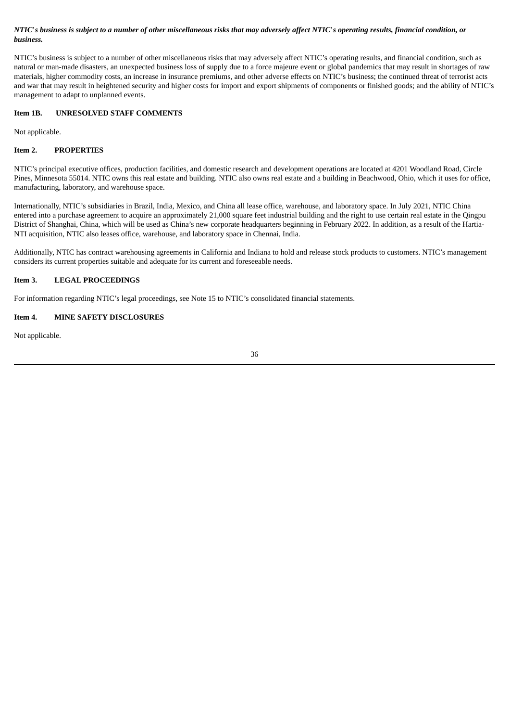NTIC's business is subject to a number of other miscellaneous risks that may adversely affect NTIC's operating results, financial condition, or *business.*

NTIC's business is subject to a number of other miscellaneous risks that may adversely affect NTIC's operating results, and financial condition, such as natural or man-made disasters, an unexpected business loss of supply due to a force majeure event or global pandemics that may result in shortages of raw materials, higher commodity costs, an increase in insurance premiums, and other adverse effects on NTIC's business; the continued threat of terrorist acts and war that may result in heightened security and higher costs for import and export shipments of components or finished goods; and the ability of NTIC's management to adapt to unplanned events.

## **Item 1B. UNRESOLVED STAFF COMMENTS**

Not applicable.

## **Item 2. PROPERTIES**

NTIC's principal executive offices, production facilities, and domestic research and development operations are located at 4201 Woodland Road, Circle Pines, Minnesota 55014. NTIC owns this real estate and building. NTIC also owns real estate and a building in Beachwood, Ohio, which it uses for office, manufacturing, laboratory, and warehouse space.

Internationally, NTIC's subsidiaries in Brazil, India, Mexico, and China all lease office, warehouse, and laboratory space. In July 2021, NTIC China entered into a purchase agreement to acquire an approximately 21,000 square feet industrial building and the right to use certain real estate in the Qingpu District of Shanghai, China, which will be used as China's new corporate headquarters beginning in February 2022. In addition, as a result of the Hartia-NTI acquisition, NTIC also leases office, warehouse, and laboratory space in Chennai, India.

Additionally, NTIC has contract warehousing agreements in California and Indiana to hold and release stock products to customers. NTIC's management considers its current properties suitable and adequate for its current and foreseeable needs.

# **Item 3. LEGAL PROCEEDINGS**

For information regarding NTIC's legal proceedings, see Note 15 to NTIC's consolidated financial statements.

### **Item 4. MINE SAFETY DISCLOSURES**

Not applicable.

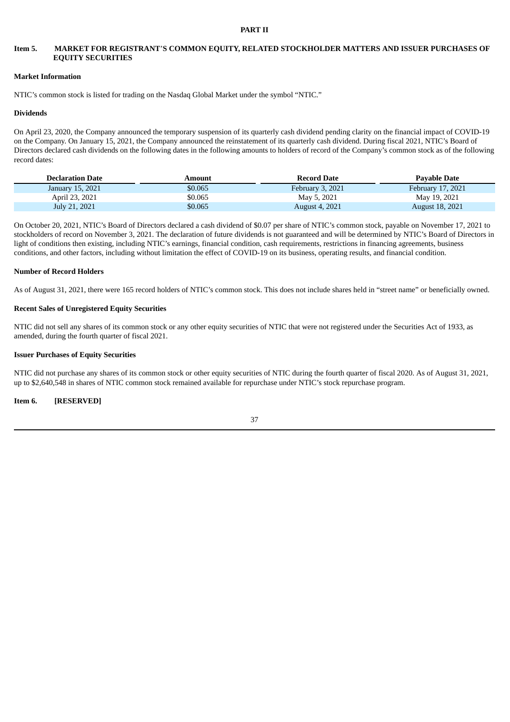# **Item 5. MARKET FOR REGISTRANT**'**S COMMON EQUITY, RELATED STOCKHOLDER MATTERS AND ISSUER PURCHASES OF EQUITY SECURITIES**

#### **Market Information**

NTIC's common stock is listed for trading on the Nasdaq Global Market under the symbol "NTIC."

#### **Dividends**

On April 23, 2020, the Company announced the temporary suspension of its quarterly cash dividend pending clarity on the financial impact of COVID-19 on the Company. On January 15, 2021, the Company announced the reinstatement of its quarterly cash dividend. During fiscal 2021, NTIC's Board of Directors declared cash dividends on the following dates in the following amounts to holders of record of the Company's common stock as of the following record dates:

| <b>Declaration Date</b> | Amount  | <b>Record Date</b>      | <b>Pavable Date</b>    |
|-------------------------|---------|-------------------------|------------------------|
| January 15, 2021        | \$0.065 | <b>February 3, 2021</b> | February 17, 2021      |
| April 23, 2021          | \$0.065 | May 5, 2021             | May 19, 2021           |
| July 21, 2021           | \$0.065 | <b>August 4, 2021</b>   | <b>August 18, 2021</b> |

On October 20, 2021, NTIC's Board of Directors declared a cash dividend of \$0.07 per share of NTIC's common stock, payable on November 17, 2021 to stockholders of record on November 3, 2021. The declaration of future dividends is not guaranteed and will be determined by NTIC's Board of Directors in light of conditions then existing, including NTIC's earnings, financial condition, cash requirements, restrictions in financing agreements, business conditions, and other factors, including without limitation the effect of COVID-19 on its business, operating results, and financial condition.

#### **Number of Record Holders**

As of August 31, 2021, there were 165 record holders of NTIC's common stock. This does not include shares held in "street name" or beneficially owned.

## **Recent Sales of Unregistered Equity Securities**

NTIC did not sell any shares of its common stock or any other equity securities of NTIC that were not registered under the Securities Act of 1933, as amended, during the fourth quarter of fiscal 2021.

## **Issuer Purchases of Equity Securities**

NTIC did not purchase any shares of its common stock or other equity securities of NTIC during the fourth quarter of fiscal 2020. As of August 31, 2021, up to \$2,640,548 in shares of NTIC common stock remained available for repurchase under NTIC's stock repurchase program.

**Item 6. [RESERVED]**

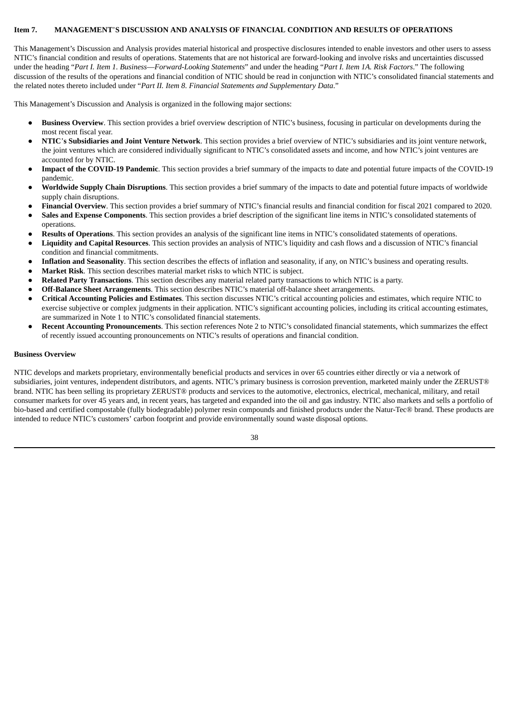# **Item 7. MANAGEMENT**'**S DISCUSSION AND ANALYSIS OF FINANCIAL CONDITION AND RESULTS OF OPERATIONS**

This Management's Discussion and Analysis provides material historical and prospective disclosures intended to enable investors and other users to assess NTIC's financial condition and results of operations. Statements that are not historical are forward-looking and involve risks and uncertainties discussed under the heading "Part I. Item 1. Business—Forward-Looking Statements" and under the heading "Part I. Item 1A. Risk Factors." The following discussion of the results of the operations and financial condition of NTIC should be read in conjunction with NTIC's consolidated financial statements and the related notes thereto included under "*Part II. Item 8. Financial Statements and Supplementary Data*."

This Management's Discussion and Analysis is organized in the following major sections:

- Business Overview. This section provides a brief overview description of NTIC's business, focusing in particular on developments during the most recent fiscal year.
- **NTIC**'**s Subsidiaries and Joint Venture Network**. This section provides a brief overview of NTIC's subsidiaries and its joint venture network, the joint ventures which are considered individually significant to NTIC's consolidated assets and income, and how NTIC's joint ventures are accounted for by NTIC.
- **Impact of the COVID-19 Pandemic**. This section provides a brief summary of the impacts to date and potential future impacts of the COVID-19 pandemic.
- **Worldwide Supply Chain Disruptions**. This section provides a brief summary of the impacts to date and potential future impacts of worldwide supply chain disruptions.
- **Financial Overview**. This section provides a brief summary of NTIC's financial results and financial condition for fiscal 2021 compared to 2020.
- **Sales and Expense Components**. This section provides a brief description of the significant line items in NTIC's consolidated statements of operations.
- **Results of Operations**. This section provides an analysis of the significant line items in NTIC's consolidated statements of operations.
- **Liquidity and Capital Resources**. This section provides an analysis of NTIC's liquidity and cash flows and a discussion of NTIC's financial condition and financial commitments.
- **Inflation and Seasonality**. This section describes the effects of inflation and seasonality, if any, on NTIC's business and operating results.
- **Market Risk**. This section describes material market risks to which NTIC is subject.
- **Related Party Transactions**. This section describes any material related party transactions to which NTIC is a party.
- **Off-Balance Sheet Arrangements**. This section describes NTIC's material off-balance sheet arrangements.
- **Critical Accounting Policies and Estimates**. This section discusses NTIC's critical accounting policies and estimates, which require NTIC to exercise subjective or complex judgments in their application. NTIC's significant accounting policies, including its critical accounting estimates, are summarized in Note 1 to NTIC's consolidated financial statements.
- **Recent Accounting Pronouncements**. This section references Note 2 to NTIC's consolidated financial statements, which summarizes the effect of recently issued accounting pronouncements on NTIC's results of operations and financial condition.

## **Business Overview**

NTIC develops and markets proprietary, environmentally beneficial products and services in over 65 countries either directly or via a network of subsidiaries, joint ventures, independent distributors, and agents. NTIC's primary business is corrosion prevention, marketed mainly under the ZERUST® brand. NTIC has been selling its proprietary ZERUST® products and services to the automotive, electronics, electrical, mechanical, military, and retail consumer markets for over 45 years and, in recent years, has targeted and expanded into the oil and gas industry. NTIC also markets and sells a portfolio of bio-based and certified compostable (fully biodegradable) polymer resin compounds and finished products under the Natur-Tec® brand. These products are intended to reduce NTIC's customers' carbon footprint and provide environmentally sound waste disposal options.

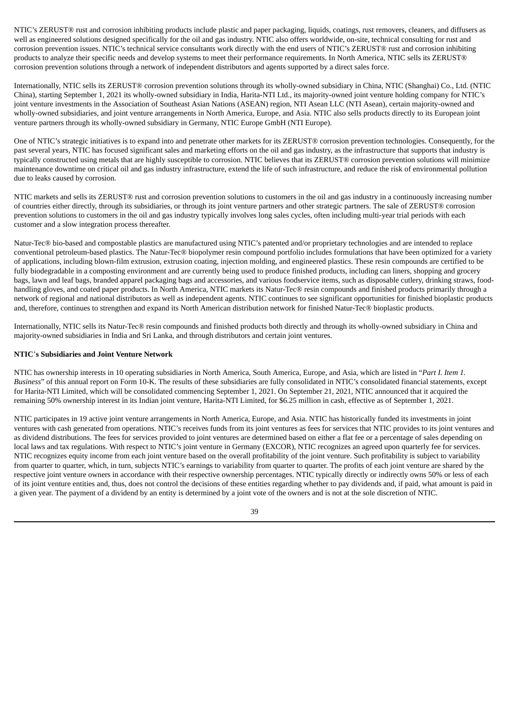NTIC's ZERUST® rust and corrosion inhibiting products include plastic and paper packaging, liquids, coatings, rust removers, cleaners, and diffusers as well as engineered solutions designed specifically for the oil and gas industry. NTIC also offers worldwide, on-site, technical consulting for rust and corrosion prevention issues. NTIC's technical service consultants work directly with the end users of NTIC's ZERUST® rust and corrosion inhibiting products to analyze their specific needs and develop systems to meet their performance requirements. In North America, NTIC sells its ZERUST® corrosion prevention solutions through a network of independent distributors and agents supported by a direct sales force.

Internationally, NTIC sells its ZERUST® corrosion prevention solutions through its wholly-owned subsidiary in China, NTIC (Shanghai) Co., Ltd. (NTIC China), starting September 1, 2021 its wholly-owned subsidiary in India, Harita-NTI Ltd., its majority-owned joint venture holding company for NTIC's joint venture investments in the Association of Southeast Asian Nations (ASEAN) region, NTI Asean LLC (NTI Asean), certain majority-owned and wholly-owned subsidiaries, and joint venture arrangements in North America, Europe, and Asia. NTIC also sells products directly to its European joint venture partners through its wholly-owned subsidiary in Germany, NTIC Europe GmbH (NTI Europe).

One of NTIC's strategic initiatives is to expand into and penetrate other markets for its ZERUST® corrosion prevention technologies. Consequently, for the past several years, NTIC has focused significant sales and marketing efforts on the oil and gas industry, as the infrastructure that supports that industry is typically constructed using metals that are highly susceptible to corrosion. NTIC believes that its ZERUST® corrosion prevention solutions will minimize maintenance downtime on critical oil and gas industry infrastructure, extend the life of such infrastructure, and reduce the risk of environmental pollution due to leaks caused by corrosion.

NTIC markets and sells its ZERUST® rust and corrosion prevention solutions to customers in the oil and gas industry in a continuously increasing number of countries either directly, through its subsidiaries, or through its joint venture partners and other strategic partners. The sale of ZERUST® corrosion prevention solutions to customers in the oil and gas industry typically involves long sales cycles, often including multi-year trial periods with each customer and a slow integration process thereafter.

Natur-Tec® bio-based and compostable plastics are manufactured using NTIC's patented and/or proprietary technologies and are intended to replace conventional petroleum-based plastics. The Natur-Tec® biopolymer resin compound portfolio includes formulations that have been optimized for a variety of applications, including blown-film extrusion, extrusion coating, injection molding, and engineered plastics. These resin compounds are certified to be fully biodegradable in a composting environment and are currently being used to produce finished products, including can liners, shopping and grocery bags, lawn and leaf bags, branded apparel packaging bags and accessories, and various foodservice items, such as disposable cutlery, drinking straws, foodhandling gloves, and coated paper products. In North America, NTIC markets its Natur-Tec® resin compounds and finished products primarily through a network of regional and national distributors as well as independent agents. NTIC continues to see significant opportunities for finished bioplastic products and, therefore, continues to strengthen and expand its North American distribution network for finished Natur-Tec® bioplastic products.

Internationally, NTIC sells its Natur-Tec® resin compounds and finished products both directly and through its wholly-owned subsidiary in China and majority-owned subsidiaries in India and Sri Lanka, and through distributors and certain joint ventures.

## **NTIC**'**s Subsidiaries and Joint Venture Network**

NTIC has ownership interests in 10 operating subsidiaries in North America, South America, Europe, and Asia, which are listed in "*Part I. Item 1. Business*" of this annual report on Form 10-K. The results of these subsidiaries are fully consolidated in NTIC's consolidated financial statements, except for Harita-NTI Limited, which will be consolidated commencing September 1, 2021. On September 21, 2021, NTIC announced that it acquired the remaining 50% ownership interest in its Indian joint venture, Harita-NTI Limited, for \$6.25 million in cash, effective as of September 1, 2021.

NTIC participates in 19 active joint venture arrangements in North America, Europe, and Asia. NTIC has historically funded its investments in joint ventures with cash generated from operations. NTIC's receives funds from its joint ventures as fees for services that NTIC provides to its joint ventures and as dividend distributions. The fees for services provided to joint ventures are determined based on either a flat fee or a percentage of sales depending on local laws and tax regulations. With respect to NTIC's joint venture in Germany (EXCOR), NTIC recognizes an agreed upon quarterly fee for services. NTIC recognizes equity income from each joint venture based on the overall profitability of the joint venture. Such profitability is subject to variability from quarter to quarter, which, in turn, subjects NTIC's earnings to variability from quarter to quarter. The profits of each joint venture are shared by the respective joint venture owners in accordance with their respective ownership percentages. NTIC typically directly or indirectly owns 50% or less of each of its joint venture entities and, thus, does not control the decisions of these entities regarding whether to pay dividends and, if paid, what amount is paid in a given year. The payment of a dividend by an entity is determined by a joint vote of the owners and is not at the sole discretion of NTIC.

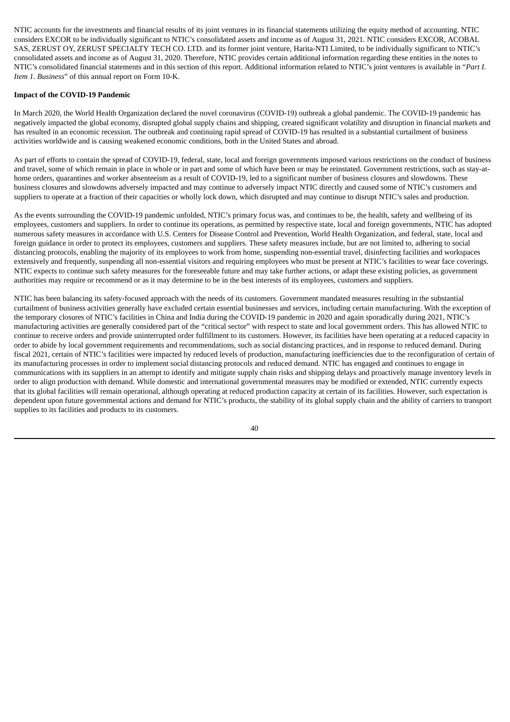NTIC accounts for the investments and financial results of its joint ventures in its financial statements utilizing the equity method of accounting. NTIC considers EXCOR to be individually significant to NTIC's consolidated assets and income as of August 31, 2021. NTIC considers EXCOR, ACOBAL SAS, ZERUST OY, ZERUST SPECIALTY TECH CO. LTD. and its former joint venture, Harita-NTI Limited, to be individually significant to NTIC's consolidated assets and income as of August 31, 2020. Therefore, NTIC provides certain additional information regarding these entities in the notes to NTIC's consolidated financial statements and in this section of this report. Additional information related to NTIC's joint ventures is available in "*Part I. Item 1. Business*" of this annual report on Form 10-K.

## **Impact of the COVID-19 Pandemic**

In March 2020, the World Health Organization declared the novel coronavirus (COVID-19) outbreak a global pandemic. The COVID-19 pandemic has negatively impacted the global economy, disrupted global supply chains and shipping, created significant volatility and disruption in financial markets and has resulted in an economic recession. The outbreak and continuing rapid spread of COVID-19 has resulted in a substantial curtailment of business activities worldwide and is causing weakened economic conditions, both in the United States and abroad.

As part of efforts to contain the spread of COVID-19, federal, state, local and foreign governments imposed various restrictions on the conduct of business and travel, some of which remain in place in whole or in part and some of which have been or may be reinstated. Government restrictions, such as stay-athome orders, quarantines and worker absenteeism as a result of COVID-19, led to a significant number of business closures and slowdowns. These business closures and slowdowns adversely impacted and may continue to adversely impact NTIC directly and caused some of NTIC's customers and suppliers to operate at a fraction of their capacities or wholly lock down, which disrupted and may continue to disrupt NTIC's sales and production.

As the events surrounding the COVID-19 pandemic unfolded, NTIC's primary focus was, and continues to be, the health, safety and wellbeing of its employees, customers and suppliers. In order to continue its operations, as permitted by respective state, local and foreign governments, NTIC has adopted numerous safety measures in accordance with U.S. Centers for Disease Control and Prevention, World Health Organization, and federal, state, local and foreign guidance in order to protect its employees, customers and suppliers. These safety measures include, but are not limited to, adhering to social distancing protocols, enabling the majority of its employees to work from home, suspending non-essential travel, disinfecting facilities and workspaces extensively and frequently, suspending all non-essential visitors and requiring employees who must be present at NTIC's facilities to wear face coverings. NTIC expects to continue such safety measures for the foreseeable future and may take further actions, or adapt these existing policies, as government authorities may require or recommend or as it may determine to be in the best interests of its employees, customers and suppliers.

NTIC has been balancing its safety-focused approach with the needs of its customers. Government mandated measures resulting in the substantial curtailment of business activities generally have excluded certain essential businesses and services, including certain manufacturing. With the exception of the temporary closures of NTIC's facilities in China and India during the COVID-19 pandemic in 2020 and again sporadically during 2021, NTIC's manufacturing activities are generally considered part of the "critical sector" with respect to state and local government orders. This has allowed NTIC to continue to receive orders and provide uninterrupted order fulfillment to its customers. However, its facilities have been operating at a reduced capacity in order to abide by local government requirements and recommendations, such as social distancing practices, and in response to reduced demand. During fiscal 2021, certain of NTIC's facilities were impacted by reduced levels of production, manufacturing inefficiencies due to the reconfiguration of certain of its manufacturing processes in order to implement social distancing protocols and reduced demand. NTIC has engaged and continues to engage in communications with its suppliers in an attempt to identify and mitigate supply chain risks and shipping delays and proactively manage inventory levels in order to align production with demand. While domestic and international governmental measures may be modified or extended, NTIC currently expects that its global facilities will remain operational, although operating at reduced production capacity at certain of its facilities. However, such expectation is dependent upon future governmental actions and demand for NTIC's products, the stability of its global supply chain and the ability of carriers to transport supplies to its facilities and products to its customers.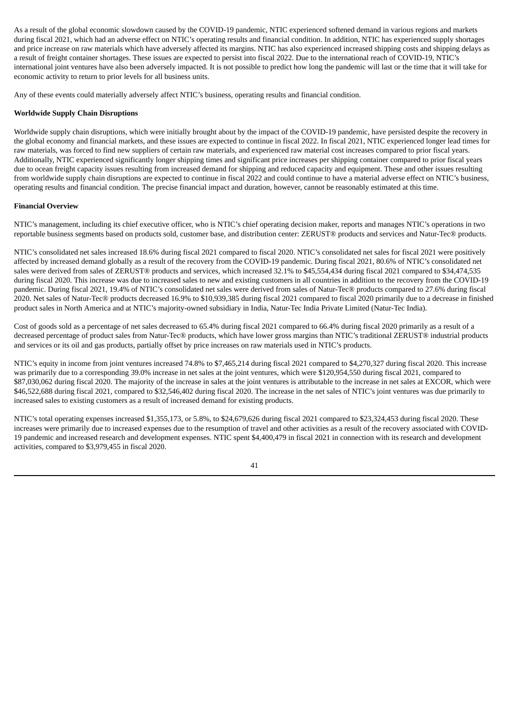As a result of the global economic slowdown caused by the COVID-19 pandemic, NTIC experienced softened demand in various regions and markets during fiscal 2021, which had an adverse effect on NTIC's operating results and financial condition. In addition, NTIC has experienced supply shortages and price increase on raw materials which have adversely affected its margins. NTIC has also experienced increased shipping costs and shipping delays as a result of freight container shortages. These issues are expected to persist into fiscal 2022. Due to the international reach of COVID-19, NTIC's international joint ventures have also been adversely impacted. It is not possible to predict how long the pandemic will last or the time that it will take for economic activity to return to prior levels for all business units.

Any of these events could materially adversely affect NTIC's business, operating results and financial condition.

## **Worldwide Supply Chain Disruptions**

Worldwide supply chain disruptions, which were initially brought about by the impact of the COVID-19 pandemic, have persisted despite the recovery in the global economy and financial markets, and these issues are expected to continue in fiscal 2022. In fiscal 2021, NTIC experienced longer lead times for raw materials, was forced to find new suppliers of certain raw materials, and experienced raw material cost increases compared to prior fiscal years. Additionally, NTIC experienced significantly longer shipping times and significant price increases per shipping container compared to prior fiscal years due to ocean freight capacity issues resulting from increased demand for shipping and reduced capacity and equipment. These and other issues resulting from worldwide supply chain disruptions are expected to continue in fiscal 2022 and could continue to have a material adverse effect on NTIC's business, operating results and financial condition. The precise financial impact and duration, however, cannot be reasonably estimated at this time.

## **Financial Overview**

NTIC's management, including its chief executive officer, who is NTIC's chief operating decision maker, reports and manages NTIC's operations in two reportable business segments based on products sold, customer base, and distribution center: ZERUST® products and services and Natur-Tec® products.

NTIC's consolidated net sales increased 18.6% during fiscal 2021 compared to fiscal 2020. NTIC's consolidated net sales for fiscal 2021 were positively affected by increased demand globally as a result of the recovery from the COVID-19 pandemic. During fiscal 2021, 80.6% of NTIC's consolidated net sales were derived from sales of ZERUST® products and services, which increased 32.1% to \$45,554,434 during fiscal 2021 compared to \$34,474,535 during fiscal 2020. This increase was due to increased sales to new and existing customers in all countries in addition to the recovery from the COVID-19 pandemic. During fiscal 2021, 19.4% of NTIC's consolidated net sales were derived from sales of Natur-Tec® products compared to 27.6% during fiscal 2020. Net sales of Natur-Tec® products decreased 16.9% to \$10,939,385 during fiscal 2021 compared to fiscal 2020 primarily due to a decrease in finished product sales in North America and at NTIC's majority-owned subsidiary in India, Natur-Tec India Private Limited (Natur-Tec India).

Cost of goods sold as a percentage of net sales decreased to 65.4% during fiscal 2021 compared to 66.4% during fiscal 2020 primarily as a result of a decreased percentage of product sales from Natur-Tec® products, which have lower gross margins than NTIC's traditional ZERUST® industrial products and services or its oil and gas products, partially offset by price increases on raw materials used in NTIC's products.

NTIC's equity in income from joint ventures increased 74.8% to \$7,465,214 during fiscal 2021 compared to \$4,270,327 during fiscal 2020. This increase was primarily due to a corresponding 39.0% increase in net sales at the joint ventures, which were \$120,954,550 during fiscal 2021, compared to \$87,030,062 during fiscal 2020. The majority of the increase in sales at the joint ventures is attributable to the increase in net sales at EXCOR, which were \$46,522,688 during fiscal 2021, compared to \$32,546,402 during fiscal 2020. The increase in the net sales of NTIC's joint ventures was due primarily to increased sales to existing customers as a result of increased demand for existing products.

NTIC's total operating expenses increased \$1,355,173, or 5.8%, to \$24,679,626 during fiscal 2021 compared to \$23,324,453 during fiscal 2020. These increases were primarily due to increased expenses due to the resumption of travel and other activities as a result of the recovery associated with COVID-19 pandemic and increased research and development expenses. NTIC spent \$4,400,479 in fiscal 2021 in connection with its research and development activities, compared to \$3,979,455 in fiscal 2020.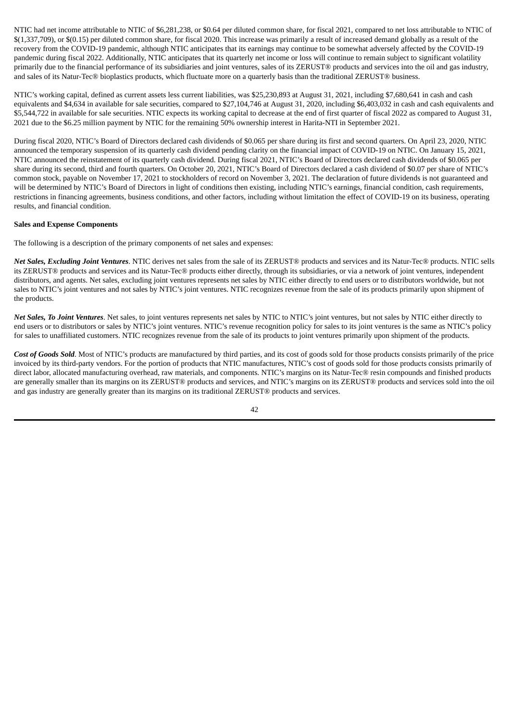NTIC had net income attributable to NTIC of \$6,281,238, or \$0.64 per diluted common share, for fiscal 2021, compared to net loss attributable to NTIC of \$(1,337,709), or \$(0.15) per diluted common share, for fiscal 2020. This increase was primarily a result of increased demand globally as a result of the recovery from the COVID-19 pandemic, although NTIC anticipates that its earnings may continue to be somewhat adversely affected by the COVID-19 pandemic during fiscal 2022. Additionally, NTIC anticipates that its quarterly net income or loss will continue to remain subject to significant volatility primarily due to the financial performance of its subsidiaries and joint ventures, sales of its ZERUST® products and services into the oil and gas industry, and sales of its Natur-Tec® bioplastics products, which fluctuate more on a quarterly basis than the traditional ZERUST® business.

NTIC's working capital, defined as current assets less current liabilities, was \$25,230,893 at August 31, 2021, including \$7,680,641 in cash and cash equivalents and \$4,634 in available for sale securities, compared to \$27,104,746 at August 31, 2020, including \$6,403,032 in cash and cash equivalents and \$5,544,722 in available for sale securities. NTIC expects its working capital to decrease at the end of first quarter of fiscal 2022 as compared to August 31, 2021 due to the \$6.25 million payment by NTIC for the remaining 50% ownership interest in Harita-NTI in September 2021.

During fiscal 2020, NTIC's Board of Directors declared cash dividends of \$0.065 per share during its first and second quarters. On April 23, 2020, NTIC announced the temporary suspension of its quarterly cash dividend pending clarity on the financial impact of COVID-19 on NTIC. On January 15, 2021, NTIC announced the reinstatement of its quarterly cash dividend. During fiscal 2021, NTIC's Board of Directors declared cash dividends of \$0.065 per share during its second, third and fourth quarters. On October 20, 2021, NTIC's Board of Directors declared a cash dividend of \$0.07 per share of NTIC's common stock, payable on November 17, 2021 to stockholders of record on November 3, 2021. The declaration of future dividends is not guaranteed and will be determined by NTIC's Board of Directors in light of conditions then existing, including NTIC's earnings, financial condition, cash requirements, restrictions in financing agreements, business conditions, and other factors, including without limitation the effect of COVID-19 on its business, operating results, and financial condition.

## **Sales and Expense Components**

The following is a description of the primary components of net sales and expenses:

*Net Sales, Excluding Joint Ventures*. NTIC derives net sales from the sale of its ZERUST® products and services and its Natur-Tec® products. NTIC sells its ZERUST® products and services and its Natur-Tec® products either directly, through its subsidiaries, or via a network of joint ventures, independent distributors, and agents. Net sales, excluding joint ventures represents net sales by NTIC either directly to end users or to distributors worldwide, but not sales to NTIC's joint ventures and not sales by NTIC's joint ventures. NTIC recognizes revenue from the sale of its products primarily upon shipment of the products.

*Net Sales, To Joint Ventures*. Net sales, to joint ventures represents net sales by NTIC to NTIC's joint ventures, but not sales by NTIC either directly to end users or to distributors or sales by NTIC's joint ventures. NTIC's revenue recognition policy for sales to its joint ventures is the same as NTIC's policy for sales to unaffiliated customers. NTIC recognizes revenue from the sale of its products to joint ventures primarily upon shipment of the products.

*Cost of Goods Sold*. Most of NTIC's products are manufactured by third parties, and its cost of goods sold for those products consists primarily of the price invoiced by its third-party vendors. For the portion of products that NTIC manufactures, NTIC's cost of goods sold for those products consists primarily of direct labor, allocated manufacturing overhead, raw materials, and components. NTIC's margins on its Natur-Tec® resin compounds and finished products are generally smaller than its margins on its ZERUST® products and services, and NTIC's margins on its ZERUST® products and services sold into the oil and gas industry are generally greater than its margins on its traditional ZERUST® products and services.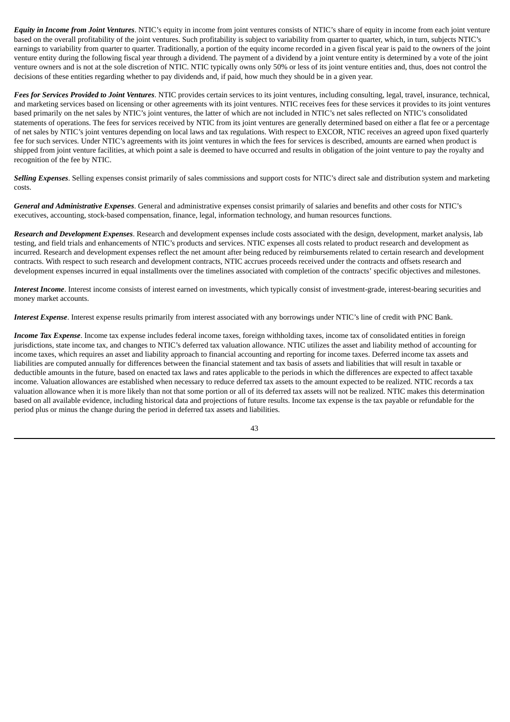*Equity in Income from Joint Ventures*. NTIC's equity in income from joint ventures consists of NTIC's share of equity in income from each joint venture based on the overall profitability of the joint ventures. Such profitability is subject to variability from quarter to quarter, which, in turn, subjects NTIC's earnings to variability from quarter to quarter. Traditionally, a portion of the equity income recorded in a given fiscal year is paid to the owners of the joint venture entity during the following fiscal year through a dividend. The payment of a dividend by a joint venture entity is determined by a vote of the joint venture owners and is not at the sole discretion of NTIC. NTIC typically owns only 50% or less of its joint venture entities and, thus, does not control the decisions of these entities regarding whether to pay dividends and, if paid, how much they should be in a given year.

*Fees for Services Provided to Joint Ventures*. NTIC provides certain services to its joint ventures, including consulting, legal, travel, insurance, technical, and marketing services based on licensing or other agreements with its joint ventures. NTIC receives fees for these services it provides to its joint ventures based primarily on the net sales by NTIC's joint ventures, the latter of which are not included in NTIC's net sales reflected on NTIC's consolidated statements of operations. The fees for services received by NTIC from its joint ventures are generally determined based on either a flat fee or a percentage of net sales by NTIC's joint ventures depending on local laws and tax regulations. With respect to EXCOR, NTIC receives an agreed upon fixed quarterly fee for such services. Under NTIC's agreements with its joint ventures in which the fees for services is described, amounts are earned when product is shipped from joint venture facilities, at which point a sale is deemed to have occurred and results in obligation of the joint venture to pay the royalty and recognition of the fee by NTIC.

*Selling Expenses*. Selling expenses consist primarily of sales commissions and support costs for NTIC's direct sale and distribution system and marketing costs.

*General and Administrative Expenses*. General and administrative expenses consist primarily of salaries and benefits and other costs for NTIC's executives, accounting, stock-based compensation, finance, legal, information technology, and human resources functions.

*Research and Development Expenses*. Research and development expenses include costs associated with the design, development, market analysis, lab testing, and field trials and enhancements of NTIC's products and services. NTIC expenses all costs related to product research and development as incurred. Research and development expenses reflect the net amount after being reduced by reimbursements related to certain research and development contracts. With respect to such research and development contracts, NTIC accrues proceeds received under the contracts and offsets research and development expenses incurred in equal installments over the timelines associated with completion of the contracts' specific objectives and milestones.

*Interest Income*. Interest income consists of interest earned on investments, which typically consist of investment-grade, interest-bearing securities and money market accounts.

*Interest Expense*. Interest expense results primarily from interest associated with any borrowings under NTIC's line of credit with PNC Bank.

*Income Tax Expense*. Income tax expense includes federal income taxes, foreign withholding taxes, income tax of consolidated entities in foreign jurisdictions, state income tax, and changes to NTIC's deferred tax valuation allowance. NTIC utilizes the asset and liability method of accounting for income taxes, which requires an asset and liability approach to financial accounting and reporting for income taxes. Deferred income tax assets and liabilities are computed annually for differences between the financial statement and tax basis of assets and liabilities that will result in taxable or deductible amounts in the future, based on enacted tax laws and rates applicable to the periods in which the differences are expected to affect taxable income. Valuation allowances are established when necessary to reduce deferred tax assets to the amount expected to be realized. NTIC records a tax valuation allowance when it is more likely than not that some portion or all of its deferred tax assets will not be realized. NTIC makes this determination based on all available evidence, including historical data and projections of future results. Income tax expense is the tax payable or refundable for the period plus or minus the change during the period in deferred tax assets and liabilities.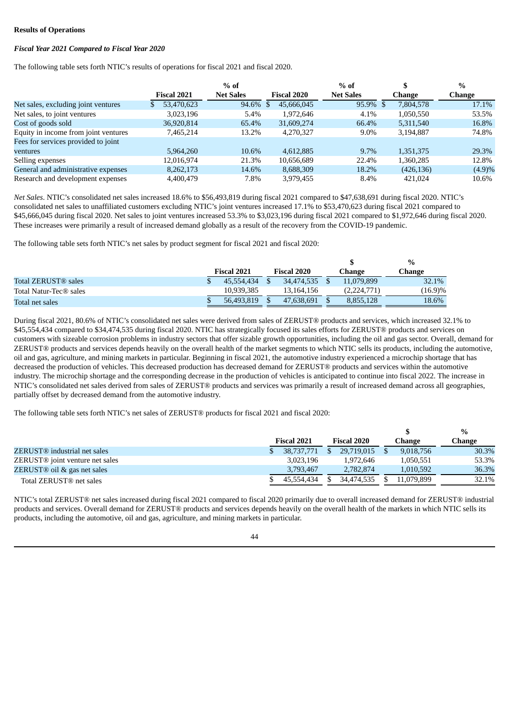## **Results of Operations**

## *Fiscal Year 2021 Compared to Fiscal Year 2020*

The following table sets forth NTIC's results of operations for fiscal 2021 and fiscal 2020.

|                                      |                    | $%$ of           |                    | $%$ of           | æ             | $\frac{0}{0}$ |
|--------------------------------------|--------------------|------------------|--------------------|------------------|---------------|---------------|
|                                      | <b>Fiscal 2021</b> | <b>Net Sales</b> | <b>Fiscal 2020</b> | <b>Net Sales</b> | <b>Change</b> | Change        |
| Net sales, excluding joint ventures  | 53,470,623<br>Ъ    | 94.6%            | 45,666,045<br>-\$  | $95.9\%$ \$      | 7,804,578     | 17.1%         |
| Net sales, to joint ventures         | 3,023,196          | 5.4%             | 1.972.646          | 4.1%             | 1,050,550     | 53.5%         |
| Cost of goods sold                   | 36,920,814         | 65.4%            | 31,609,274         | 66.4%            | 5,311,540     | 16.8%         |
| Equity in income from joint ventures | 7,465,214          | 13.2%            | 4,270,327          | 9.0%             | 3,194,887     | 74.8%         |
| Fees for services provided to joint  |                    |                  |                    |                  |               |               |
| ventures                             | 5,964,260          | 10.6%            | 4,612,885          | 9.7%             | 1,351,375     | 29.3%         |
| Selling expenses                     | 12,016,974         | 21.3%            | 10,656,689         | 22.4%            | 1,360,285     | 12.8%         |
| General and administrative expenses  | 8,262,173          | 14.6%            | 8,688,309          | 18.2%            | (426, 136)    | (4.9)%        |
| Research and development expenses    | 4,400,479          | 7.8%             | 3,979,455          | 8.4%             | 421,024       | 10.6%         |

*Net Sales*. NTIC's consolidated net sales increased 18.6% to \$56,493,819 during fiscal 2021 compared to \$47,638,691 during fiscal 2020. NTIC's consolidated net sales to unaffiliated customers excluding NTIC's joint ventures increased 17.1% to \$53,470,623 during fiscal 2021 compared to \$45,666,045 during fiscal 2020. Net sales to joint ventures increased 53.3% to \$3,023,196 during fiscal 2021 compared to \$1,972,646 during fiscal 2020. These increases were primarily a result of increased demand globally as a result of the recovery from the COVID-19 pandemic.

The following table sets forth NTIC's net sales by product segment for fiscal 2021 and fiscal 2020:

|                                 |                    |             |            |  |             | $\%$    |
|---------------------------------|--------------------|-------------|------------|--|-------------|---------|
|                                 | <b>Fiscal 2021</b> | Fiscal 2020 |            |  | Change      | Change  |
| Total ZERUST <sup>®</sup> sales | 45.554.434         |             | 34,474,535 |  | 11.079.899  | 32.1%   |
| Total Natur-Tec® sales          | 10.939.385         |             | 13.164.156 |  | (2,224,771) | (16.9)% |
| Total net sales                 | 56,493,819         |             | 47.638.691 |  | 8,855,128   | 18.6%   |

During fiscal 2021, 80.6% of NTIC's consolidated net sales were derived from sales of ZERUST® products and services, which increased 32.1% to \$45,554,434 compared to \$34,474,535 during fiscal 2020. NTIC has strategically focused its sales efforts for ZERUST® products and services on customers with sizeable corrosion problems in industry sectors that offer sizable growth opportunities, including the oil and gas sector. Overall, demand for ZERUST® products and services depends heavily on the overall health of the market segments to which NTIC sells its products, including the automotive, oil and gas, agriculture, and mining markets in particular. Beginning in fiscal 2021, the automotive industry experienced a microchip shortage that has decreased the production of vehicles. This decreased production has decreased demand for ZERUST® products and services within the automotive industry. The microchip shortage and the corresponding decrease in the production of vehicles is anticipated to continue into fiscal 2022. The increase in NTIC's consolidated net sales derived from sales of ZERUST® products and services was primarily a result of increased demand across all geographies, partially offset by decreased demand from the automotive industry.

The following table sets forth NTIC's net sales of ZERUST® products for fiscal 2021 and fiscal 2020:

|                                             |                    |  |                    |  |            | $\%$   |
|---------------------------------------------|--------------------|--|--------------------|--|------------|--------|
|                                             | <b>Fiscal 2021</b> |  | <b>Fiscal 2020</b> |  | Change     | Change |
| ZERUST <sup>®</sup> industrial net sales    | 38,737,771         |  | 29.719.015         |  | 9.018.756  | 30.3%  |
| ZERUST <sup>®</sup> joint venture net sales | 3,023,196          |  | 1.972.646          |  | 1,050,551  | 53.3%  |
| ZERUST <sup>®</sup> oil & gas net sales     | 3.793.467          |  | 2.782.874          |  | 1.010.592  | 36.3%  |
| Total ZERUST <sup>®</sup> net sales         | 45.554.434         |  | 34.474.535         |  | 11.079.899 | 32.1%  |

NTIC's total ZERUST® net sales increased during fiscal 2021 compared to fiscal 2020 primarily due to overall increased demand for ZERUST® industrial products and services. Overall demand for ZERUST® products and services depends heavily on the overall health of the markets in which NTIC sells its products, including the automotive, oil and gas, agriculture, and mining markets in particular.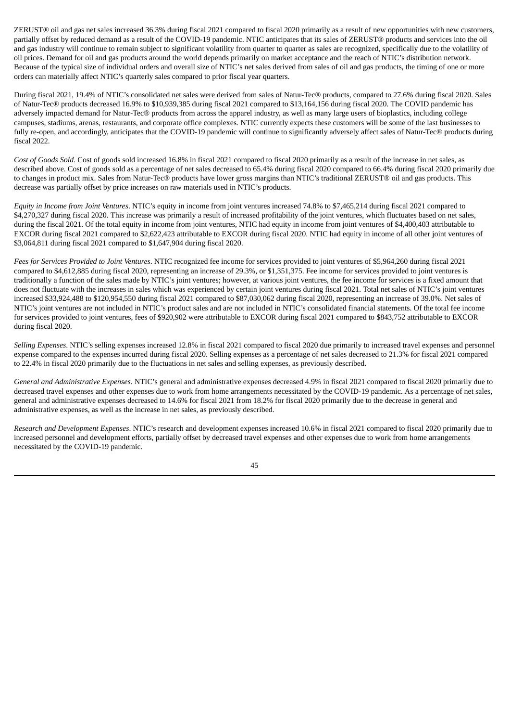ZERUST® oil and gas net sales increased 36.3% during fiscal 2021 compared to fiscal 2020 primarily as a result of new opportunities with new customers, partially offset by reduced demand as a result of the COVID-19 pandemic. NTIC anticipates that its sales of ZERUST® products and services into the oil and gas industry will continue to remain subject to significant volatility from quarter to quarter as sales are recognized, specifically due to the volatility of oil prices. Demand for oil and gas products around the world depends primarily on market acceptance and the reach of NTIC's distribution network. Because of the typical size of individual orders and overall size of NTIC's net sales derived from sales of oil and gas products, the timing of one or more orders can materially affect NTIC's quarterly sales compared to prior fiscal year quarters.

During fiscal 2021, 19.4% of NTIC's consolidated net sales were derived from sales of Natur-Tec® products, compared to 27.6% during fiscal 2020. Sales of Natur-Tec® products decreased 16.9% to \$10,939,385 during fiscal 2021 compared to \$13,164,156 during fiscal 2020. The COVID pandemic has adversely impacted demand for Natur-Tec® products from across the apparel industry, as well as many large users of bioplastics, including college campuses, stadiums, arenas, restaurants, and corporate office complexes. NTIC currently expects these customers will be some of the last businesses to fully re-open, and accordingly, anticipates that the COVID-19 pandemic will continue to significantly adversely affect sales of Natur-Tec® products during fiscal 2022.

*Cost of Goods Sold*. Cost of goods sold increased 16.8% in fiscal 2021 compared to fiscal 2020 primarily as a result of the increase in net sales, as described above. Cost of goods sold as a percentage of net sales decreased to 65.4% during fiscal 2020 compared to 66.4% during fiscal 2020 primarily due to changes in product mix. Sales from Natur-Tec® products have lower gross margins than NTIC's traditional ZERUST® oil and gas products. This decrease was partially offset by price increases on raw materials used in NTIC's products.

*Equity in Income from Joint Ventures*. NTIC's equity in income from joint ventures increased 74.8% to \$7,465,214 during fiscal 2021 compared to \$4,270,327 during fiscal 2020. This increase was primarily a result of increased profitability of the joint ventures, which fluctuates based on net sales, during the fiscal 2021. Of the total equity in income from joint ventures, NTIC had equity in income from joint ventures of \$4,400,403 attributable to EXCOR during fiscal 2021 compared to \$2,622,423 attributable to EXCOR during fiscal 2020. NTIC had equity in income of all other joint ventures of \$3,064,811 during fiscal 2021 compared to \$1,647,904 during fiscal 2020.

*Fees for Services Provided to Joint Ventures*. NTIC recognized fee income for services provided to joint ventures of \$5,964,260 during fiscal 2021 compared to \$4,612,885 during fiscal 2020, representing an increase of 29.3%, or \$1,351,375. Fee income for services provided to joint ventures is traditionally a function of the sales made by NTIC's joint ventures; however, at various joint ventures, the fee income for services is a fixed amount that does not fluctuate with the increases in sales which was experienced by certain joint ventures during fiscal 2021. Total net sales of NTIC's joint ventures increased \$33,924,488 to \$120,954,550 during fiscal 2021 compared to \$87,030,062 during fiscal 2020, representing an increase of 39.0%. Net sales of NTIC's joint ventures are not included in NTIC's product sales and are not included in NTIC's consolidated financial statements. Of the total fee income for services provided to joint ventures, fees of \$920,902 were attributable to EXCOR during fiscal 2021 compared to \$843,752 attributable to EXCOR during fiscal 2020.

*Selling Expenses*. NTIC's selling expenses increased 12.8% in fiscal 2021 compared to fiscal 2020 due primarily to increased travel expenses and personnel expense compared to the expenses incurred during fiscal 2020. Selling expenses as a percentage of net sales decreased to 21.3% for fiscal 2021 compared to 22.4% in fiscal 2020 primarily due to the fluctuations in net sales and selling expenses, as previously described.

*General and Administrative Expenses*. NTIC's general and administrative expenses decreased 4.9% in fiscal 2021 compared to fiscal 2020 primarily due to decreased travel expenses and other expenses due to work from home arrangements necessitated by the COVID-19 pandemic. As a percentage of net sales, general and administrative expenses decreased to 14.6% for fiscal 2021 from 18.2% for fiscal 2020 primarily due to the decrease in general and administrative expenses, as well as the increase in net sales, as previously described.

*Research and Development Expenses*. NTIC's research and development expenses increased 10.6% in fiscal 2021 compared to fiscal 2020 primarily due to increased personnel and development efforts, partially offset by decreased travel expenses and other expenses due to work from home arrangements necessitated by the COVID-19 pandemic.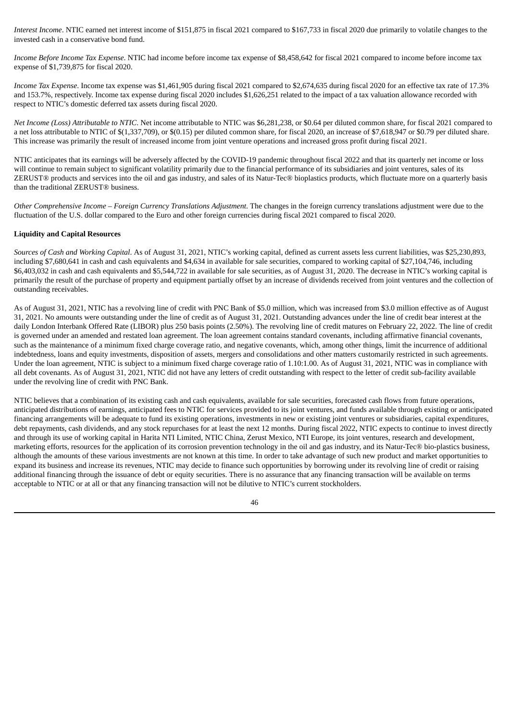*Interest Income*. NTIC earned net interest income of \$151,875 in fiscal 2021 compared to \$167,733 in fiscal 2020 due primarily to volatile changes to the invested cash in a conservative bond fund.

*Income Before Income Tax Expense*. NTIC had income before income tax expense of \$8,458,642 for fiscal 2021 compared to income before income tax expense of \$1,739,875 for fiscal 2020.

*Income Tax Expense*. Income tax expense was \$1,461,905 during fiscal 2021 compared to \$2,674,635 during fiscal 2020 for an effective tax rate of 17.3% and 153.7%, respectively. Income tax expense during fiscal 2020 includes \$1,626,251 related to the impact of a tax valuation allowance recorded with respect to NTIC's domestic deferred tax assets during fiscal 2020.

*Net Income (Loss) Attributable to NTIC*. Net income attributable to NTIC was \$6,281,238, or \$0.64 per diluted common share, for fiscal 2021 compared to a net loss attributable to NTIC of \$(1,337,709), or \$(0.15) per diluted common share, for fiscal 2020, an increase of \$7,618,947 or \$0.79 per diluted share. This increase was primarily the result of increased income from joint venture operations and increased gross profit during fiscal 2021.

NTIC anticipates that its earnings will be adversely affected by the COVID-19 pandemic throughout fiscal 2022 and that its quarterly net income or loss will continue to remain subject to significant volatility primarily due to the financial performance of its subsidiaries and joint ventures, sales of its ZERUST® products and services into the oil and gas industry, and sales of its Natur-Tec® bioplastics products, which fluctuate more on a quarterly basis than the traditional ZERUST® business.

*Other Comprehensive Income* – *Foreign Currency Translations Adjustment*. The changes in the foreign currency translations adjustment were due to the fluctuation of the U.S. dollar compared to the Euro and other foreign currencies during fiscal 2021 compared to fiscal 2020.

# **Liquidity and Capital Resources**

*Sources of Cash and Working Capital*. As of August 31, 2021, NTIC's working capital, defined as current assets less current liabilities, was \$25,230,893, including \$7,680,641 in cash and cash equivalents and \$4,634 in available for sale securities, compared to working capital of \$27,104,746, including \$6,403,032 in cash and cash equivalents and \$5,544,722 in available for sale securities, as of August 31, 2020. The decrease in NTIC's working capital is primarily the result of the purchase of property and equipment partially offset by an increase of dividends received from joint ventures and the collection of outstanding receivables.

As of August 31, 2021, NTIC has a revolving line of credit with PNC Bank of \$5.0 million, which was increased from \$3.0 million effective as of August 31, 2021. No amounts were outstanding under the line of credit as of August 31, 2021. Outstanding advances under the line of credit bear interest at the daily London Interbank Offered Rate (LIBOR) plus 250 basis points (2.50%). The revolving line of credit matures on February 22, 2022. The line of credit is governed under an amended and restated loan agreement. The loan agreement contains standard covenants, including affirmative financial covenants, such as the maintenance of a minimum fixed charge coverage ratio, and negative covenants, which, among other things, limit the incurrence of additional indebtedness, loans and equity investments, disposition of assets, mergers and consolidations and other matters customarily restricted in such agreements. Under the loan agreement, NTIC is subject to a minimum fixed charge coverage ratio of 1.10:1.00. As of August 31, 2021, NTIC was in compliance with all debt covenants. As of August 31, 2021, NTIC did not have any letters of credit outstanding with respect to the letter of credit sub-facility available under the revolving line of credit with PNC Bank.

NTIC believes that a combination of its existing cash and cash equivalents, available for sale securities, forecasted cash flows from future operations, anticipated distributions of earnings, anticipated fees to NTIC for services provided to its joint ventures, and funds available through existing or anticipated financing arrangements will be adequate to fund its existing operations, investments in new or existing joint ventures or subsidiaries, capital expenditures, debt repayments, cash dividends, and any stock repurchases for at least the next 12 months. During fiscal 2022, NTIC expects to continue to invest directly and through its use of working capital in Harita NTI Limited, NTIC China, Zerust Mexico, NTI Europe, its joint ventures, research and development, marketing efforts, resources for the application of its corrosion prevention technology in the oil and gas industry, and its Natur-Tec® bio-plastics business, although the amounts of these various investments are not known at this time. In order to take advantage of such new product and market opportunities to expand its business and increase its revenues, NTIC may decide to finance such opportunities by borrowing under its revolving line of credit or raising additional financing through the issuance of debt or equity securities. There is no assurance that any financing transaction will be available on terms acceptable to NTIC or at all or that any financing transaction will not be dilutive to NTIC's current stockholders.

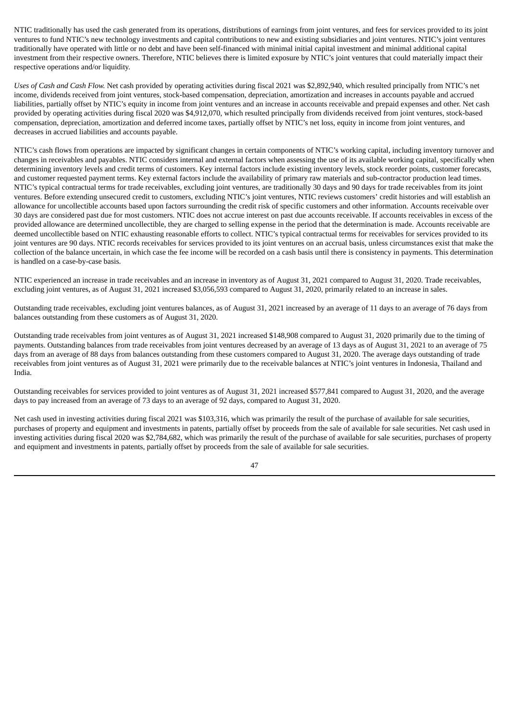NTIC traditionally has used the cash generated from its operations, distributions of earnings from joint ventures, and fees for services provided to its joint ventures to fund NTIC's new technology investments and capital contributions to new and existing subsidiaries and joint ventures. NTIC's joint ventures traditionally have operated with little or no debt and have been self-financed with minimal initial capital investment and minimal additional capital investment from their respective owners. Therefore, NTIC believes there is limited exposure by NTIC's joint ventures that could materially impact their respective operations and/or liquidity.

*Uses of Cash and Cash Flow.* Net cash provided by operating activities during fiscal 2021 was \$2,892,940, which resulted principally from NTIC's net income, dividends received from joint ventures, stock-based compensation, depreciation, amortization and increases in accounts payable and accrued liabilities, partially offset by NTIC's equity in income from joint ventures and an increase in accounts receivable and prepaid expenses and other. Net cash provided by operating activities during fiscal 2020 was \$4,912,070, which resulted principally from dividends received from joint ventures, stock-based compensation, depreciation, amortization and deferred income taxes, partially offset by NTIC's net loss, equity in income from joint ventures, and decreases in accrued liabilities and accounts payable.

NTIC's cash flows from operations are impacted by significant changes in certain components of NTIC's working capital, including inventory turnover and changes in receivables and payables. NTIC considers internal and external factors when assessing the use of its available working capital, specifically when determining inventory levels and credit terms of customers. Key internal factors include existing inventory levels, stock reorder points, customer forecasts, and customer requested payment terms. Key external factors include the availability of primary raw materials and sub-contractor production lead times. NTIC's typical contractual terms for trade receivables, excluding joint ventures, are traditionally 30 days and 90 days for trade receivables from its joint ventures. Before extending unsecured credit to customers, excluding NTIC's joint ventures, NTIC reviews customers' credit histories and will establish an allowance for uncollectible accounts based upon factors surrounding the credit risk of specific customers and other information. Accounts receivable over 30 days are considered past due for most customers. NTIC does not accrue interest on past due accounts receivable. If accounts receivables in excess of the provided allowance are determined uncollectible, they are charged to selling expense in the period that the determination is made. Accounts receivable are deemed uncollectible based on NTIC exhausting reasonable efforts to collect. NTIC's typical contractual terms for receivables for services provided to its joint ventures are 90 days. NTIC records receivables for services provided to its joint ventures on an accrual basis, unless circumstances exist that make the collection of the balance uncertain, in which case the fee income will be recorded on a cash basis until there is consistency in payments. This determination is handled on a case-by-case basis.

NTIC experienced an increase in trade receivables and an increase in inventory as of August 31, 2021 compared to August 31, 2020. Trade receivables, excluding joint ventures, as of August 31, 2021 increased \$3,056,593 compared to August 31, 2020, primarily related to an increase in sales.

Outstanding trade receivables, excluding joint ventures balances, as of August 31, 2021 increased by an average of 11 days to an average of 76 days from balances outstanding from these customers as of August 31, 2020.

Outstanding trade receivables from joint ventures as of August 31, 2021 increased \$148,908 compared to August 31, 2020 primarily due to the timing of payments. Outstanding balances from trade receivables from joint ventures decreased by an average of 13 days as of August 31, 2021 to an average of 75 days from an average of 88 days from balances outstanding from these customers compared to August 31, 2020. The average days outstanding of trade receivables from joint ventures as of August 31, 2021 were primarily due to the receivable balances at NTIC's joint ventures in Indonesia, Thailand and India.

Outstanding receivables for services provided to joint ventures as of August 31, 2021 increased \$577,841 compared to August 31, 2020, and the average days to pay increased from an average of 73 days to an average of 92 days, compared to August 31, 2020.

Net cash used in investing activities during fiscal 2021 was \$103,316, which was primarily the result of the purchase of available for sale securities, purchases of property and equipment and investments in patents, partially offset by proceeds from the sale of available for sale securities. Net cash used in investing activities during fiscal 2020 was \$2,784,682, which was primarily the result of the purchase of available for sale securities, purchases of property and equipment and investments in patents, partially offset by proceeds from the sale of available for sale securities.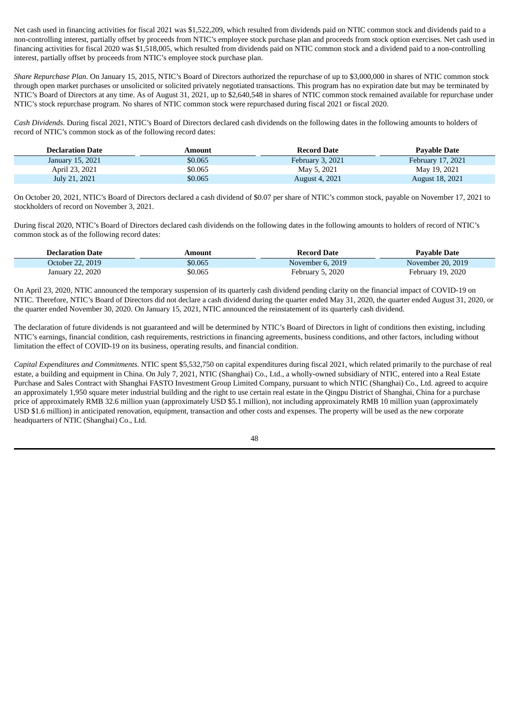Net cash used in financing activities for fiscal 2021 was \$1,522,209, which resulted from dividends paid on NTIC common stock and dividends paid to a non-controlling interest, partially offset by proceeds from NTIC's employee stock purchase plan and proceeds from stock option exercises. Net cash used in financing activities for fiscal 2020 was \$1,518,005, which resulted from dividends paid on NTIC common stock and a dividend paid to a non-controlling interest, partially offset by proceeds from NTIC's employee stock purchase plan.

*Share Repurchase Plan*. On January 15, 2015, NTIC's Board of Directors authorized the repurchase of up to \$3,000,000 in shares of NTIC common stock through open market purchases or unsolicited or solicited privately negotiated transactions. This program has no expiration date but may be terminated by NTIC's Board of Directors at any time. As of August 31, 2021, up to \$2,640,548 in shares of NTIC common stock remained available for repurchase under NTIC's stock repurchase program. No shares of NTIC common stock were repurchased during fiscal 2021 or fiscal 2020.

*Cash Dividends*. During fiscal 2021, NTIC's Board of Directors declared cash dividends on the following dates in the following amounts to holders of record of NTIC's common stock as of the following record dates:

| <b>Declaration Date</b> | Amount  | <b>Record Date</b>      | <b>Pavable Date</b> |
|-------------------------|---------|-------------------------|---------------------|
| January 15, 2021        | \$0.065 | <b>February 3, 2021</b> | February 17, 2021   |
| April 23, 2021          | \$0.065 | May 5, 2021             | May 19, 2021        |
| July 21, 2021           | \$0.065 | <b>August 4, 2021</b>   | August 18, 2021     |

On October 20, 2021, NTIC's Board of Directors declared a cash dividend of \$0.07 per share of NTIC's common stock, payable on November 17, 2021 to stockholders of record on November 3, 2021.

During fiscal 2020, NTIC's Board of Directors declared cash dividends on the following dates in the following amounts to holders of record of NTIC's common stock as of the following record dates:

| <b>Declaration Date</b> | Amount  | <b>Record Date</b> | <b>Pavable Date</b> |
|-------------------------|---------|--------------------|---------------------|
| October 22, 2019        | \$0.065 | November 6, 2019   | November 20, 2019   |
| January 22, 2020        | \$0.065 | February 5, 2020   | February 19, 2020   |

On April 23, 2020, NTIC announced the temporary suspension of its quarterly cash dividend pending clarity on the financial impact of COVID-19 on NTIC. Therefore, NTIC's Board of Directors did not declare a cash dividend during the quarter ended May 31, 2020, the quarter ended August 31, 2020, or the quarter ended November 30, 2020. On January 15, 2021, NTIC announced the reinstatement of its quarterly cash dividend.

The declaration of future dividends is not guaranteed and will be determined by NTIC's Board of Directors in light of conditions then existing, including NTIC's earnings, financial condition, cash requirements, restrictions in financing agreements, business conditions, and other factors, including without limitation the effect of COVID-19 on its business, operating results, and financial condition.

*Capital Expenditures and Commitments*. NTIC spent \$5,532,750 on capital expenditures during fiscal 2021, which related primarily to the purchase of real estate, a building and equipment in China. On July 7, 2021, NTIC (Shanghai) Co., Ltd., a wholly-owned subsidiary of NTIC, entered into a Real Estate Purchase and Sales Contract with Shanghai FASTO Investment Group Limited Company, pursuant to which NTIC (Shanghai) Co., Ltd. agreed to acquire an approximately 1,950 square meter industrial building and the right to use certain real estate in the Qingpu District of Shanghai, China for a purchase price of approximately RMB 32.6 million yuan (approximately USD \$5.1 million), not including approximately RMB 10 million yuan (approximately USD \$1.6 million) in anticipated renovation, equipment, transaction and other costs and expenses. The property will be used as the new corporate headquarters of NTIC (Shanghai) Co., Ltd.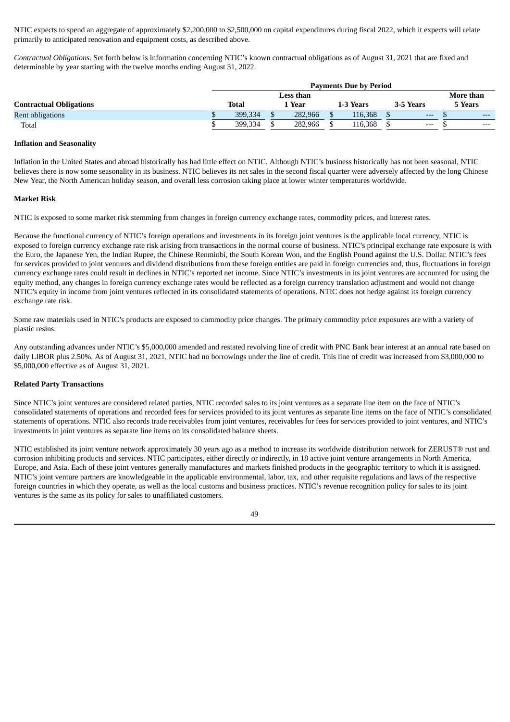NTIC expects to spend an aggregate of approximately \$2,200,000 to \$2,500,000 on capital expenditures during fiscal 2022, which it expects will relate primarily to anticipated renovation and equipment costs, as described above.

*Contractual Obligations.* Set forth below is information concerning NTIC's known contractual obligations as of August 31, 2021 that are fixed and determinable by year starting with the twelve months ending August 31, 2022.

|                                |           | <b>Payments Due by Period</b> |  |         |  |           |  |           |  |           |  |  |
|--------------------------------|-----------|-------------------------------|--|---------|--|-----------|--|-----------|--|-----------|--|--|
|                                | Less than |                               |  |         |  |           |  |           |  | More than |  |  |
| <b>Contractual Obligations</b> |           | Year<br>Total                 |  |         |  | 1-3 Years |  | 3-5 Years |  | 5 Years   |  |  |
| Rent obligations               |           | 399.334                       |  | 282,966 |  | 116,368   |  | $---$     |  | $---$     |  |  |
| Total                          |           | 399,334                       |  | 282,966 |  | 116.368   |  | $---$     |  | $---$     |  |  |

## **Inflation and Seasonality**

Inflation in the United States and abroad historically has had little effect on NTIC. Although NTIC's business historically has not been seasonal, NTIC believes there is now some seasonality in its business. NTIC believes its net sales in the second fiscal quarter were adversely affected by the long Chinese New Year, the North American holiday season, and overall less corrosion taking place at lower winter temperatures worldwide.

## **Market Risk**

NTIC is exposed to some market risk stemming from changes in foreign currency exchange rates, commodity prices, and interest rates.

Because the functional currency of NTIC's foreign operations and investments in its foreign joint ventures is the applicable local currency, NTIC is exposed to foreign currency exchange rate risk arising from transactions in the normal course of business. NTIC's principal exchange rate exposure is with the Euro, the Japanese Yen, the Indian Rupee, the Chinese Renminbi, the South Korean Won, and the English Pound against the U.S. Dollar. NTIC's fees for services provided to joint ventures and dividend distributions from these foreign entities are paid in foreign currencies and, thus, fluctuations in foreign currency exchange rates could result in declines in NTIC's reported net income. Since NTIC's investments in its joint ventures are accounted for using the equity method, any changes in foreign currency exchange rates would be reflected as a foreign currency translation adjustment and would not change NTIC's equity in income from joint ventures reflected in its consolidated statements of operations. NTIC does not hedge against its foreign currency exchange rate risk.

Some raw materials used in NTIC's products are exposed to commodity price changes. The primary commodity price exposures are with a variety of plastic resins.

Any outstanding advances under NTIC's \$5,000,000 amended and restated revolving line of credit with PNC Bank bear interest at an annual rate based on daily LIBOR plus 2.50%. As of August 31, 2021, NTIC had no borrowings under the line of credit. This line of credit was increased from \$3,000,000 to \$5,000,000 effective as of August 31, 2021.

## **Related Party Transactions**

Since NTIC's joint ventures are considered related parties, NTIC recorded sales to its joint ventures as a separate line item on the face of NTIC's consolidated statements of operations and recorded fees for services provided to its joint ventures as separate line items on the face of NTIC's consolidated statements of operations. NTIC also records trade receivables from joint ventures, receivables for fees for services provided to joint ventures, and NTIC's investments in joint ventures as separate line items on its consolidated balance sheets.

NTIC established its joint venture network approximately 30 years ago as a method to increase its worldwide distribution network for ZERUST® rust and corrosion inhibiting products and services. NTIC participates, either directly or indirectly, in 18 active joint venture arrangements in North America, Europe, and Asia. Each of these joint ventures generally manufactures and markets finished products in the geographic territory to which it is assigned. NTIC's joint venture partners are knowledgeable in the applicable environmental, labor, tax, and other requisite regulations and laws of the respective foreign countries in which they operate, as well as the local customs and business practices. NTIC's revenue recognition policy for sales to its joint ventures is the same as its policy for sales to unaffiliated customers.

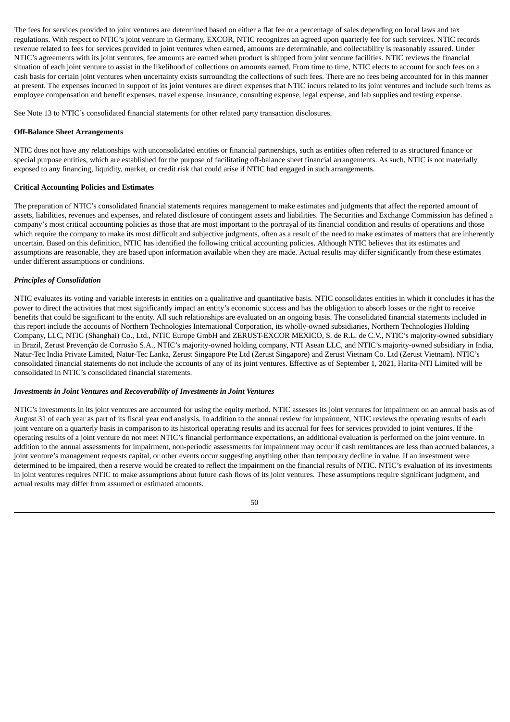The fees for services provided to joint ventures are determined based on either a flat fee or a percentage of sales depending on local laws and tax regulations. With respect to NTIC's joint venture in Germany, EXCOR, NTIC recognizes an agreed upon quarterly fee for such services. NTIC records revenue related to fees for services provided to joint ventures when earned, amounts are determinable, and collectability is reasonably assured. Under NTIC's agreements with its joint ventures, fee amounts are earned when product is shipped from joint venture facilities. NTIC reviews the financial situation of each joint venture to assist in the likelihood of collections on amounts earned. From time to time, NTIC elects to account for such fees on a cash basis for certain joint ventures when uncertainty exists surrounding the collections of such fees. There are no fees being accounted for in this manner at present. The expenses incurred in support of its joint ventures are direct expenses that NTIC incurs related to its joint ventures and include such items as employee compensation and benefit expenses, travel expense, insurance, consulting expense, legal expense, and lab supplies and testing expense.

See Note 13 to NTIC's consolidated financial statements for other related party transaction disclosures.

## **Off-Balance Sheet Arrangements**

NTIC does not have any relationships with unconsolidated entities or financial partnerships, such as entities often referred to as structured finance or special purpose entities, which are established for the purpose of facilitating off-balance sheet financial arrangements. As such, NTIC is not materially exposed to any financing, liquidity, market, or credit risk that could arise if NTIC had engaged in such arrangements.

## **Critical Accounting Policies and Estimates**

The preparation of NTIC's consolidated financial statements requires management to make estimates and judgments that affect the reported amount of assets, liabilities, revenues and expenses, and related disclosure of contingent assets and liabilities. The Securities and Exchange Commission has defined a company's most critical accounting policies as those that are most important to the portrayal of its financial condition and results of operations and those which require the company to make its most difficult and subjective judgments, often as a result of the need to make estimates of matters that are inherently uncertain. Based on this definition, NTIC has identified the following critical accounting policies. Although NTIC believes that its estimates and assumptions are reasonable, they are based upon information available when they are made. Actual results may differ significantly from these estimates under different assumptions or conditions.

## *Principles of Consolidation*

NTIC evaluates its voting and variable interests in entities on a qualitative and quantitative basis. NTIC consolidates entities in which it concludes it has the power to direct the activities that most significantly impact an entity's economic success and has the obligation to absorb losses or the right to receive benefits that could be significant to the entity. All such relationships are evaluated on an ongoing basis. The consolidated financial statements included in this report include the accounts of Northern Technologies International Corporation, its wholly-owned subsidiaries, Northern Technologies Holding Company, LLC, NTIC (Shanghai) Co., Ltd., NTIC Europe GmbH and ZERUST-EXCOR MEXICO, S. de R.L. de C.V., NTIC's majority-owned subsidiary in Brazil, Zerust Prevenção de Corrosão S.A., NTIC's majority-owned holding company, NTI Asean LLC, and NTIC's majority-owned subsidiary in India, Natur-Tec India Private Limited, Natur-Tec Lanka, Zerust Singapore Pte Ltd (Zerust Singapore) and Zerust Vietnam Co. Ltd (Zerust Vietnam). NTIC's consolidated financial statements do not include the accounts of any of its joint ventures. Effective as of September 1, 2021, Harita-NTI Limited will be consolidated in NTIC's consolidated financial statements.

#### *Investments in Joint Ventures and Recoverability of Investments in Joint Ventures*

NTIC's investments in its joint ventures are accounted for using the equity method. NTIC assesses its joint ventures for impairment on an annual basis as of August 31 of each year as part of its fiscal year end analysis. In addition to the annual review for impairment, NTIC reviews the operating results of each joint venture on a quarterly basis in comparison to its historical operating results and its accrual for fees for services provided to joint ventures. If the operating results of a joint venture do not meet NTIC's financial performance expectations, an additional evaluation is performed on the joint venture. In addition to the annual assessments for impairment, non-periodic assessments for impairment may occur if cash remittances are less than accrued balances, a joint venture's management requests capital, or other events occur suggesting anything other than temporary decline in value. If an investment were determined to be impaired, then a reserve would be created to reflect the impairment on the financial results of NTIC. NTIC's evaluation of its investments in joint ventures requires NTIC to make assumptions about future cash flows of its joint ventures. These assumptions require significant judgment, and actual results may differ from assumed or estimated amounts.

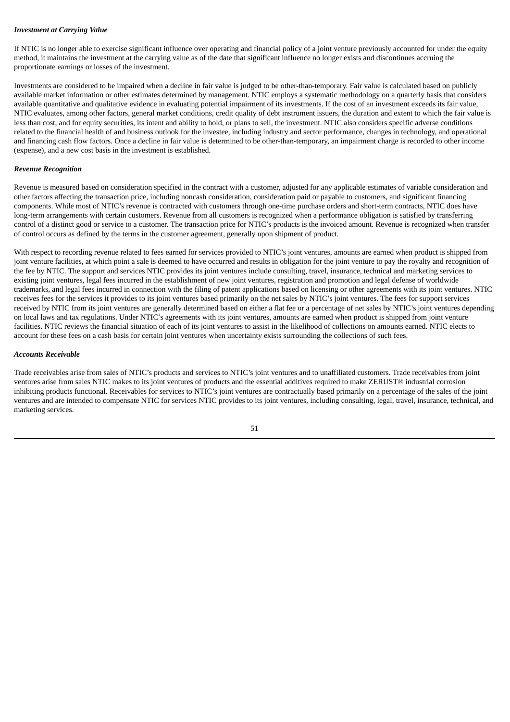## *Investment at Carrying Value*

If NTIC is no longer able to exercise significant influence over operating and financial policy of a joint venture previously accounted for under the equity method, it maintains the investment at the carrying value as of the date that significant influence no longer exists and discontinues accruing the proportionate earnings or losses of the investment.

Investments are considered to be impaired when a decline in fair value is judged to be other-than-temporary. Fair value is calculated based on publicly available market information or other estimates determined by management. NTIC employs a systematic methodology on a quarterly basis that considers available quantitative and qualitative evidence in evaluating potential impairment of its investments. If the cost of an investment exceeds its fair value, NTIC evaluates, among other factors, general market conditions, credit quality of debt instrument issuers, the duration and extent to which the fair value is less than cost, and for equity securities, its intent and ability to hold, or plans to sell, the investment. NTIC also considers specific adverse conditions related to the financial health of and business outlook for the investee, including industry and sector performance, changes in technology, and operational and financing cash flow factors. Once a decline in fair value is determined to be other-than-temporary, an impairment charge is recorded to other income (expense), and a new cost basis in the investment is established.

#### *Revenue Recognition*

Revenue is measured based on consideration specified in the contract with a customer, adjusted for any applicable estimates of variable consideration and other factors affecting the transaction price, including noncash consideration, consideration paid or payable to customers, and significant financing components. While most of NTIC's revenue is contracted with customers through one-time purchase orders and short-term contracts, NTIC does have long-term arrangements with certain customers. Revenue from all customers is recognized when a performance obligation is satisfied by transferring control of a distinct good or service to a customer. The transaction price for NTIC's products is the invoiced amount. Revenue is recognized when transfer of control occurs as defined by the terms in the customer agreement, generally upon shipment of product.

With respect to recording revenue related to fees earned for services provided to NTIC's joint ventures, amounts are earned when product is shipped from joint venture facilities, at which point a sale is deemed to have occurred and results in obligation for the joint venture to pay the royalty and recognition of the fee by NTIC. The support and services NTIC provides its joint ventures include consulting, travel, insurance, technical and marketing services to existing joint ventures, legal fees incurred in the establishment of new joint ventures, registration and promotion and legal defense of worldwide trademarks, and legal fees incurred in connection with the filing of patent applications based on licensing or other agreements with its joint ventures. NTIC receives fees for the services it provides to its joint ventures based primarily on the net sales by NTIC's joint ventures. The fees for support services received by NTIC from its joint ventures are generally determined based on either a flat fee or a percentage of net sales by NTIC's joint ventures depending on local laws and tax regulations. Under NTIC's agreements with its joint ventures, amounts are earned when product is shipped from joint venture facilities. NTIC reviews the financial situation of each of its joint ventures to assist in the likelihood of collections on amounts earned. NTIC elects to account for these fees on a cash basis for certain joint ventures when uncertainty exists surrounding the collections of such fees.

## *Accounts Receivable*

Trade receivables arise from sales of NTIC's products and services to NTIC's joint ventures and to unaffiliated customers. Trade receivables from joint ventures arise from sales NTIC makes to its joint ventures of products and the essential additives required to make ZERUST® industrial corrosion inhibiting products functional. Receivables for services to NTIC's joint ventures are contractually based primarily on a percentage of the sales of the joint ventures and are intended to compensate NTIC for services NTIC provides to its joint ventures, including consulting, legal, travel, insurance, technical, and marketing services.

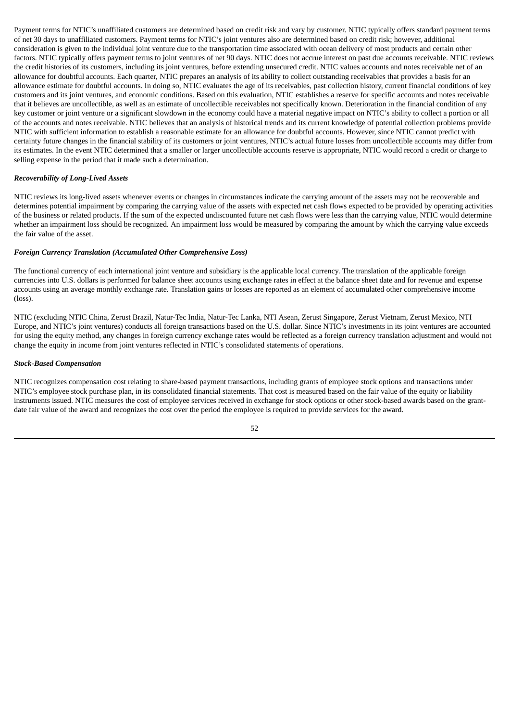Payment terms for NTIC's unaffiliated customers are determined based on credit risk and vary by customer. NTIC typically offers standard payment terms of net 30 days to unaffiliated customers. Payment terms for NTIC's joint ventures also are determined based on credit risk; however, additional consideration is given to the individual joint venture due to the transportation time associated with ocean delivery of most products and certain other factors. NTIC typically offers payment terms to joint ventures of net 90 days. NTIC does not accrue interest on past due accounts receivable. NTIC reviews the credit histories of its customers, including its joint ventures, before extending unsecured credit. NTIC values accounts and notes receivable net of an allowance for doubtful accounts. Each quarter, NTIC prepares an analysis of its ability to collect outstanding receivables that provides a basis for an allowance estimate for doubtful accounts. In doing so, NTIC evaluates the age of its receivables, past collection history, current financial conditions of key customers and its joint ventures, and economic conditions. Based on this evaluation, NTIC establishes a reserve for specific accounts and notes receivable that it believes are uncollectible, as well as an estimate of uncollectible receivables not specifically known. Deterioration in the financial condition of any key customer or joint venture or a significant slowdown in the economy could have a material negative impact on NTIC's ability to collect a portion or all of the accounts and notes receivable. NTIC believes that an analysis of historical trends and its current knowledge of potential collection problems provide NTIC with sufficient information to establish a reasonable estimate for an allowance for doubtful accounts. However, since NTIC cannot predict with certainty future changes in the financial stability of its customers or joint ventures, NTIC's actual future losses from uncollectible accounts may differ from its estimates. In the event NTIC determined that a smaller or larger uncollectible accounts reserve is appropriate, NTIC would record a credit or charge to selling expense in the period that it made such a determination.

## *Recoverability of Long-Lived Assets*

NTIC reviews its long-lived assets whenever events or changes in circumstances indicate the carrying amount of the assets may not be recoverable and determines potential impairment by comparing the carrying value of the assets with expected net cash flows expected to be provided by operating activities of the business or related products. If the sum of the expected undiscounted future net cash flows were less than the carrying value, NTIC would determine whether an impairment loss should be recognized. An impairment loss would be measured by comparing the amount by which the carrying value exceeds the fair value of the asset.

#### *Foreign Currency Translation (Accumulated Other Comprehensive Loss)*

The functional currency of each international joint venture and subsidiary is the applicable local currency. The translation of the applicable foreign currencies into U.S. dollars is performed for balance sheet accounts using exchange rates in effect at the balance sheet date and for revenue and expense accounts using an average monthly exchange rate. Translation gains or losses are reported as an element of accumulated other comprehensive income (loss).

NTIC (excluding NTIC China, Zerust Brazil, Natur-Tec India, Natur-Tec Lanka, NTI Asean, Zerust Singapore, Zerust Vietnam, Zerust Mexico, NTI Europe, and NTIC's joint ventures) conducts all foreign transactions based on the U.S. dollar. Since NTIC's investments in its joint ventures are accounted for using the equity method, any changes in foreign currency exchange rates would be reflected as a foreign currency translation adjustment and would not change the equity in income from joint ventures reflected in NTIC's consolidated statements of operations.

#### *Stock-Based Compensation*

NTIC recognizes compensation cost relating to share-based payment transactions, including grants of employee stock options and transactions under NTIC's employee stock purchase plan, in its consolidated financial statements. That cost is measured based on the fair value of the equity or liability instruments issued. NTIC measures the cost of employee services received in exchange for stock options or other stock-based awards based on the grantdate fair value of the award and recognizes the cost over the period the employee is required to provide services for the award.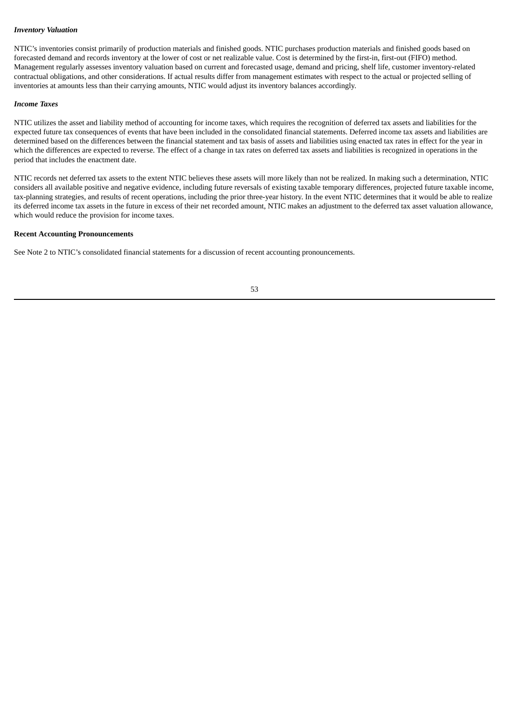## *Inventory Valuation*

NTIC's inventories consist primarily of production materials and finished goods. NTIC purchases production materials and finished goods based on forecasted demand and records inventory at the lower of cost or net realizable value. Cost is determined by the first-in, first-out (FIFO) method. Management regularly assesses inventory valuation based on current and forecasted usage, demand and pricing, shelf life, customer inventory-related contractual obligations, and other considerations. If actual results differ from management estimates with respect to the actual or projected selling of inventories at amounts less than their carrying amounts, NTIC would adjust its inventory balances accordingly.

## *Income Taxes*

NTIC utilizes the asset and liability method of accounting for income taxes, which requires the recognition of deferred tax assets and liabilities for the expected future tax consequences of events that have been included in the consolidated financial statements. Deferred income tax assets and liabilities are determined based on the differences between the financial statement and tax basis of assets and liabilities using enacted tax rates in effect for the year in which the differences are expected to reverse. The effect of a change in tax rates on deferred tax assets and liabilities is recognized in operations in the period that includes the enactment date.

NTIC records net deferred tax assets to the extent NTIC believes these assets will more likely than not be realized. In making such a determination, NTIC considers all available positive and negative evidence, including future reversals of existing taxable temporary differences, projected future taxable income, tax-planning strategies, and results of recent operations, including the prior three-year history. In the event NTIC determines that it would be able to realize its deferred income tax assets in the future in excess of their net recorded amount, NTIC makes an adjustment to the deferred tax asset valuation allowance, which would reduce the provision for income taxes.

## **Recent Accounting Pronouncements**

See Note 2 to NTIC's consolidated financial statements for a discussion of recent accounting pronouncements.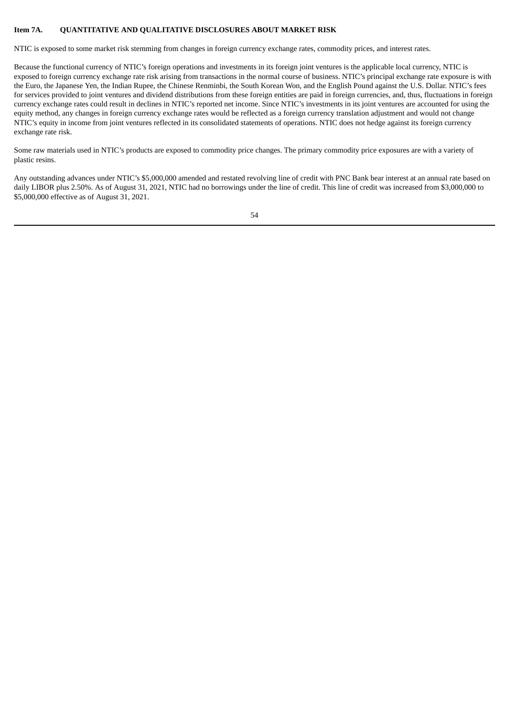## **Item 7A. QUANTITATIVE AND QUALITATIVE DISCLOSURES ABOUT MARKET RISK**

NTIC is exposed to some market risk stemming from changes in foreign currency exchange rates, commodity prices, and interest rates.

Because the functional currency of NTIC's foreign operations and investments in its foreign joint ventures is the applicable local currency, NTIC is exposed to foreign currency exchange rate risk arising from transactions in the normal course of business. NTIC's principal exchange rate exposure is with the Euro, the Japanese Yen, the Indian Rupee, the Chinese Renminbi, the South Korean Won, and the English Pound against the U.S. Dollar. NTIC's fees for services provided to joint ventures and dividend distributions from these foreign entities are paid in foreign currencies, and, thus, fluctuations in foreign currency exchange rates could result in declines in NTIC's reported net income. Since NTIC's investments in its joint ventures are accounted for using the equity method, any changes in foreign currency exchange rates would be reflected as a foreign currency translation adjustment and would not change NTIC's equity in income from joint ventures reflected in its consolidated statements of operations. NTIC does not hedge against its foreign currency exchange rate risk.

Some raw materials used in NTIC's products are exposed to commodity price changes. The primary commodity price exposures are with a variety of plastic resins.

Any outstanding advances under NTIC's \$5,000,000 amended and restated revolving line of credit with PNC Bank bear interest at an annual rate based on daily LIBOR plus 2.50%. As of August 31, 2021, NTIC had no borrowings under the line of credit. This line of credit was increased from \$3,000,000 to \$5,000,000 effective as of August 31, 2021.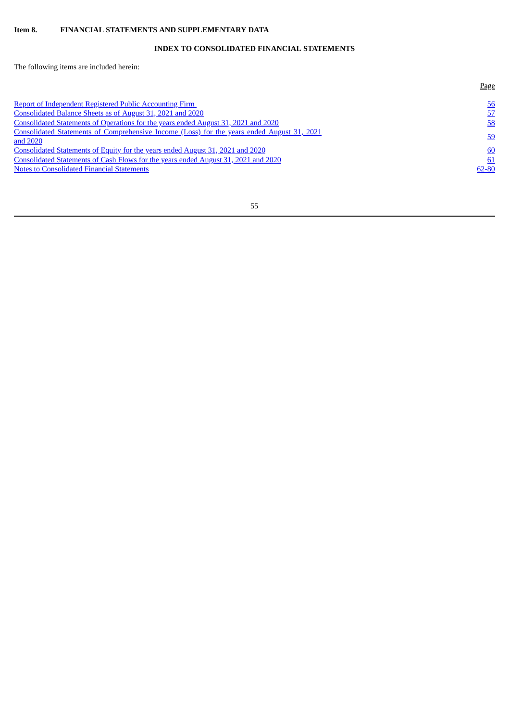# **INDEX TO CONSOLIDATED FINANCIAL STATEMENTS**

The following items are included herein:

|                                                                                                        | <b>Page</b> |
|--------------------------------------------------------------------------------------------------------|-------------|
| <b>Report of Independent Registered Public Accounting Firm</b>                                         | <u>56</u>   |
| Consolidated Balance Sheets as of August 31, 2021 and 2020                                             | 57          |
| <u>Consolidated Statements of Operations for the years ended August 31, 2021 and 2020</u>              | 58          |
| Consolidated Statements of Comprehensive Income (Loss) for the years ended August 31, 2021<br>and 2020 | <u>59</u>   |
| Consolidated Statements of Equity for the years ended August 31, 2021 and 2020                         | <u>60</u>   |
| Consolidated Statements of Cash Flows for the years ended August 31, 2021 and 2020                     | <u>61</u>   |
| <b>Notes to Consolidated Financial Statements</b>                                                      | 62-80       |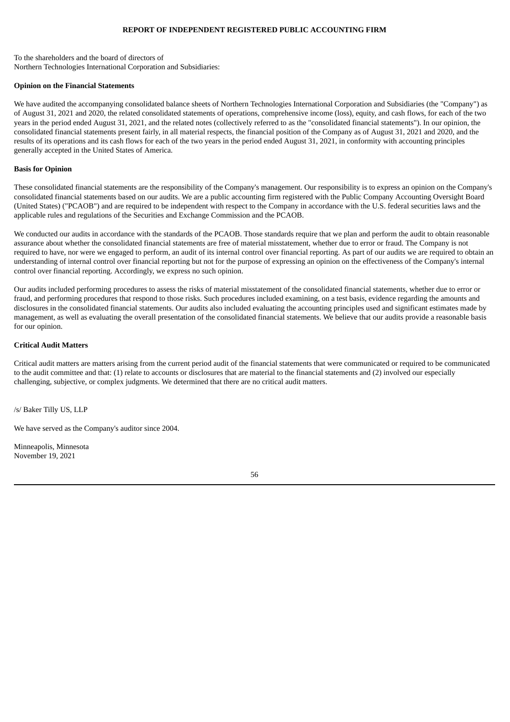## **REPORT OF INDEPENDENT REGISTERED PUBLIC ACCOUNTING FIRM**

<span id="page-59-0"></span>To the shareholders and the board of directors of Northern Technologies International Corporation and Subsidiaries:

## **Opinion on the Financial Statements**

We have audited the accompanying consolidated balance sheets of Northern Technologies International Corporation and Subsidiaries (the "Company") as of August 31, 2021 and 2020, the related consolidated statements of operations, comprehensive income (loss), equity, and cash flows, for each of the two years in the period ended August 31, 2021, and the related notes (collectively referred to as the "consolidated financial statements"). In our opinion, the consolidated financial statements present fairly, in all material respects, the financial position of the Company as of August 31, 2021 and 2020, and the results of its operations and its cash flows for each of the two years in the period ended August 31, 2021, in conformity with accounting principles generally accepted in the United States of America.

## **Basis for Opinion**

These consolidated financial statements are the responsibility of the Company's management. Our responsibility is to express an opinion on the Company's consolidated financial statements based on our audits. We are a public accounting firm registered with the Public Company Accounting Oversight Board (United States) ("PCAOB") and are required to be independent with respect to the Company in accordance with the U.S. federal securities laws and the applicable rules and regulations of the Securities and Exchange Commission and the PCAOB.

We conducted our audits in accordance with the standards of the PCAOB. Those standards require that we plan and perform the audit to obtain reasonable assurance about whether the consolidated financial statements are free of material misstatement, whether due to error or fraud. The Company is not required to have, nor were we engaged to perform, an audit of its internal control over financial reporting. As part of our audits we are required to obtain an understanding of internal control over financial reporting but not for the purpose of expressing an opinion on the effectiveness of the Company's internal control over financial reporting. Accordingly, we express no such opinion.

Our audits included performing procedures to assess the risks of material misstatement of the consolidated financial statements, whether due to error or fraud, and performing procedures that respond to those risks. Such procedures included examining, on a test basis, evidence regarding the amounts and disclosures in the consolidated financial statements. Our audits also included evaluating the accounting principles used and significant estimates made by management, as well as evaluating the overall presentation of the consolidated financial statements. We believe that our audits provide a reasonable basis for our opinion.

## **Critical Audit Matters**

Critical audit matters are matters arising from the current period audit of the financial statements that were communicated or required to be communicated to the audit committee and that: (1) relate to accounts or disclosures that are material to the financial statements and (2) involved our especially challenging, subjective, or complex judgments. We determined that there are no critical audit matters.

/s/ Baker Tilly US, LLP

We have served as the Company's auditor since 2004.

Minneapolis, Minnesota November 19, 2021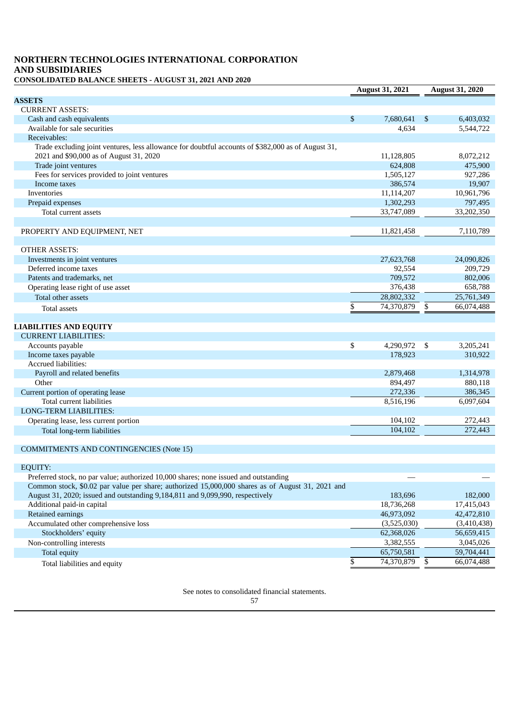# **NORTHERN TECHNOLOGIES INTERNATIONAL CORPORATION AND SUBSIDIARIES**

<span id="page-60-0"></span>**CONSOLIDATED BALANCE SHEETS - AUGUST 31, 2021 AND 2020**

|                                                                                                    | <b>August 31, 2021</b> |            | <b>August 31, 2020</b>    |            |  |
|----------------------------------------------------------------------------------------------------|------------------------|------------|---------------------------|------------|--|
| <b>ASSETS</b>                                                                                      |                        |            |                           |            |  |
| <b>CURRENT ASSETS:</b>                                                                             |                        |            |                           |            |  |
| Cash and cash equivalents                                                                          | \$                     | 7,680,641  | \$                        | 6,403,032  |  |
| Available for sale securities                                                                      |                        | 4,634      |                           | 5,544,722  |  |
| Receivables:                                                                                       |                        |            |                           |            |  |
| Trade excluding joint ventures, less allowance for doubtful accounts of \$382,000 as of August 31, |                        |            |                           |            |  |
| 2021 and \$90,000 as of August 31, 2020                                                            |                        | 11,128,805 |                           | 8,072,212  |  |
| Trade joint ventures                                                                               |                        | 624,808    |                           | 475,900    |  |
| Fees for services provided to joint ventures                                                       |                        | 1,505,127  |                           | 927,286    |  |
| Income taxes                                                                                       |                        | 386,574    |                           | 19,907     |  |
| Inventories                                                                                        |                        | 11,114,207 |                           | 10,961,796 |  |
| Prepaid expenses                                                                                   |                        | 1,302,293  |                           | 797,495    |  |
| Total current assets                                                                               |                        | 33,747,089 |                           | 33,202,350 |  |
|                                                                                                    |                        |            |                           |            |  |
| PROPERTY AND EQUIPMENT, NET                                                                        |                        | 11,821,458 |                           | 7,110,789  |  |
|                                                                                                    |                        |            |                           |            |  |
| <b>OTHER ASSETS:</b>                                                                               |                        |            |                           |            |  |
| Investments in joint ventures                                                                      |                        | 27,623,768 |                           | 24,090,826 |  |
| Deferred income taxes                                                                              |                        | 92,554     |                           | 209,729    |  |
| Patents and trademarks, net                                                                        |                        | 709,572    |                           | 802,006    |  |
| Operating lease right of use asset                                                                 |                        | 376,438    |                           | 658,788    |  |
| Total other assets                                                                                 |                        | 28,802,332 |                           | 25,761,349 |  |
| <b>Total assets</b>                                                                                | \$                     | 74,370,879 | \$                        | 66,074,488 |  |
|                                                                                                    |                        |            |                           |            |  |
| <b>LIABILITIES AND EQUITY</b>                                                                      |                        |            |                           |            |  |
| <b>CURRENT LIABILITIES:</b>                                                                        |                        |            |                           |            |  |
| Accounts payable                                                                                   | \$                     | 4,290,972  | $\boldsymbol{\mathsf{S}}$ | 3,205,241  |  |
| Income taxes payable                                                                               |                        | 178,923    |                           | 310,922    |  |
| Accrued liabilities:                                                                               |                        |            |                           |            |  |
| Payroll and related benefits                                                                       |                        | 2,879,468  |                           | 1,314,978  |  |
| Other                                                                                              |                        | 894,497    |                           | 880,118    |  |
| Current portion of operating lease                                                                 |                        | 272,336    |                           | 386,345    |  |
| Total current liabilities                                                                          |                        | 8,516,196  |                           | 6,097,604  |  |
| LONG-TERM LIABILITIES:                                                                             |                        |            |                           |            |  |
| Operating lease, less current portion                                                              |                        | 104,102    |                           | 272,443    |  |
| Total long-term liabilities                                                                        |                        | 104,102    |                           | 272,443    |  |
|                                                                                                    |                        |            |                           |            |  |
| <b>COMMITMENTS AND CONTINGENCIES (Note 15)</b>                                                     |                        |            |                           |            |  |
|                                                                                                    |                        |            |                           |            |  |
| <b>EQUITY:</b>                                                                                     |                        |            |                           |            |  |
| Preferred stock, no par value; authorized 10,000 shares; none issued and outstanding               |                        |            |                           |            |  |
| Common stock, \$0.02 par value per share; authorized 15,000,000 shares as of August 31, 2021 and   |                        |            |                           |            |  |
| August 31, 2020; issued and outstanding 9,184,811 and 9,099,990, respectively                      |                        | 183,696    |                           | 182,000    |  |

| Common stock, \$0.02 par value per share; authorized 15,000,000 shares as of August 31, 2021 and |             |             |
|--------------------------------------------------------------------------------------------------|-------------|-------------|
| August 31, 2020; issued and outstanding 9,184,811 and 9,099,990, respectively                    | 183.696     | 182,000     |
| Additional paid-in capital                                                                       | 18,736,268  | 17,415,043  |
| Retained earnings                                                                                | 46,973,092  | 42,472,810  |
| Accumulated other comprehensive loss                                                             | (3,525,030) | (3,410,438) |
| Stockholders' equity                                                                             | 62.368.026  | 56,659,415  |
| Non-controlling interests                                                                        | 3,382,555   | 3,045,026   |
| Total equity                                                                                     | 65,750,581  | 59,704,441  |
| Total liabilities and equity                                                                     | 74,370,879  | 66,074,488  |
|                                                                                                  |             |             |

See notes to consolidated financial statements.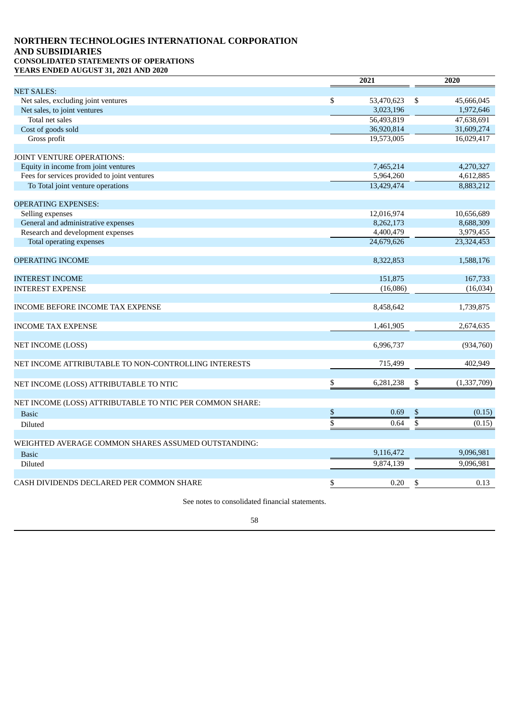# **NORTHERN TECHNOLOGIES INTERNATIONAL CORPORATION AND SUBSIDIARIES CONSOLIDATED STATEMENTS OF OPERATIONS**

<span id="page-61-0"></span>**YEARS ENDED AUGUST 31, 2021 AND 2020**

|                                                          |               | 2021       | 2020              |
|----------------------------------------------------------|---------------|------------|-------------------|
| <b>NET SALES:</b>                                        |               |            |                   |
| Net sales, excluding joint ventures                      | \$            | 53,470,623 | \$<br>45,666,045  |
| Net sales, to joint ventures                             |               | 3,023,196  | 1,972,646         |
| Total net sales                                          |               | 56,493,819 | 47,638,691        |
| Cost of goods sold                                       |               | 36,920,814 | 31,609,274        |
| Gross profit                                             |               | 19,573,005 | 16,029,417        |
|                                                          |               |            |                   |
| <b>JOINT VENTURE OPERATIONS:</b>                         |               |            |                   |
| Equity in income from joint ventures                     |               | 7,465,214  | 4,270,327         |
| Fees for services provided to joint ventures             |               | 5,964,260  | 4,612,885         |
| To Total joint venture operations                        |               | 13,429,474 | 8,883,212         |
| <b>OPERATING EXPENSES:</b>                               |               |            |                   |
| Selling expenses                                         |               | 12,016,974 | 10,656,689        |
| General and administrative expenses                      |               | 8,262,173  | 8,688,309         |
| Research and development expenses                        |               | 4,400,479  | 3,979,455         |
| Total operating expenses                                 |               | 24,679,626 | 23,324,453        |
|                                                          |               |            |                   |
| <b>OPERATING INCOME</b>                                  |               | 8,322,853  | 1,588,176         |
| <b>INTEREST INCOME</b>                                   |               | 151,875    | 167,733           |
| <b>INTEREST EXPENSE</b>                                  |               | (16,086)   | (16,034)          |
|                                                          |               |            |                   |
| <b>INCOME BEFORE INCOME TAX EXPENSE</b>                  |               | 8,458,642  | 1,739,875         |
| INCOME TAX EXPENSE                                       |               | 1,461,905  | 2,674,635         |
|                                                          |               |            |                   |
| NET INCOME (LOSS)                                        |               | 6,996,737  | (934,760)         |
| NET INCOME ATTRIBUTABLE TO NON-CONTROLLING INTERESTS     |               | 715,499    | 402,949           |
|                                                          |               |            |                   |
| NET INCOME (LOSS) ATTRIBUTABLE TO NTIC                   | \$            | 6,281,238  | \$<br>(1,337,709) |
| NET INCOME (LOSS) ATTRIBUTABLE TO NTIC PER COMMON SHARE: |               |            |                   |
|                                                          |               | 0.69       | \$<br>(0.15)      |
| <b>Basic</b>                                             | $\frac{3}{5}$ |            |                   |
| Diluted                                                  |               | 0.64       | (0.15)            |
| WEIGHTED AVERAGE COMMON SHARES ASSUMED OUTSTANDING:      |               |            |                   |
| <b>Basic</b>                                             |               | 9,116,472  | 9,096,981         |
| Diluted                                                  |               | 9,874,139  | 9,096,981         |
|                                                          |               |            |                   |
| CASH DIVIDENDS DECLARED PER COMMON SHARE                 | \$            | 0.20       | \$<br>0.13        |
|                                                          |               |            |                   |

See notes to consolidated financial statements.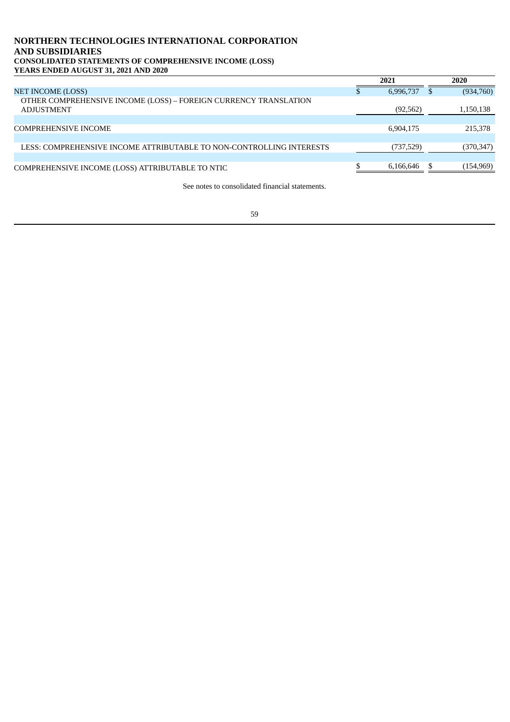# **NORTHERN TECHNOLOGIES INTERNATIONAL CORPORATION AND SUBSIDIARIES CONSOLIDATED STATEMENTS OF COMPREHENSIVE INCOME (LOSS) YEARS ENDED AUGUST 31, 2021 AND 2020**

<span id="page-62-0"></span>

|                                                                      | 2021       | 2020       |
|----------------------------------------------------------------------|------------|------------|
| NET INCOME (LOSS)                                                    | 6,996,737  | (934,760)  |
| OTHER COMPREHENSIVE INCOME (LOSS) – FOREIGN CURRENCY TRANSLATION     |            |            |
| <b>ADJUSTMENT</b>                                                    | (92, 562)  | 1,150,138  |
|                                                                      |            |            |
| <b>COMPREHENSIVE INCOME</b>                                          | 6,904,175  | 215,378    |
|                                                                      |            |            |
| LESS: COMPREHENSIVE INCOME ATTRIBUTABLE TO NON-CONTROLLING INTERESTS | (737, 529) | (370, 347) |
|                                                                      |            |            |
| COMPREHENSIVE INCOME (LOSS) ATTRIBUTABLE TO NTIC                     | 6.166.646  | (154,969)  |
|                                                                      |            |            |

See notes to consolidated financial statements.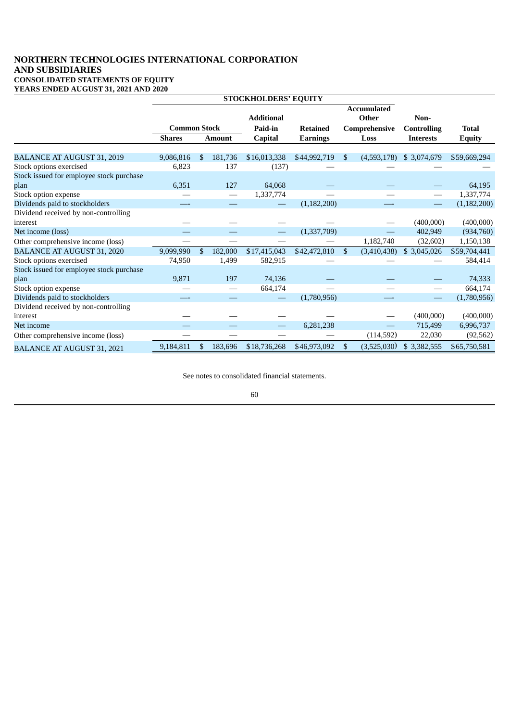# **NORTHERN TECHNOLOGIES INTERNATIONAL CORPORATION AND SUBSIDIARIES CONSOLIDATED STATEMENTS OF EQUITY**

<span id="page-63-0"></span>**YEARS ENDED AUGUST 31, 2021 AND 2020**

|                                          |                     |               |               | <b>STOCKHOLDERS' EQUITY</b> |                 |               |                             |                    |               |  |
|------------------------------------------|---------------------|---------------|---------------|-----------------------------|-----------------|---------------|-----------------------------|--------------------|---------------|--|
|                                          |                     |               |               | <b>Additional</b>           |                 |               | <b>Accumulated</b><br>Other | Non-               |               |  |
|                                          | <b>Common Stock</b> |               |               | Paid-in                     | <b>Retained</b> | Comprehensive |                             | <b>Controlling</b> | <b>Total</b>  |  |
|                                          | <b>Shares</b>       |               | <b>Amount</b> | Capital                     | <b>Earnings</b> |               | Loss                        | <b>Interests</b>   | <b>Equity</b> |  |
|                                          |                     |               |               |                             |                 |               |                             |                    |               |  |
| <b>BALANCE AT AUGUST 31, 2019</b>        | 9,086,816           | <sup>\$</sup> | 181,736       | \$16,013,338                | \$44,992,719    | <sup>\$</sup> | (4,593,178)                 | \$3,074,679        | \$59,669,294  |  |
| Stock options exercised                  | 6,823               |               | 137           | (137)                       |                 |               |                             |                    |               |  |
| Stock issued for employee stock purchase |                     |               |               |                             |                 |               |                             |                    |               |  |
| plan                                     | 6,351               |               | 127           | 64,068                      |                 |               |                             |                    | 64,195        |  |
| Stock option expense                     |                     |               |               | 1,337,774                   |                 |               |                             |                    | 1,337,774     |  |
| Dividends paid to stockholders           |                     |               |               |                             | (1,182,200)     |               |                             |                    | (1,182,200)   |  |
| Dividend received by non-controlling     |                     |               |               |                             |                 |               |                             |                    |               |  |
| interest                                 |                     |               |               |                             |                 |               |                             | (400,000)          | (400,000)     |  |
| Net income (loss)                        |                     |               |               |                             | (1,337,709)     |               |                             | 402,949            | (934,760)     |  |
| Other comprehensive income (loss)        |                     |               |               |                             |                 |               | 1,182,740                   | (32,602)           | 1,150,138     |  |
| <b>BALANCE AT AUGUST 31, 2020</b>        | 9,099,990           | \$            | 182,000       | \$17,415,043                | \$42,472,810    | \$.           | (3,410,438)                 | \$3,045,026        | \$59,704,441  |  |
| Stock options exercised                  | 74,950              |               | 1,499         | 582,915                     |                 |               |                             |                    | 584,414       |  |
| Stock issued for employee stock purchase |                     |               |               |                             |                 |               |                             |                    |               |  |
| plan                                     | 9,871               |               | 197           | 74,136                      |                 |               |                             |                    | 74,333        |  |
| Stock option expense                     |                     |               |               | 664,174                     |                 |               |                             |                    | 664,174       |  |
| Dividends paid to stockholders           |                     |               |               |                             | (1,780,956)     |               |                             |                    | (1,780,956)   |  |
| Dividend received by non-controlling     |                     |               |               |                             |                 |               |                             |                    |               |  |
| interest                                 |                     |               |               |                             |                 |               |                             | (400,000)          | (400,000)     |  |
| Net income                               |                     |               |               |                             | 6,281,238       |               |                             | 715,499            | 6,996,737     |  |
| Other comprehensive income (loss)        |                     |               |               |                             |                 |               | (114, 592)                  | 22,030             | (92, 562)     |  |
| <b>BALANCE AT AUGUST 31, 2021</b>        | 9,184,811           | \$            | 183,696       | \$18,736,268                | \$46,973,092    | $\mathbb{S}$  | (3,525,030)                 | \$3,382,555        | \$65,750,581  |  |

See notes to consolidated financial statements.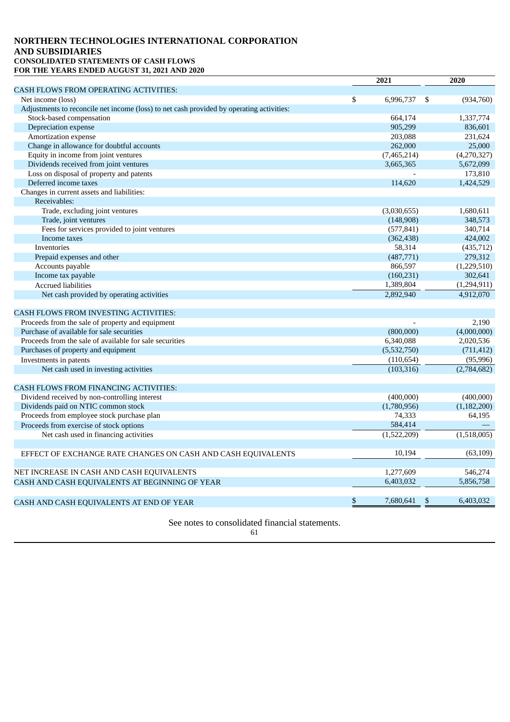# **NORTHERN TECHNOLOGIES INTERNATIONAL CORPORATION AND SUBSIDIARIES CONSOLIDATED STATEMENTS OF CASH FLOWS FOR THE YEARS ENDED AUGUST 31, 2021 AND 2020**

<span id="page-64-0"></span>

|                                                                                          | 2021                  | 2020          |
|------------------------------------------------------------------------------------------|-----------------------|---------------|
| CASH FLOWS FROM OPERATING ACTIVITIES:                                                    |                       |               |
| Net income (loss)                                                                        | \$<br>6,996,737<br>\$ | (934,760)     |
| Adjustments to reconcile net income (loss) to net cash provided by operating activities: |                       |               |
| Stock-based compensation                                                                 | 664,174               | 1,337,774     |
| Depreciation expense                                                                     | 905,299               | 836,601       |
| Amortization expense                                                                     | 203,088               | 231,624       |
| Change in allowance for doubtful accounts                                                | 262,000               | 25,000        |
| Equity in income from joint ventures                                                     | (7,465,214)           | (4,270,327)   |
| Dividends received from joint ventures                                                   | 3,665,365             | 5,672,099     |
| Loss on disposal of property and patents                                                 |                       | 173,810       |
| Deferred income taxes                                                                    | 114,620               | 1,424,529     |
| Changes in current assets and liabilities:                                               |                       |               |
| Receivables:                                                                             |                       |               |
| Trade, excluding joint ventures                                                          | (3,030,655)           | 1,680,611     |
| Trade, joint ventures                                                                    | (148,908)             | 348,573       |
| Fees for services provided to joint ventures                                             | (577, 841)            | 340,714       |
| Income taxes                                                                             | (362, 438)            | 424,002       |
| <b>Inventories</b>                                                                       | 58,314                | (435, 712)    |
| Prepaid expenses and other                                                               | (487,771)             | 279,312       |
| Accounts payable                                                                         | 866,597               | (1,229,510)   |
| Income tax payable                                                                       | (160, 231)            | 302,641       |
| <b>Accrued liabilities</b>                                                               | 1,389,804             | (1,294,911)   |
| Net cash provided by operating activities                                                | 2,892,940             | 4,912,070     |
| <b>CASH FLOWS FROM INVESTING ACTIVITIES:</b>                                             |                       |               |
| Proceeds from the sale of property and equipment                                         |                       | 2,190         |
| Purchase of available for sale securities                                                | (800,000)             | (4,000,000)   |
| Proceeds from the sale of available for sale securities                                  | 6,340,088             | 2,020,536     |
| Purchases of property and equipment                                                      | (5,532,750)           | (711, 412)    |
| Investments in patents                                                                   | (110, 654)            | (95, 996)     |
| Net cash used in investing activities                                                    | (103, 316)            | (2,784,682)   |
|                                                                                          |                       |               |
| <b>CASH FLOWS FROM FINANCING ACTIVITIES:</b>                                             |                       |               |
| Dividend received by non-controlling interest                                            | (400,000)             | (400,000)     |
| Dividends paid on NTIC common stock                                                      | (1,780,956)           | (1, 182, 200) |
| Proceeds from employee stock purchase plan                                               | 74,333                | 64,195        |
| Proceeds from exercise of stock options                                                  | 584,414               |               |
| Net cash used in financing activities                                                    | (1,522,209)           | (1,518,005)   |
| EFFECT OF EXCHANGE RATE CHANGES ON CASH AND CASH EQUIVALENTS                             | 10,194                | (63, 109)     |
|                                                                                          |                       |               |
| NET INCREASE IN CASH AND CASH EQUIVALENTS                                                | 1,277,609             | 546,274       |
| CASH AND CASH EQUIVALENTS AT BEGINNING OF YEAR                                           | 6,403,032             | 5,856,758     |
| CASH AND CASH EQUIVALENTS AT END OF YEAR                                                 | \$<br>7,680,641<br>\$ | 6,403,032     |

See notes to consolidated financial statements.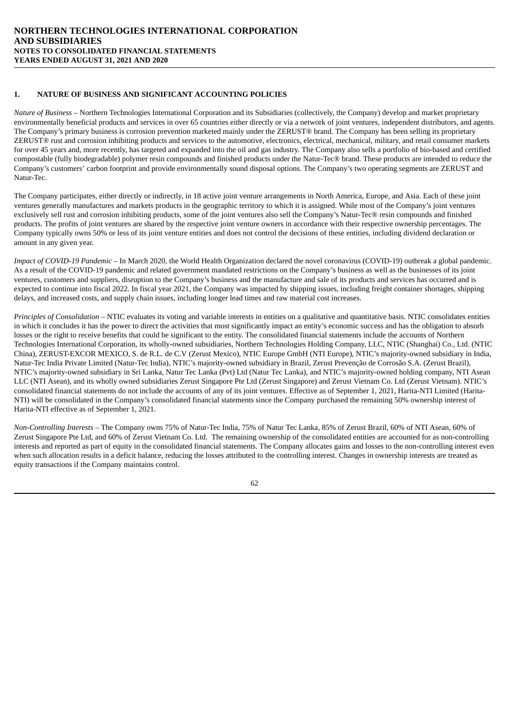## <span id="page-65-0"></span>**1. NATURE OF BUSINESS AND SIGNIFICANT ACCOUNTING POLICIES**

*Nature of Business* – Northern Technologies International Corporation and its Subsidiaries (collectively, the Company) develop and market proprietary environmentally beneficial products and services in over 65 countries either directly or via a network of joint ventures, independent distributors, and agents. The Company's primary business is corrosion prevention marketed mainly under the ZERUST® brand. The Company has been selling its proprietary ZERUST® rust and corrosion inhibiting products and services to the automotive, electronics, electrical, mechanical, military, and retail consumer markets for over 45 years and, more recently, has targeted and expanded into the oil and gas industry. The Company also sells a portfolio of bio-based and certified compostable (fully biodegradable) polymer resin compounds and finished products under the Natur-Tec® brand. These products are intended to reduce the Company's customers' carbon footprint and provide environmentally sound disposal options. The Company's two operating segments are ZERUST and Natur-Tec.

The Company participates, either directly or indirectly, in 18 active joint venture arrangements in North America, Europe, and Asia. Each of these joint ventures generally manufactures and markets products in the geographic territory to which it is assigned. While most of the Company's joint ventures exclusively sell rust and corrosion inhibiting products, some of the joint ventures also sell the Company's Natur-Tec® resin compounds and finished products. The profits of joint ventures are shared by the respective joint venture owners in accordance with their respective ownership percentages. The Company typically owns 50% or less of its joint venture entities and does not control the decisions of these entities, including dividend declaration or amount in any given year.

*Impact of COVID-19 Pandemic* – In March 2020, the World Health Organization declared the novel coronavirus (COVID-19) outbreak a global pandemic. As a result of the COVID-19 pandemic and related government mandated restrictions on the Company's business as well as the businesses of its joint ventures, customers and suppliers, disruption to the Company's business and the manufacture and sale of its products and services has occurred and is expected to continue into fiscal 2022. In fiscal year 2021, the Company was impacted by shipping issues, including freight container shortages, shipping delays, and increased costs, and supply chain issues, including longer lead times and raw material cost increases.

*Principles of Consolidation* – NTIC evaluates its voting and variable interests in entities on a qualitative and quantitative basis. NTIC consolidates entities in which it concludes it has the power to direct the activities that most significantly impact an entity's economic success and has the obligation to absorb losses or the right to receive benefits that could be significant to the entity. The consolidated financial statements include the accounts of Northern Technologies International Corporation, its wholly-owned subsidiaries, Northern Technologies Holding Company, LLC, NTIC (Shanghai) Co., Ltd. (NTIC China), ZERUST-EXCOR MEXICO, S. de R.L. de C.V (Zerust Mexico), NTIC Europe GmbH (NTI Europe), NTIC's majority-owned subsidiary in India, Natur-Tec India Private Limited (Natur-Tec India), NTIC's majority-owned subsidiary in Brazil, Zerust Prevenção de Corrosão S.A. (Zerust Brazil), NTIC's majority-owned subsidiary in Sri Lanka, Natur Tec Lanka (Pvt) Ltd (Natur Tec Lanka), and NTIC's majority-owned holding company, NTI Asean LLC (NTI Asean), and its wholly owned subsidiaries Zerust Singapore Pte Ltd (Zerust Singapore) and Zerust Vietnam Co. Ltd (Zerust Vietnam). NTIC's consolidated financial statements do not include the accounts of any of its joint ventures. Effective as of September 1, 2021, Harita-NTI Limited (Harita-NTI) will be consolidated in the Company's consolidated financial statements since the Company purchased the remaining 50% ownership interest of Harita-NTI effective as of September 1, 2021.

*Non-Controlling Interests* – The Company owns 75% of Natur-Tec India, 75% of Natur Tec Lanka, 85% of Zerust Brazil, 60% of NTI Asean, 60% of Zerust Singapore Pte Ltd, and 60% of Zerust Vietnam Co. Ltd. The remaining ownership of the consolidated entities are accounted for as non-controlling interests and reported as part of equity in the consolidated financial statements. The Company allocates gains and losses to the non-controlling interest even when such allocation results in a deficit balance, reducing the losses attributed to the controlling interest. Changes in ownership interests are treated as equity transactions if the Company maintains control.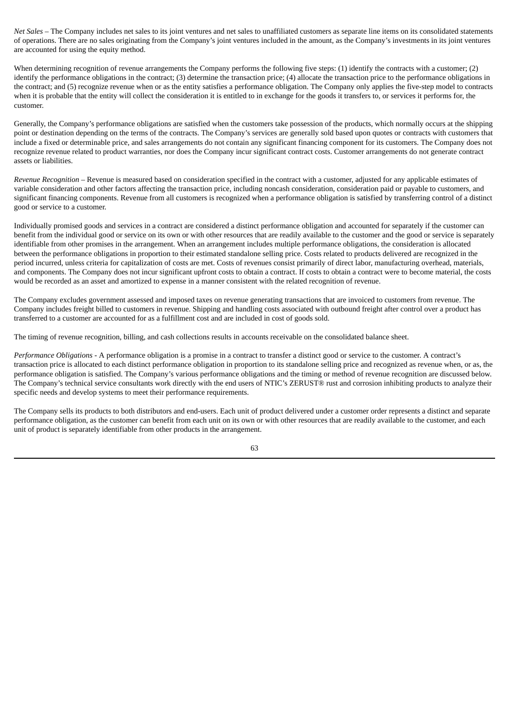*Net Sales* – The Company includes net sales to its joint ventures and net sales to unaffiliated customers as separate line items on its consolidated statements of operations. There are no sales originating from the Company's joint ventures included in the amount, as the Company's investments in its joint ventures are accounted for using the equity method.

When determining recognition of revenue arrangements the Company performs the following five steps: (1) identify the contracts with a customer; (2) identify the performance obligations in the contract; (3) determine the transaction price; (4) allocate the transaction price to the performance obligations in the contract; and (5) recognize revenue when or as the entity satisfies a performance obligation. The Company only applies the five-step model to contracts when it is probable that the entity will collect the consideration it is entitled to in exchange for the goods it transfers to, or services it performs for, the customer.

Generally, the Company's performance obligations are satisfied when the customers take possession of the products, which normally occurs at the shipping point or destination depending on the terms of the contracts. The Company's services are generally sold based upon quotes or contracts with customers that include a fixed or determinable price, and sales arrangements do not contain any significant financing component for its customers. The Company does not recognize revenue related to product warranties, nor does the Company incur significant contract costs. Customer arrangements do not generate contract assets or liabilities.

*Revenue Recognition* – Revenue is measured based on consideration specified in the contract with a customer, adjusted for any applicable estimates of variable consideration and other factors affecting the transaction price, including noncash consideration, consideration paid or payable to customers, and significant financing components. Revenue from all customers is recognized when a performance obligation is satisfied by transferring control of a distinct good or service to a customer.

Individually promised goods and services in a contract are considered a distinct performance obligation and accounted for separately if the customer can benefit from the individual good or service on its own or with other resources that are readily available to the customer and the good or service is separately identifiable from other promises in the arrangement. When an arrangement includes multiple performance obligations, the consideration is allocated between the performance obligations in proportion to their estimated standalone selling price. Costs related to products delivered are recognized in the period incurred, unless criteria for capitalization of costs are met. Costs of revenues consist primarily of direct labor, manufacturing overhead, materials, and components. The Company does not incur significant upfront costs to obtain a contract. If costs to obtain a contract were to become material, the costs would be recorded as an asset and amortized to expense in a manner consistent with the related recognition of revenue.

The Company excludes government assessed and imposed taxes on revenue generating transactions that are invoiced to customers from revenue. The Company includes freight billed to customers in revenue. Shipping and handling costs associated with outbound freight after control over a product has transferred to a customer are accounted for as a fulfillment cost and are included in cost of goods sold.

The timing of revenue recognition, billing, and cash collections results in accounts receivable on the consolidated balance sheet.

*Performance Obligations* - A performance obligation is a promise in a contract to transfer a distinct good or service to the customer. A contract's transaction price is allocated to each distinct performance obligation in proportion to its standalone selling price and recognized as revenue when, or as, the performance obligation is satisfied. The Company's various performance obligations and the timing or method of revenue recognition are discussed below. The Company's technical service consultants work directly with the end users of NTIC's ZERUST® rust and corrosion inhibiting products to analyze their specific needs and develop systems to meet their performance requirements.

The Company sells its products to both distributors and end-users. Each unit of product delivered under a customer order represents a distinct and separate performance obligation, as the customer can benefit from each unit on its own or with other resources that are readily available to the customer, and each unit of product is separately identifiable from other products in the arrangement.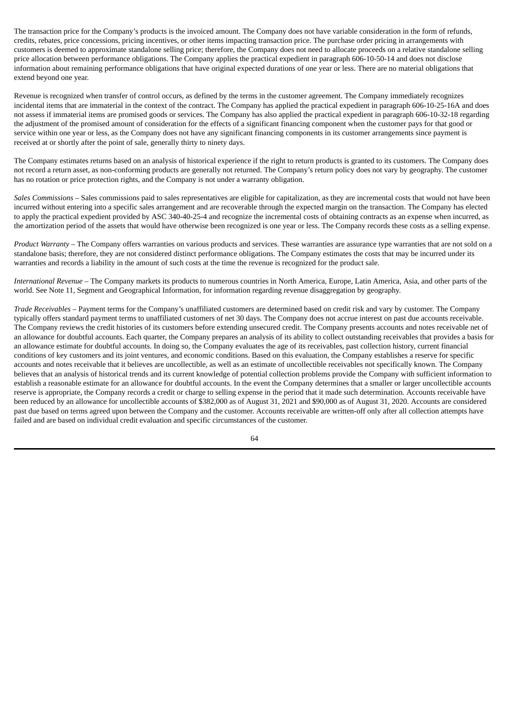The transaction price for the Company's products is the invoiced amount. The Company does not have variable consideration in the form of refunds, credits, rebates, price concessions, pricing incentives, or other items impacting transaction price. The purchase order pricing in arrangements with customers is deemed to approximate standalone selling price; therefore, the Company does not need to allocate proceeds on a relative standalone selling price allocation between performance obligations. The Company applies the practical expedient in paragraph 606-10-50-14 and does not disclose information about remaining performance obligations that have original expected durations of one year or less. There are no material obligations that extend beyond one year.

Revenue is recognized when transfer of control occurs, as defined by the terms in the customer agreement. The Company immediately recognizes incidental items that are immaterial in the context of the contract. The Company has applied the practical expedient in paragraph 606-10-25-16A and does not assess if immaterial items are promised goods or services. The Company has also applied the practical expedient in paragraph 606-10-32-18 regarding the adjustment of the promised amount of consideration for the effects of a significant financing component when the customer pays for that good or service within one year or less, as the Company does not have any significant financing components in its customer arrangements since payment is received at or shortly after the point of sale, generally thirty to ninety days.

The Company estimates returns based on an analysis of historical experience if the right to return products is granted to its customers. The Company does not record a return asset, as non-conforming products are generally not returned. The Company's return policy does not vary by geography. The customer has no rotation or price protection rights, and the Company is not under a warranty obligation.

*Sales Commissions* – Sales commissions paid to sales representatives are eligible for capitalization, as they are incremental costs that would not have been incurred without entering into a specific sales arrangement and are recoverable through the expected margin on the transaction. The Company has elected to apply the practical expedient provided by ASC 340-40-25-4 and recognize the incremental costs of obtaining contracts as an expense when incurred, as the amortization period of the assets that would have otherwise been recognized is one year or less. The Company records these costs as a selling expense.

*Product Warranty* – The Company offers warranties on various products and services. These warranties are assurance type warranties that are not sold on a standalone basis; therefore, they are not considered distinct performance obligations. The Company estimates the costs that may be incurred under its warranties and records a liability in the amount of such costs at the time the revenue is recognized for the product sale.

*International Revenue* – The Company markets its products to numerous countries in North America, Europe, Latin America, Asia, and other parts of the world. See Note 11, Segment and Geographical Information, for information regarding revenue disaggregation by geography.

*Trade Receivables* – Payment terms for the Company's unaffiliated customers are determined based on credit risk and vary by customer. The Company typically offers standard payment terms to unaffiliated customers of net 30 days. The Company does not accrue interest on past due accounts receivable. The Company reviews the credit histories of its customers before extending unsecured credit. The Company presents accounts and notes receivable net of an allowance for doubtful accounts. Each quarter, the Company prepares an analysis of its ability to collect outstanding receivables that provides a basis for an allowance estimate for doubtful accounts. In doing so, the Company evaluates the age of its receivables, past collection history, current financial conditions of key customers and its joint ventures, and economic conditions. Based on this evaluation, the Company establishes a reserve for specific accounts and notes receivable that it believes are uncollectible, as well as an estimate of uncollectible receivables not specifically known. The Company believes that an analysis of historical trends and its current knowledge of potential collection problems provide the Company with sufficient information to establish a reasonable estimate for an allowance for doubtful accounts. In the event the Company determines that a smaller or larger uncollectible accounts reserve is appropriate, the Company records a credit or charge to selling expense in the period that it made such determination. Accounts receivable have been reduced by an allowance for uncollectible accounts of \$382,000 as of August 31, 2021 and \$90,000 as of August 31, 2020. Accounts are considered past due based on terms agreed upon between the Company and the customer. Accounts receivable are written-off only after all collection attempts have failed and are based on individual credit evaluation and specific circumstances of the customer.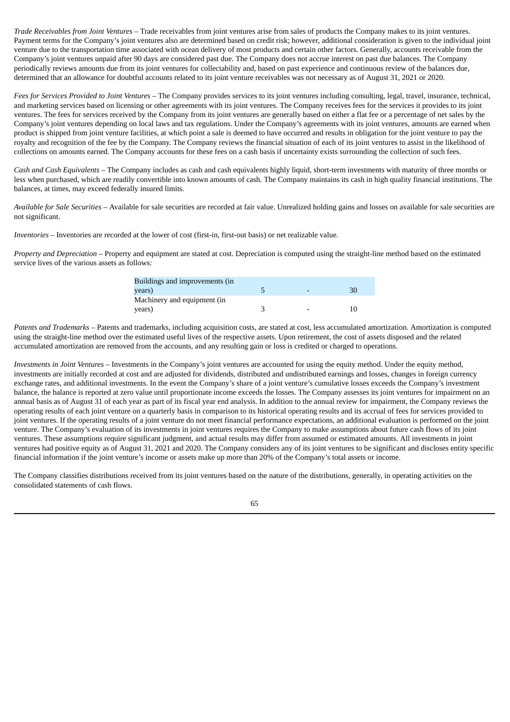*Trade Receivables from Joint Ventures* – Trade receivables from joint ventures arise from sales of products the Company makes to its joint ventures. Payment terms for the Company's joint ventures also are determined based on credit risk; however, additional consideration is given to the individual joint venture due to the transportation time associated with ocean delivery of most products and certain other factors. Generally, accounts receivable from the Company's joint ventures unpaid after 90 days are considered past due. The Company does not accrue interest on past due balances. The Company periodically reviews amounts due from its joint ventures for collectability and, based on past experience and continuous review of the balances due, determined that an allowance for doubtful accounts related to its joint venture receivables was not necessary as of August 31, 2021 or 2020.

*Fees for Services Provided to Joint Ventures* – The Company provides services to its joint ventures including consulting, legal, travel, insurance, technical, and marketing services based on licensing or other agreements with its joint ventures. The Company receives fees for the services it provides to its joint ventures. The fees for services received by the Company from its joint ventures are generally based on either a flat fee or a percentage of net sales by the Company's joint ventures depending on local laws and tax regulations. Under the Company's agreements with its joint ventures, amounts are earned when product is shipped from joint venture facilities, at which point a sale is deemed to have occurred and results in obligation for the joint venture to pay the royalty and recognition of the fee by the Company. The Company reviews the financial situation of each of its joint ventures to assist in the likelihood of collections on amounts earned. The Company accounts for these fees on a cash basis if uncertainty exists surrounding the collection of such fees.

*Cash and Cash Equivalents* – The Company includes as cash and cash equivalents highly liquid, short-term investments with maturity of three months or less when purchased, which are readily convertible into known amounts of cash. The Company maintains its cash in high quality financial institutions. The balances, at times, may exceed federally insured limits.

*Available for Sale Securities* – Available for sale securities are recorded at fair value. Unrealized holding gains and losses on available for sale securities are not significant.

*Inventories* – Inventories are recorded at the lower of cost (first-in, first-out basis) or net realizable value.

*Property and Depreciation* – Property and equipment are stated at cost. Depreciation is computed using the straight-line method based on the estimated service lives of the various assets as follows:

| Buildings and improvements (in |  |  |
|--------------------------------|--|--|
| years)                         |  |  |
| Machinery and equipment (in    |  |  |
| years)                         |  |  |

*Patents and Trademarks* – Patents and trademarks, including acquisition costs, are stated at cost, less accumulated amortization. Amortization is computed using the straight-line method over the estimated useful lives of the respective assets. Upon retirement, the cost of assets disposed and the related accumulated amortization are removed from the accounts, and any resulting gain or loss is credited or charged to operations.

*Investments in Joint Ventures* – Investments in the Company's joint ventures are accounted for using the equity method. Under the equity method, investments are initially recorded at cost and are adjusted for dividends, distributed and undistributed earnings and losses, changes in foreign currency exchange rates, and additional investments. In the event the Company's share of a joint venture's cumulative losses exceeds the Company's investment balance, the balance is reported at zero value until proportionate income exceeds the losses. The Company assesses its joint ventures for impairment on an annual basis as of August 31 of each year as part of its fiscal year end analysis. In addition to the annual review for impairment, the Company reviews the operating results of each joint venture on a quarterly basis in comparison to its historical operating results and its accrual of fees for services provided to joint ventures. If the operating results of a joint venture do not meet financial performance expectations, an additional evaluation is performed on the joint venture. The Company's evaluation of its investments in joint ventures requires the Company to make assumptions about future cash flows of its joint ventures. These assumptions require significant judgment, and actual results may differ from assumed or estimated amounts. All investments in joint ventures had positive equity as of August 31, 2021 and 2020. The Company considers any of its joint ventures to be significant and discloses entity specific financial information if the joint venture's income or assets make up more than 20% of the Company's total assets or income.

The Company classifies distributions received from its joint ventures based on the nature of the distributions, generally, in operating activities on the consolidated statements of cash flows.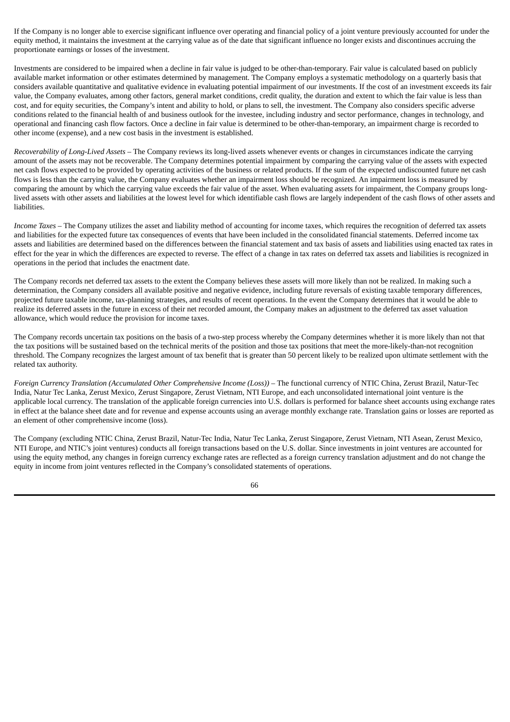If the Company is no longer able to exercise significant influence over operating and financial policy of a joint venture previously accounted for under the equity method, it maintains the investment at the carrying value as of the date that significant influence no longer exists and discontinues accruing the proportionate earnings or losses of the investment.

Investments are considered to be impaired when a decline in fair value is judged to be other-than-temporary. Fair value is calculated based on publicly available market information or other estimates determined by management. The Company employs a systematic methodology on a quarterly basis that considers available quantitative and qualitative evidence in evaluating potential impairment of our investments. If the cost of an investment exceeds its fair value, the Company evaluates, among other factors, general market conditions, credit quality, the duration and extent to which the fair value is less than cost, and for equity securities, the Company's intent and ability to hold, or plans to sell, the investment. The Company also considers specific adverse conditions related to the financial health of and business outlook for the investee, including industry and sector performance, changes in technology, and operational and financing cash flow factors. Once a decline in fair value is determined to be other-than-temporary, an impairment charge is recorded to other income (expense), and a new cost basis in the investment is established.

*Recoverability of Long-Lived Assets* – The Company reviews its long-lived assets whenever events or changes in circumstances indicate the carrying amount of the assets may not be recoverable. The Company determines potential impairment by comparing the carrying value of the assets with expected net cash flows expected to be provided by operating activities of the business or related products. If the sum of the expected undiscounted future net cash flows is less than the carrying value, the Company evaluates whether an impairment loss should be recognized. An impairment loss is measured by comparing the amount by which the carrying value exceeds the fair value of the asset. When evaluating assets for impairment, the Company groups longlived assets with other assets and liabilities at the lowest level for which identifiable cash flows are largely independent of the cash flows of other assets and liabilities.

*Income Taxes* – The Company utilizes the asset and liability method of accounting for income taxes, which requires the recognition of deferred tax assets and liabilities for the expected future tax consequences of events that have been included in the consolidated financial statements. Deferred income tax assets and liabilities are determined based on the differences between the financial statement and tax basis of assets and liabilities using enacted tax rates in effect for the year in which the differences are expected to reverse. The effect of a change in tax rates on deferred tax assets and liabilities is recognized in operations in the period that includes the enactment date.

The Company records net deferred tax assets to the extent the Company believes these assets will more likely than not be realized. In making such a determination, the Company considers all available positive and negative evidence, including future reversals of existing taxable temporary differences, projected future taxable income, tax-planning strategies, and results of recent operations. In the event the Company determines that it would be able to realize its deferred assets in the future in excess of their net recorded amount, the Company makes an adjustment to the deferred tax asset valuation allowance, which would reduce the provision for income taxes.

The Company records uncertain tax positions on the basis of a two-step process whereby the Company determines whether it is more likely than not that the tax positions will be sustained based on the technical merits of the position and those tax positions that meet the more-likely-than-not recognition threshold. The Company recognizes the largest amount of tax benefit that is greater than 50 percent likely to be realized upon ultimate settlement with the related tax authority.

*Foreign Currency Translation (Accumulated Other Comprehensive Income (Loss))* – The functional currency of NTIC China, Zerust Brazil, Natur-Tec India, Natur Tec Lanka, Zerust Mexico, Zerust Singapore, Zerust Vietnam, NTI Europe, and each unconsolidated international joint venture is the applicable local currency. The translation of the applicable foreign currencies into U.S. dollars is performed for balance sheet accounts using exchange rates in effect at the balance sheet date and for revenue and expense accounts using an average monthly exchange rate. Translation gains or losses are reported as an element of other comprehensive income (loss).

The Company (excluding NTIC China, Zerust Brazil, Natur-Tec India, Natur Tec Lanka, Zerust Singapore, Zerust Vietnam, NTI Asean, Zerust Mexico, NTI Europe, and NTIC's joint ventures) conducts all foreign transactions based on the U.S. dollar. Since investments in joint ventures are accounted for using the equity method, any changes in foreign currency exchange rates are reflected as a foreign currency translation adjustment and do not change the equity in income from joint ventures reflected in the Company's consolidated statements of operations.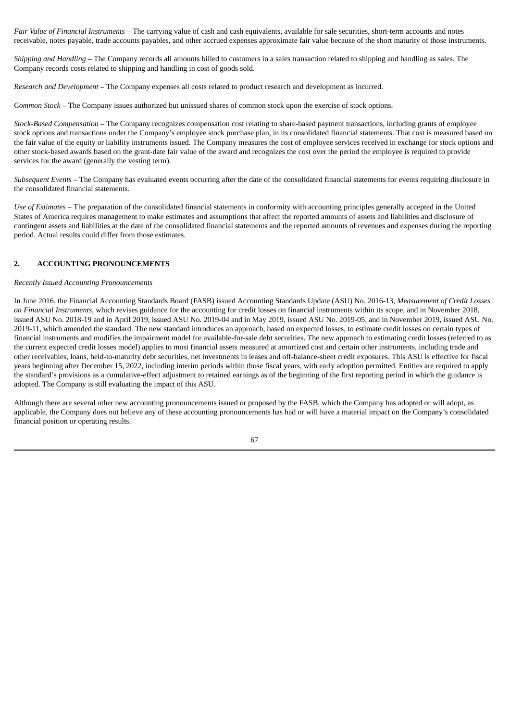*Fair Value of Financial Instruments* – The carrying value of cash and cash equivalents, available for sale securities, short-term accounts and notes receivable, notes payable, trade accounts payables, and other accrued expenses approximate fair value because of the short maturity of those instruments.

*Shipping and Handling* – The Company records all amounts billed to customers in a sales transaction related to shipping and handling as sales. The Company records costs related to shipping and handling in cost of goods sold.

*Research and Development* – The Company expenses all costs related to product research and development as incurred.

*Common Stock* – The Company issues authorized but unissued shares of common stock upon the exercise of stock options.

*Stock-Based Compensation* – The Company recognizes compensation cost relating to share-based payment transactions, including grants of employee stock options and transactions under the Company's employee stock purchase plan, in its consolidated financial statements. That cost is measured based on the fair value of the equity or liability instruments issued. The Company measures the cost of employee services received in exchange for stock options and other stock-based awards based on the grant-date fair value of the award and recognizes the cost over the period the employee is required to provide services for the award (generally the vesting term).

*Subsequent Events* – The Company has evaluated events occurring after the date of the consolidated financial statements for events requiring disclosure in the consolidated financial statements.

*Use of Estimates* – The preparation of the consolidated financial statements in conformity with accounting principles generally accepted in the United States of America requires management to make estimates and assumptions that affect the reported amounts of assets and liabilities and disclosure of contingent assets and liabilities at the date of the consolidated financial statements and the reported amounts of revenues and expenses during the reporting period. Actual results could differ from those estimates.

## **2. ACCOUNTING PRONOUNCEMENTS**

## *Recently Issued Accounting Pronouncements*

In June 2016, the Financial Accounting Standards Board (FASB) issued Accounting Standards Update (ASU) No. 2016-13, *Measurement of Credit Losses on Financial Instruments*, which revises guidance for the accounting for credit losses on financial instruments within its scope, and in November 2018, issued ASU No. 2018-19 and in April 2019, issued ASU No. 2019-04 and in May 2019, issued ASU No. 2019-05, and in November 2019, issued ASU No. 2019-11, which amended the standard. The new standard introduces an approach, based on expected losses, to estimate credit losses on certain types of financial instruments and modifies the impairment model for available-for-sale debt securities. The new approach to estimating credit losses (referred to as the current expected credit losses model) applies to most financial assets measured at amortized cost and certain other instruments, including trade and other receivables, loans, held-to-maturity debt securities, net investments in leases and off-balance-sheet credit exposures. This ASU is effective for fiscal years beginning after December 15, 2022, including interim periods within those fiscal years, with early adoption permitted. Entities are required to apply the standard's provisions as a cumulative-effect adjustment to retained earnings as of the beginning of the first reporting period in which the guidance is adopted. The Company is still evaluating the impact of this ASU.

Although there are several other new accounting pronouncements issued or proposed by the FASB, which the Company has adopted or will adopt, as applicable, the Company does not believe any of these accounting pronouncements has had or will have a material impact on the Company's consolidated financial position or operating results.

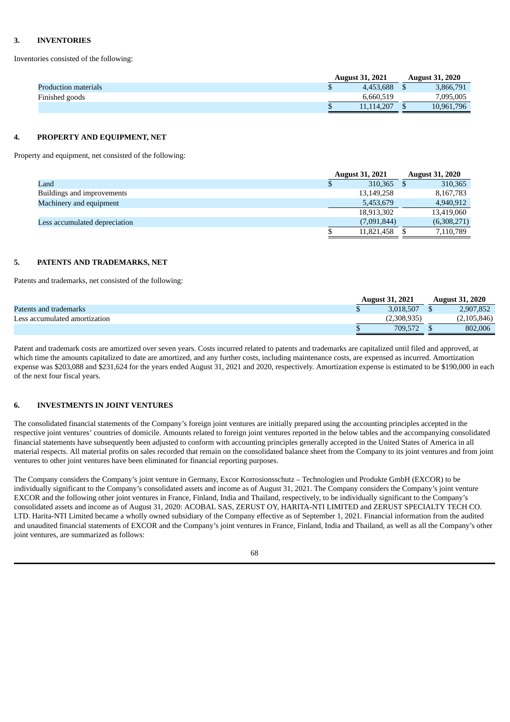# **3. INVENTORIES**

Inventories consisted of the following:

|                      | <b>August 31, 2021</b> |            |  | <b>August 31, 2020</b> |  |  |
|----------------------|------------------------|------------|--|------------------------|--|--|
| Production materials |                        | 4.453.688  |  | 3,866,791              |  |  |
| Finished goods       |                        | 6.660.519  |  | 7,095,005              |  |  |
|                      | Φ                      | 11,114,207 |  | 10,961,796             |  |  |

## **4. PROPERTY AND EQUIPMENT, NET**

Property and equipment, net consisted of the following:

|                               |   | <b>August 31, 2021</b> | <b>August 31, 2020</b> |  |  |
|-------------------------------|---|------------------------|------------------------|--|--|
| Land                          | Φ | 310.365                | 310,365                |  |  |
| Buildings and improvements    |   | 13,149,258             | 8,167,783              |  |  |
| Machinery and equipment       |   | 5,453,679              | 4,940,912              |  |  |
|                               |   | 18.913.302             | 13,419,060             |  |  |
| Less accumulated depreciation |   | (7,091,844)            | (6,308,271)            |  |  |
|                               |   | 11,821,458             | 7,110,789              |  |  |

# **5. PATENTS AND TRADEMARKS, NET**

Patents and trademarks, net consisted of the following:

|                               | <b>August 31, 2021</b> | <b>August 31, 2020</b> |
|-------------------------------|------------------------|------------------------|
| Patents and trademarks        | 3.018.507              | 2,907,852              |
| Less accumulated amortization | (2,308,935)            | (2,105,846)            |
|                               | 709.572                | 802,006                |

Patent and trademark costs are amortized over seven years. Costs incurred related to patents and trademarks are capitalized until filed and approved, at which time the amounts capitalized to date are amortized, and any further costs, including maintenance costs, are expensed as incurred. Amortization expense was \$203,088 and \$231,624 for the years ended August 31, 2021 and 2020, respectively. Amortization expense is estimated to be \$190,000 in each of the next four fiscal years.

# **6. INVESTMENTS IN JOINT VENTURES**

The consolidated financial statements of the Company's foreign joint ventures are initially prepared using the accounting principles accepted in the respective joint ventures' countries of domicile. Amounts related to foreign joint ventures reported in the below tables and the accompanying consolidated financial statements have subsequently been adjusted to conform with accounting principles generally accepted in the United States of America in all material respects. All material profits on sales recorded that remain on the consolidated balance sheet from the Company to its joint ventures and from joint ventures to other joint ventures have been eliminated for financial reporting purposes.

The Company considers the Company's joint venture in Germany, Excor Korrosionsschutz – Technologien und Produkte GmbH (EXCOR) to be individually significant to the Company's consolidated assets and income as of August 31, 2021. The Company considers the Company's joint venture EXCOR and the following other joint ventures in France, Finland, India and Thailand, respectively, to be individually significant to the Company's consolidated assets and income as of August 31, 2020: ACOBAL SAS, ZERUST OY, HARITA-NTI LIMITED and ZERUST SPECIALTY TECH CO. LTD. Harita-NTI Limited became a wholly owned subsidiary of the Company effective as of September 1, 2021. Financial information from the audited and unaudited financial statements of EXCOR and the Company's joint ventures in France, Finland, India and Thailand, as well as all the Company's other joint ventures, are summarized as follows:

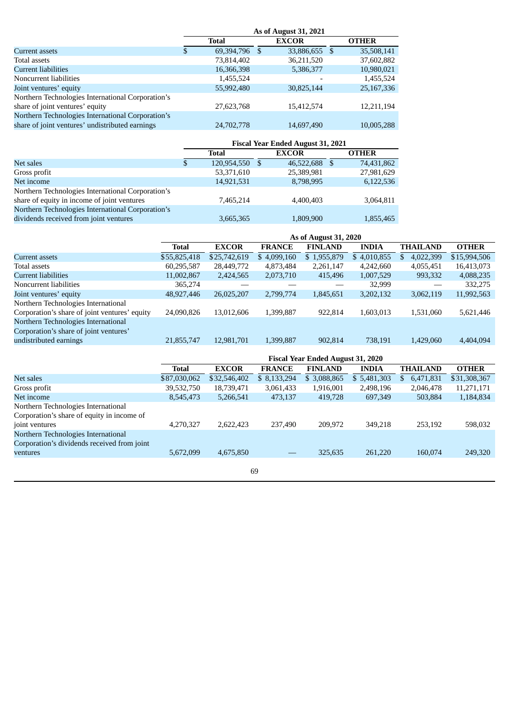|                                                   | As of August 31, 2021 |               |  |               |  |              |
|---------------------------------------------------|-----------------------|---------------|--|---------------|--|--------------|
|                                                   |                       | Total         |  | <b>EXCOR</b>  |  | <b>OTHER</b> |
| Current assets                                    | S                     | 69,394,796 \$ |  | 33,886,655 \$ |  | 35,508,141   |
| Total assets                                      |                       | 73,814,402    |  | 36,211,520    |  | 37,602,882   |
| Current liabilities                               |                       | 16,366,398    |  | 5,386,377     |  | 10,980,021   |
| Noncurrent liabilities                            |                       | 1,455,524     |  |               |  | 1,455,524    |
| Joint ventures' equity                            |                       | 55,992,480    |  | 30,825,144    |  | 25, 167, 336 |
| Northern Technologies International Corporation's |                       |               |  |               |  |              |
| share of joint ventures' equity                   |                       | 27,623,768    |  | 15,412,574    |  | 12,211,194   |
| Northern Technologies International Corporation's |                       |               |  |               |  |              |
| share of joint ventures' undistributed earnings   |                       | 24,702,778    |  | 14,697,490    |  | 10,005,288   |

|                                                   | <b>Fiscal Year Ended August 31, 2021</b> |             |      |              |      |              |  |
|---------------------------------------------------|------------------------------------------|-------------|------|--------------|------|--------------|--|
|                                                   |                                          | Total       |      | <b>EXCOR</b> |      | <b>OTHER</b> |  |
| Net sales                                         |                                          | 120,954,550 | - \$ | 46,522,688   | - \$ | 74,431,862   |  |
| Gross profit                                      |                                          | 53,371,610  |      | 25,389,981   |      | 27,981,629   |  |
| Net income                                        |                                          | 14,921,531  |      | 8,798,995    |      | 6,122,536    |  |
| Northern Technologies International Corporation's |                                          |             |      |              |      |              |  |
| share of equity in income of joint ventures       |                                          | 7.465.214   |      | 4,400,403    |      | 3,064,811    |  |
| Northern Technologies International Corporation's |                                          |             |      |              |      |              |  |
| dividends received from joint ventures            |                                          | 3,665,365   |      | 1.809.900    |      | 1,855,465    |  |

|                                               | As of August 31, 2020 |              |               |                |              |                 |              |  |
|-----------------------------------------------|-----------------------|--------------|---------------|----------------|--------------|-----------------|--------------|--|
|                                               | Total                 | <b>EXCOR</b> | <b>FRANCE</b> | <b>FINLAND</b> | <b>INDIA</b> | <b>THAILAND</b> | <b>OTHER</b> |  |
| Current assets                                | \$55,825,418          | \$25,742,619 | \$4,099,160   | \$1,955,879    | \$4,010,855  | 4,022,399<br>\$ | \$15,994,506 |  |
| Total assets                                  | 60,295,587            | 28,449,772   | 4,873,484     | 2,261,147      | 4,242,660    | 4,055,451       | 16,413,073   |  |
| <b>Current liabilities</b>                    | 11,002,867            | 2,424,565    | 2,073,710     | 415,496        | 1,007,529    | 993,332         | 4,088,235    |  |
| Noncurrent liabilities                        | 365,274               |              |               |                | 32,999       |                 | 332,275      |  |
| Joint ventures' equity                        | 48,927,446            | 26,025,207   | 2,799,774     | 1,845,651      | 3,202,132    | 3,062,119       | 11,992,563   |  |
| Northern Technologies International           |                       |              |               |                |              |                 |              |  |
| Corporation's share of joint ventures' equity | 24,090,826            | 13,012,606   | 1,399,887     | 922,814        | 1,603,013    | 1,531,060       | 5,621,446    |  |
| Northern Technologies International           |                       |              |               |                |              |                 |              |  |
| Corporation's share of joint ventures'        |                       |              |               |                |              |                 |              |  |
| undistributed earnings                        | 21,855,747            | 12,981,701   | 1,399,887     | 902,814        | 738,191      | 1,429,060       | 4,404,094    |  |
|                                               |                       |              |               |                |              |                 |              |  |

|                                                                                    |              | <b>Fiscal Year Ended August 31, 2020</b> |               |                |              |                 |              |  |  |
|------------------------------------------------------------------------------------|--------------|------------------------------------------|---------------|----------------|--------------|-----------------|--------------|--|--|
|                                                                                    | <b>Total</b> | <b>EXCOR</b>                             | <b>FRANCE</b> | <b>FINLAND</b> | <b>INDIA</b> | <b>THAILAND</b> | <b>OTHER</b> |  |  |
| Net sales                                                                          | \$87,030,062 | \$32,546,402                             | \$8,133,294   | \$ 3,088,865   | \$5,481,303  | 6,471,831<br>S. | \$31,308,367 |  |  |
| Gross profit                                                                       | 39,532,750   | 18,739,471                               | 3,061,433     | 1,916,001      | 2,498,196    | 2,046,478       | 11,271,171   |  |  |
| Net income                                                                         | 8,545,473    | 5,266,541                                | 473,137       | 419,728        | 697,349      | 503,884         | 1,184,834    |  |  |
| Northern Technologies International<br>Corporation's share of equity in income of  |              |                                          |               |                |              |                 |              |  |  |
| joint ventures                                                                     | 4,270,327    | 2,622,423                                | 237,490       | 209,972        | 349.218      | 253,192         | 598,032      |  |  |
| Northern Technologies International<br>Corporation's dividends received from joint |              |                                          |               |                |              |                 |              |  |  |
| ventures                                                                           | 5,672,099    | 4,675,850                                | —             | 325,635        | 261,220      | 160,074         | 249,320      |  |  |
|                                                                                    |              |                                          | 69            |                |              |                 |              |  |  |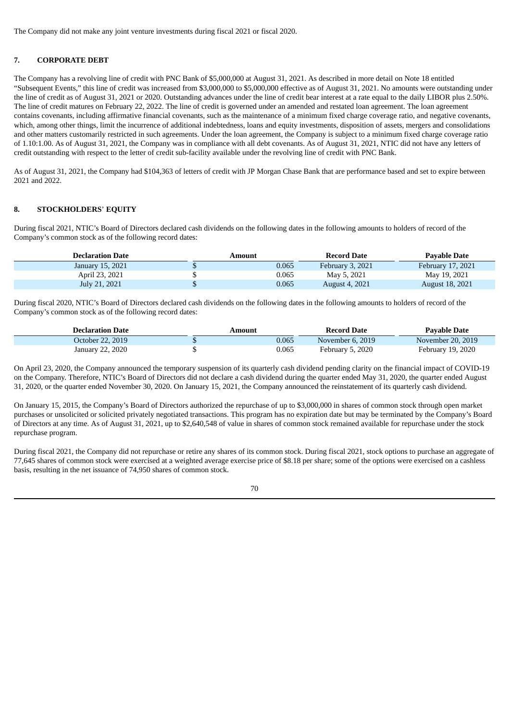The Company did not make any joint venture investments during fiscal 2021 or fiscal 2020.

# **7. CORPORATE DEBT**

The Company has a revolving line of credit with PNC Bank of \$5,000,000 at August 31, 2021. As described in more detail on Note 18 entitled "Subsequent Events," this line of credit was increased from \$3,000,000 to \$5,000,000 effective as of August 31, 2021. No amounts were outstanding under the line of credit as of August 31, 2021 or 2020. Outstanding advances under the line of credit bear interest at a rate equal to the daily LIBOR plus 2.50%. The line of credit matures on February 22, 2022. The line of credit is governed under an amended and restated loan agreement. The loan agreement contains covenants, including affirmative financial covenants, such as the maintenance of a minimum fixed charge coverage ratio, and negative covenants, which, among other things, limit the incurrence of additional indebtedness, loans and equity investments, disposition of assets, mergers and consolidations and other matters customarily restricted in such agreements. Under the loan agreement, the Company is subject to a minimum fixed charge coverage ratio of 1.10:1.00. As of August 31, 2021, the Company was in compliance with all debt covenants. As of August 31, 2021, NTIC did not have any letters of credit outstanding with respect to the letter of credit sub-facility available under the revolving line of credit with PNC Bank.

As of August 31, 2021, the Company had \$104,363 of letters of credit with JP Morgan Chase Bank that are performance based and set to expire between 2021 and 2022.

# **8. STOCKHOLDERS**' **EQUITY**

During fiscal 2021, NTIC's Board of Directors declared cash dividends on the following dates in the following amounts to holders of record of the Company's common stock as of the following record dates:

| <b>Declaration Date</b> | Amount | <b>Record Date</b>      | <b>Pavable Date</b> |
|-------------------------|--------|-------------------------|---------------------|
| January 15, 2021        | 0.065  | <b>February 3, 2021</b> | February 17, 2021   |
| April 23, 2021          | 0.065  | May 5, 2021             | May 19, 2021        |
| July 21, 2021           | 0.065  | <b>August 4, 2021</b>   | August 18, 2021     |

During fiscal 2020, NTIC's Board of Directors declared cash dividends on the following dates in the following amounts to holders of record of the Company's common stock as of the following record dates:

| <b>Declaration Date</b> | Amount |       | Record Date      | <b>Pavable Date</b> |  |  |
|-------------------------|--------|-------|------------------|---------------------|--|--|
| October 22, 2019        |        | 0.065 | November 6, 2019 | November 20, 2019   |  |  |
| January 22, 2020        |        | 0.065 | February 5, 2020 | February 19, 2020   |  |  |

On April 23, 2020, the Company announced the temporary suspension of its quarterly cash dividend pending clarity on the financial impact of COVID-19 on the Company. Therefore, NTIC's Board of Directors did not declare a cash dividend during the quarter ended May 31, 2020, the quarter ended August 31, 2020, or the quarter ended November 30, 2020. On January 15, 2021, the Company announced the reinstatement of its quarterly cash dividend.

On January 15, 2015, the Company's Board of Directors authorized the repurchase of up to \$3,000,000 in shares of common stock through open market purchases or unsolicited or solicited privately negotiated transactions. This program has no expiration date but may be terminated by the Company's Board of Directors at any time. As of August 31, 2021, up to \$2,640,548 of value in shares of common stock remained available for repurchase under the stock repurchase program.

During fiscal 2021, the Company did not repurchase or retire any shares of its common stock. During fiscal 2021, stock options to purchase an aggregate of 77,645 shares of common stock were exercised at a weighted average exercise price of \$8.18 per share; some of the options were exercised on a cashless basis, resulting in the net issuance of 74,950 shares of common stock.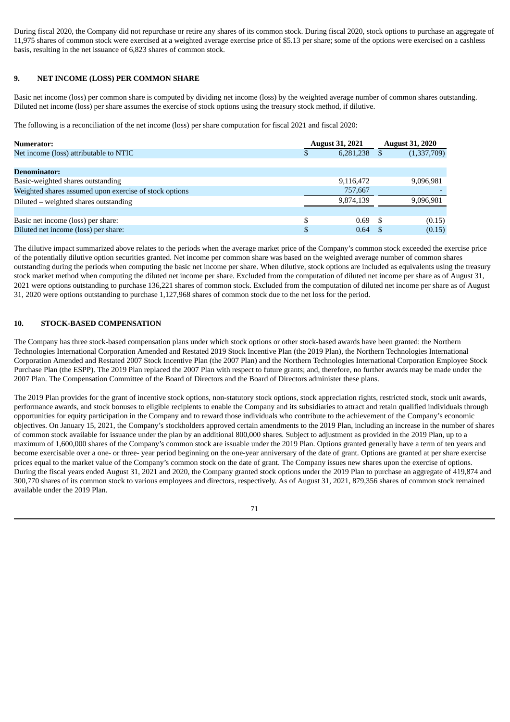During fiscal 2020, the Company did not repurchase or retire any shares of its common stock. During fiscal 2020, stock options to purchase an aggregate of 11,975 shares of common stock were exercised at a weighted average exercise price of \$5.13 per share; some of the options were exercised on a cashless basis, resulting in the net issuance of 6,823 shares of common stock.

# **9. NET INCOME (LOSS) PER COMMON SHARE**

Basic net income (loss) per common share is computed by dividing net income (loss) by the weighted average number of common shares outstanding. Diluted net income (loss) per share assumes the exercise of stock options using the treasury stock method, if dilutive.

The following is a reconciliation of the net income (loss) per share computation for fiscal 2021 and fiscal 2020:

| Numerator:                                             | <b>August 31, 2021</b> | <b>August 31, 2020</b> |             |  |
|--------------------------------------------------------|------------------------|------------------------|-------------|--|
| Net income (loss) attributable to NTIC                 | $6,281,238$ \$         |                        | (1,337,709) |  |
|                                                        |                        |                        |             |  |
| <b>Denominator:</b>                                    |                        |                        |             |  |
| Basic-weighted shares outstanding                      | 9,116,472              |                        | 9,096,981   |  |
| Weighted shares assumed upon exercise of stock options | 757,667                |                        |             |  |
| Diluted – weighted shares outstanding                  | 9,874,139              |                        | 9,096,981   |  |
|                                                        |                        |                        |             |  |
| Basic net income (loss) per share:                     | 0.69                   |                        | (0.15)      |  |
| Diluted net income (loss) per share:                   | 0.64                   |                        | (0.15)      |  |

The dilutive impact summarized above relates to the periods when the average market price of the Company's common stock exceeded the exercise price of the potentially dilutive option securities granted. Net income per common share was based on the weighted average number of common shares outstanding during the periods when computing the basic net income per share. When dilutive, stock options are included as equivalents using the treasury stock market method when computing the diluted net income per share. Excluded from the computation of diluted net income per share as of August 31, 2021 were options outstanding to purchase 136,221 shares of common stock. Excluded from the computation of diluted net income per share as of August 31, 2020 were options outstanding to purchase 1,127,968 shares of common stock due to the net loss for the period.

# **10. STOCK-BASED COMPENSATION**

The Company has three stock-based compensation plans under which stock options or other stock-based awards have been granted: the Northern Technologies International Corporation Amended and Restated 2019 Stock Incentive Plan (the 2019 Plan), the Northern Technologies International Corporation Amended and Restated 2007 Stock Incentive Plan (the 2007 Plan) and the Northern Technologies International Corporation Employee Stock Purchase Plan (the ESPP). The 2019 Plan replaced the 2007 Plan with respect to future grants; and, therefore, no further awards may be made under the 2007 Plan. The Compensation Committee of the Board of Directors and the Board of Directors administer these plans.

The 2019 Plan provides for the grant of incentive stock options, non-statutory stock options, stock appreciation rights, restricted stock, stock unit awards, performance awards, and stock bonuses to eligible recipients to enable the Company and its subsidiaries to attract and retain qualified individuals through opportunities for equity participation in the Company and to reward those individuals who contribute to the achievement of the Company's economic objectives. On January 15, 2021, the Company's stockholders approved certain amendments to the 2019 Plan, including an increase in the number of shares of common stock available for issuance under the plan by an additional 800,000 shares. Subject to adjustment as provided in the 2019 Plan, up to a maximum of 1,600,000 shares of the Company's common stock are issuable under the 2019 Plan. Options granted generally have a term of ten years and become exercisable over a one- or three- year period beginning on the one-year anniversary of the date of grant. Options are granted at per share exercise prices equal to the market value of the Company's common stock on the date of grant. The Company issues new shares upon the exercise of options. During the fiscal years ended August 31, 2021 and 2020, the Company granted stock options under the 2019 Plan to purchase an aggregate of 419,874 and 300,770 shares of its common stock to various employees and directors, respectively. As of August 31, 2021, 879,356 shares of common stock remained available under the 2019 Plan.

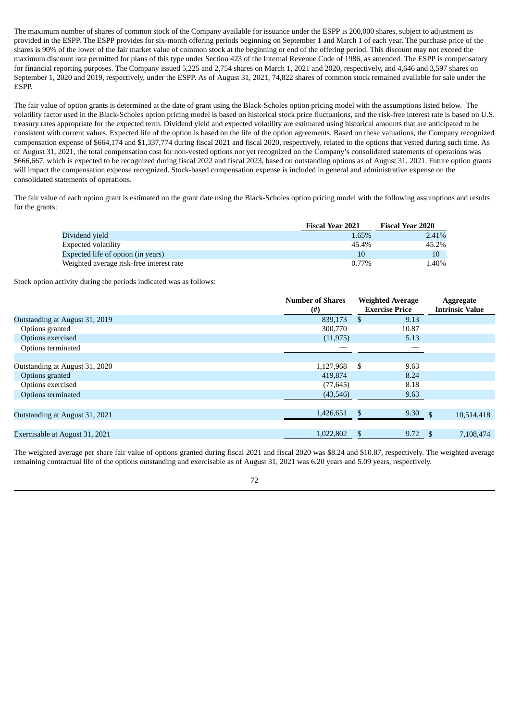The maximum number of shares of common stock of the Company available for issuance under the ESPP is 200,000 shares, subject to adjustment as provided in the ESPP. The ESPP provides for six-month offering periods beginning on September 1 and March 1 of each year. The purchase price of the shares is 90% of the lower of the fair market value of common stock at the beginning or end of the offering period. This discount may not exceed the maximum discount rate permitted for plans of this type under Section 423 of the Internal Revenue Code of 1986, as amended. The ESPP is compensatory for financial reporting purposes. The Company issued 5,225 and 2,754 shares on March 1, 2021 and 2020, respectively, and 4,646 and 3,597 shares on September 1, 2020 and 2019, respectively, under the ESPP. As of August 31, 2021, 74,822 shares of common stock remained available for sale under the **ESPP.** 

The fair value of option grants is determined at the date of grant using the Black-Scholes option pricing model with the assumptions listed below. The volatility factor used in the Black-Scholes option pricing model is based on historical stock price fluctuations, and the risk-free interest rate is based on U.S. treasury rates appropriate for the expected term. Dividend yield and expected volatility are estimated using historical amounts that are anticipated to be consistent with current values. Expected life of the option is based on the life of the option agreements. Based on these valuations, the Company recognized compensation expense of \$664,174 and \$1,337,774 during fiscal 2021 and fiscal 2020, respectively, related to the options that vested during such time. As of August 31, 2021, the total compensation cost for non-vested options not yet recognized on the Company's consolidated statements of operations was \$666,667, which is expected to be recognized during fiscal 2022 and fiscal 2023, based on outstanding options as of August 31, 2021. Future option grants will impact the compensation expense recognized. Stock-based compensation expense is included in general and administrative expense on the consolidated statements of operations.

The fair value of each option grant is estimated on the grant date using the Black-Scholes option pricing model with the following assumptions and results for the grants:

|                                          | <b>Fiscal Year 2021</b> | <b>Fiscal Year 2020</b> |
|------------------------------------------|-------------------------|-------------------------|
| Dividend vield                           | 1.65%                   | 2.41%                   |
| Expected volatility                      | 45.4%                   | 45.2%                   |
| Expected life of option (in years)       | 10                      | 10                      |
| Weighted average risk-free interest rate | $0.77\%$                | 1.40%                   |

Stock option activity during the periods indicated was as follows:

|                                | <b>Number of Shares</b> | <b>Weighted Average</b><br><b>Exercise Price</b> |                   | <b>Aggregate</b><br><b>Intrinsic Value</b> |
|--------------------------------|-------------------------|--------------------------------------------------|-------------------|--------------------------------------------|
|                                | $^{(#)}$                |                                                  |                   |                                            |
| Outstanding at August 31, 2019 | 839,173                 | - \$                                             | 9.13              |                                            |
| Options granted                | 300,770                 |                                                  | 10.87             |                                            |
| Options exercised              | (11, 975)               |                                                  | 5.13              |                                            |
| Options terminated             |                         |                                                  |                   |                                            |
|                                |                         |                                                  |                   |                                            |
| Outstanding at August 31, 2020 | 1,127,968               | - \$                                             | 9.63              |                                            |
| Options granted                | 419,874                 |                                                  | 8.24              |                                            |
| Options exercised              | (77, 645)               |                                                  | 8.18              |                                            |
| Options terminated             | (43, 546)               |                                                  | 9.63              |                                            |
|                                |                         |                                                  |                   |                                            |
| Outstanding at August 31, 2021 | 1,426,651               | <sup>\$</sup>                                    | 9.30 <sub>5</sub> | 10,514,418                                 |
|                                |                         |                                                  |                   |                                            |
| Exercisable at August 31, 2021 | 1,022,802               | <sup>\$</sup>                                    | $9.72 \quad $$    | 7,108,474                                  |
|                                |                         |                                                  |                   |                                            |

The weighted average per share fair value of options granted during fiscal 2021 and fiscal 2020 was \$8.24 and \$10.87, respectively. The weighted average remaining contractual life of the options outstanding and exercisable as of August 31, 2021 was 6.20 years and 5.09 years, respectively.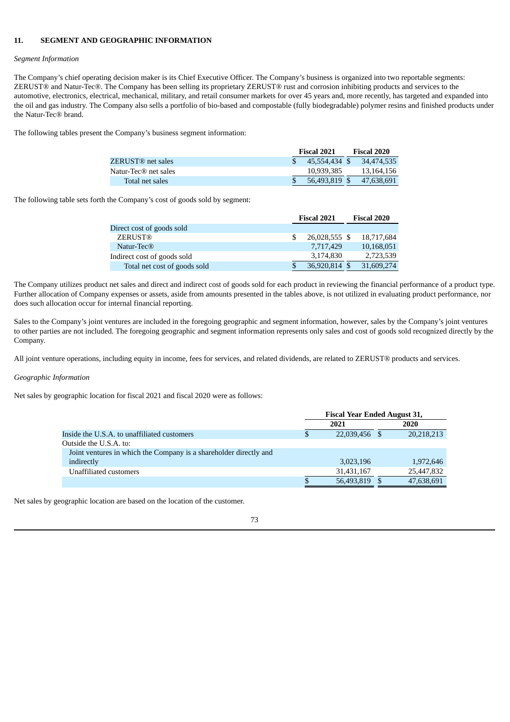# **11. SEGMENT AND GEOGRAPHIC INFORMATION**

#### *Segment Information*

The Company's chief operating decision maker is its Chief Executive Officer. The Company's business is organized into two reportable segments: ZERUST® and Natur-Tec®. The Company has been selling its proprietary ZERUST® rust and corrosion inhibiting products and services to the automotive, electronics, electrical, mechanical, military, and retail consumer markets for over 45 years and, more recently, has targeted and expanded into the oil and gas industry. The Company also sells a portfolio of bio-based and compostable (fully biodegradable) polymer resins and finished products under the Natur-Tec® brand.

The following tables present the Company's business segment information:

|                      | Fiscal 2021   | <b>Fiscal 2020</b> |
|----------------------|---------------|--------------------|
| ZERUST® net sales    | 45,554,434 \$ | 34.474.535         |
| Natur-Tec® net sales | 10.939.385    | 13.164.156         |
| Total net sales      | 56.493.819 \$ | 47.638.691         |

The following table sets forth the Company's cost of goods sold by segment:

|                              | Fiscal 2021 |               | <b>Fiscal 2020</b> |
|------------------------------|-------------|---------------|--------------------|
| Direct cost of goods sold    |             |               |                    |
| ZERUST®                      |             | 26,028,555 \$ | 18,717,684         |
| Natur-Tec $\mathbb R$        |             | 7.717.429     | 10,168,051         |
| Indirect cost of goods sold  |             | 3,174,830     | 2,723,539          |
| Total net cost of goods sold |             | 36,920,814 \$ | 31,609,274         |

The Company utilizes product net sales and direct and indirect cost of goods sold for each product in reviewing the financial performance of a product type. Further allocation of Company expenses or assets, aside from amounts presented in the tables above, is not utilized in evaluating product performance, nor does such allocation occur for internal financial reporting.

Sales to the Company's joint ventures are included in the foregoing geographic and segment information, however, sales by the Company's joint ventures to other parties are not included. The foregoing geographic and segment information represents only sales and cost of goods sold recognized directly by the Company.

All joint venture operations, including equity in income, fees for services, and related dividends, are related to ZERUST® products and services.

# *Geographic Information*

Net sales by geographic location for fiscal 2021 and fiscal 2020 were as follows:

|                                                                   | <b>Fiscal Year Ended August 31,</b> |               |  |            |
|-------------------------------------------------------------------|-------------------------------------|---------------|--|------------|
|                                                                   |                                     | 2021          |  | 2020       |
| Inside the U.S.A. to unaffiliated customers                       |                                     | 22,039,456 \$ |  | 20,218,213 |
| Outside the U.S.A. to:                                            |                                     |               |  |            |
| Joint ventures in which the Company is a shareholder directly and |                                     |               |  |            |
| indirectly                                                        |                                     | 3,023,196     |  | 1,972,646  |
| Unaffiliated customers                                            |                                     | 31,431,167    |  | 25,447,832 |
|                                                                   |                                     | 56,493,819    |  | 47,638,691 |

Net sales by geographic location are based on the location of the customer.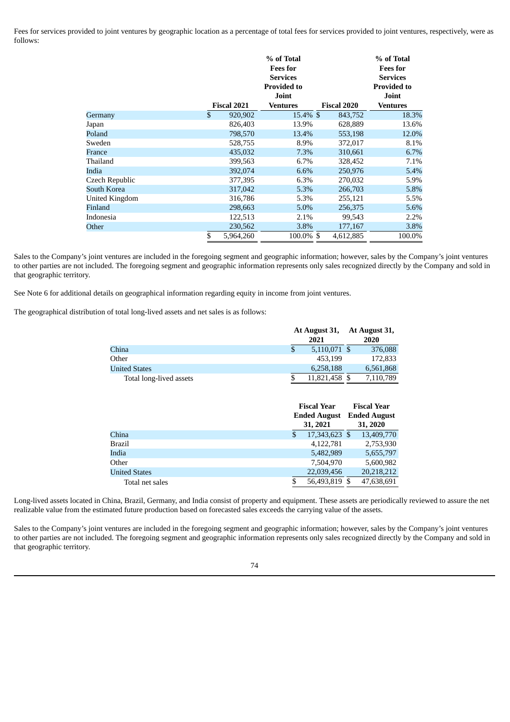Fees for services provided to joint ventures by geographic location as a percentage of total fees for services provided to joint ventures, respectively, were as follows:

|                |                    | % of Total<br><b>Fees for</b><br><b>Services</b><br><b>Provided to</b><br>Joint |             | % of Total<br><b>Fees for</b><br><b>Services</b><br><b>Provided to</b><br>Joint |
|----------------|--------------------|---------------------------------------------------------------------------------|-------------|---------------------------------------------------------------------------------|
|                | <b>Fiscal 2021</b> | <b>Ventures</b>                                                                 | Fiscal 2020 | <b>Ventures</b>                                                                 |
| Germany        | \$<br>920,902      | 15.4% \$                                                                        | 843,752     | 18.3%                                                                           |
| Japan          | 826,403            | 13.9%                                                                           | 628,889     | 13.6%                                                                           |
| Poland         | 798,570            | 13.4%                                                                           | 553,198     | 12.0%                                                                           |
| Sweden         | 528,755            | 8.9%                                                                            | 372,017     | 8.1%                                                                            |
| France         | 435,032            | 7.3%                                                                            | 310,661     | 6.7%                                                                            |
| Thailand       | 399,563            | 6.7%                                                                            | 328,452     | 7.1%                                                                            |
| India          | 392,074            | 6.6%                                                                            | 250,976     | 5.4%                                                                            |
| Czech Republic | 377,395            | 6.3%                                                                            | 270,032     | 5.9%                                                                            |
| South Korea    | 317,042            | 5.3%                                                                            | 266,703     | 5.8%                                                                            |
| United Kingdom | 316,786            | 5.3%                                                                            | 255,121     | 5.5%                                                                            |
| Finland        | 298,663            | 5.0%                                                                            | 256,375     | 5.6%                                                                            |
| Indonesia      | 122,513            | 2.1%                                                                            | 99,543      | 2.2%                                                                            |
| Other          | 230,562            | 3.8%                                                                            | 177,167     | 3.8%                                                                            |
|                | \$<br>5,964,260    | 100.0% \$                                                                       | 4,612,885   | 100.0%                                                                          |

Sales to the Company's joint ventures are included in the foregoing segment and geographic information; however, sales by the Company's joint ventures to other parties are not included. The foregoing segment and geographic information represents only sales recognized directly by the Company and sold in that geographic territory.

See Note 6 for additional details on geographical information regarding equity in income from joint ventures.

The geographical distribution of total long-lived assets and net sales is as follows:

|                         | At August 31, |  | At August 31, |  |
|-------------------------|---------------|--|---------------|--|
|                         | 2021          |  | 2020          |  |
| China                   | 5.110.071 \$  |  | 376,088       |  |
| Other                   | 453.199       |  | 172,833       |  |
| <b>United States</b>    | 6,258,188     |  | 6,561,868     |  |
| Total long-lived assets | 11,821,458 \$ |  | 7,110,789     |  |

|                      | <b>Fiscal Year</b><br><b>Ended August</b><br>31, 2021 | <b>Fiscal Year</b><br><b>Ended August</b><br>31, 2020 |
|----------------------|-------------------------------------------------------|-------------------------------------------------------|
| China                | \$<br>17,343,623 \$                                   | 13,409,770                                            |
| <b>Brazil</b>        | 4,122,781                                             | 2,753,930                                             |
| India                | 5,482,989                                             | 5,655,797                                             |
| Other                | 7,504,970                                             | 5,600,982                                             |
| <b>United States</b> | 22,039,456                                            | 20,218,212                                            |
| Total net sales      | \$<br>56,493,819 \$                                   | 47,638,691                                            |

Long-lived assets located in China, Brazil, Germany, and India consist of property and equipment. These assets are periodically reviewed to assure the net realizable value from the estimated future production based on forecasted sales exceeds the carrying value of the assets.

Sales to the Company's joint ventures are included in the foregoing segment and geographic information; however, sales by the Company's joint ventures to other parties are not included. The foregoing segment and geographic information represents only sales recognized directly by the Company and sold in that geographic territory.

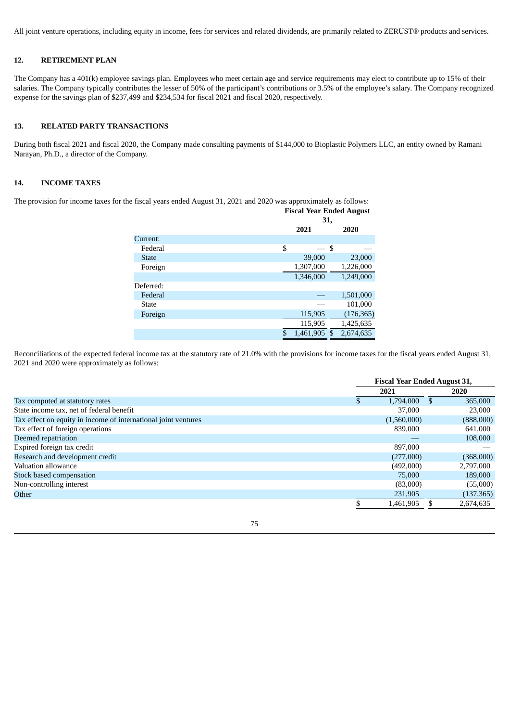All joint venture operations, including equity in income, fees for services and related dividends, are primarily related to ZERUST® products and services.

# **12. RETIREMENT PLAN**

The Company has a 401(k) employee savings plan. Employees who meet certain age and service requirements may elect to contribute up to 15% of their salaries. The Company typically contributes the lesser of 50% of the participant's contributions or 3.5% of the employee's salary. The Company recognized expense for the savings plan of \$237,499 and \$234,534 for fiscal 2021 and fiscal 2020, respectively.

# **13. RELATED PARTY TRANSACTIONS**

During both fiscal 2021 and fiscal 2020, the Company made consulting payments of \$144,000 to Bioplastic Polymers LLC, an entity owned by Ramani Narayan, Ph.D., a director of the Company.

### **14. INCOME TAXES**

The provision for income taxes for the fiscal years ended August 31, 2021 and 2020 was approximately as follows: **Fiscal Year Ended August**

|              | гімаі теат ениси лиgим         |      |            |  |
|--------------|--------------------------------|------|------------|--|
|              | 31,                            |      |            |  |
|              | 2021                           |      | 2020       |  |
| Current:     |                                |      |            |  |
| Federal      | \$<br>$\overline{\phantom{a}}$ | - \$ |            |  |
| <b>State</b> | 39,000                         |      | 23,000     |  |
| Foreign      | 1,307,000                      |      | 1,226,000  |  |
|              | 1,346,000                      |      | 1,249,000  |  |
| Deferred:    |                                |      |            |  |
| Federal      |                                |      | 1,501,000  |  |
| <b>State</b> |                                |      | 101,000    |  |
| Foreign      | 115,905                        |      | (176, 365) |  |
|              | 115,905                        |      | 1,425,635  |  |
|              | \$<br>1,461,905 \$             |      | 2,674,635  |  |

Reconciliations of the expected federal income tax at the statutory rate of 21.0% with the provisions for income taxes for the fiscal years ended August 31, 2021 and 2020 were approximately as follows:

|                                                                | <b>Fiscal Year Ended August 31,</b> |              |  |           |
|----------------------------------------------------------------|-------------------------------------|--------------|--|-----------|
|                                                                | 2021                                |              |  | 2020      |
| Tax computed at statutory rates                                |                                     | 1,794,000 \$ |  | 365,000   |
| State income tax, net of federal benefit                       |                                     | 37,000       |  | 23,000    |
| Tax effect on equity in income of international joint ventures |                                     | (1,560,000)  |  | (888,000) |
| Tax effect of foreign operations                               |                                     | 839,000      |  | 641,000   |
| Deemed repatriation                                            |                                     |              |  | 108,000   |
| Expired foreign tax credit                                     |                                     | 897,000      |  |           |
| Research and development credit                                |                                     | (277,000)    |  | (368,000) |
| Valuation allowance                                            |                                     | (492,000)    |  | 2,797,000 |
| Stock based compensation                                       |                                     | 75,000       |  | 189,000   |
| Non-controlling interest                                       |                                     | (83,000)     |  | (55,000)  |
| Other                                                          |                                     | 231,905      |  | (137.365) |
|                                                                |                                     | 1,461,905    |  | 2,674,635 |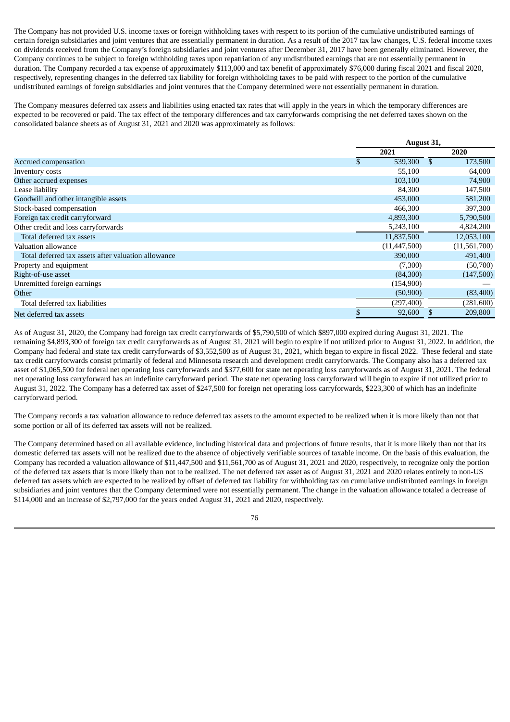The Company has not provided U.S. income taxes or foreign withholding taxes with respect to its portion of the cumulative undistributed earnings of certain foreign subsidiaries and joint ventures that are essentially permanent in duration. As a result of the 2017 tax law changes, U.S. federal income taxes on dividends received from the Company's foreign subsidiaries and joint ventures after December 31, 2017 have been generally eliminated. However, the Company continues to be subject to foreign withholding taxes upon repatriation of any undistributed earnings that are not essentially permanent in duration. The Company recorded a tax expense of approximately \$113,000 and tax benefit of approximately \$76,000 during fiscal 2021 and fiscal 2020, respectively, representing changes in the deferred tax liability for foreign withholding taxes to be paid with respect to the portion of the cumulative undistributed earnings of foreign subsidiaries and joint ventures that the Company determined were not essentially permanent in duration.

**August 31,**

The Company measures deferred tax assets and liabilities using enacted tax rates that will apply in the years in which the temporary differences are expected to be recovered or paid. The tax effect of the temporary differences and tax carryforwards comprising the net deferred taxes shown on the consolidated balance sheets as of August 31, 2021 and 2020 was approximately as follows:

|                                                     |      | August 31,     |                |  |
|-----------------------------------------------------|------|----------------|----------------|--|
|                                                     | 2021 |                | 2020           |  |
| Accrued compensation                                | \$   | 539,300<br>-S  | 173,500        |  |
| Inventory costs                                     |      | 55,100         | 64,000         |  |
| Other accrued expenses                              |      | 103,100        | 74,900         |  |
| Lease liability                                     |      | 84,300         | 147,500        |  |
| Goodwill and other intangible assets                |      | 453,000        | 581,200        |  |
| Stock-based compensation                            |      | 466,300        | 397,300        |  |
| Foreign tax credit carryforward                     |      | 4,893,300      | 5,790,500      |  |
| Other credit and loss carryforwards                 |      | 5,243,100      | 4,824,200      |  |
| Total deferred tax assets                           |      | 11,837,500     | 12,053,100     |  |
| Valuation allowance                                 |      | (11, 447, 500) | (11, 561, 700) |  |
| Total deferred tax assets after valuation allowance |      | 390,000        | 491,400        |  |
| Property and equipment                              |      | (7,300)        | (50,700)       |  |
| Right-of-use asset                                  |      | (84,300)       | (147,500)      |  |
| Unremitted foreign earnings                         |      | (154,900)      |                |  |
| Other                                               |      | (50,900)       | (83,400)       |  |
| Total deferred tax liabilities                      |      | (297, 400)     | (281, 600)     |  |
| Net deferred tax assets                             |      | 92,600         | 209,800        |  |

As of August 31, 2020, the Company had foreign tax credit carryforwards of \$5,790,500 of which \$897,000 expired during August 31, 2021. The remaining \$4,893,300 of foreign tax credit carryforwards as of August 31, 2021 will begin to expire if not utilized prior to August 31, 2022. In addition, the Company had federal and state tax credit carryforwards of \$3,552,500 as of August 31, 2021, which began to expire in fiscal 2022. These federal and state tax credit carryforwards consist primarily of federal and Minnesota research and development credit carryforwards. The Company also has a deferred tax asset of \$1,065,500 for federal net operating loss carryforwards and \$377,600 for state net operating loss carryforwards as of August 31, 2021. The federal net operating loss carryforward has an indefinite carryforward period. The state net operating loss carryforward will begin to expire if not utilized prior to August 31, 2022. The Company has a deferred tax asset of \$247,500 for foreign net operating loss carryforwards, \$223,300 of which has an indefinite carryforward period.

The Company records a tax valuation allowance to reduce deferred tax assets to the amount expected to be realized when it is more likely than not that some portion or all of its deferred tax assets will not be realized.

The Company determined based on all available evidence, including historical data and projections of future results, that it is more likely than not that its domestic deferred tax assets will not be realized due to the absence of objectively verifiable sources of taxable income. On the basis of this evaluation, the Company has recorded a valuation allowance of \$11,447,500 and \$11,561,700 as of August 31, 2021 and 2020, respectively, to recognize only the portion of the deferred tax assets that is more likely than not to be realized. The net deferred tax asset as of August 31, 2021 and 2020 relates entirely to non-US deferred tax assets which are expected to be realized by offset of deferred tax liability for withholding tax on cumulative undistributed earnings in foreign subsidiaries and joint ventures that the Company determined were not essentially permanent. The change in the valuation allowance totaled a decrease of \$114,000 and an increase of \$2,797,000 for the years ended August 31, 2021 and 2020, respectively.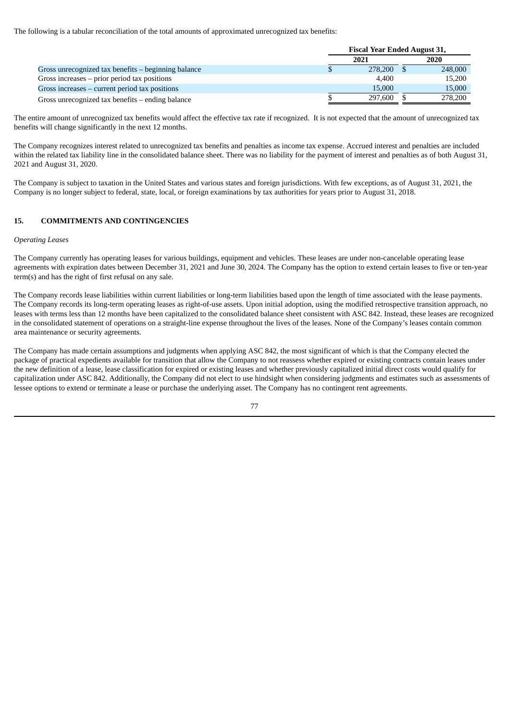The following is a tabular reconciliation of the total amounts of approximated unrecognized tax benefits:

|                                                     | <b>Fiscal Year Ended August 31,</b> |  |         |  |
|-----------------------------------------------------|-------------------------------------|--|---------|--|
|                                                     | 2021                                |  | 2020    |  |
| Gross unrecognized tax benefits – beginning balance | 278,200                             |  | 248,000 |  |
| Gross increases – prior period tax positions        | 4.400                               |  | 15,200  |  |
| Gross increases – current period tax positions      | 15,000                              |  | 15,000  |  |
| Gross unrecognized tax benefits – ending balance    | 297,600                             |  | 278,200 |  |

The entire amount of unrecognized tax benefits would affect the effective tax rate if recognized. It is not expected that the amount of unrecognized tax benefits will change significantly in the next 12 months.

The Company recognizes interest related to unrecognized tax benefits and penalties as income tax expense. Accrued interest and penalties are included within the related tax liability line in the consolidated balance sheet. There was no liability for the payment of interest and penalties as of both August 31, 2021 and August 31, 2020.

The Company is subject to taxation in the United States and various states and foreign jurisdictions. With few exceptions, as of August 31, 2021, the Company is no longer subject to federal, state, local, or foreign examinations by tax authorities for years prior to August 31, 2018.

# **15. COMMITMENTS AND CONTINGENCIES**

*Operating Leases*

The Company currently has operating leases for various buildings, equipment and vehicles. These leases are under non-cancelable operating lease agreements with expiration dates between December 31, 2021 and June 30, 2024. The Company has the option to extend certain leases to five or ten-year term(s) and has the right of first refusal on any sale.

The Company records lease liabilities within current liabilities or long-term liabilities based upon the length of time associated with the lease payments. The Company records its long-term operating leases as right-of-use assets. Upon initial adoption, using the modified retrospective transition approach, no leases with terms less than 12 months have been capitalized to the consolidated balance sheet consistent with ASC 842. Instead, these leases are recognized in the consolidated statement of operations on a straight-line expense throughout the lives of the leases. None of the Company's leases contain common area maintenance or security agreements.

The Company has made certain assumptions and judgments when applying ASC 842, the most significant of which is that the Company elected the package of practical expedients available for transition that allow the Company to not reassess whether expired or existing contracts contain leases under the new definition of a lease, lease classification for expired or existing leases and whether previously capitalized initial direct costs would qualify for capitalization under ASC 842. Additionally, the Company did not elect to use hindsight when considering judgments and estimates such as assessments of lessee options to extend or terminate a lease or purchase the underlying asset. The Company has no contingent rent agreements.

<sup>77</sup>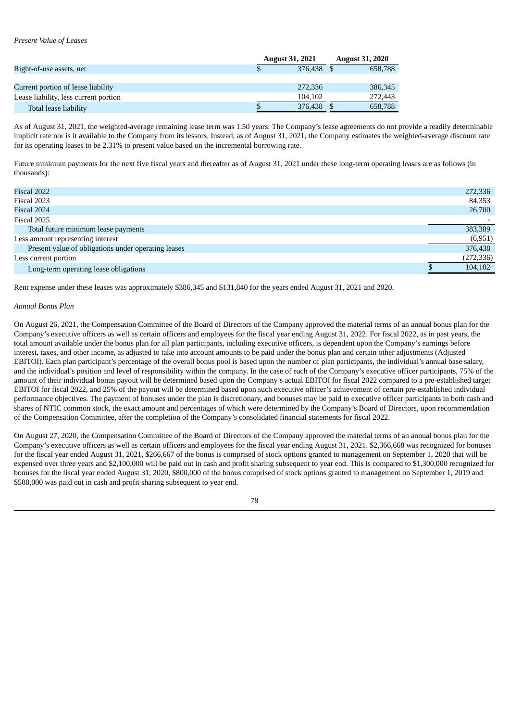### *Present Value of Leases*

|                                       | <b>August 31, 2021</b> |            | <b>August 31, 2020</b> |         |
|---------------------------------------|------------------------|------------|------------------------|---------|
| Right-of-use assets, net              |                        | 376.438 \$ |                        | 658,788 |
|                                       |                        |            |                        |         |
| Current portion of lease liability    |                        | 272,336    |                        | 386,345 |
| Lease liability, less current portion |                        | 104.102    |                        | 272,443 |
| Total lease liability                 |                        | 376,438    |                        | 658,788 |

As of August 31, 2021, the weighted-average remaining lease term was 1.50 years. The Company's lease agreements do not provide a readily determinable implicit rate nor is it available to the Company from its lessors. Instead, as of August 31, 2021, the Company estimates the weighted-average discount rate for its operating leases to be 2.31% to present value based on the incremental borrowing rate.

Future minimum payments for the next five fiscal years and thereafter as of August 31, 2021 under these long-term operating leases are as follows (in thousands):

| Fiscal 2022                                         | 272,336    |
|-----------------------------------------------------|------------|
| Fiscal 2023                                         | 84,353     |
| Fiscal 2024                                         | 26,700     |
| Fiscal 2025                                         |            |
| Total future minimum lease payments                 | 383,389    |
| Less amount representing interest                   | (6,951)    |
| Present value of obligations under operating leases | 376,438    |
| Less current portion                                | (272, 336) |
| Long-term operating lease obligations               | 104,102    |
|                                                     |            |

Rent expense under these leases was approximately \$386,345 and \$131,840 for the years ended August 31, 2021 and 2020.

#### *Annual Bonus Plan*

On August 26, 2021, the Compensation Committee of the Board of Directors of the Company approved the material terms of an annual bonus plan for the Company's executive officers as well as certain officers and employees for the fiscal year ending August 31, 2022. For fiscal 2022, as in past years, the total amount available under the bonus plan for all plan participants, including executive officers, is dependent upon the Company's earnings before interest, taxes, and other income, as adjusted to take into account amounts to be paid under the bonus plan and certain other adjustments (Adjusted EBITOI). Each plan participant's percentage of the overall bonus pool is based upon the number of plan participants, the individual's annual base salary, and the individual's position and level of responsibility within the company. In the case of each of the Company's executive officer participants, 75% of the amount of their individual bonus payout will be determined based upon the Company's actual EBITOI for fiscal 2022 compared to a pre-established target EBITOI for fiscal 2022, and 25% of the payout will be determined based upon such executive officer's achievement of certain pre-established individual performance objectives. The payment of bonuses under the plan is discretionary, and bonuses may be paid to executive officer participants in both cash and shares of NTIC common stock, the exact amount and percentages of which were determined by the Company's Board of Directors, upon recommendation of the Compensation Committee, after the completion of the Company's consolidated financial statements for fiscal 2022.

On August 27, 2020, the Compensation Committee of the Board of Directors of the Company approved the material terms of an annual bonus plan for the Company's executive officers as well as certain officers and employees for the fiscal year ending August 31, 2021. \$2,366,668 was recognized for bonuses for the fiscal year ended August 31, 2021, \$266,667 of the bonus is comprised of stock options granted to management on September 1, 2020 that will be expensed over three years and \$2,100,000 will be paid out in cash and profit sharing subsequent to year end. This is compared to \$1,300,000 recognized for bonuses for the fiscal year ended August 31, 2020, \$800,000 of the bonus comprised of stock options granted to management on September 1, 2019 and \$500,000 was paid out in cash and profit sharing subsequent to year end.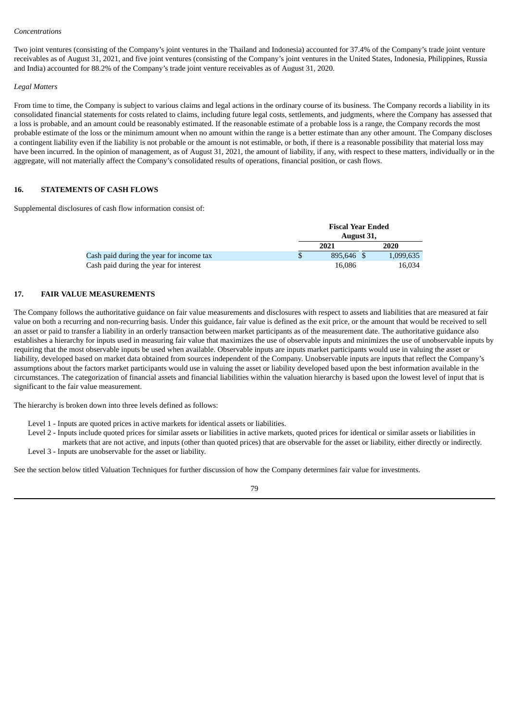# *Concentrations*

Two joint ventures (consisting of the Company's joint ventures in the Thailand and Indonesia) accounted for 37.4% of the Company's trade joint venture receivables as of August 31, 2021, and five joint ventures (consisting of the Company's joint ventures in the United States, Indonesia, Philippines, Russia and India) accounted for 88.2% of the Company's trade joint venture receivables as of August 31, 2020.

### *Legal Matters*

From time to time, the Company is subject to various claims and legal actions in the ordinary course of its business. The Company records a liability in its consolidated financial statements for costs related to claims, including future legal costs, settlements, and judgments, where the Company has assessed that a loss is probable, and an amount could be reasonably estimated. If the reasonable estimate of a probable loss is a range, the Company records the most probable estimate of the loss or the minimum amount when no amount within the range is a better estimate than any other amount. The Company discloses a contingent liability even if the liability is not probable or the amount is not estimable, or both, if there is a reasonable possibility that material loss may have been incurred. In the opinion of management, as of August 31, 2021, the amount of liability, if any, with respect to these matters, individually or in the aggregate, will not materially affect the Company's consolidated results of operations, financial position, or cash flows.

### **16. STATEMENTS OF CASH FLOWS**

Supplemental disclosures of cash flow information consist of:

|                                          | <b>Fiscal Year Ended</b> |            |  |           |
|------------------------------------------|--------------------------|------------|--|-----------|
|                                          | August 31,               |            |  |           |
|                                          |                          | 2021       |  | 2020      |
| Cash paid during the year for income tax |                          | 895.646 \$ |  | 1,099,635 |
| Cash paid during the year for interest   |                          | 16.086     |  | 16.034    |

### **17. FAIR VALUE MEASUREMENTS**

The Company follows the authoritative guidance on fair value measurements and disclosures with respect to assets and liabilities that are measured at fair value on both a recurring and non-recurring basis. Under this guidance, fair value is defined as the exit price, or the amount that would be received to sell an asset or paid to transfer a liability in an orderly transaction between market participants as of the measurement date. The authoritative guidance also establishes a hierarchy for inputs used in measuring fair value that maximizes the use of observable inputs and minimizes the use of unobservable inputs by requiring that the most observable inputs be used when available. Observable inputs are inputs market participants would use in valuing the asset or liability, developed based on market data obtained from sources independent of the Company. Unobservable inputs are inputs that reflect the Company's assumptions about the factors market participants would use in valuing the asset or liability developed based upon the best information available in the circumstances. The categorization of financial assets and financial liabilities within the valuation hierarchy is based upon the lowest level of input that is significant to the fair value measurement.

The hierarchy is broken down into three levels defined as follows:

- Level 1 Inputs are quoted prices in active markets for identical assets or liabilities.
- Level 2 Inputs include quoted prices for similar assets or liabilities in active markets, quoted prices for identical or similar assets or liabilities in
- markets that are not active, and inputs (other than quoted prices) that are observable for the asset or liability, either directly or indirectly. Level 3 - Inputs are unobservable for the asset or liability.
- See the section below titled Valuation Techniques for further discussion of how the Company determines fair value for investments.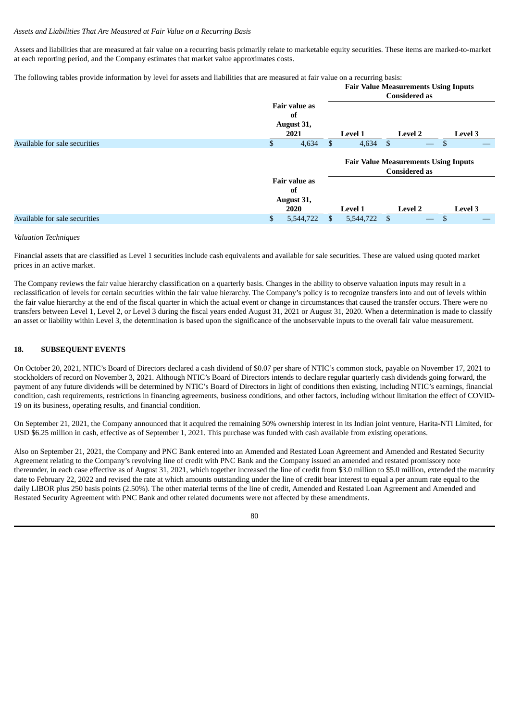#### *Assets and Liabilities That Are Measured at Fair Value on a Recurring Basis*

Assets and liabilities that are measured at fair value on a recurring basis primarily relate to marketable equity securities. These items are marked-to-market at each reporting period, and the Company estimates that market value approximates costs.

The following tables provide information by level for assets and liabilities that are measured at fair value on a recurring basis:

|                               |                                                             | <b>Fair Value Measurements Using Inputs</b><br><b>Considered as</b> |
|-------------------------------|-------------------------------------------------------------|---------------------------------------------------------------------|
|                               | Fair value as<br>of<br>August 31,<br>2021<br><b>Level 1</b> | Level 3<br><b>Level 2</b>                                           |
| Available for sale securities | 4,634<br>4,634<br>S.                                        | $\sqrt{s}$<br>$\overline{\phantom{0}}$                              |
|                               |                                                             | <b>Fair Value Measurements Using Inputs</b><br><b>Considered as</b> |
|                               | <b>Fair value as</b><br>of<br>August 31,                    |                                                                     |
|                               | 2020<br><b>Level 1</b>                                      | Level 3<br><b>Level 2</b>                                           |
| Available for sale securities | 5,544,722<br>5,544,722                                      | $\sqrt{S}$                                                          |

#### *Valuation Techniques*

Financial assets that are classified as Level 1 securities include cash equivalents and available for sale securities. These are valued using quoted market prices in an active market.

The Company reviews the fair value hierarchy classification on a quarterly basis. Changes in the ability to observe valuation inputs may result in a reclassification of levels for certain securities within the fair value hierarchy. The Company's policy is to recognize transfers into and out of levels within the fair value hierarchy at the end of the fiscal quarter in which the actual event or change in circumstances that caused the transfer occurs. There were no transfers between Level 1, Level 2, or Level 3 during the fiscal years ended August 31, 2021 or August 31, 2020. When a determination is made to classify an asset or liability within Level 3, the determination is based upon the significance of the unobservable inputs to the overall fair value measurement.

# **18. SUBSEQUENT EVENTS**

On October 20, 2021, NTIC's Board of Directors declared a cash dividend of \$0.07 per share of NTIC's common stock, payable on November 17, 2021 to stockholders of record on November 3, 2021. Although NTIC's Board of Directors intends to declare regular quarterly cash dividends going forward, the payment of any future dividends will be determined by NTIC's Board of Directors in light of conditions then existing, including NTIC's earnings, financial condition, cash requirements, restrictions in financing agreements, business conditions, and other factors, including without limitation the effect of COVID-19 on its business, operating results, and financial condition.

On September 21, 2021, the Company announced that it acquired the remaining 50% ownership interest in its Indian joint venture, Harita-NTI Limited, for USD \$6.25 million in cash, effective as of September 1, 2021. This purchase was funded with cash available from existing operations.

Also on September 21, 2021, the Company and PNC Bank entered into an Amended and Restated Loan Agreement and Amended and Restated Security Agreement relating to the Company's revolving line of credit with PNC Bank and the Company issued an amended and restated promissory note thereunder, in each case effective as of August 31, 2021, which together increased the line of credit from \$3.0 million to \$5.0 million, extended the maturity date to February 22, 2022 and revised the rate at which amounts outstanding under the line of credit bear interest to equal a per annum rate equal to the daily LIBOR plus 250 basis points (2.50%). The other material terms of the line of credit, Amended and Restated Loan Agreement and Amended and Restated Security Agreement with PNC Bank and other related documents were not affected by these amendments.

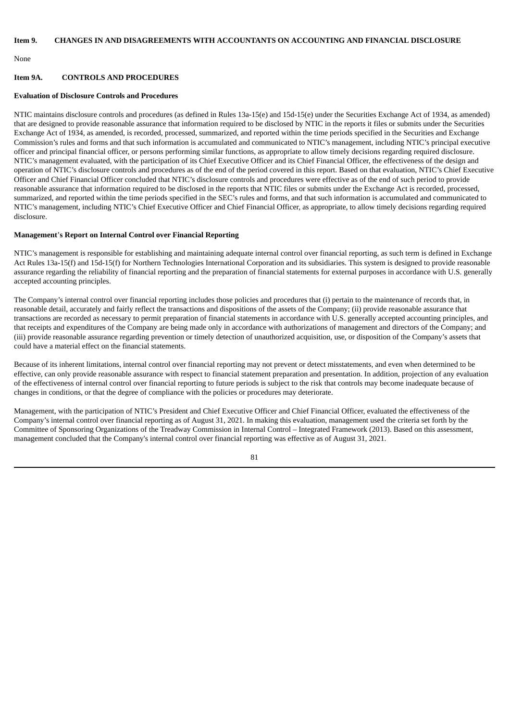#### None

#### **Item 9A. CONTROLS AND PROCEDURES**

#### **Evaluation of Disclosure Controls and Procedures**

NTIC maintains disclosure controls and procedures (as defined in Rules 13a-15(e) and 15d-15(e) under the Securities Exchange Act of 1934, as amended) that are designed to provide reasonable assurance that information required to be disclosed by NTIC in the reports it files or submits under the Securities Exchange Act of 1934, as amended, is recorded, processed, summarized, and reported within the time periods specified in the Securities and Exchange Commission's rules and forms and that such information is accumulated and communicated to NTIC's management, including NTIC's principal executive officer and principal financial officer, or persons performing similar functions, as appropriate to allow timely decisions regarding required disclosure. NTIC's management evaluated, with the participation of its Chief Executive Officer and its Chief Financial Officer, the effectiveness of the design and operation of NTIC's disclosure controls and procedures as of the end of the period covered in this report. Based on that evaluation, NTIC's Chief Executive Officer and Chief Financial Officer concluded that NTIC's disclosure controls and procedures were effective as of the end of such period to provide reasonable assurance that information required to be disclosed in the reports that NTIC files or submits under the Exchange Act is recorded, processed, summarized, and reported within the time periods specified in the SEC's rules and forms, and that such information is accumulated and communicated to NTIC's management, including NTIC's Chief Executive Officer and Chief Financial Officer, as appropriate, to allow timely decisions regarding required disclosure.

#### **Management**'**s Report on Internal Control over Financial Reporting**

NTIC's management is responsible for establishing and maintaining adequate internal control over financial reporting, as such term is defined in Exchange Act Rules 13a-15(f) and 15d-15(f) for Northern Technologies International Corporation and its subsidiaries. This system is designed to provide reasonable assurance regarding the reliability of financial reporting and the preparation of financial statements for external purposes in accordance with U.S. generally accepted accounting principles.

The Company's internal control over financial reporting includes those policies and procedures that (i) pertain to the maintenance of records that, in reasonable detail, accurately and fairly reflect the transactions and dispositions of the assets of the Company; (ii) provide reasonable assurance that transactions are recorded as necessary to permit preparation of financial statements in accordance with U.S. generally accepted accounting principles, and that receipts and expenditures of the Company are being made only in accordance with authorizations of management and directors of the Company; and (iii) provide reasonable assurance regarding prevention or timely detection of unauthorized acquisition, use, or disposition of the Company's assets that could have a material effect on the financial statements.

Because of its inherent limitations, internal control over financial reporting may not prevent or detect misstatements, and even when determined to be effective, can only provide reasonable assurance with respect to financial statement preparation and presentation. In addition, projection of any evaluation of the effectiveness of internal control over financial reporting to future periods is subject to the risk that controls may become inadequate because of changes in conditions, or that the degree of compliance with the policies or procedures may deteriorate.

Management, with the participation of NTIC's President and Chief Executive Officer and Chief Financial Officer, evaluated the effectiveness of the Company's internal control over financial reporting as of August 31, 2021. In making this evaluation, management used the criteria set forth by the Committee of Sponsoring Organizations of the Treadway Commission in Internal Control – Integrated Framework (2013). Based on this assessment, management concluded that the Company's internal control over financial reporting was effective as of August 31, 2021.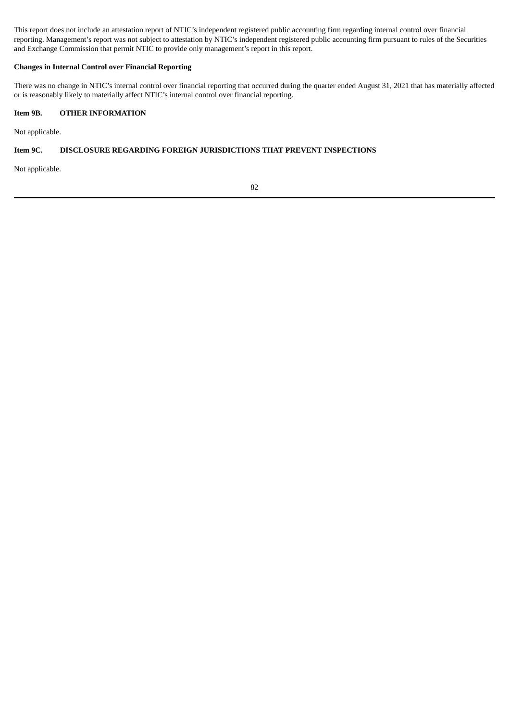This report does not include an attestation report of NTIC's independent registered public accounting firm regarding internal control over financial reporting. Management's report was not subject to attestation by NTIC's independent registered public accounting firm pursuant to rules of the Securities and Exchange Commission that permit NTIC to provide only management's report in this report.

### **Changes in Internal Control over Financial Reporting**

There was no change in NTIC's internal control over financial reporting that occurred during the quarter ended August 31, 2021 that has materially affected or is reasonably likely to materially affect NTIC's internal control over financial reporting.

# **Item 9B. OTHER INFORMATION**

Not applicable.

# **Item 9C. DISCLOSURE REGARDING FOREIGN JURISDICTIONS THAT PREVENT INSPECTIONS**

Not applicable.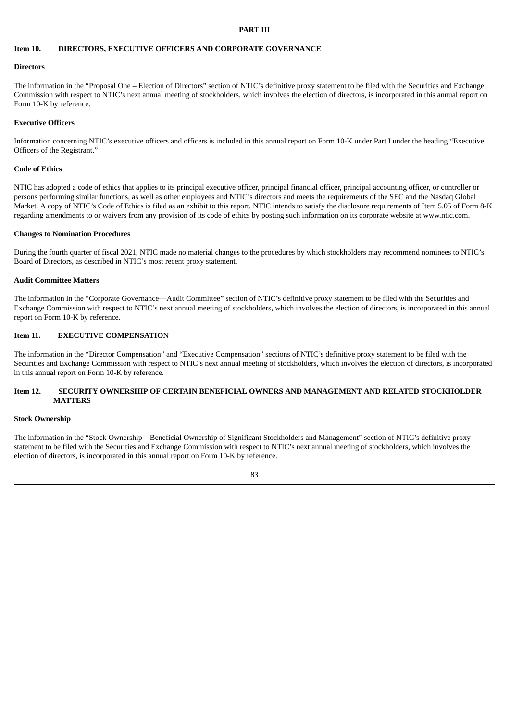#### **PART III**

# **Item 10. DIRECTORS, EXECUTIVE OFFICERS AND CORPORATE GOVERNANCE**

#### **Directors**

The information in the "Proposal One – Election of Directors" section of NTIC's definitive proxy statement to be filed with the Securities and Exchange Commission with respect to NTIC's next annual meeting of stockholders, which involves the election of directors, is incorporated in this annual report on Form 10-K by reference.

#### **Executive Officers**

Information concerning NTIC's executive officers and officers is included in this annual report on Form 10-K under Part I under the heading "Executive Officers of the Registrant."

### **Code of Ethics**

NTIC has adopted a code of ethics that applies to its principal executive officer, principal financial officer, principal accounting officer, or controller or persons performing similar functions, as well as other employees and NTIC's directors and meets the requirements of the SEC and the Nasdaq Global Market. A copy of NTIC's Code of Ethics is filed as an exhibit to this report. NTIC intends to satisfy the disclosure requirements of Item 5.05 of Form 8-K regarding amendments to or waivers from any provision of its code of ethics by posting such information on its corporate website at www.ntic.com.

#### **Changes to Nomination Procedures**

During the fourth quarter of fiscal 2021, NTIC made no material changes to the procedures by which stockholders may recommend nominees to NTIC's Board of Directors, as described in NTIC's most recent proxy statement.

### **Audit Committee Matters**

The information in the "Corporate Governance—Audit Committee" section of NTIC's definitive proxy statement to be filed with the Securities and Exchange Commission with respect to NTIC's next annual meeting of stockholders, which involves the election of directors, is incorporated in this annual report on Form 10-K by reference.

# **Item 11. EXECUTIVE COMPENSATION**

The information in the "Director Compensation" and "Executive Compensation" sections of NTIC's definitive proxy statement to be filed with the Securities and Exchange Commission with respect to NTIC's next annual meeting of stockholders, which involves the election of directors, is incorporated in this annual report on Form 10-K by reference.

### **Item 12. SECURITY OWNERSHIP OF CERTAIN BENEFICIAL OWNERS AND MANAGEMENT AND RELATED STOCKHOLDER MATTERS**

### **Stock Ownership**

The information in the "Stock Ownership—Beneficial Ownership of Significant Stockholders and Management" section of NTIC's definitive proxy statement to be filed with the Securities and Exchange Commission with respect to NTIC's next annual meeting of stockholders, which involves the election of directors, is incorporated in this annual report on Form 10-K by reference.

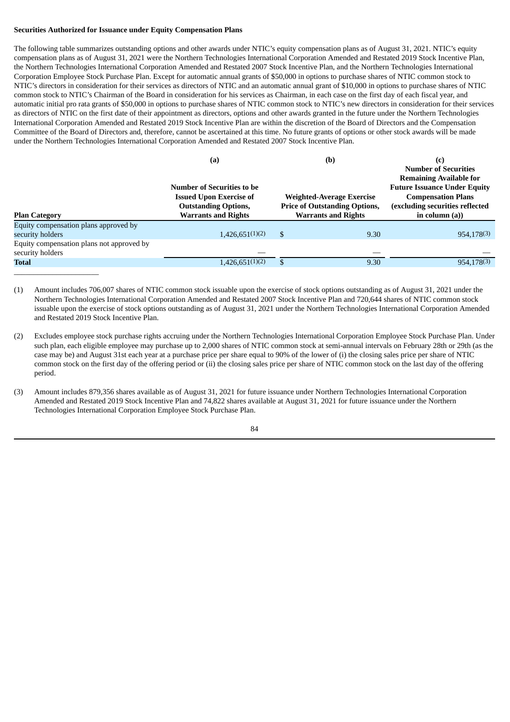# **Securities Authorized for Issuance under Equity Compensation Plans**

The following table summarizes outstanding options and other awards under NTIC's equity compensation plans as of August 31, 2021. NTIC's equity compensation plans as of August 31, 2021 were the Northern Technologies International Corporation Amended and Restated 2019 Stock Incentive Plan, the Northern Technologies International Corporation Amended and Restated 2007 Stock Incentive Plan, and the Northern Technologies International Corporation Employee Stock Purchase Plan. Except for automatic annual grants of \$50,000 in options to purchase shares of NTIC common stock to NTIC's directors in consideration for their services as directors of NTIC and an automatic annual grant of \$10,000 in options to purchase shares of NTIC common stock to NTIC's Chairman of the Board in consideration for his services as Chairman, in each case on the first day of each fiscal year, and automatic initial pro rata grants of \$50,000 in options to purchase shares of NTIC common stock to NTIC's new directors in consideration for their services as directors of NTIC on the first date of their appointment as directors, options and other awards granted in the future under the Northern Technologies International Corporation Amended and Restated 2019 Stock Incentive Plan are within the discretion of the Board of Directors and the Compensation Committee of the Board of Directors and, therefore, cannot be ascertained at this time. No future grants of options or other stock awards will be made under the Northern Technologies International Corporation Amended and Restated 2007 Stock Incentive Plan.

| <b>Plan Category</b>                                          | (a)<br>Number of Securities to be<br><b>Issued Upon Exercise of</b><br><b>Outstanding Options,</b><br><b>Warrants and Rights</b> | (b)<br><b>Weighted-Average Exercise</b><br><b>Price of Outstanding Options,</b><br><b>Warrants and Rights</b> | (c)<br><b>Number of Securities</b><br><b>Remaining Available for</b><br><b>Future Issuance Under Equity</b><br><b>Compensation Plans</b><br>(excluding securities reflected<br>in column $(a)$ ) |
|---------------------------------------------------------------|----------------------------------------------------------------------------------------------------------------------------------|---------------------------------------------------------------------------------------------------------------|--------------------------------------------------------------------------------------------------------------------------------------------------------------------------------------------------|
| Equity compensation plans approved by                         |                                                                                                                                  |                                                                                                               |                                                                                                                                                                                                  |
| security holders                                              | 1,426,651(1)(2)                                                                                                                  | \$<br>9.30                                                                                                    | 954,178(3)                                                                                                                                                                                       |
| Equity compensation plans not approved by<br>security holders |                                                                                                                                  |                                                                                                               |                                                                                                                                                                                                  |
| <b>Total</b>                                                  | 1,426,651(1)(2)                                                                                                                  | 9.30<br>\$                                                                                                    | 954,178(3)                                                                                                                                                                                       |
|                                                               |                                                                                                                                  |                                                                                                               |                                                                                                                                                                                                  |

- (1) Amount includes 706,007 shares of NTIC common stock issuable upon the exercise of stock options outstanding as of August 31, 2021 under the Northern Technologies International Corporation Amended and Restated 2007 Stock Incentive Plan and 720,644 shares of NTIC common stock issuable upon the exercise of stock options outstanding as of August 31, 2021 under the Northern Technologies International Corporation Amended and Restated 2019 Stock Incentive Plan.
- (2) Excludes employee stock purchase rights accruing under the Northern Technologies International Corporation Employee Stock Purchase Plan. Under such plan, each eligible employee may purchase up to 2,000 shares of NTIC common stock at semi-annual intervals on February 28th or 29th (as the case may be) and August 31st each year at a purchase price per share equal to 90% of the lower of (i) the closing sales price per share of NTIC common stock on the first day of the offering period or (ii) the closing sales price per share of NTIC common stock on the last day of the offering period.
- (3) Amount includes 879,356 shares available as of August 31, 2021 for future issuance under Northern Technologies International Corporation Amended and Restated 2019 Stock Incentive Plan and 74,822 shares available at August 31, 2021 for future issuance under the Northern Technologies International Corporation Employee Stock Purchase Plan.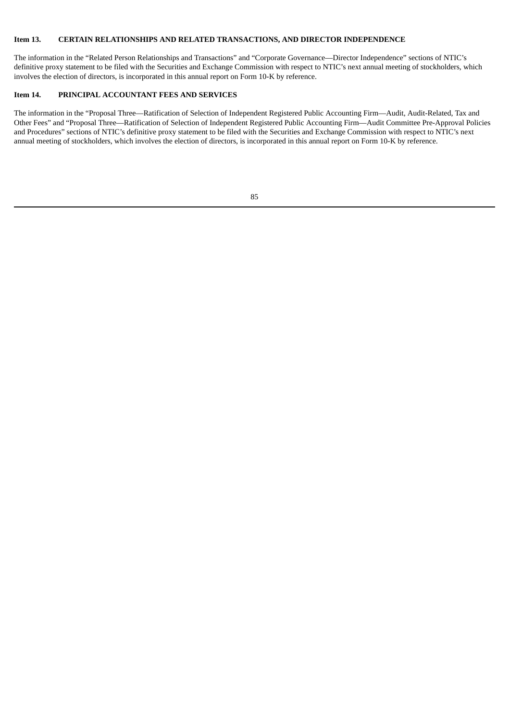## **Item 13. CERTAIN RELATIONSHIPS AND RELATED TRANSACTIONS, AND DIRECTOR INDEPENDENCE**

The information in the "Related Person Relationships and Transactions" and "Corporate Governance—Director Independence" sections of NTIC's definitive proxy statement to be filed with the Securities and Exchange Commission with respect to NTIC's next annual meeting of stockholders, which involves the election of directors, is incorporated in this annual report on Form 10-K by reference.

# **Item 14. PRINCIPAL ACCOUNTANT FEES AND SERVICES**

The information in the "Proposal Three—Ratification of Selection of Independent Registered Public Accounting Firm—Audit, Audit-Related, Tax and Other Fees" and "Proposal Three—Ratification of Selection of Independent Registered Public Accounting Firm—Audit Committee Pre-Approval Policies and Procedures" sections of NTIC's definitive proxy statement to be filed with the Securities and Exchange Commission with respect to NTIC's next annual meeting of stockholders, which involves the election of directors, is incorporated in this annual report on Form 10-K by reference.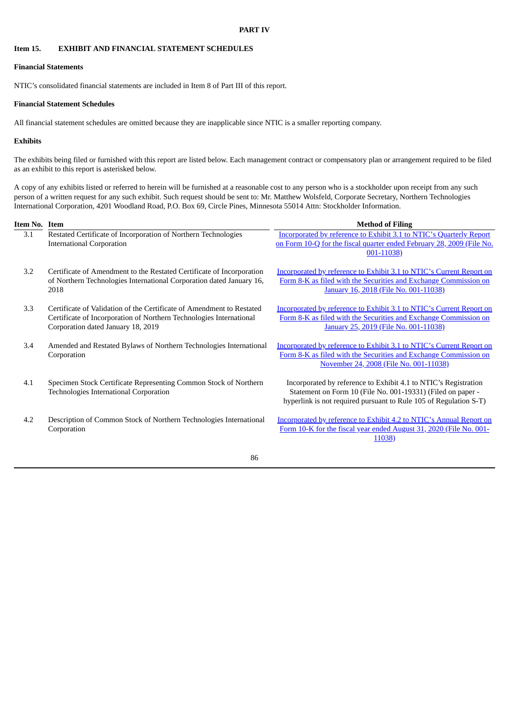# **Item 15. EXHIBIT AND FINANCIAL STATEMENT SCHEDULES**

#### **Financial Statements**

NTIC's consolidated financial statements are included in Item 8 of Part III of this report.

# **Financial Statement Schedules**

All financial statement schedules are omitted because they are inapplicable since NTIC is a smaller reporting company.

#### **Exhibits**

The exhibits being filed or furnished with this report are listed below. Each management contract or compensatory plan or arrangement required to be filed as an exhibit to this report is asterisked below.

A copy of any exhibits listed or referred to herein will be furnished at a reasonable cost to any person who is a stockholder upon receipt from any such person of a written request for any such exhibit. Such request should be sent to: Mr. Matthew Wolsfeld, Corporate Secretary, Northern Technologies International Corporation, 4201 Woodland Road, P.O. Box 69, Circle Pines, Minnesota 55014 Attn: Stockholder Information.

| Item No. | Item                                                                                                                                                                               | <b>Method of Filing</b>                                                                                                                                                                             |
|----------|------------------------------------------------------------------------------------------------------------------------------------------------------------------------------------|-----------------------------------------------------------------------------------------------------------------------------------------------------------------------------------------------------|
| 3.1      | Restated Certificate of Incorporation of Northern Technologies<br><b>International Corporation</b>                                                                                 | Incorporated by reference to Exhibit 3.1 to NTIC's Quarterly Report<br>on Form 10-Q for the fiscal quarter ended February 28, 2009 (File No.<br>$001 - 11038$                                       |
| 3.2      | Certificate of Amendment to the Restated Certificate of Incorporation<br>of Northern Technologies International Corporation dated January 16,<br>2018                              | Incorporated by reference to Exhibit 3.1 to NTIC's Current Report on<br>Form 8-K as filed with the Securities and Exchange Commission on<br>January 16, 2018 (File No. 001-11038)                   |
| 3.3      | Certificate of Validation of the Certificate of Amendment to Restated<br>Certificate of Incorporation of Northern Technologies International<br>Corporation dated January 18, 2019 | <b>Incorporated by reference to Exhibit 3.1 to NTIC's Current Report on</b><br>Form 8-K as filed with the Securities and Exchange Commission on<br>January 25, 2019 (File No. 001-11038)            |
| 3.4      | Amended and Restated Bylaws of Northern Technologies International<br>Corporation                                                                                                  | Incorporated by reference to Exhibit 3.1 to NTIC's Current Report on<br>Form 8-K as filed with the Securities and Exchange Commission on<br>November 24, 2008 (File No. 001-11038)                  |
| 4.1      | Specimen Stock Certificate Representing Common Stock of Northern<br>Technologies International Corporation                                                                         | Incorporated by reference to Exhibit 4.1 to NTIC's Registration<br>Statement on Form 10 (File No. 001-19331) (Filed on paper -<br>hyperlink is not required pursuant to Rule 105 of Regulation S-T) |
| 4.2      | Description of Common Stock of Northern Technologies International<br>Corporation                                                                                                  | Incorporated by reference to Exhibit 4.2 to NTIC's Annual Report on<br>Form 10-K for the fiscal year ended August 31, 2020 (File No. 001-<br><u>11038)</u>                                          |
|          | $\sim$                                                                                                                                                                             |                                                                                                                                                                                                     |

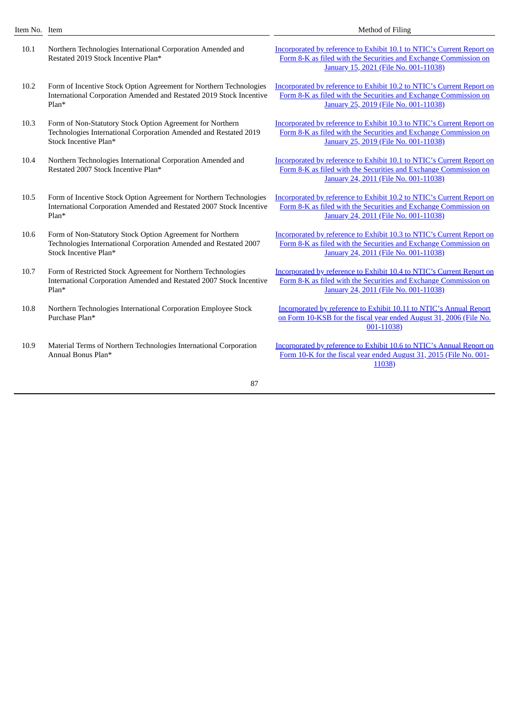| Item No. Item |                                                                                                                                                        | Method of Filing                                                                                                                                                                   |
|---------------|--------------------------------------------------------------------------------------------------------------------------------------------------------|------------------------------------------------------------------------------------------------------------------------------------------------------------------------------------|
| 10.1          | Northern Technologies International Corporation Amended and<br>Restated 2019 Stock Incentive Plan*                                                     | Incorporated by reference to Exhibit 10.1 to NTIC's Current Report on<br>Form 8-K as filed with the Securities and Exchange Commission on<br>January 15, 2021 (File No. 001-11038) |
| 10.2          | Form of Incentive Stock Option Agreement for Northern Technologies<br>International Corporation Amended and Restated 2019 Stock Incentive<br>Plan*     | Incorporated by reference to Exhibit 10.2 to NTIC's Current Report on<br>Form 8-K as filed with the Securities and Exchange Commission on<br>January 25, 2019 (File No. 001-11038) |
| 10.3          | Form of Non-Statutory Stock Option Agreement for Northern<br>Technologies International Corporation Amended and Restated 2019<br>Stock Incentive Plan* | Incorporated by reference to Exhibit 10.3 to NTIC's Current Report on<br>Form 8-K as filed with the Securities and Exchange Commission on<br>January 25, 2019 (File No. 001-11038) |
| 10.4          | Northern Technologies International Corporation Amended and<br>Restated 2007 Stock Incentive Plan*                                                     | Incorporated by reference to Exhibit 10.1 to NTIC's Current Report on<br>Form 8-K as filed with the Securities and Exchange Commission on<br>January 24, 2011 (File No. 001-11038) |
| 10.5          | Form of Incentive Stock Option Agreement for Northern Technologies<br>International Corporation Amended and Restated 2007 Stock Incentive<br>Plan*     | Incorporated by reference to Exhibit 10.2 to NTIC's Current Report on<br>Form 8-K as filed with the Securities and Exchange Commission on<br>January 24, 2011 (File No. 001-11038) |
| 10.6          | Form of Non-Statutory Stock Option Agreement for Northern<br>Technologies International Corporation Amended and Restated 2007<br>Stock Incentive Plan* | Incorporated by reference to Exhibit 10.3 to NTIC's Current Report on<br>Form 8-K as filed with the Securities and Exchange Commission on<br>January 24, 2011 (File No. 001-11038) |
| 10.7          | Form of Restricted Stock Agreement for Northern Technologies<br>International Corporation Amended and Restated 2007 Stock Incentive<br>Plan*           | Incorporated by reference to Exhibit 10.4 to NTIC's Current Report on<br>Form 8-K as filed with the Securities and Exchange Commission on<br>January 24, 2011 (File No. 001-11038) |
| 10.8          | Northern Technologies International Corporation Employee Stock<br>Purchase Plan*                                                                       | Incorporated by reference to Exhibit 10.11 to NTIC's Annual Report<br>on Form 10-KSB for the fiscal year ended August 31, 2006 (File No.<br>001-11038)                             |
| 10.9          | Material Terms of Northern Technologies International Corporation<br>Annual Bonus Plan*                                                                | Incorporated by reference to Exhibit 10.6 to NTIC's Annual Report on<br>Form 10-K for the fiscal year ended August 31, 2015 (File No. 001-<br>11038)                               |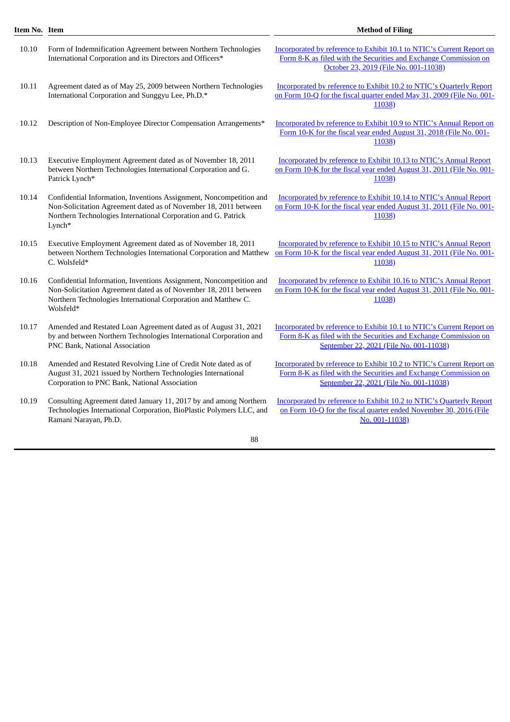| Item No. Item |                                                                                                                                                                                                                        | <b>Method of Filing</b>                                                                                                                                                              |
|---------------|------------------------------------------------------------------------------------------------------------------------------------------------------------------------------------------------------------------------|--------------------------------------------------------------------------------------------------------------------------------------------------------------------------------------|
| 10.10         | Form of Indemnification Agreement between Northern Technologies<br>International Corporation and its Directors and Officers*                                                                                           | Incorporated by reference to Exhibit 10.1 to NTIC's Current Report on<br>Form 8-K as filed with the Securities and Exchange Commission on<br>October 23, 2019 (File No. 001-11038)   |
| 10.11         | Agreement dated as of May 25, 2009 between Northern Technologies<br>International Corporation and Sunggyu Lee, Ph.D.*                                                                                                  | Incorporated by reference to Exhibit 10.2 to NTIC's Quarterly Report<br>on Form 10-Q for the fiscal quarter ended May 31, 2009 (File No. 001-<br>11038)                              |
| 10.12         | Description of Non-Employee Director Compensation Arrangements*                                                                                                                                                        | Incorporated by reference to Exhibit 10.9 to NTIC's Annual Report on<br>Form 10-K for the fiscal year ended August 31, 2018 (File No. 001-<br>11038)                                 |
| 10.13         | Executive Employment Agreement dated as of November 18, 2011<br>between Northern Technologies International Corporation and G.<br>Patrick Lynch*                                                                       | Incorporated by reference to Exhibit 10.13 to NTIC's Annual Report<br>on Form 10-K for the fiscal year ended August 31, 2011 (File No. 001-<br>11038)                                |
| 10.14         | Confidential Information, Inventions Assignment, Noncompetition and<br>Non-Solicitation Agreement dated as of November 18, 2011 between<br>Northern Technologies International Corporation and G. Patrick<br>$Lynch*$  | Incorporated by reference to Exhibit 10.14 to NTIC's Annual Report<br>on Form 10-K for the fiscal year ended August 31, 2011 (File No. 001-<br>11038)                                |
| 10.15         | Executive Employment Agreement dated as of November 18, 2011<br>between Northern Technologies International Corporation and Matthew<br>C. Wolsfeld*                                                                    | Incorporated by reference to Exhibit 10.15 to NTIC's Annual Report<br>on Form 10-K for the fiscal year ended August 31, 2011 (File No. 001-<br>11038)                                |
| 10.16         | Confidential Information, Inventions Assignment, Noncompetition and<br>Non-Solicitation Agreement dated as of November 18, 2011 between<br>Northern Technologies International Corporation and Matthew C.<br>Wolsfeld* | Incorporated by reference to Exhibit 10.16 to NTIC's Annual Report<br>on Form 10-K for the fiscal year ended August 31, 2011 (File No. 001-<br>11038)                                |
| 10.17         | Amended and Restated Loan Agreement dated as of August 31, 2021<br>by and between Northern Technologies International Corporation and<br>PNC Bank, National Association                                                | Incorporated by reference to Exhibit 10.1 to NTIC's Current Report on<br>Form 8-K as filed with the Securities and Exchange Commission on<br>September 22, 2021 (File No. 001-11038) |
| 10.18         | Amended and Restated Revolving Line of Credit Note dated as of<br>August 31, 2021 issued by Northern Technologies International<br>Corporation to PNC Bank, National Association                                       | Incorporated by reference to Exhibit 10.2 to NTIC's Current Report on<br>Form 8-K as filed with the Securities and Exchange Commission on<br>September 22, 2021 (File No. 001-11038) |
| 10.19         | Consulting Agreement dated January 11, 2017 by and among Northern<br>Technologies International Corporation, BioPlastic Polymers LLC, and<br>Ramani Narayan, Ph.D.                                                     | Incorporated by reference to Exhibit 10.2 to NTIC's Quarterly Report<br>on Form 10-Q for the fiscal quarter ended November 30, 2016 (File<br>No. 001-11038)                          |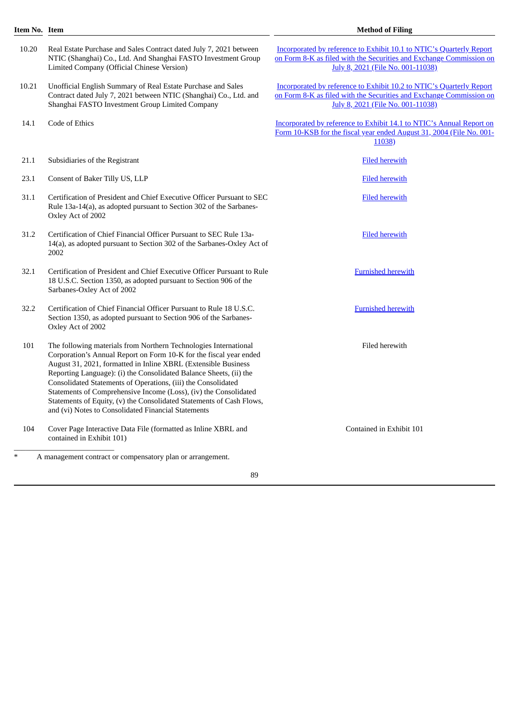| Item No. Item |                                                                                                                                                                                                                                                                                                                                                                                                                                                                                                                                                    | <b>Method of Filing</b>                                                                                                                                                          |
|---------------|----------------------------------------------------------------------------------------------------------------------------------------------------------------------------------------------------------------------------------------------------------------------------------------------------------------------------------------------------------------------------------------------------------------------------------------------------------------------------------------------------------------------------------------------------|----------------------------------------------------------------------------------------------------------------------------------------------------------------------------------|
| 10.20         | Real Estate Purchase and Sales Contract dated July 7, 2021 between<br>NTIC (Shanghai) Co., Ltd. And Shanghai FASTO Investment Group<br>Limited Company (Official Chinese Version)                                                                                                                                                                                                                                                                                                                                                                  | Incorporated by reference to Exhibit 10.1 to NTIC's Quarterly Report<br>on Form 8-K as filed with the Securities and Exchange Commission on<br>July 8, 2021 (File No. 001-11038) |
| 10.21         | Unofficial English Summary of Real Estate Purchase and Sales<br>Contract dated July 7, 2021 between NTIC (Shanghai) Co., Ltd. and<br>Shanghai FASTO Investment Group Limited Company                                                                                                                                                                                                                                                                                                                                                               | Incorporated by reference to Exhibit 10.2 to NTIC's Quarterly Report<br>on Form 8-K as filed with the Securities and Exchange Commission on<br>July 8, 2021 (File No. 001-11038) |
| 14.1          | Code of Ethics                                                                                                                                                                                                                                                                                                                                                                                                                                                                                                                                     | Incorporated by reference to Exhibit 14.1 to NTIC's Annual Report on<br>Form 10-KSB for the fiscal year ended August 31, 2004 (File No. 001-<br>11038)                           |
| 21.1          | Subsidiaries of the Registrant                                                                                                                                                                                                                                                                                                                                                                                                                                                                                                                     | <b>Filed herewith</b>                                                                                                                                                            |
| 23.1          | Consent of Baker Tilly US, LLP                                                                                                                                                                                                                                                                                                                                                                                                                                                                                                                     | <b>Filed herewith</b>                                                                                                                                                            |
| 31.1          | Certification of President and Chief Executive Officer Pursuant to SEC<br>Rule 13a-14(a), as adopted pursuant to Section 302 of the Sarbanes-<br>Oxley Act of 2002                                                                                                                                                                                                                                                                                                                                                                                 | <b>Filed herewith</b>                                                                                                                                                            |
| 31.2          | Certification of Chief Financial Officer Pursuant to SEC Rule 13a-<br>14(a), as adopted pursuant to Section 302 of the Sarbanes-Oxley Act of<br>2002                                                                                                                                                                                                                                                                                                                                                                                               | <b>Filed herewith</b>                                                                                                                                                            |
| 32.1          | Certification of President and Chief Executive Officer Pursuant to Rule<br>18 U.S.C. Section 1350, as adopted pursuant to Section 906 of the<br>Sarbanes-Oxley Act of 2002                                                                                                                                                                                                                                                                                                                                                                         | <b>Furnished herewith</b>                                                                                                                                                        |
| 32.2          | Certification of Chief Financial Officer Pursuant to Rule 18 U.S.C.<br>Section 1350, as adopted pursuant to Section 906 of the Sarbanes-<br>Oxley Act of 2002                                                                                                                                                                                                                                                                                                                                                                                      | <b>Furnished herewith</b>                                                                                                                                                        |
| 101           | The following materials from Northern Technologies International<br>Corporation's Annual Report on Form 10-K for the fiscal year ended<br>August 31, 2021, formatted in Inline XBRL (Extensible Business<br>Reporting Language): (i) the Consolidated Balance Sheets, (ii) the<br>Consolidated Statements of Operations, (iii) the Consolidated<br>Statements of Comprehensive Income (Loss), (iv) the Consolidated<br>Statements of Equity, (v) the Consolidated Statements of Cash Flows,<br>and (vi) Notes to Consolidated Financial Statements | Filed herewith                                                                                                                                                                   |
| 104           | Cover Page Interactive Data File (formatted as Inline XBRL and<br>contained in Exhibit 101)                                                                                                                                                                                                                                                                                                                                                                                                                                                        | Contained in Exhibit 101                                                                                                                                                         |
| $\ast$        | A management contract or compensatory plan or arrangement.                                                                                                                                                                                                                                                                                                                                                                                                                                                                                         |                                                                                                                                                                                  |
|               | 0 <sub>0</sub>                                                                                                                                                                                                                                                                                                                                                                                                                                                                                                                                     |                                                                                                                                                                                  |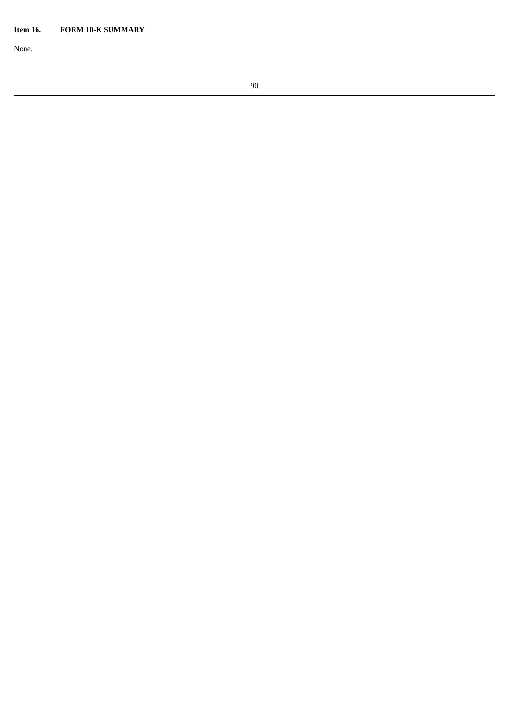None.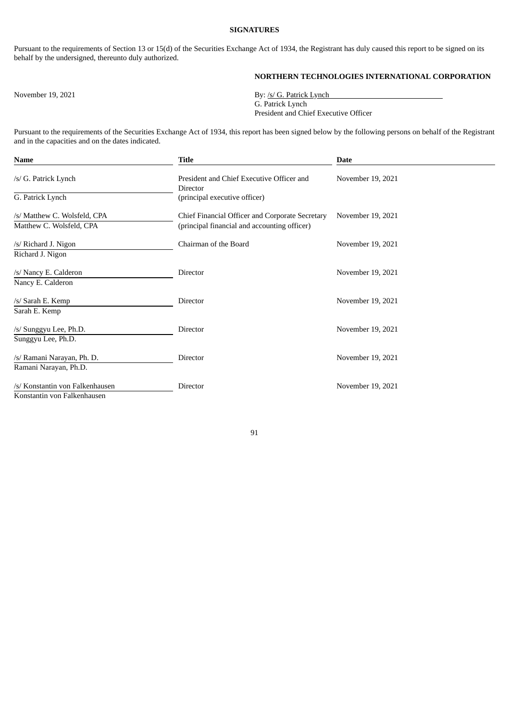## **SIGNATURES**

Pursuant to the requirements of Section 13 or 15(d) of the Securities Exchange Act of 1934, the Registrant has duly caused this report to be signed on its behalf by the undersigned, thereunto duly authorized.

# **NORTHERN TECHNOLOGIES INTERNATIONAL CORPORATION**

By: /s/ G. Patrick Lynch G. Patrick Lynch President and Chief Executive Officer

Pursuant to the requirements of the Securities Exchange Act of 1934, this report has been signed below by the following persons on behalf of the Registrant and in the capacities and on the dates indicated.

| <b>Name</b>                     | <b>Title</b>                                          | <b>Date</b>       |  |
|---------------------------------|-------------------------------------------------------|-------------------|--|
| /s/ G. Patrick Lynch            | President and Chief Executive Officer and<br>Director | November 19, 2021 |  |
| G. Patrick Lynch                | (principal executive officer)                         |                   |  |
| /s/ Matthew C. Wolsfeld, CPA    | Chief Financial Officer and Corporate Secretary       | November 19, 2021 |  |
| Matthew C. Wolsfeld, CPA        | (principal financial and accounting officer)          |                   |  |
| /s/ Richard J. Nigon            | Chairman of the Board                                 | November 19, 2021 |  |
| Richard J. Nigon                |                                                       |                   |  |
| /s/ Nancy E. Calderon           | Director                                              | November 19, 2021 |  |
| Nancy E. Calderon               |                                                       |                   |  |
| /s/ Sarah E. Kemp               | Director                                              | November 19, 2021 |  |
| Sarah E. Kemp                   |                                                       |                   |  |
| /s/ Sunggyu Lee, Ph.D.          | Director                                              | November 19, 2021 |  |
| Sunggyu Lee, Ph.D.              |                                                       |                   |  |
| /s/ Ramani Narayan, Ph. D.      | Director                                              | November 19, 2021 |  |
| Ramani Narayan, Ph.D.           |                                                       |                   |  |
| /s/ Konstantin von Falkenhausen | Director                                              | November 19, 2021 |  |
| Konstantin von Falkenhausen     |                                                       |                   |  |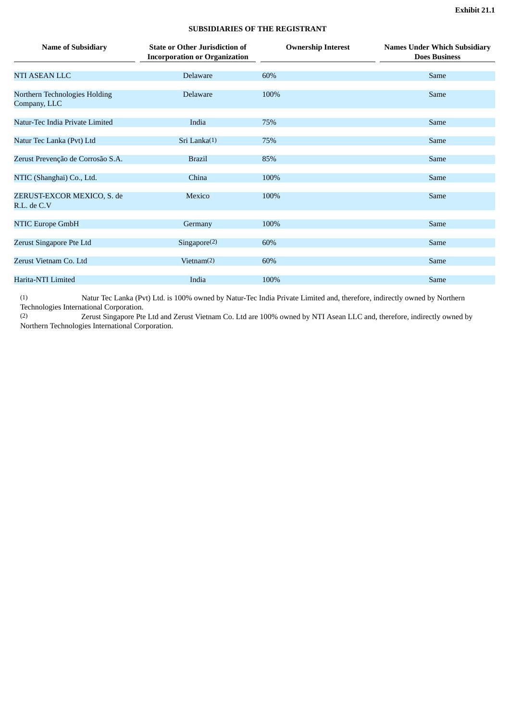# **SUBSIDIARIES OF THE REGISTRANT**

<span id="page-95-0"></span>

| <b>Name of Subsidiary</b>                     | <b>State or Other Jurisdiction of</b><br><b>Incorporation or Organization</b> | <b>Ownership Interest</b> | <b>Names Under Which Subsidiary</b><br><b>Does Business</b> |
|-----------------------------------------------|-------------------------------------------------------------------------------|---------------------------|-------------------------------------------------------------|
|                                               |                                                                               |                           |                                                             |
| <b>NTI ASEAN LLC</b>                          | Delaware                                                                      | 60%                       | Same                                                        |
|                                               |                                                                               |                           |                                                             |
| Northern Technologies Holding<br>Company, LLC | <b>Delaware</b>                                                               | 100%                      | Same                                                        |
|                                               |                                                                               |                           |                                                             |
| Natur-Tec India Private Limited               | India                                                                         | 75%                       | Same                                                        |
|                                               |                                                                               |                           |                                                             |
| Natur Tec Lanka (Pvt) Ltd                     | $Sri$ Lanka $(1)$                                                             | 75%                       | Same                                                        |
|                                               |                                                                               |                           |                                                             |
| Zerust Prevenção de Corrosão S.A.             | <b>Brazil</b>                                                                 | 85%                       | Same                                                        |
| NTIC (Shanghai) Co., Ltd.                     | China                                                                         | 100%                      | Same                                                        |
|                                               |                                                                               |                           |                                                             |
| ZERUST-EXCOR MEXICO, S. de<br>R.L. de C.V     | Mexico                                                                        | 100%                      | Same                                                        |
|                                               |                                                                               |                           |                                                             |
| <b>NTIC Europe GmbH</b>                       | Germany                                                                       | 100%                      | Same                                                        |
|                                               |                                                                               |                           |                                                             |
| Zerust Singapore Pte Ltd                      | Singapore <sup>(2)</sup>                                                      | 60%                       | Same                                                        |
|                                               |                                                                               |                           |                                                             |
| Zerust Vietnam Co. Ltd                        | Vietnam(2)                                                                    | 60%                       | Same                                                        |
| Harita-NTI Limited                            | India                                                                         | 100%                      | Same                                                        |
|                                               |                                                                               |                           |                                                             |

(1) Natur Tec Lanka (Pvt) Ltd. is 100% owned by Natur-Tec India Private Limited and, therefore, indirectly owned by Northern Technologies International Corporation.<br>(2) Zerust Singapore Pte

Zerust Singapore Pte Ltd and Zerust Vietnam Co. Ltd are 100% owned by NTI Asean LLC and, therefore, indirectly owned by Northern Technologies International Corporation.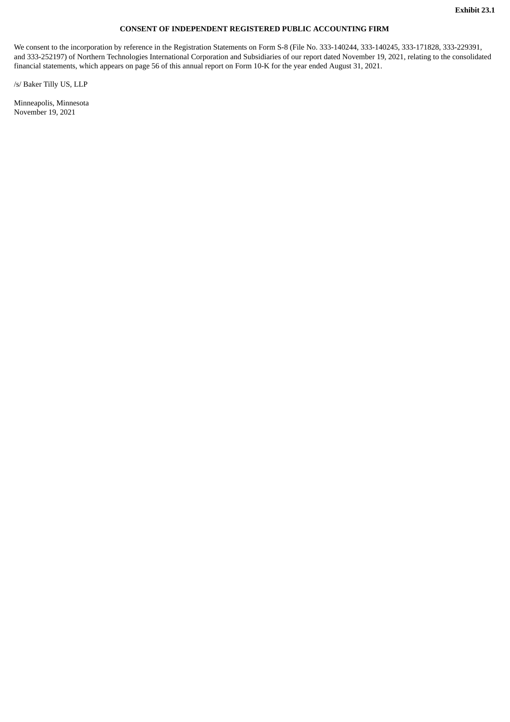# **CONSENT OF INDEPENDENT REGISTERED PUBLIC ACCOUNTING FIRM**

<span id="page-96-0"></span>We consent to the incorporation by reference in the Registration Statements on Form S-8 (File No. 333-140244, 333-140245, 333-171828, 333-229391, and 333-252197) of Northern Technologies International Corporation and Subsidiaries of our report dated November 19, 2021, relating to the consolidated financial statements, which appears on page 56 of this annual report on Form 10-K for the year ended August 31, 2021.

/s/ Baker Tilly US, LLP

Minneapolis, Minnesota November 19, 2021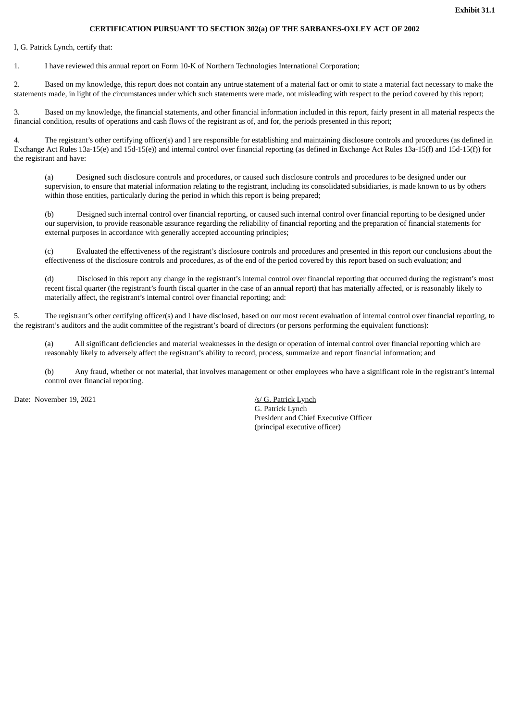# **CERTIFICATION PURSUANT TO SECTION 302(a) OF THE SARBANES-OXLEY ACT OF 2002**

<span id="page-97-0"></span>I, G. Patrick Lynch, certify that:

1. I have reviewed this annual report on Form 10-K of Northern Technologies International Corporation;

2. Based on my knowledge, this report does not contain any untrue statement of a material fact or omit to state a material fact necessary to make the statements made, in light of the circumstances under which such statements were made, not misleading with respect to the period covered by this report;

3. Based on my knowledge, the financial statements, and other financial information included in this report, fairly present in all material respects the financial condition, results of operations and cash flows of the registrant as of, and for, the periods presented in this report;

4. The registrant's other certifying officer(s) and I are responsible for establishing and maintaining disclosure controls and procedures (as defined in Exchange Act Rules 13a-15(e) and 15d-15(e)) and internal control over financial reporting (as defined in Exchange Act Rules 13a-15(f) and 15d-15(f)) for the registrant and have:

(a) Designed such disclosure controls and procedures, or caused such disclosure controls and procedures to be designed under our supervision, to ensure that material information relating to the registrant, including its consolidated subsidiaries, is made known to us by others within those entities, particularly during the period in which this report is being prepared;

(b) Designed such internal control over financial reporting, or caused such internal control over financial reporting to be designed under our supervision, to provide reasonable assurance regarding the reliability of financial reporting and the preparation of financial statements for external purposes in accordance with generally accepted accounting principles;

(c) Evaluated the effectiveness of the registrant's disclosure controls and procedures and presented in this report our conclusions about the effectiveness of the disclosure controls and procedures, as of the end of the period covered by this report based on such evaluation; and

(d) Disclosed in this report any change in the registrant's internal control over financial reporting that occurred during the registrant's most recent fiscal quarter (the registrant's fourth fiscal quarter in the case of an annual report) that has materially affected, or is reasonably likely to materially affect, the registrant's internal control over financial reporting; and:

5. The registrant's other certifying officer(s) and I have disclosed, based on our most recent evaluation of internal control over financial reporting, to the registrant's auditors and the audit committee of the registrant's board of directors (or persons performing the equivalent functions):

(a) All significant deficiencies and material weaknesses in the design or operation of internal control over financial reporting which are reasonably likely to adversely affect the registrant's ability to record, process, summarize and report financial information; and

(b) Any fraud, whether or not material, that involves management or other employees who have a significant role in the registrant's internal control over financial reporting.

Date: November 19, 2021 /s/ G. Patrick Lynch

G. Patrick Lynch President and Chief Executive Officer (principal executive officer)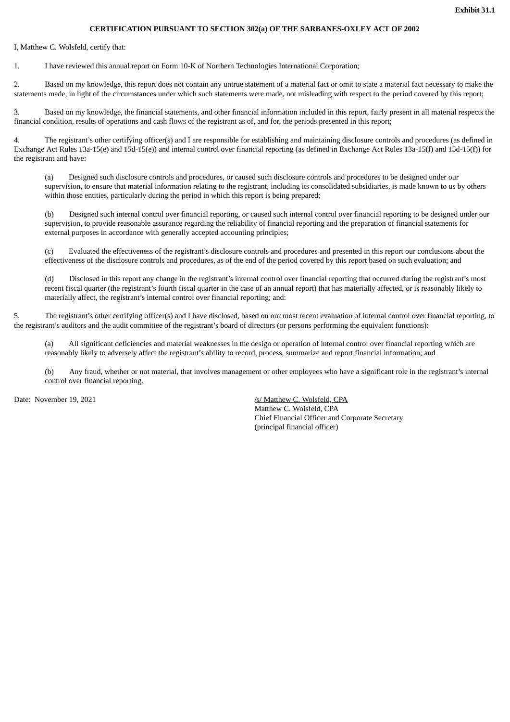# **CERTIFICATION PURSUANT TO SECTION 302(a) OF THE SARBANES-OXLEY ACT OF 2002**

<span id="page-98-0"></span>I, Matthew C. Wolsfeld, certify that:

1. I have reviewed this annual report on Form 10-K of Northern Technologies International Corporation;

2. Based on my knowledge, this report does not contain any untrue statement of a material fact or omit to state a material fact necessary to make the statements made, in light of the circumstances under which such statements were made, not misleading with respect to the period covered by this report;

3. Based on my knowledge, the financial statements, and other financial information included in this report, fairly present in all material respects the financial condition, results of operations and cash flows of the registrant as of, and for, the periods presented in this report;

4. The registrant's other certifying officer(s) and I are responsible for establishing and maintaining disclosure controls and procedures (as defined in Exchange Act Rules 13a-15(e) and 15d-15(e)) and internal control over financial reporting (as defined in Exchange Act Rules 13a-15(f) and 15d-15(f)) for the registrant and have:

(a) Designed such disclosure controls and procedures, or caused such disclosure controls and procedures to be designed under our supervision, to ensure that material information relating to the registrant, including its consolidated subsidiaries, is made known to us by others within those entities, particularly during the period in which this report is being prepared;

(b) Designed such internal control over financial reporting, or caused such internal control over financial reporting to be designed under our supervision, to provide reasonable assurance regarding the reliability of financial reporting and the preparation of financial statements for external purposes in accordance with generally accepted accounting principles;

(c) Evaluated the effectiveness of the registrant's disclosure controls and procedures and presented in this report our conclusions about the effectiveness of the disclosure controls and procedures, as of the end of the period covered by this report based on such evaluation; and

(d) Disclosed in this report any change in the registrant's internal control over financial reporting that occurred during the registrant's most recent fiscal quarter (the registrant's fourth fiscal quarter in the case of an annual report) that has materially affected, or is reasonably likely to materially affect, the registrant's internal control over financial reporting; and:

5. The registrant's other certifying officer(s) and I have disclosed, based on our most recent evaluation of internal control over financial reporting, to the registrant's auditors and the audit committee of the registrant's board of directors (or persons performing the equivalent functions):

(a) All significant deficiencies and material weaknesses in the design or operation of internal control over financial reporting which are reasonably likely to adversely affect the registrant's ability to record, process, summarize and report financial information; and

(b) Any fraud, whether or not material, that involves management or other employees who have a significant role in the registrant's internal control over financial reporting.

Date: November 19, 2021 */s/ Matthew C. Wolsfeld, CPA* Matthew C. Wolsfeld, CPA Chief Financial Officer and Corporate Secretary (principal financial officer)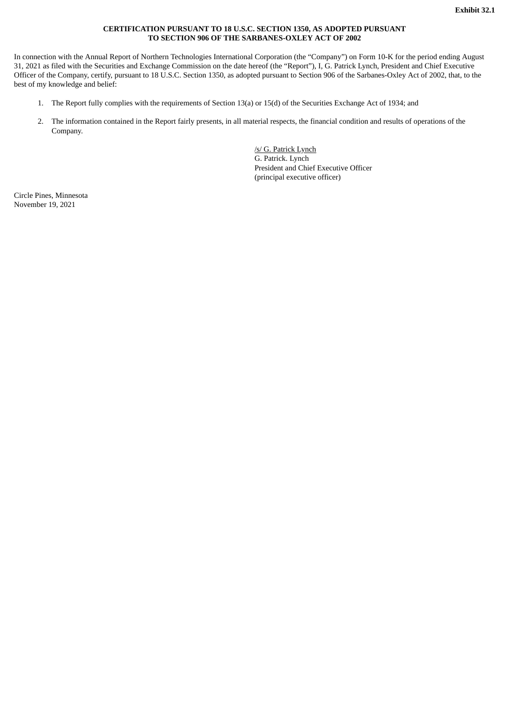### **CERTIFICATION PURSUANT TO 18 U.S.C. SECTION 1350, AS ADOPTED PURSUANT TO SECTION 906 OF THE SARBANES-OXLEY ACT OF 2002**

<span id="page-99-0"></span>In connection with the Annual Report of Northern Technologies International Corporation (the "Company") on Form 10-K for the period ending August 31, 2021 as filed with the Securities and Exchange Commission on the date hereof (the "Report"), I, G. Patrick Lynch, President and Chief Executive Officer of the Company, certify, pursuant to 18 U.S.C. Section 1350, as adopted pursuant to Section 906 of the Sarbanes-Oxley Act of 2002, that, to the best of my knowledge and belief:

- 1. The Report fully complies with the requirements of Section 13(a) or 15(d) of the Securities Exchange Act of 1934; and
- 2. The information contained in the Report fairly presents, in all material respects, the financial condition and results of operations of the Company.

/s/ G. Patrick Lynch G. Patrick. Lynch President and Chief Executive Officer (principal executive officer)

Circle Pines, Minnesota November 19, 2021